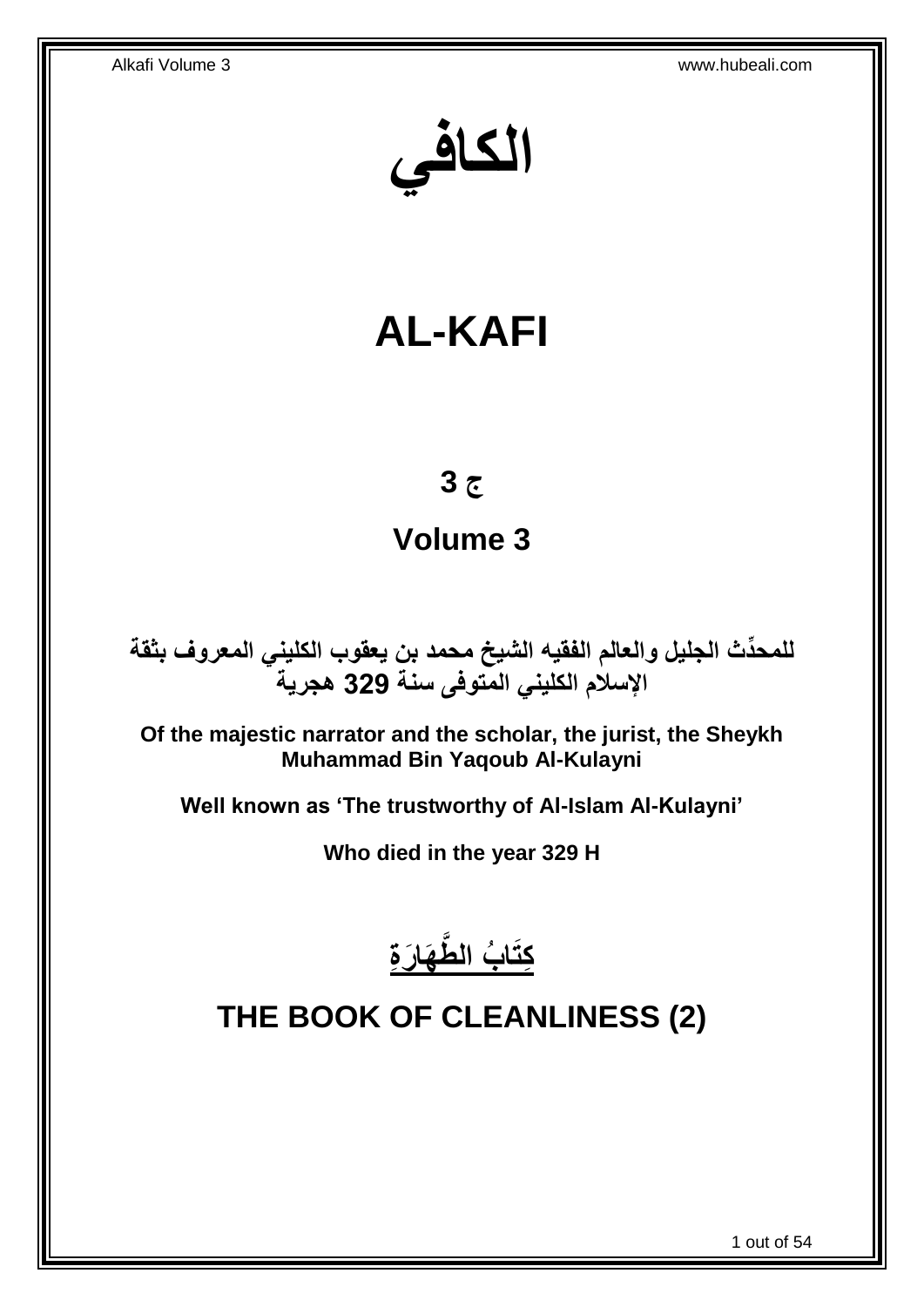**الكافي**

# **AL-KAFI**

# **ج 3**

# **Volume 3**

**دث الجليل والعالم الفقيه الشيخ محمد بن يعقوب الكليني المعروف بثقة للمح ِّ اإلسالم الكليني المتوفى سنة 329 هجرية**

**Of the majestic narrator and the scholar, the jurist, the Sheykh Muhammad Bin Yaqoub Al-Kulayni**

**Well known as 'The trustworthy of Al-Islam Al-Kulayni'**

**Who died in the year 329 H**



# <span id="page-0-0"></span>**THE BOOK OF CLEANLINESS (2)**

1 out of 54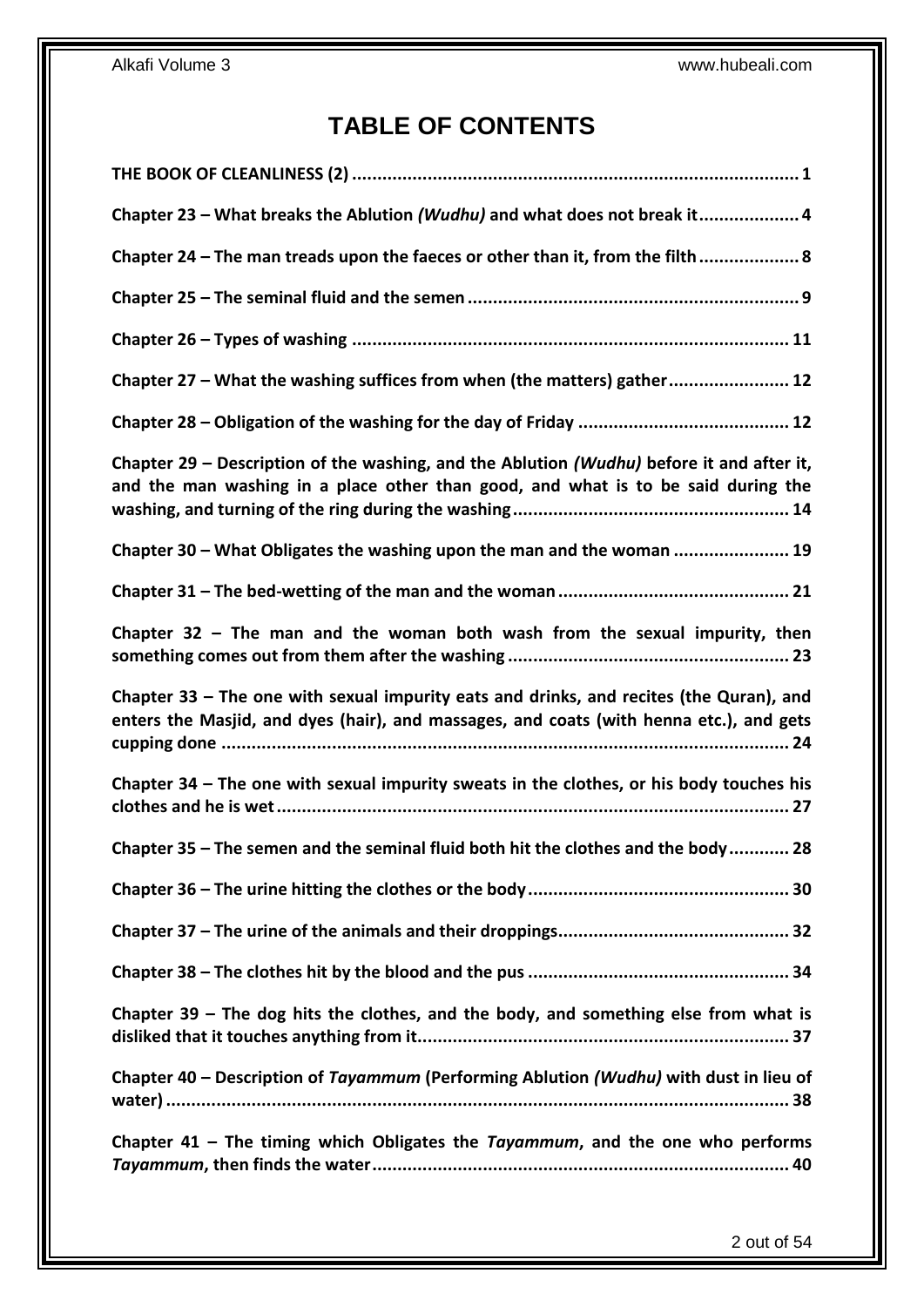## **TABLE OF CONTENTS**

| Chapter 23 - What breaks the Ablution (Wudhu) and what does not break it 4                                                                                                         |
|------------------------------------------------------------------------------------------------------------------------------------------------------------------------------------|
| Chapter 24 - The man treads upon the faeces or other than it, from the filth 8                                                                                                     |
|                                                                                                                                                                                    |
|                                                                                                                                                                                    |
| Chapter 27 - What the washing suffices from when (the matters) gather 12                                                                                                           |
|                                                                                                                                                                                    |
| Chapter 29 – Description of the washing, and the Ablution (Wudhu) before it and after it,<br>and the man washing in a place other than good, and what is to be said during the     |
| Chapter 30 - What Obligates the washing upon the man and the woman  19                                                                                                             |
|                                                                                                                                                                                    |
| Chapter $32$ – The man and the woman both wash from the sexual impurity, then                                                                                                      |
|                                                                                                                                                                                    |
| Chapter 33 - The one with sexual impurity eats and drinks, and recites (the Quran), and<br>enters the Masjid, and dyes (hair), and massages, and coats (with henna etc.), and gets |
| Chapter 34 - The one with sexual impurity sweats in the clothes, or his body touches his                                                                                           |
| Chapter 35 – The semen and the seminal fluid both hit the clothes and the body 28                                                                                                  |
|                                                                                                                                                                                    |
|                                                                                                                                                                                    |
|                                                                                                                                                                                    |
| Chapter $39$ – The dog hits the clothes, and the body, and something else from what is                                                                                             |
| Chapter 40 - Description of Tayammum (Performing Ablution (Wudhu) with dust in lieu of                                                                                             |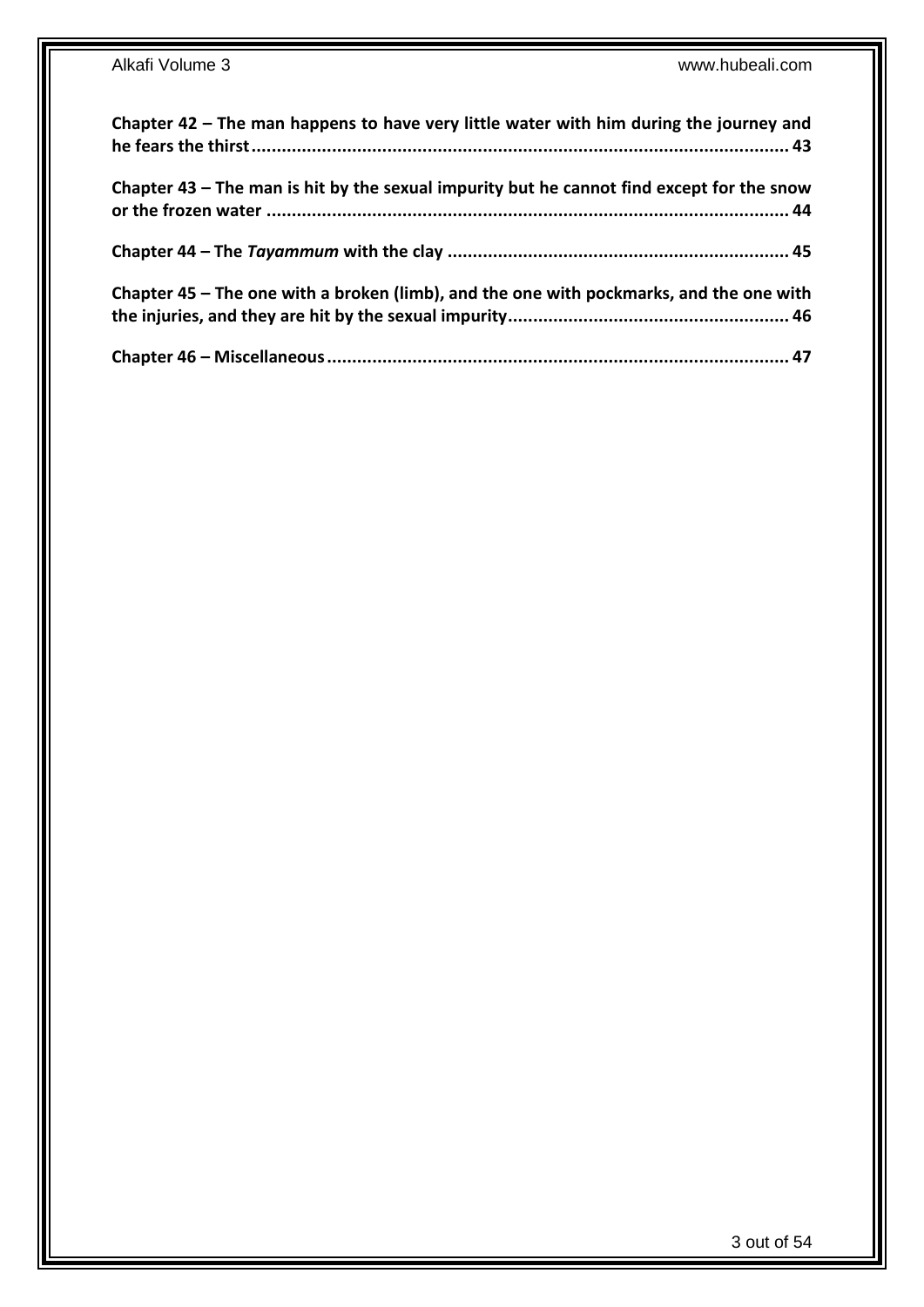| Chapter 42 - The man happens to have very little water with him during the journey and    |
|-------------------------------------------------------------------------------------------|
| Chapter 43 – The man is hit by the sexual impurity but he cannot find except for the snow |
|                                                                                           |
| Chapter 45 – The one with a broken (limb), and the one with pockmarks, and the one with   |
|                                                                                           |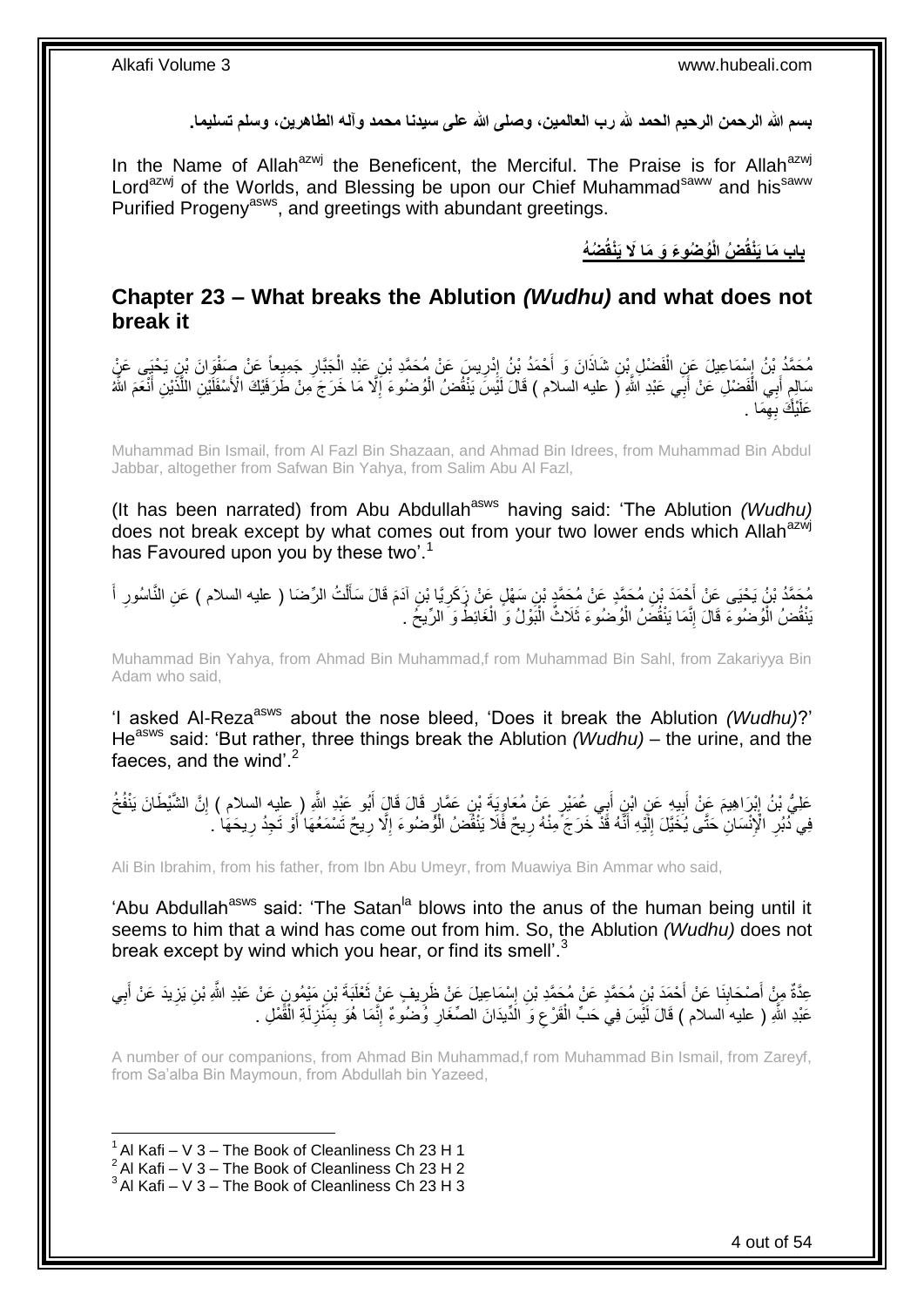**بسم هللا الرحمن الرحيم الحمد هلل رب العالمين، وصلى هللا على سيدنا محمد وآله الطاهرين، وسلم تسليما.**

In the Name of Allah<sup>azwj</sup> the Beneficent, the Merciful. The Praise is for Allah<sup>azwj</sup> Lord<sup>azwj</sup> of the Worlds, and Blessing be upon our Chief Muhammad<sup>saww</sup> and his<sup>saww</sup> Purified Progeny<sup>asws</sup>, and greetings with abundant greetings.

**ُض ُه ُو ُضو َء َو َما ََل َيْنقُ ُض الْ باب َما َيْنقُ**

### <span id="page-3-0"></span>**Chapter 23 – What breaks the Ablution** *(Wudhu)* **and what does not break it**

مُحَمَّدُ بْنُ إِسْمَاعِيلَ عَنِ الْفَضْلِ بْنِ شَاذَانَ وَ أَحْمَدُ بْنُ إِدْرِيسَ عَنْ مُحَمَّدِ بْنِ عَبْدِ الْجَبَّارِ جَمِيعاً عَنْ صَفْوَانَ بْنِ يَحْيَى عَنٍْ **∶** ْ ِ ِ َ ْ سَالِمٍ أَبِي الْفَضْلِ عَنْ أَبَى عَبْدِ اللَّهِ (َ عليه السلام ) قَالَ لَيْسَ يَنْفُضُ الْوُضُوءَ إِلَّا مَا خَرَجَ مِنْ طَرَفَيْكَ الْأَسْفَلَيْنِ اللَّذَيْنِ أَنْعَمَ اللَّهُ ْ َ ْ َ ٍ َ َّ ِ عَلَيْكَ بِهِمَا . ِ

Muhammad Bin Ismail, from Al Fazl Bin Shazaan, and Ahmad Bin Idrees, from Muhammad Bin Abdul Jabbar, altogether from Safwan Bin Yahya, from Salim Abu Al Fazl,

(It has been narrated) from Abu Abdullah<sup>asws</sup> having said: 'The Ablution *(Wudhu)* does not break except by what comes out from your two lower ends which Allah<sup>azwj</sup> has Favoured upon you by these two'.<sup>1</sup>

ِن ُم َح َّمٍد َع ْح َمَد ْب ُم َح َّمُد ْب ُن َي ْحَي َع ْن أ أ ا ُسور ُت ال ِّر َضا ) عليه السالم ( َع ِن النَّ ل ِن آَدَم َقا َل َسأ َّيا ْب ِن َس ْه ٍل َع ْن َز َكر ْن ُم َح َّمِد ْب َ َ ِ ْ ĺ ِ َنْقُضُ الْوُضُوءَ قَالَ إِنَّمَا يَنْقُضَٰ الْوُضُوءَ ثَلَاثٌ الْبَوْلُ وَ الْغَائِطُ وَ الرِّيخَ . ْ ْ ْ יִי י ْ

Muhammad Bin Yahya, from Ahmad Bin Muhammad,f rom Muhammad Bin Sahl, from Zakariyya Bin Adam who said,

'I asked Al-Rezaasws about the nose bleed, 'Does it break the Ablution *(Wudhu)*?' He<sup>asws</sup> said: 'But rather, three things break the Ablution *(Wudhu)* – the urine, and the faeces, and the wind'. $2$ 

عَلِيُّ بْنُ إِبْرَاهِيمَ عَنْ أَبِيهِ عَنِ ابْنِ أَبِي عُمَيْرٍ عَنْ مُعَاوِيَةَ بْنِ عَمَّارٍ قَالَ قَالٍَ أَبُو عَبْدِ اللَّهِ ( عليه السلام ) إنَّ الشَّيْطَانَ يَنْفُخُ َ ِ َ **!** َ ∣ٍ ِ فِي َدُبُرِ الْإِنْسَانِ حَتَّى يُخَيَّلَ إِلَيْهِ أَنَّهُ قَدّْ خَرَجَ مِنْهُ رِيحٌ فَلَا يَنْقُضُ الْوُضُوءَ إِلَّا رِيحٌ تَسْمَعُهَا أَوْ تَجِدُ رِيحَهَا ۚ ـ ِ َ لَ  $\frac{1}{2}$ ِ ِ َ ِ ِ ْ

Ali Bin Ibrahim, from his father, from Ibn Abu Umeyr, from Muawiya Bin Ammar who said,

'Abu Abdullah<sup>asws</sup> said: 'The Satan<sup>|a</sup> blows into the anus of the human being until it seems to him that a wind has come out from him. So, the Ablution *(Wudhu)* does not break except by wind which you hear, or find its smell'.<sup>3</sup>

عِدَّةٌ مِنْ أَصْحَابِنَا عَنْ أَحْمَدَ بْنِ مُحَمَّدٍ عَنْ مُحَمَّدِ بْنِ إِسْمَاعِيلَ عَنْ ظَرِيفٍ عَنْ ثَعْلَبَةَ بْنِ مَيْمُونٍ عَنْ عَبْدِ اللَّهِ بْنِ يَزِيدَ عَنْ أَبِي َ ِ  $\frac{1}{2}$ **∣** َ ِ َ ِ عَبْدِ اللَّهِ ( عليه السلام ) قَالَ لَيْسَ فِي حَبِّ الْقَرْعِ وَ الدِّيدَانَ الصِّغَارِ وُضْنُومٌ إِنَّمَا هُوَ بِمَنْزِلَةِ الْقَمْلِ . لَ ِ ِ ِ ِ ِ ْ ْ

A number of our companions, from Ahmad Bin Muhammad,f rom Muhammad Bin Ismail, from Zareyf, from Sa'alba Bin Maymoun, from Abdullah bin Yazeed,

 $1$  Al Kafi – V 3 – The Book of Cleanliness Ch 23 H 1

 $2$  Al Kafi – V 3 – The Book of Cleanliness Ch 23 H 2

 $3$  Al Kafi – V 3 – The Book of Cleanliness Ch 23 H 3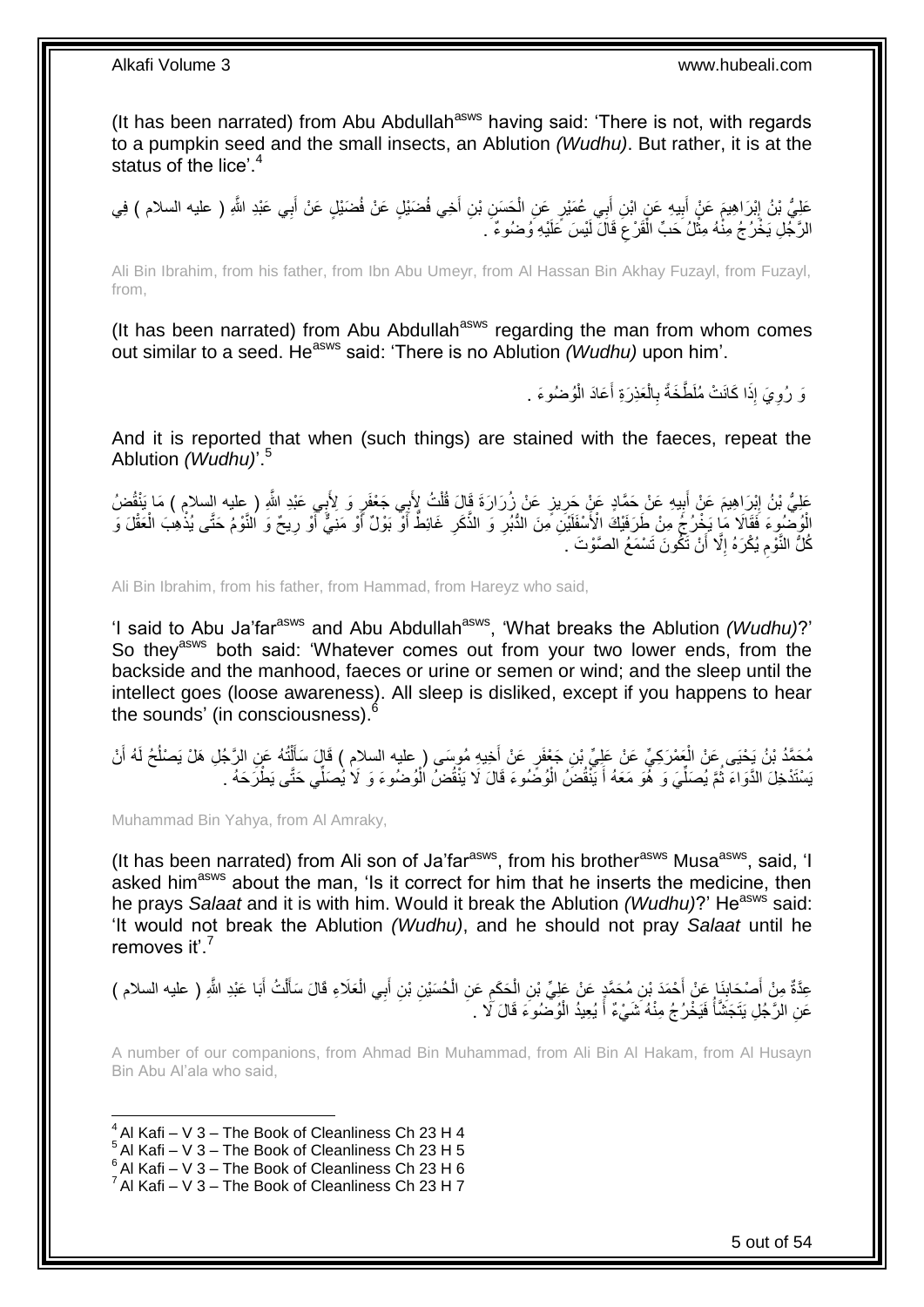(It has been narrated) from Abu Abdullah<sup>asws</sup> having said: 'There is not, with regards to a pumpkin seed and the small insects, an Ablution *(Wudhu)*. But rather, it is at the status of the lice'.<sup>4</sup>

عَلِيُّ بْنُ إِبْرَاهِيمَ عَنْ أَبِيهِ عَنِ ابْنِ أَبِي عُمَيْرٍ عَنِ الْحَسَنِ بْنِ أَخِي فُضَيْلٍ عَنْ فُضَيْلٍ عَنْ أَبِي عَبْدِ اللَّهِ ( عليه السلام ) فِي<br>حَفِيُّ بْنُ إِبْرَاهِيمَ عَنْ أَبِيهِ عَنِ ابْنِ أَبِي عُمَيْ َ َ ْ ِ َ <u>֖֓</u> الرَّجُلِ يَخْرُجُ مِنْهُ مِثْلُ حَبِّ الْقَرْعِ قَالَ لَيْسَ عَلَيْهِ وُضُوءٌ ۗ . ِ ْ **ٔ** 

Ali Bin Ibrahim, from his father, from Ibn Abu Umeyr, from Al Hassan Bin Akhay Fuzayl, from Fuzayl, from,

(It has been narrated) from Abu Abdullah<sup>asws</sup> regarding the man from whom comes out similar to a seed. He<sup>asws</sup> said: 'There is no Ablution *(Wudhu)* upon him'.

> وَ رُوِيَ إِذَا كَانَتْ مُلَطَّخَةً بِالْعَذِرَةِ أَعَادَ الْوُضُوءَ . **∶** ْ َ ْ **∶**

And it is reported that when (such things) are stained with the faeces, repeat the Ablution *(Wudhu)*'.<sup>5</sup>

عَلِيُّ بْنُ إِبْرَاهِيمَ عَنْ أَبِيهِ عَنْ حَمَّادٍ عَنْ ذَرَارَ وَقَالَ قُلْتُ لِأَبِي جَعْفَرٍ وَ لِأَبِي عَبْدِ اللَّهِ ( عليه السلام ) مَا يَنْقُضُ<br>فَيَقَالَ الْسَلَامِ الْسَلَامِ عَنْ حَمَّادٍ عَنْ جَمِيعَتِ الْعَلَ ِ  $\frac{1}{2}$ יִין<br>י ْ اْوُضُوِءَ فَقَالَا مَا يَخْرُجُ مِنْ طَرَفَيْكَ الْأَسْفَلَيْنِ مِنَ الذُّبُرِ وَ الذَّكَرِ غَائِظٌ أَوّْ بَوْلٌ أَوْ مَنِيٌّ أَوْ رِيحٌ وَ النَّوْمُ حَتَّى يُذْهِبَ الْعَقْلَ وَ َ َ ِ ِ ْ **ٔ ∶** اُ كُلُّ النَّوْمِ يُكْرَهُ إِلَّا أَنْ تَكُونَ تَسْمَعُ الصَّوْتَ . اً ِ ِ

Ali Bin Ibrahim, from his father, from Hammad, from Hareyz who said,

'I said to Abu Ja'far<sup>asws</sup> and Abu Abdullah<sup>asws</sup>, 'What breaks the Ablution *(Wudhu)*?' So they<sup>asws</sup> both said: 'Whatever comes out from your two lower ends, from the backside and the manhood, faeces or urine or semen or wind; and the sleep until the intellect goes (loose awareness). All sleep is disliked, except if you happens to hear the sounds' (in consciousness).<sup>6</sup>

مُحَمَّدُ بْنُ يَحْيَى عَنْ الْعَمْرَكِيِّ عَنْ عَلِيِّ بْنِ جَعْفَرٍ عَنْ أَخِيهِ مُوسَى (عليه السلام ) قَالَ سَأَأَيْتُهُ عَنِ الرَّجُلِ هَلْ يَصْلُحُ لَهُ أَنْ ْ ĺ َ َ ا<br>ا َسْتَدْخِلَ الدَّوَاءَ ثُمَّ يُصَلِّيَ وَ ۖ هُوَ مَعَهُ أَ يَنْْقُضَّ الْوُضِّوءَ قَالَ لَا يَنْقُضَّ الْوُضُوءَ وَ لَا يُصَلِّي حَتَّى يَطْرَحَهُ ۚ . ْ ْ َ ِّ ُ

Muhammad Bin Yahya, from Al Amraky,

(It has been narrated) from Ali son of Ja'far<sup>asws</sup>, from his brother<sup>asws</sup> Musa<sup>asws</sup>, said, 'I asked him<sup>asws</sup> about the man, 'Is it correct for him that he inserts the medicine, then he prays *Salaat* and it is with him. Would it break the Ablution *(Wudhu)*?' He<sup>asws</sup> said: 'It would not break the Ablution *(Wudhu)*, and he should not pray *Salaat* until he removes it<sup>'</sup>

عِدَّةٌ مِنْ أَصْحَابِنَإٍ عَنْ أَحْمَدَ بْنِ مُحَمَّدٍ عَنْ عَلِيٍّ بْنِ الْحَكَمِ عَنِ الْحُسَيْنِ بْنِ أَبِي الْعَلَاءِ قَالَ سَأَلْتُ أَبَا عَبْدِ اللَّهِ ( عليه السلام ) َ **∣** َ َ ْ ĺ ْ َ ْ **:** ْ عَنِ الرَّجُلِ يَتَجَشَّأَ فَيَخْرُجُ مِنْهُ شَيْءٌ أَ يُعِيدُ الْوُضْمُوءَ قَالَ لَا . ∫<br>∫ ْ َ

A number of our companions, from Ahmad Bin Muhammad, from Ali Bin Al Hakam, from Al Husayn Bin Abu Al'ala who said,

1  $4$  Al Kafi – V 3 – The Book of Cleanliness Ch 23 H 4

- $^5$  Al Kafi V 3 The Book of Cleanliness Ch 23 H 5
- $6$  Al Kafi V 3 The Book of Cleanliness Ch 23 H 6

 $^7$  Al Kafi – V 3 – The Book of Cleanliness Ch 23 H 7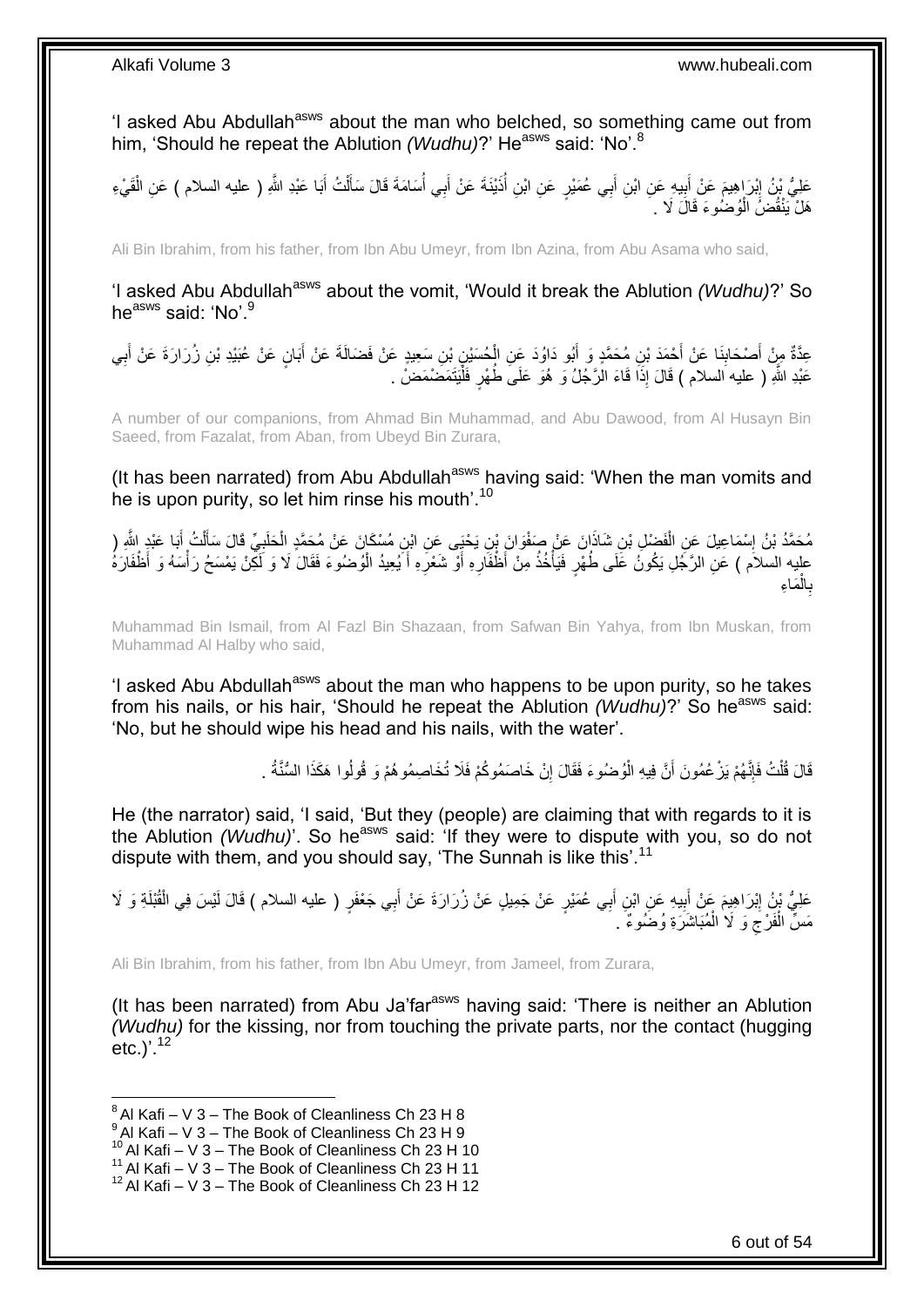'I asked Abu Abdullah<sup>asws</sup> about the man who belched, so something came out from him, 'Should he repeat the Ablution *(Wudhu)*?' He<sup>asws</sup> said: 'No'.<sup>8</sup>

عَلِيُّ بْنُ إِبْرَاهِيمَ عَنْ أَبِيهِ عَنِ ابْنِ أَبِي عُمَيْرٍ عَنِ ابْنِ أُذَيْنَةَ عَنْ أَبِي أُسَامَةَ قَالَ سَأَلْتُ أَبَا عَبْدِ اللَّهِ ( عليه السلام ) عَنِ الْقَيْءِ َ **!** َ ِ ْ َ ْ ĺ ا<br>أ َ :<br>ا هَلْ يَنْقُضَُ الْوُضُوءَ قَالَ لَا . ْ

Ali Bin Ibrahim, from his father, from Ibn Abu Umeyr, from Ibn Azina, from Abu Asama who said,

'I asked Abu Abdullah<sup>asws</sup> about the vomit, 'Would it break the Ablution *(Wudhu)*?' So he<sup>asws</sup> said: 'No'.<sup>9</sup>

عِدَّةٌ مِنْ أَصْحَابِنَا عَنْ أَحْمَدَ بْنِ مُحَمَّدٍ وَ أَبُو دَاوُدَ عَنِ الْحُسَيْنِ بْنِ سَعِيدٍ عَنْ فَضَالَةَ عَنْ أَبَانٍ عَنْ عُبَيْدِ بْنِ زُرَارَةَ عَنْ أَبِي َ ْ َ َ **∣** ِ َ عَبْدِ اللَّهِ ( عليه السلام ) قَالَ إِذَا قَاءَ الْرَّجُلُ وَ هُوَ عَلَىَ طُهْرٍ فَلْيَتَمَضَمَضُ . :<br>ا

A number of our companions, from Ahmad Bin Muhammad, and Abu Dawood, from Al Husayn Bin Saeed, from Fazalat, from Aban, from Ubeyd Bin Zurara,

(It has been narrated) from Abu Abdullah<sup>asws</sup> having said: 'When the man vomits and he is upon purity, so let him rinse his mouth'.<sup>10</sup>

ْ مُحَمَّدُ بْنُ إِسْمَاعِيلَ عَنِ الْفَضْلِ بْنِ شَاذَانَ عَنْ صَفْوَانَ بْنِ يَحْيَى عَنِ ابْنِ مُسْكَانَ عَنْ مُحَمَّدٍ الْخَلْبِيِّ قَالَ سَأَلْتُ أَبَا عَبْدٍ الثَّهِ ( ْ יִין<br>∶ َ ْ َ ِ عليه السلاَم ) عَلِ الرَّجُلِ يَكُونُ عَلَى طُهْرٍ فَيَأْخُذُ مِنْ أَظْفَارِهِ أَوْ شَعْرِهِ أَيُعِيدُ الْوُضُوءَ فَقَالَ لَا وَ لَكِنْ يَمْسَحُ رَأْسَهُ وَ أَظْفَارَهُ ْ َ ِ **∶** ا<br>المسلمان<br>المسلمان ْ َما ِء ْ ال **∶** ب

Muhammad Bin Ismail, from Al Fazl Bin Shazaan, from Safwan Bin Yahya, from Ibn Muskan, from Muhammad Al Halby who said,

'I asked Abu Abdullah<sup>asws</sup> about the man who happens to be upon purity, so he takes from his nails, or his hair, 'Should he repeat the Ablution *(Wudhu)*?' So he<sup>asws</sup> said: 'No, but he should wipe his head and his nails, with the water'.

> قَالَ قُلْتُ فَإِنَّهُمْ يَزْ عُمُونَ أَنَّ فِيهِ الْوُضُوءَ فَقَالَ إِنْ خَاصَمُوكُمْ فَلَا تُخَاصِمُوهُمْ وَ قُولُوا هَكَذَا السُّنَّةُ . ِ ْ ِ ْ

He (the narrator) said, 'I said, 'But they (people) are claiming that with regards to it is the Ablution *(Wudhu)*<sup>'</sup>. So he<sup>asws</sup> said: 'If they were to dispute with you, so do not dispute with them, and you should say, 'The Sunnah is like this'.<sup>11</sup>

عَلِيُّ بْنُ إِبْرَاهِيمَ عَنْ أَبِيهِ عَنِ ابْنِ أَبِي عُمَيْرٍ عَنْ جَمِيلٍ عَنْ زُرَارَةَ عَنْ أَبِي جَعْفَرٍ ( عليه السلام ) قَالَ لَيْسَ فِي الْقُبْلَةِ وَ لَا َ **!** َ ِ ْ مَسٌّ الْفَرْجَ وَ لَا الْمُبَاشَرَةِ وُضُوءٌ ۚ. ْ  $\zeta$ ْ

Ali Bin Ibrahim, from his father, from Ibn Abu Umeyr, from Jameel, from Zurara,

(It has been narrated) from Abu Ja'far<sup>asws</sup> having said: 'There is neither an Ablution *(Wudhu)* for the kissing, nor from touching the private parts, nor the contact (hugging etc.) $^{12}$ 

\_\_\_\_\_\_\_\_\_\_\_\_\_\_\_\_\_\_\_\_\_\_\_\_\_\_\_\_\_\_\_\_\_\_\_<br><sup>8</sup> Al Kafi – V 3 – The Book of Cleanliness Ch 23 H 8

 $9$  Al Kafi – V 3 – The Book of Cleanliness Ch 23 H 9

 $10$  Al Kafi – V 3 – The Book of Cleanliness Ch 23 H 10

<sup>&</sup>lt;sup>11</sup> Al Kafi – V  $3$  – The Book of Cleanliness Ch 23 H 11

 $12$  Al Kafi – V 3 – The Book of Cleanliness Ch 23 H 12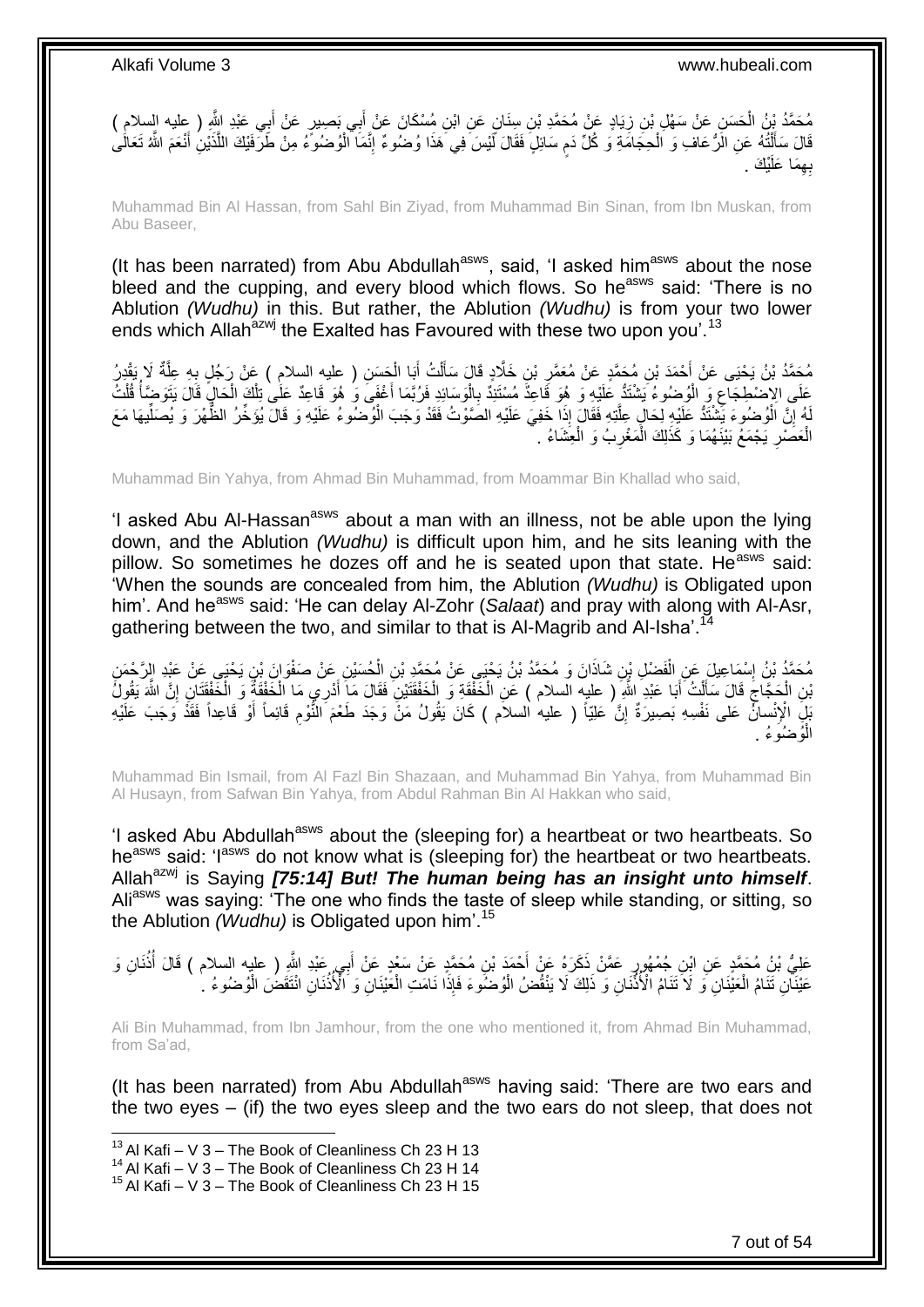َ مُحَمَّدُ بْنُ الْحَسَنِ عَنْ سَهْلٍ بْنِ زِيَادٍ عَنْ مُحَمَّدِ بْنِ سِنَانٍ عَنِ ابْنِ مُسْكَانَ عَنْ أَبِي بَصِبِيرٍ عَنْ أَبِي عَبْدِ الثَّهِ ( عِليه السلام )<br>مُنْ الْجَسَنِ فَيْنَ الْحَسَنِ عَنْ سَهْلٍ بْنِ زِيَادٍ عَ َ ِ قَالَ سَأَلْتُهُ عَنِ الَّرُّ عَافَ وَ الْحِجَامَّةِ وَ كُلَّ دَمِ سَائِلٍ فَقَالَ لَّيْسَ فِي هَذَا وُضُوءٌ إِنَّمَا أَلْوُضُوءُ مِنْ طَرَّفَيْكَ اللَّذَيْنِ أَنْعَمَ الثَّهُ تَعَالَٰى ْ ِ ֧֖֧֚֚֓֝֝֝ ْ ֺ֦֖֦֧֦֦֧֦֧֦֪֦֧֦֧֦֧֦֪ׅ֧֦֧֦֧֦֧֦֧֝֟֟֓֕֟֓֕֝֓֟֓֡֟֓֡֟֓֡֟֓֡֟֓֡֟֓֟֓֡֟֓֓֞֟֓֞֓֞֟֓֡֟֩֓֓֟֓֞֟֟֓֟֓֟֓֟֓֝<br>֧֧֧֪֧֪֝֩֘֝֬֞֟׆<br>֧֪֘ َ َّ بِهِمَا عَلَيْكَ . ِ

Muhammad Bin Al Hassan, from Sahl Bin Ziyad, from Muhammad Bin Sinan, from Ibn Muskan, from Abu Baseer,

(It has been narrated) from Abu Abdullah<sup>asws</sup>, said, 'I asked him<sup>asws</sup> about the nose bleed and the cupping, and every blood which flows. So he<sup>asws</sup> said: 'There is no Ablution *(Wudhu)* in this. But rather, the Ablution *(Wudhu)* is from your two lower ends which Allah<sup>azwj</sup> the Exalted has Favoured with these two upon you'.<sup>13</sup>

مُحَمَّدُ بْنُ يَحْيَى عَنْ أَحْمَدَ بْنِ مُحَمَّدٍ عَنْ مُعَمَّرٍ بْنِ خَلَّادٍ قَالَ سَأَلْتُ أَبَا الْحَسَنِ ( عليه السلامِ ) عَنْ رَجُلٍ بِهِ عِلَّةٌ لَا يَقْدِرُ ْ َ ْ اً<br>أ ِ َّ ِ عَلَى الاِضْطِجَاعِ وَ الْوُضُوءُ يَشْتَدُّ عَلَيْهِ وَ هُوَ قَاعِدٌ مُسْتَنِدٌ بِالْوَسَائِدِ فَرُبَّمَا أَغْفَى وَ هُوَ قَاعِدٌ عَلَى تِلْكَ الْحَالِ قَالَ يَتَوَضَّأَ قُلْتُ ْ ِ ْ ِ ْ المار<br>المسلمان<br>المسلمان ْ ْ َ لَهُ إِنَّ الْوُصُوءَ يَشْتَدُّ عَلَيْهِ لِحَالٍ عِلَّتِهِ فَقَالٍ إِذَا خَفِيَ عَلَيْهِ الصَّوْتُ فَقَدْ وَجَبَ الْوُصْنُوءُ عَلَيْهِ وَ قَالَ يُؤَخِّرُ الظُّهْرَ وَ يُصَلِّيهَا مَعَ ْ َّ ْ <u>֖֚֚֚֚֚֚֚֓</u> ِّ الْعَصَٰرِ يَجْمَعُ بَيْنَهُمَا وَ كَذَلِكَ الْمَغْرِبُ وَ الْعِشَاءُ <sub>.</sub> ْ ِ ْ ِ ْ

Muhammad Bin Yahya, from Ahmad Bin Muhammad, from Moammar Bin Khallad who said,

'I asked Abu Al-Hassan<sup>asws</sup> about a man with an illness, not be able upon the lying down, and the Ablution *(Wudhu)* is difficult upon him, and he sits leaning with the pillow. So sometimes he dozes off and he is seated upon that state. He<sup>asws</sup> said: 'When the sounds are concealed from him, the Ablution *(Wudhu)* is Obligated upon him'. And he<sup>asws</sup> said: 'He can delay Al-Zohr (Salaat) and pray with along with Al-Asr, gathering between the two, and similar to that is Al-Magrib and Al-Isha'.

مُحَمَّدُ بْنُ إِسْمَاعِيلَ عَنِ الْفَضْلِ بِنِ شَاذَانَ وَ مُحَمَّدُ بْنُ يَحْيَي عَنْ مُحَمَّدِ بْنِ الْحُسَيْنِ عَنْ صَفْوَانَ بْنِ يَحْيَي عَنْ عَبْدِ الرَّحْمَنِ ْ ْ יִין<br>∶ َنْنِ الْحَجَّاجَ قَالَ سَأَلْتُ أَبَا عَبْدِ اللَّهِ رِّ عليه السلام ) عَنِ الْخَفْقَةِ وَ الْخَفْقَتْيْنِ فَقَالَ مَا أَدْرِي مَا الْخَفْقَةُ وَ الْخَفْقَتَانِ إِنَّ اللَّهَ يَقُولُ<br>الْمَرْضَعَ الْجَمَاجَ قَالَ سَأَلْتُ ْ َ ْ َ ِ ْ ِ ْ ْ َ ْ َ بْلِِ الْإِنْسانِّ عَلى نَفْسِهِ بَصِيرَةٌ إِنَّ عَلِيّاً ( عليه السلام ) كَانَ يَقُولُ مَنْ وَجَدَ طَعْمَ النُّوْمِ قَائِماً أَوْ قَاعِداً فَقَدْ وَجَبَ عَلَيْهِ ِ ֧<u>׀</u> ْ الُوُضُوءُ .

Muhammad Bin Ismail, from Al Fazl Bin Shazaan, and Muhammad Bin Yahya, from Muhammad Bin Al Husayn, from Safwan Bin Yahya, from Abdul Rahman Bin Al Hakkan who said,

'I asked Abu Abdullah<sup>asws</sup> about the (sleeping for) a heartbeat or two heartbeats. So he<sup>asws</sup> said: 'I<sup>asws</sup> do not know what is (sleeping for) the heartbeat or two heartbeats. Allah<sup>azwj</sup> is Saying **[75:14] But! The human being has an insight unto himself.** Ali<sup>asws</sup> was saying: 'The one who finds the taste of sleep while standing, or sitting, so the Ablution *(Wudhu)* is Obligated upon him'.<sup>15</sup>

عَلِيُّ بْنُِ مُحَمَّدٍ عَنِ ابْنِ جُمْهُورٍ عَمَّنْ ذَكَرَهُ عَنْ أَحْمَدَ بْنِ مُحَمَّدٍ عَنْ سَعْدٍ عَنْ أَبِي عَبْدِ اللَّهِ ( عليه السلام ) قَالَ أُذُنَانِ وَ َ ُ عَيْنَانِ تَّنَامُ الْعَيّْنَانِ ۖ وَ ۚ لَا ۖ تَنَامُ الْأُذُّنَانِ وَ ۖ ذَلِكَ لَا يَنْقُضُ الْوُضُوءُ ۚ إِذَا نَامَتِ الْعَيْنَانِ ۖ وَ الْأُذُْنَانِ انْتَقَضُ الْوُضُوءُ ۚ إِ ْ ْ ْ ْ

Ali Bin Muhammad, from Ibn Jamhour, from the one who mentioned it, from Ahmad Bin Muhammad, from Sa'ad,

(It has been narrated) from Abu Abdullah<sup>asws</sup> having said: 'There are two ears and the two eyes – (if) the two eyes sleep and the two ears do not sleep, that does not

<sup>&</sup>lt;sup>13</sup> Al Kafi – V 3 – The Book of Cleanliness Ch 23 H 13

 $14$  Al Kafi – V 3 – The Book of Cleanliness Ch 23 H 14

 $15$  Al Kafi – V 3 – The Book of Cleanliness Ch 23 H 15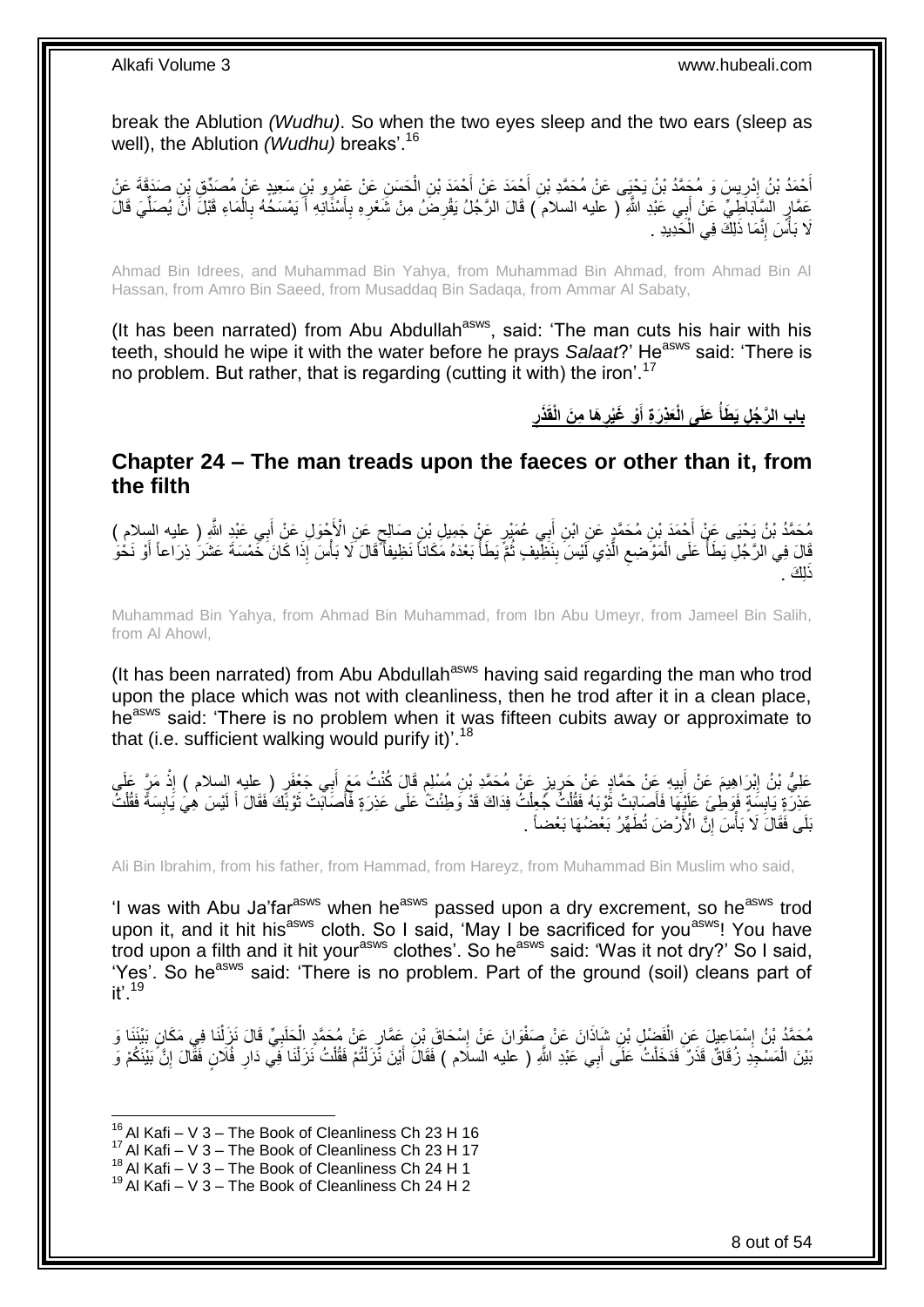break the Ablution *(Wudhu)*. So when the two eyes sleep and the two ears (sleep as well), the Ablution *(Wudhu)* breaks'.<sup>16</sup>

أَحْمَدُ بْنُ إِدْرِيسَ وَ مُجَمَّدُ بْنُ يَحْيَى عَنْ مُحَمَّدِ بْنِ أَحْمَدَ عَنْ أَحْمَدَ بْنِ الْحَسَنِ عَن<br>يَقَدَّدُ بَيْنَ إِدْرِيسَ وَ مُجَمَّدُ بْنُ يَحْيَى عَنْ مُحَمَّدِ بْنِ أَحْمَدَ عَنْ أَحْمَدَ عَنْ أَحْمَدَ **∶** ِ ْ َ َ عَمَّارٍ السَّاَبَاطِيِّ عَنْ أَبِي عَبْدِ اللَّهِ ( عليه السلام ) قَالَ الرَّجُلُ يَقْرِضُ مِنْ شَعْرِهِ بِأَسْنَانِهِ أَ يَمْسَكُهُ بِالْمَاءِ قَبْلَ أَنْ يُصَلِّيَ قَالَ َ اً ِ ِ ِ َ ْ ِ ِّ َ لَا بَأْسَ إِنَّمَا ذَلِكَ فِي الْخَدِيدِ . ْ יִי (ו ا<br>ا

Ahmad Bin Idrees, and Muhammad Bin Yahya, from Muhammad Bin Ahmad, from Ahmad Bin Al Hassan, from Amro Bin Saeed, from Musaddaq Bin Sadaqa, from Ammar Al Sabaty,

(It has been narrated) from Abu Abdullah<sup>asws</sup>, said: 'The man cuts his hair with his teeth, should he wipe it with the water before he prays Salaat?' He<sup>asws</sup> said: 'There is no problem. But rather, that is regarding (cutting it with) the iron'.<sup>17</sup>

> **َعلَى الْ باب ال َّر ُج ِل َي َطأ ذَر َها ِم َن الْقَ ْو َغْير َعِذَر ِة أ ِ ِ َ**

<span id="page-7-0"></span>**Chapter 24 – The man treads upon the faeces or other than it, from the filth**

مُحَمَّدُ بْنُ يَحْيَى عَنْ أَحْمَدَ بْنِ مُحَمَّدٍ عَنِ ابْنِ أَبِي عُمْيْرٍ عَنْ جَمِيلِ بْنِ صَالِحٍ عَنِ الْأَحْوَلِ عَنْ أَبِي عَبْدٍ اللَّهِ ( عليه السلام )<br>ر ٍ َ ِ َ قَالَ فِي الرَّجُلِ يَطَأُ عَلَى الْمَوْضِعِ الَّذِي لَيْسَ بِنَظِيفٍ ثُمَّ يَطَأُ بَعْدَهُ مَكَاناً نَظِيفاً قَالَ لَا بَأْسَ إِذَا كَانَ خَمْسَةَ عَشَرَ ذِرَاعاً أَوْ نَحْو **ٔ** اد المسلمان المسلمان المسلمان المسلمانية المسلمانية المسلمانية المسلمانية المسلمانية المسلمانية المسلمانية.<br>المسلمانية ُ ِ َّ  $\zeta$ ْ اب<br>ا َ .<br>اِك .

Muhammad Bin Yahya, from Ahmad Bin Muhammad, from Ibn Abu Umeyr, from Jameel Bin Salih, from Al Ahowl,

(It has been narrated) from Abu Abdullah<sup>asws</sup> having said regarding the man who trod upon the place which was not with cleanliness, then he trod after it in a clean place, he<sup>asws</sup> said: 'There is no problem when it was fifteen cubits away or approximate to that (i.e. sufficient walking would purify it)<sup>'.18</sup>

ِي َج ْعَف ب َقا َل ُكنْ ُت َمَع أ ِن ُم ْسلِم ٍز َع ْن ُم َح َّمِد ْب ي ي ِه َع ْن َح َّماٍد َع ْن َحر ب َم َع ْن أ ْب َرا ِهي َعلِ ُّي ْب ُن إ ِ َم َّر َعلَ ِذ ٍر ) عليه السالم ( إ َ ٍ ِ ِ َ **ٔ** عَذِرَةٍ يَابِسَةٍ فَوَطِٰئَ عَلَيْهَا فَأَصَابَتْ ثَوْبَهُ فَقُلْتُ جُعِلْتُ فِذَاكَ قَدْ وَطِئْتَّ عَلَى عَذِرَةٍ فَأَصَابَتْ ثَوْبَّكَ فَقَالَ أَ لَيْسَ هِيَ يَابِسَةً فَقُلْتُ ْ ْ ة<br>أ َ **∣** ْ ِ لَ َ َ َ َنَكَى فَقَالَ لَا بَأْسَ إِنَّ الْأَرْضَ تُطَهِّرُ بَعْضُهَا بَعْضاً . ِ .<br>أ

Ali Bin Ibrahim, from his father, from Hammad, from Hareyz, from Muhammad Bin Muslim who said,

'I was with Abu Ja'far<sup>asws</sup> when he<sup>asws</sup> passed upon a dry excrement, so he<sup>asws</sup> trod upon it, and it hit his<sup>asws</sup> cloth. So I said, 'May I be sacrificed for you<sup>asws</sup>! You have trod upon a filth and it hit yourasws clothes'. So heasws said: 'Was it not dry?' So I said, 'Yes'. So he<sup>asws</sup> said: 'There is no problem. Part of the ground (soil) cleans part of  $it'$ <sup>19</sup>

**∶** مُحَمَّدُ بْنُ إِسْمَاعِيلَ عَنِ الْفَضْلِ بْنِ شَإِذَانَ عَنْ صَفْوَانَ عَنْ إِسْحَاقَ بْنِ عَمَّارٍ عَنْ مُحَمَّدٍ الْحَلَبِيِّ قَالَ نَزَلْنَا فِي مَكَانٍ بَيْنَنَا وَ ْ ِ ْ ِ ْ بَيْنَ الْمَسْجِدِ زُفَاقٌ قَذَرٌ فَدَخَلْتُ عَلَى أَبِي عَبْدِ اللَّهِ ( عليه السلَام ) فَقَالَ أَيْنَ نَّرَلْنُمْ فَقُلْتُ نَزَلْنَا فِي دَارِ فُلَانٍ فَقَالَ إِنَّ بَيْنَكُمْ وَ َ ْ ِ ِ ْ ْ ْ َ

 $16$  Al Kafi – V 3 – The Book of Cleanliness Ch 23 H 16

 $17$  Al Kafi – V 3 – The Book of Cleanliness Ch 23 H 17

 $^{18}$  Al Kafi – V  $3$  – The Book of Cleanliness Ch 24 H 1

 $19$  Al Kafi – V 3 – The Book of Cleanliness Ch 24 H 2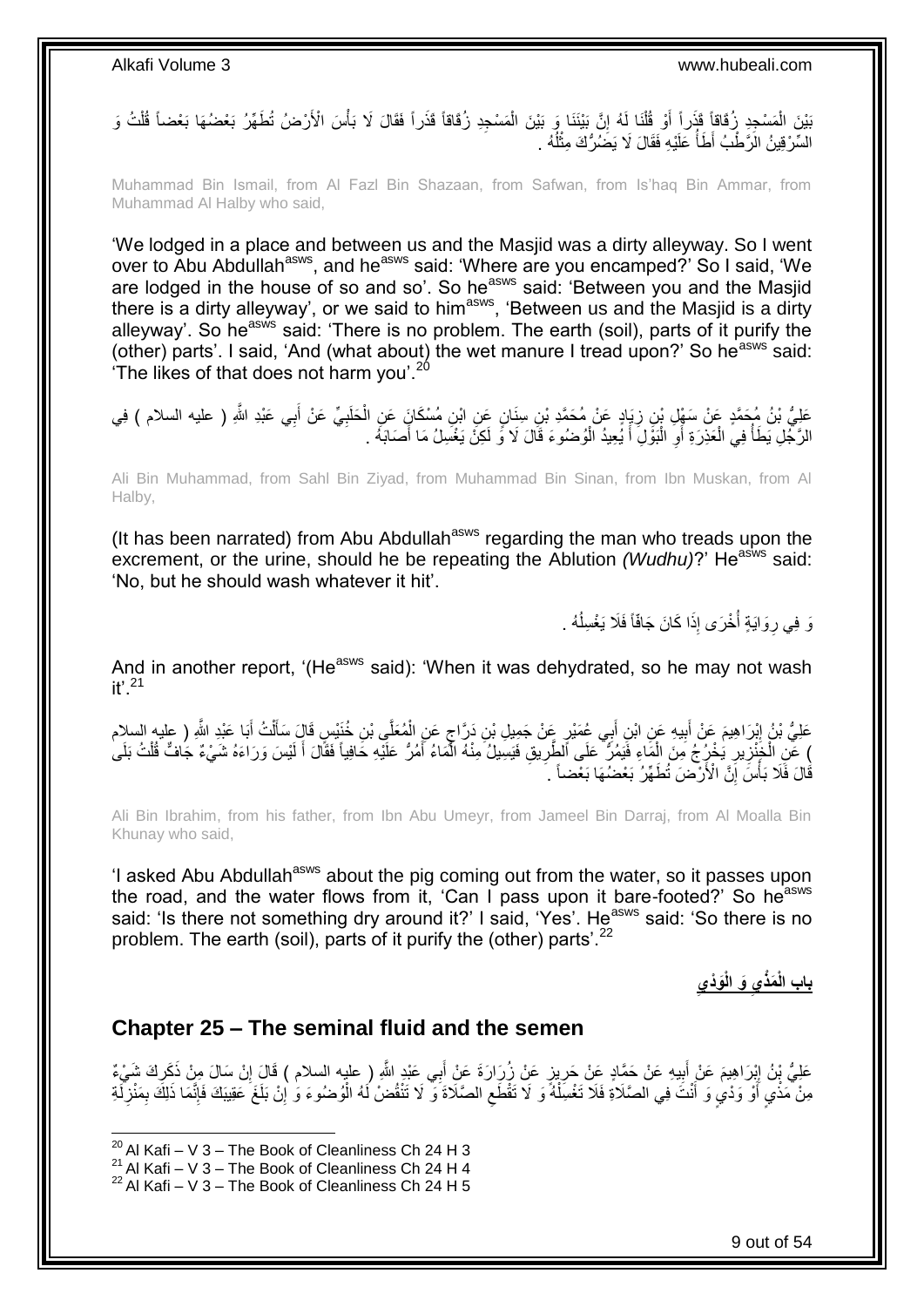ْ بَيْنَ الْمَسْجِدِ زُفَاقاً قَذَراً أَوْ قُلْنَا لَهُ إِنَّ بَيْنَنَا وَ بَيْنَ الْمَسْجِدِ زُفَاقاً قَذَراً فَقَالَ لَا بَأْسَ الْأَرْضُ تُطَهِّرُ بَعْضُهَا بَعْضاً قُلْتُ وَ ْ ا ْ َ ْ السَّرْقِينُ الْرَّطْبُ أَطَأُ عَلَيْهِ فَقَالَ لَا يَضَٰرُكَ مِثْلُهُ ۚ ا<br>ا **ٔ** المناطقي.<br>المناطقين

Muhammad Bin Ismail, from Al Fazl Bin Shazaan, from Safwan, from Is'haq Bin Ammar, from Muhammad Al Halby who said,

'We lodged in a place and between us and the Masjid was a dirty alleyway. So I went over to Abu Abdullah<sup>asws</sup>, and he<sup>asws</sup> said: 'Where are you encamped?' So I said, 'We are lodged in the house of so and so'. So he<sup>asws</sup> said: 'Between you and the Masjid there is a dirty alleyway', or we said to him<sup>asws</sup>, 'Between us and the Masjid is a dirty alleyway'. So he<sup>asws</sup> said: 'There is no problem. The earth (soil), parts of it purify the (other) parts'. I said, 'And (what about) the wet manure I tread upon?' So he<sup>asws</sup> said: 'The likes of that does not harm you'.<sup>20</sup>

عَلِيُّ بْنُ مُحَمَّدٍ عَنْ سَفْلٍ بْنِ زِيَادٍ عَنْ مُحَمَّدِ بْنِ سِنَانٍ عَنِ ابْنِ مُسْكَانٍَ عَنِ الْحَلَبِيِّ عَنْ أَبِي عَبْدِ اللَّهِ ( عليه السلام ) فِي<br>حَفِّي بَنُّ مُحَمَّدٍ عَنْ سَفْلٍ بْنِ زِيَادٍ عَنْ مُحَمَّ َ ِ ْ ِ الرَّجُلِ يَطَأَ فِي الْعَذِرَةِ أَوِ الْبَوْلِ أَ يُعِيدُ الْوُضُوءَ قَالَ لَا وَ لَكِنْ يَغْسِلُ مَا أَصَابَهُ . ْ َ ا.<br>ا ِ َ ْ المناطقي.<br>المناطقين َ

Ali Bin Muhammad, from Sahl Bin Ziyad, from Muhammad Bin Sinan, from Ibn Muskan, from Al Halby,

(It has been narrated) from Abu Abdullah<sup>asws</sup> regarding the man who treads upon the excrement, or the urine, should he be repeating the Ablution *(Wudhu)*?' He<sup>asws</sup> said: 'No, but he should wash whatever it hit'.

> وَ فِي رِوَايَةٍ أُخْرَى إِذَا كَانَ جَافّاً فَلَا يَغْسِلُهُ . ا<br>ا ا<br>ا ِ

And in another report, '(He<sup>asws</sup> said): 'When it was dehydrated, so he may not wash  $it'$ <sup>21</sup>

َ عَلِيُّ بْنُ إِبْرَاهِيمَ عَنْ أَبِيهِ عَنِ ابْنِ أَبِي عُمَيْرٍ عَنْ جَمِيلِ بْنِ دَرَّاجٍ عَنِ الْمُعَلَّي بْنِ خُنَيْسٍ قَالَ سَأَلْتُ أَبَا عَبْدِ اللَّهِ ( عليه السلام ِ َ ْ ĺ ْ ٍ َ **!** ) عَّنِ الْخَنْزِيرِ يَٰخْرُجُ مَنَ الْمَاءِ فَيَمُرُّ عَلَى اَلطَّرِيقِ فَيَسِيلُ مِنْهُ الْمَاءُ أَمُرُ عَلَيْهِ حَافِياً فَقَالَ أَ لَيْسَ وَرَاءَهُ شَيْءٌ جَافٌ قُلْتُ بَلَىٰ َ ا<br>ا **∶** ْ ِ ِ ْ َ ْ َّقَالَ فَأَلا بَأْسَ إِنَّ الْأَرْضَ تُطَهِّرُ بَعْضُهَا بَعْضاً ۚ ۚ ِ **ٔ** 

Ali Bin Ibrahim, from his father, from Ibn Abu Umeyr, from Jameel Bin Darraj, from Al Moalla Bin Khunay who said,

'I asked Abu Abdullah<sup>asws</sup> about the pig coming out from the water, so it passes upon the road, and the water flows from it, 'Can I pass upon it bare-footed?' So he<sup>asws</sup> said: 'Is there not something dry around it?' I said, 'Yes'. He<sup>asws</sup> said: 'So there is no problem. The earth (soil), parts of it purify the (other) parts'. $^{22}$ 

**َوْديِ َو الْ َمذْيِ باب الْ**

#### <span id="page-8-0"></span>**Chapter 25 – The seminal fluid and the semen**

عَلِيُّ بْنُ إِبْرَاهِيمَ عَنْ أَبِيهِ عَنْ حَمَّادٍ عَنْ حَرِيزٍ عَنْ زُِرَارَةَ عَنْ أَبِي عَبْدِ اللَّهِ (عليه السلام ) قَالَ إِنْ سَالَ مِنْ ذَكَرِكَ شَيْءٌ َ ِ **∣** َ ِ ِ ِ مِنْ مَذْيٍ أَوْ وَدْيٍ وَ أَنْتَ فِي الصَّلَاةِ فَلاَ تَغْسِّلْهُ ۖ وَ لَا تَقْطَعِ الصَّلَاةَ وَ لَا تَنْقُضْ لَهُ الْوُصْنُوءَ وَ إِنْ بَلَغَ عَقِيبَكَ فَإِنَّمَا ذَلِكَ بِمَنْزِ آَبَةِ َ ِ ْ ِ ْ َ ِ  $\ddot{\cdot}$ َّ ∣اٍ

 $20$  Al Kafi – V 3 – The Book of Cleanliness Ch 24 H 3

<sup>&</sup>lt;sup>21</sup> Al Kafi – V 3 – The Book of Cleanliness Ch 24 H 4

 $22$  Al Kafi – V 3 – The Book of Cleanliness Ch 24 H 5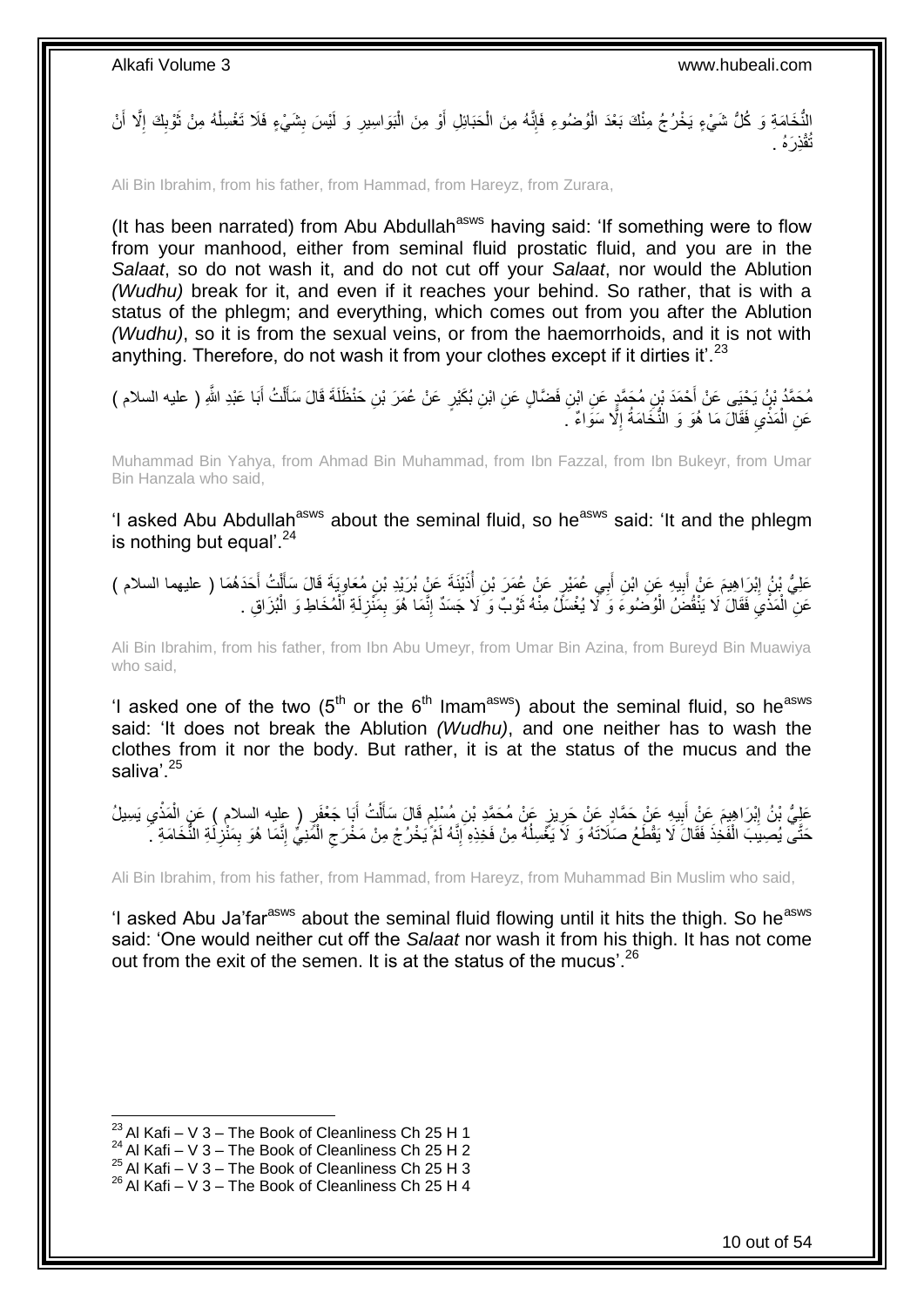النُّخَامَةِ وَ كُلُّ شَيْءٍ يَخْرُجُ مِنْكَ بَعْدَ الْوُصْنُوءِ فَإِنَّهُ مِنَ الْحَبَائِلِ أَوْ مِنَ الْبَوَاسِيرِ وَ لَيْسَ بِشَيْءٍ فَلَا تَغْسِلْهُ مِنْ ثَوْبِكَ إِلَّا أَنْ َ ْ ِ ْ ِ **∶** َ ا<br>ڊ ِ اً<br>ا ْ ِذ َرهُ . قْ تُ

Ali Bin Ibrahim, from his father, from Hammad, from Hareyz, from Zurara,

(It has been narrated) from Abu Abdullah<sup>asws</sup> having said: 'If something were to flow from your manhood, either from seminal fluid prostatic fluid, and you are in the *Salaat*, so do not wash it, and do not cut off your *Salaat*, nor would the Ablution *(Wudhu)* break for it, and even if it reaches your behind. So rather, that is with a status of the phlegm; and everything, which comes out from you after the Ablution *(Wudhu)*, so it is from the sexual veins, or from the haemorrhoids, and it is not with anything. Therefore, do not wash it from your clothes except if it dirties it'.<sup>23</sup>

مُحَمَّدُ بْنُ يَحْيَى عَنْ أَحْمَدَ بْنِ مُحَمَّدٍ عَنِ ابْنِ فَضَّالٍ عَنِ ابْنِ بُكَيْرٍ عَنْ عُمَرَ بْنِ حَنْظَلَةَ قَالَ سَأَلْتُ أَبَا عَبْدِ اللَّهِ ( عليه السلام ) َ ْ َ عَنِ الْمَذْيِ فَقَالَ مَا ۖ هُوَ وَ النُّخَامَةُ إِلَّا سَوَاءٌ ۚ ۖ ِ  $\ddot{\cdot}$ ْ

Muhammad Bin Yahya, from Ahmad Bin Muhammad, from Ibn Fazzal, from Ibn Bukeyr, from Umar Bin Hanzala who said,

'I asked Abu Abdullah<sup>asws</sup> about the seminal fluid, so he<sup>asws</sup> said: 'It and the phlegm is nothing but equal'. $24$ 

َ ِن أ ي ِه َع ِن اْب ب َم َع ْن أ ْب َرا ِهي َعلِ ُّي ْب ُن إ َحَد ُه َما ) عليهما السالم ( ُت أ ل َي َة َقا َل َسأ ِن ُمَعاو ْيَن َة َع ْن ُب َرْيِد ْب ذَ ِن أ ٍر َع ْن ُع َم َر ْب ِي ُع َمْي ب ِ َ **ֽ** َ ْ ĺ ِ ُ عَنِ ۖ الْمَذْيَ فَقَالَ لَا يَنْفُضَۢ الْوُضَوُءَ وَ ۚ لَا يُغْسَلِّ مِنْهُ ثَوْبٌ وَ ۚ لَا جَسَدٌ إِنَّمَا هُوَ بِمَنْزِلَةِ اَلْمُخَاطِ وَ الْبُزَاقِ . ْ لَ ِ ِ ِ َ ْ  $\ddot{\cdot}$ ْ ْ

Ali Bin Ibrahim, from his father, from Ibn Abu Umeyr, from Umar Bin Azina, from Bureyd Bin Muawiya who said,

'I asked one of the two  $(5<sup>th</sup>$  or the  $6<sup>th</sup>$  Imam<sup>asws</sup>) about the seminal fluid, so he<sup>asws</sup> said: 'It does not break the Ablution *(Wudhu)*, and one neither has to wash the clothes from it nor the body. But rather, it is at the status of the mucus and the saliva'.<sup>25</sup>

عَلِيُّ بْنُ اِبْرَاهِيمَ عَنْ أَبِيهِ عَنْ حَمَّادٍ عَنْ حَرِيزٍ عَنْ مُحَمَّدِ بْنِ مُسْلِمٍ قَالَ سَأَلْتُ أَبَا جَعْفَرٍ ( عِليه السلام ) عَنِ الْمَذْيِ يَسِيلُ َ ْ اً ا ֧֧֚֓֝֝֓֝֬ ِ **!** َ יִין<br>∶  $\frac{1}{2}$ ْ حَتَّى يُصِبِبَ الْفَخِذَ فَقَالَ لَا يَقْطَعُ صَلَاتَهُ وَ لَا يَغْسِلُهُ مِنْ فَخِذِهِ إِنَّهُ لَمْ يَخْرُجْ مِنْ مَخْرَجِ الْمََنِيُّ إِنَّمَا هُوَ بِمَنْزِلَةِ النُّخَامَةِ `َ ِ ِ ا<br>ا ْ لَ ِ ِ ِ ْ

Ali Bin Ibrahim, from his father, from Hammad, from Hareyz, from Muhammad Bin Muslim who said,

'I asked Abu Ja'far<sup>asws</sup> about the seminal fluid flowing until it hits the thigh. So he<sup>asws</sup> said: 'One would neither cut off the *Salaat* nor wash it from his thigh. It has not come out from the exit of the semen. It is at the status of the mucus'.<sup>26</sup>

 $^{23}$  Al Kafi – V 3 – The Book of Cleanliness Ch 25 H 1

 $^{24}$  Al Kafi – V 3 – The Book of Cleanliness Ch 25 H 2

 $^{25}$  Al Kafi – V 3 – The Book of Cleanliness Ch 25 H 3

 $^{26}$  Al Kafi – V 3 – The Book of Cleanliness Ch 25 H 4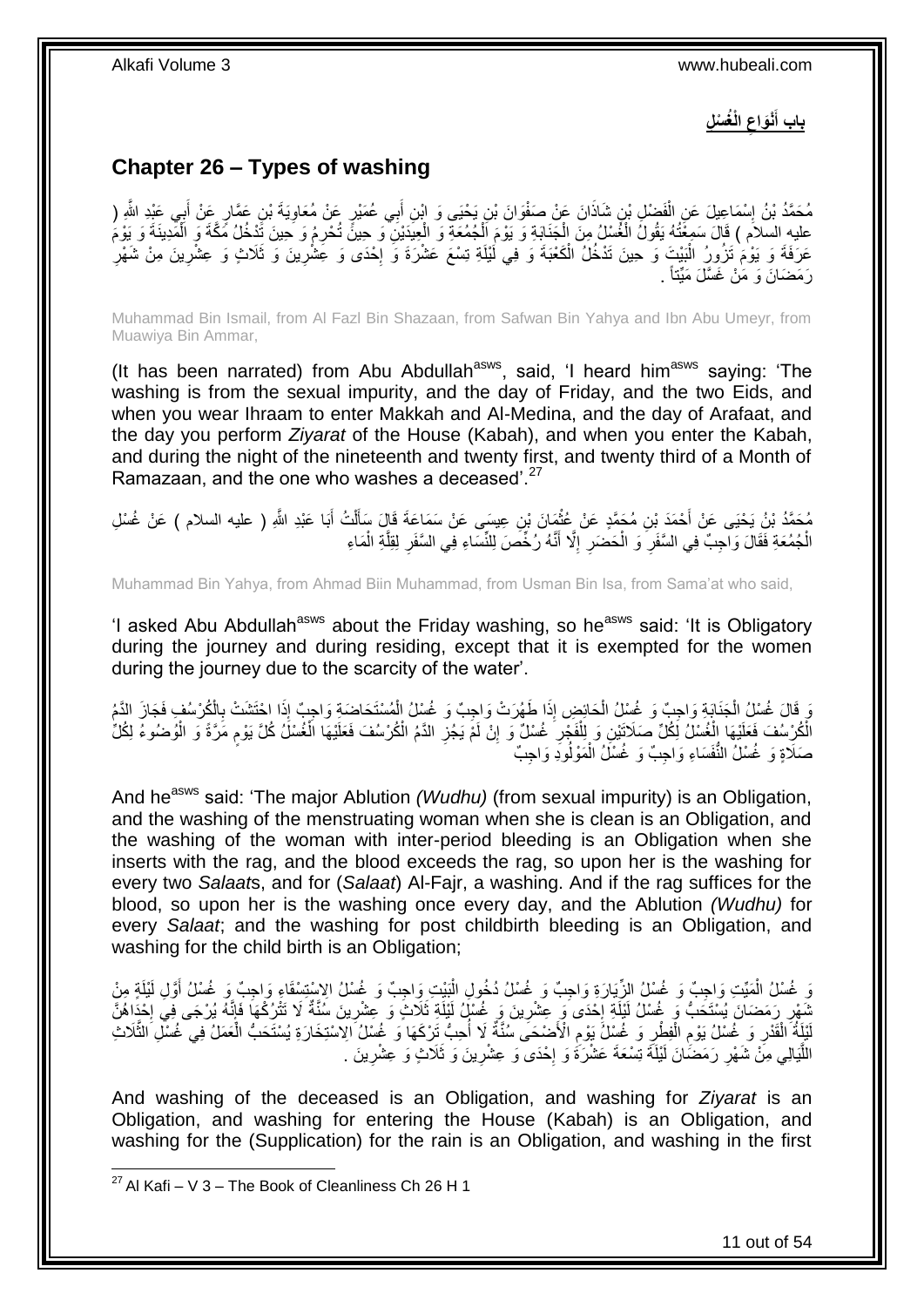**الْ ُغ ْس ِل ْنَواع باب أ ِ َ**

## <span id="page-10-0"></span>**Chapter 26 – Types of washing**

مُحَمَّدُ بْنُ إِسْمَاعِيلَ عَنِ الْفَضْلِ بْنِ شَاذَانَ عَنْ صَفْوَانَ بْنِ يَحْيَى وَ ابْنِ أَبِي عُمَيْرٍ عَنْ مُعَاوِيَةَ بْنِ عَمَّارٍ عَنْ أَبِي عَنْدِ الثَّهِ ( ِ َ ْ ِ َ عليه السلام ) قَالَ سَمِغْتُهُ يَقُولُ الْغُسْلُ مِنَ الْجَنَابَةِ وَ يَوْمَ الْجُمُعَةِ وَ الْعِيَدَيْنِ وَ حِينً تُدْرِمُ وَ حِينَ تَدْخُلُ مَكَّةَ وَ الْمَدِينَةَ وَ يَوْمَ<br>مِدَيَةِ بِلِمِدِينَ وَلِمَّا الْجَمْعَةُ وَا ْ ْ ْ ْ ْ عَرَفَةَ وَ يَوْمُ تَزُورُ الْبَيْتَ وَ حِينَ تَدْخُلُ الْكَعْبَةَ وَ فِي لَيْلَةِ تِسْعَ عَشْرَةَ وَ إِحْدَى وَ عِشْرِينَ وَ تَلَاثٍ وَ عِشْرِينَ مِنْ شَهْرِ ا.<br>\* ْ ْ ِ ِ ِ رَمَضَانَ وَ مَنْ غَسَّلَ مَيِّتاً .

Muhammad Bin Ismail, from Al Fazl Bin Shazaan, from Safwan Bin Yahya and Ibn Abu Umeyr, from Muawiya Bin Ammar,

(It has been narrated) from Abu Abdullah<sup>asws</sup>, said, 'I heard him<sup>asws</sup> saying: 'The washing is from the sexual impurity, and the day of Friday, and the two Eids, and when you wear Ihraam to enter Makkah and Al-Medina, and the day of Arafaat, and the day you perform *Ziyarat* of the House (Kabah), and when you enter the Kabah, and during the night of the nineteenth and twenty first, and twenty third of a Month of Ramazaan, and the one who washes a deceased<sup>".27</sup>

مُحَمَّدُ بْنُ يَحْيَى عَنْ أَحْمَدَ بْنِ مُجَمَّدٍ عَنْ عُثْمَانَ بْنِ عِيسَى عَنْ سَمَاعَةَ قَالَ سَأَلْتُ أَبَا عَبْدِ اللَّهِ ( عليه السلام ) عَنْ غُسْلِ<br>\*\*\*\* َ ْ َ ْ َ الْجُمُعَةِ فَقَالَ وَاجِبٌ فِي السَّفَرِ ۖ وَ الْحَضَرِ ۚ إِلَّا أَنَّهُ رُخِّصَ لِلنِّسَاءِ فِي السَّفَرِ لِقِلَّةِ الْمَاءِ َ ِ ِ ْ ِ ْ َّ **∶** 

Muhammad Bin Yahya, from Ahmad Biin Muhammad, from Usman Bin Isa, from Sama'at who said,

'I asked Abu Abdullah<sup>asws</sup> about the Friday washing, so he<sup>asws</sup> said: 'It is Obligatory during the journey and during residing, except that it is exempted for the women during the journey due to the scarcity of the water'.

وَ قَالَ غُسْلُ الْجَنَابَةِ وَاجِبٌ وَ غُسْلُ الْحَائِضِ إِذَا طَهُرَتْ وَاجِبٌ وَ غُسْلُ الْمُسْتَحَاضَةِ وَاجِبٌ إِذَا احْتَشَتْ بِالْكُرْسُفِ فَجَازَ الدَّمُ<br>وَمُدِينٍ الْمَسْلُ الْجَنَابِيِّ وَيُمِيِّدِ وَغَسِّلُ الْ ْ ْ ْ ِ الْمُرْسُفَ فَعَلَيْهَا الْغُسْلُ لَكُلِّ صَلَاتَيْنِ وَ لِلْفَجْرِ غُسْلٌ وَ إِنْ لَمْ يَجُزِ الدَّمُ الْكُرْسُفَ فَعَلَيْهَا الْغُسْلُ كُلَّ يَوْمٍ مَرَّةً وَ الْوُضُوءُ لِكُلِّ<br>وُمِينِهِ مَا الْجُسْلُ لِكُلِّ صَلاَتَيْن ْ **∶** ِ ِ ْ ْ ْ ֧֖֧֦֧֦֧֦֧֚֚֝֝֝֝֬֝֓֝֓֝֓**֓** صَلَاةٍ وَ غُسْلُ النُّفَسَاءِ وَاجِبٌ وَ غُسْلُ الْمَوْلُودِ وَاجِبٌ ْ

And he<sup>asws</sup> said: 'The major Ablution *(Wudhu)* (from sexual impurity) is an Obligation, and the washing of the menstruating woman when she is clean is an Obligation, and the washing of the woman with inter-period bleeding is an Obligation when she inserts with the rag, and the blood exceeds the rag, so upon her is the washing for every two *Salaat*s, and for (*Salaat*) Al-Fajr, a washing. And if the rag suffices for the blood, so upon her is the washing once every day, and the Ablution *(Wudhu)* for every *Salaat*; and the washing for post childbirth bleeding is an Obligation, and washing for the child birth is an Obligation;

وَ غُسْلُ الْمَيِّتِ وَاجِبٌ وَ غُسْلُ الزِّيَارَةِ وَاجِبٌ وَ غُسْلُ دُخُولِ الْبَيْتِ وَاجِبٌ وَ غُسْلُ الِإِسْتِسْقَاءِ وَاجِبٌ وَ غُسْلُ أَوَّلِ لَيْلَةٍ مِنْ ا<br>ا ْ َ نَّمَهِر رَمَضَانَ يُسْتَحَبُّ وَ غُسْلُ لَيْلَةِ إِحْدَى َو ِعِشْرِينَ وَ غُسْلُ لَيْلَةِ ثَلَاثٍ وَ عِشْرِينَ سُنَّةٌ لَا تَتْرُكْهَا فَإِنَّهُ يُرْجَى فِي إِحْدَاهُنَّ ِ ِ ·<br>∶ ِ ا.<br>: اا لَيْلَةُ الْقَدْرِ وَ غَسْلُ يَوْمِ الْفِطْرِ وَ غُسْلُ يَوْمِ الْأَصْحَى سُنَّةٌ لَا أُحِبُّ تَرْكَهَا وَ غُسْلُ الآستِخَارَةِ يُسْتَحَبُّ الْغَمَلُ فِي غُسْلِ الثَّلاثِ ِ ِ ْ ِ **∶** ْ َّ ْ اللَّذِالِي مِنْ شَهْرِ رَمَضَانَ لَيْلَةَ تِسْعَةَ عَشْرَةُ وَ إِحْدَى وَ عِشْرِينَ وَ ثَلَاثٍ وَ عِشْرِينَ . ِ ِ **∶ ∶** َّ

And washing of the deceased is an Obligation, and washing for *Ziyarat* is an Obligation, and washing for entering the House (Kabah) is an Obligation, and washing for the (Supplication) for the rain is an Obligation, and washing in the first

 $^{27}$  Al Kafi – V 3 – The Book of Cleanliness Ch 26 H 1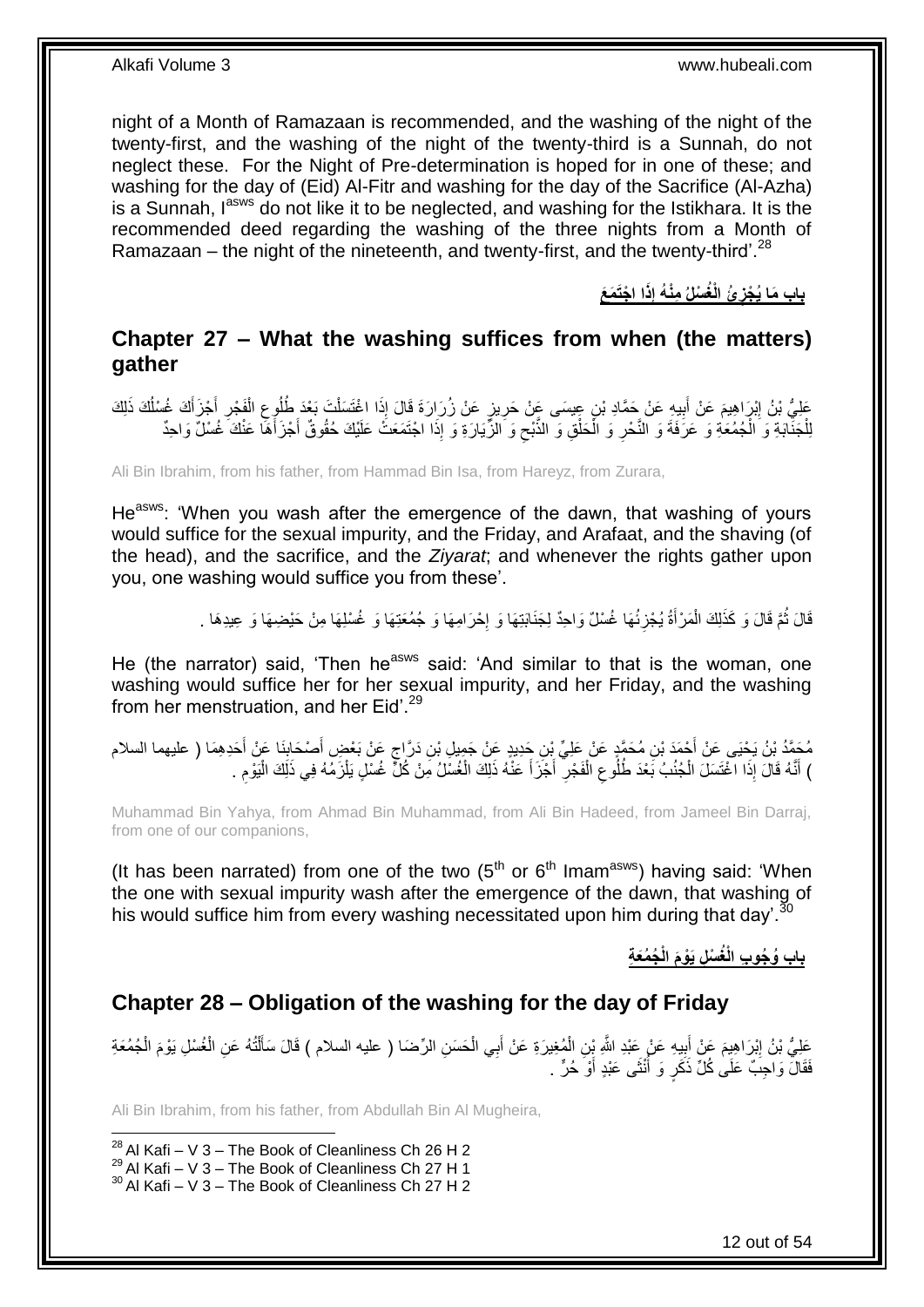night of a Month of Ramazaan is recommended, and the washing of the night of the twenty-first, and the washing of the night of the twenty-third is a Sunnah, do not neglect these. For the Night of Pre-determination is hoped for in one of these; and washing for the day of (Eid) Al-Fitr and washing for the day of the Sacrifice (Al-Azha) is a Sunnah, l<sup>asws</sup> do not like it to be neglected, and washing for the Istikhara. It is the recommended deed regarding the washing of the three nights from a Month of Ramazaan – the night of the nineteenth, and twenty-first, and the twenty-third'.<sup>28</sup>

> **ا ا ْجَت َم َع ِذَ ِمْن ُه إ ُئ الْ ُغ ْسلُ باب َما ُي ْجز ِ**

### <span id="page-11-0"></span>**Chapter 27 – What the washing suffices from when (the matters) gather**

عَلِيُّ بْنُ اِبْرَاهِيمَ عَنْ أَبِيهِ عَنْ جَمَّادِ بْنِ عِيسَى عَنْ حَرِيزٍ عَنْ زُرَارَةَ قَالَ إِذَا اغْتَسَلْتَ بَعْدَ طُلُوعِ الْفَجْرِ أَجْزَأَكَ غُسْلُكَ ذَلِكَ ْ ِ **!** ِ ْ ِ اُ َ َ ِ لِلْجَنَّابَةِ وَ الْجُمُعَةِ وَ عَرَفَةَ وَ النَّحْرِ وَ الْحَلْقِ وَ الذُّبْحِ وَ الزُّيَارَةِ وَ إِذَا اجْتَمَعَتَّ عَلَيْكَ حُقُوقٌ أَجْزَأَهَا عَنْكَ غُسْلٌ وَاحِدٌ ِ ْ ْ ِ ْ َ َ

Ali Bin Ibrahim, from his father, from Hammad Bin Isa, from Hareyz, from Zurara,

He<sup>asws</sup>: 'When you wash after the emergence of the dawn, that washing of yours would suffice for the sexual impurity, and the Friday, and Arafaat, and the shaving (of the head), and the sacrifice, and the *Ziyarat*; and whenever the rights gather upon you, one washing would suffice you from these'.

> قَالَ ثُمَّ قَالَ وَ كَذَلِكَ الْمَرْأَةُ يُجْزِئُهَا غُسْلٌ وَاحِدٌ لِجَذَابَتِهَا وَ إِحْرَامِهَا وَ جُمُعَتِهَا وَ غُسْلِهَا مِنْ حَيْضِهَا وَ عِيدِهَا . יֲ<br>י ِ َ ْ ا ماہ<br>سال

He (the narrator) said, 'Then he<sup>asws</sup> said: 'And similar to that is the woman, one washing would suffice her for her sexual impurity, and her Friday, and the washing from her menstruation, and her Eid'.<sup>29</sup>

ِ مُحَمَّدُ بْنُ يَحْيَى عَنْ أَحْمَدَ بْنِ مُحَمَّدٍ عَنْ عَلِيِّ بِنِ حَدِيدٍ عَنْ جَمِيلٍ بْنِ دَرَّاجٍ عَنْ بَعْضٍ أَصْحَابِنَا عَنْ أَحَدِهِمَا ( عليهما السلام<br>مُحَمَّدُ بْنُ يَحْيَى عَنْ أَحْمَدَ بِنِ مِئْهِ َ ٍ َ ) أَنَّهُ قَالَ إِذَا الْخُتَسَلَ الْجُنُبُ بَعْدَ طُلُوعِ الْفَجْرِ ۖ أَجْزَأَ عَنْهُ ذَلِكَ الْغُسُلُ مِنْ كُلِّ غُسْلٍ يَلْزَمُهُ فِي ذَلِكَ الْيَوْمِ . ْ ْ َ ِ ْ ِ ْ َ ِ ْ

Muhammad Bin Yahya, from Ahmad Bin Muhammad, from Ali Bin Hadeed, from Jameel Bin Darraj, from one of our companions,

(It has been narrated) from one of the two  $(5<sup>th</sup>$  or  $6<sup>th</sup>$  Imam<sup>asws</sup>) having said: 'When the one with sexual impurity wash after the emergence of the dawn, that washing of his would suffice him from every washing necessitated upon him during that day'.<sup>30</sup>

**ُج ُمَع ِة باب ُو ُجو ِب الْ ُغ ْس ِل َيْو َم الْ**

### <span id="page-11-1"></span>**Chapter 28 – Obligation of the washing for the day of Friday**

عَلِيُّ بْنُ إِبْرَاهِيمَ عَنْ أَبِيهِ عَنْ عَبْدِ اللَّهِ بِنِ الْمُغِيرَةِ عَنْ أَبِي الْحَسَنِ الرِّضَا ( عليه السلام ) قَالَ سَأَلْتُهُ عَنِ الْغُسْلِ يَوْمَ الْجُمُعَةِ ْ ْ ¦ َ ِ ْ ْ ْ فَقَالَ وَاجِبٌ عَلَىٰ كُلِّ ذَكَرٍ وَ أَنْثَى عَبْدٍ أَوْ حُرٍّ . ز<br>ا ا<br>ا

Ali Bin Ibrahim, from his father, from Abdullah Bin Al Mugheira,

1  $^{28}$  Al Kafi – V 3 – The Book of Cleanliness Ch 26 H 2

 $^{29}$  Al Kafi – V 3 – The Book of Cleanliness Ch 27 H 1

 $30$  Al Kafi – V 3 – The Book of Cleanliness Ch 27 H 2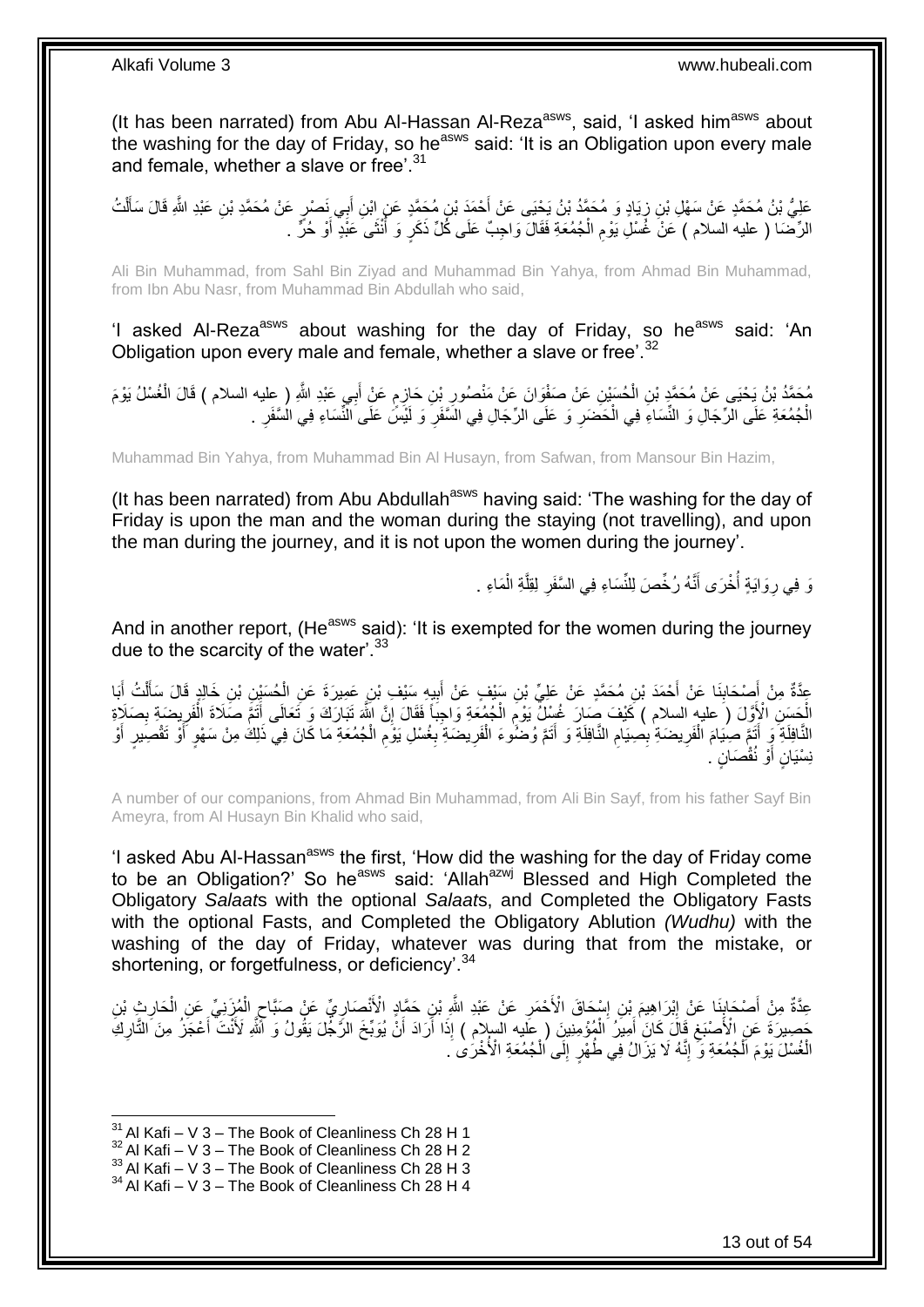(It has been narrated) from Abu Al-Hassan Al-Reza<sup>asws</sup>, said, 'I asked him<sup>asws</sup> about the washing for the day of Friday, so he<sup>asws</sup> said: 'It is an Obligation upon every male and female, whether a slave or free'.<sup>31</sup>

عَلِيُّ بْنُ مُحَمَّدٍ عَنْ سَهْلِ بْنِ زِيَادٍ وَ مُحَمَّدُ بْنُ يَحْيَى عَنْ أَحْمَدَ بْنِ مُحَمَّدٍ عَنِ ابْنِ أَبِي نَصْرٍ عَنْ مُحَمَّدِ بْنِ عَبْدِ اللَّهِ قَالَ سَأَلْتُ<br>جَمِيعَ اللَّهُ عَبْدِ اللَّهِ قَالَ سَأَلْت َ َ .<br>; ْ َ الرِّضَا ( عليه السلام ) عَنْ غُسْلِ يَوْمِ الْجُمُعَةِ فَقَالَ وَاجِبٌ عَلَى كُلِّ ذَكَرٍ وَ أَنْثَى عَنْدٍ أَوْ حُرٍّ . َ ا<br>ا ْ ِ

Ali Bin Muhammad, from Sahl Bin Ziyad and Muhammad Bin Yahya, from Ahmad Bin Muhammad, from Ibn Abu Nasr, from Muhammad Bin Abdullah who said,

'I asked Al-Reza<sup>asws</sup> about washing for the day of Friday, so he<sup>asws</sup> said: 'An Obligation upon every male and female, whether a slave or free'.<sup>32</sup>

مُحَمَّدُ بْنُ يَحْيَى عَنْ مُحَمَّدٍ بْنِ الْحُسَنِينِ عَنْ صَفْوَانَ عَنْ مَنْصُورِ بِْنِ حَازِمٍ عَنْ أَبِي عَبْدِ اللَّهِ ( عِليه السلام ) قَالَ الْغُسْلُ يَوْمَ ْ ْ َ ֧֧֚֓֝֝֓֝ ِ ِ الْجُمُعَةِ عَلَى الرِّجَالِ وَ النِّسَاءِ فِي الْحَضَرِ وَ عَلَى الرِّجَالِ فِي السَّفَرِ وَ لَيْسَ عَلَى النِّسَاءِ فِي السَّفَرِ . **∶** ِ ْ ْ ِ

Muhammad Bin Yahya, from Muhammad Bin Al Husayn, from Safwan, from Mansour Bin Hazim,

(It has been narrated) from Abu Abdullah<sup>asws</sup> having said: 'The washing for the day of Friday is upon the man and the woman during the staying (not travelling), and upon the man during the journey, and it is not upon the women during the journey'.

> وَ فِي رِوَايَةٍ أَخْرَى أَنَّهُ رُخِّصَ لِلنِّسَاءِ فِي السَّفَرِ لِقِلَّةِ الْمَاءِ . ْ َّ ِ َ .<br>ا ِ

And in another report, (He<sup>asws</sup> said): 'It is exempted for the women during the journey due to the scarcity of the water'.<sup>33</sup>

عِدَّةٌ مِنْ أَصْحَابِذَا عَنْ أَحْمَدَ بْنِ مُحَمَّدٍ عَنْ عَلِيٍّ بْنِ سَيْفٍ عَنْ أَبِيهِ سَيْفِ بْنِ عَمِيرَةَ عَنِ الْحُسَيْنِ بْنِ خَالِدٍ قَالَ سَأَلْتُ أِبَا **∣** َ َ ْ ĺ ْ **!** َ الْجَسَنِ الْأَوَّلَ ( عليهِ السلام ) كَيْفَ صَارَ غُسْلٌ يَوْمِ الْجُمُعَةِ وَاحِبَاً فَقَالَ إِنَّ اللَّهَ تَبَارَكَ وَ تَعَالَى أَثَمَّ صَلَاةَ الْفَرِيضَةِ بِصَلَاةِ ِ ْ ِ َ ِ ِ ْ النَّافِلَةِ ۖ وَإِنَّمَّ صِنِيَامَ الْفَرِيضَةِ بِصِيَامِ النَّافِلَةِ وَ أَتَمَّ وُضُوءَ الْفَرِيضَةِ بِغُسْلِ يَوْمِ الْجُمُعَةِ مَا كَانَ فِي ذَلِكَ مِنْ سَهْوٍ أَوْ تَقْصِيرٍ أَوْ ْ ِ ِ **∶** ْ **∶** ِ **∶** ْ َ َ نِسْيَانٍ أَوْ نُقْصَدَانٍ ۚ. ا<br>ا

A number of our companions, from Ahmad Bin Muhammad, from Ali Bin Sayf, from his father Sayf Bin Ameyra, from Al Husayn Bin Khalid who said,

'I asked Abu Al-Hassan<sup>asws</sup> the first, 'How did the washing for the day of Friday come to be an Obligation?' So he<sup>asws</sup> said: 'Allah<sup>azwj</sup> Blessed and High Completed the Obligatory *Salaat*s with the optional *Salaat*s, and Completed the Obligatory Fasts with the optional Fasts, and Completed the Obligatory Ablution *(Wudhu)* with the washing of the day of Friday, whatever was during that from the mistake, or shortening, or forgetfulness, or deficiency'.<sup>34</sup>

عِدَّةٌ مِنْ أَصْحَابِنَا عَنْ إِبْرَاهِيمَ بْنِ إِسْحَاقَ الْأَحْمَرِ عَنْ عَبْدِ الثَّهِ بْنِ حَمَّادٍ الْأَنْصَارِيِّي عَنْ صَبَّاحٍ الْمُزَنِيِّ عَنِ الْحَارِثِ بْنِ ِ ِ ِ ِ **∣** َ ِ ْ ْ ٍ ْْلَ َت َح َِي َرَة َع ِن ا نْ َْلَ ْن ُيَوِّب َ ُ ال َّر ُج َل َيقُو ُل َو ََّّللاِ َراَد أ ا أ ِذَ ُمَْ ِمِني َن ) عليه السالم ( إ ِمي ُر ال َقا َل َكا َن أ ََْبغ ِك ار ْع َج ُز ِم َن التَّ أ َ َ ْ َ ِ ِ َ الْغُسْلَ يَوْمَ الْجُمُعَةِ وَ إِنَّهُ لَا يَزَالُ فِي طُهْرٍ إِلَى الْجُمْعَةِ الْأُخْرَىٰ َ. ْ ِ ِ ْ ْ

1

 $33$  Al Kafi – V  $3$  – The Book of Cleanliness Ch 28 H 3

 $31$  Al Kafi – V 3 – The Book of Cleanliness Ch 28 H 1

 $32$  Al Kafi – V 3 – The Book of Cleanliness Ch 28 H 2

 $34$  Al Kafi – V 3 – The Book of Cleanliness Ch 28 H 4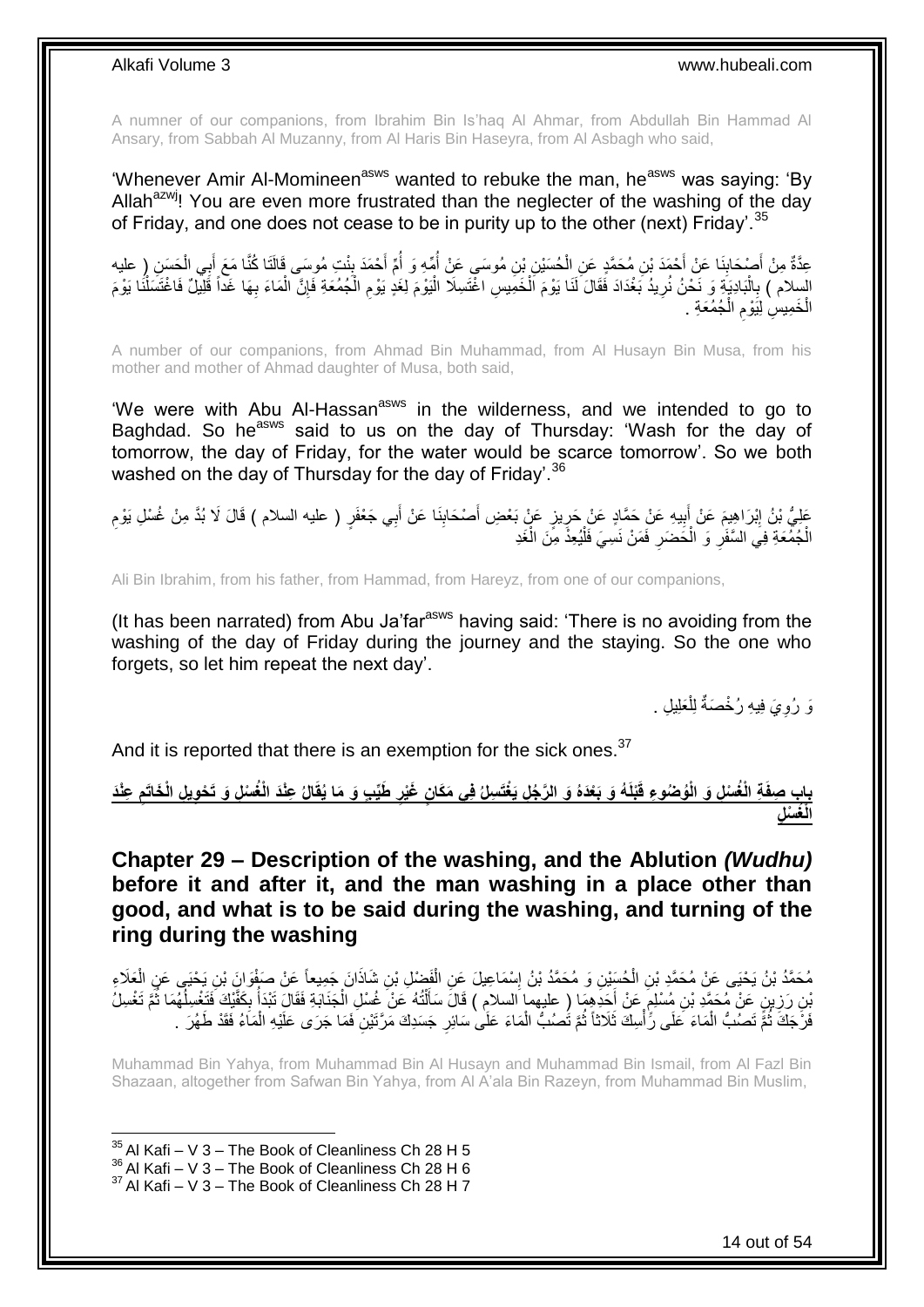A numner of our companions, from Ibrahim Bin Is'haq Al Ahmar, from Abdullah Bin Hammad Al Ansary, from Sabbah Al Muzanny, from Al Haris Bin Haseyra, from Al Asbagh who said,

'Whenever Amir Al-Momineen<sup>asws</sup> wanted to rebuke the man, he<sup>asws</sup> was saying: 'By Allah<sup>azwj</sup>! You are even more frustrated than the neglecter of the washing of the day of Friday, and one does not cease to be in purity up to the other (next) Friday'.  $35$ 

عِدَّةٌ مِنْ أُصْحَابِنَا عَنْ أَحْمَدَ بْنِ مُحَمَّدٍ عَنِ الْحُسَيْنِ بْنِ مُوسَى عَنْ أُمِّهِ وَ أُمِّ أَحْمَدَ بِنْتِ مُوسَى قَالَتَا كُنَّا مَعَ أَبِي الْحَسَنِ ( عليه ِ َ ُ ْ َ ِ ْ َ السِلام ) بِالْبَادِيَةَ وَ نَحْنُ نُرِيدُ بَغْدَادَ فَقَالَ لَذَا يَوْمَ اَلْخَمِيسِ اغْتَسِلَا الْيَوْمَ لِغَدٍ يَوْمِ الْجُمُعَةِ فَإِنَّ الْمَاءَ بِهَا غَداً قَلِيلٌ فَاغْتَسَلْنَا يَوْمَ ْ **∶** ْ **∶** ْ **∶** ْ ِ ْ ِ ْ الْخَمِيسِ لِيَوْمِ الْجُمُعَةِ . ْ ِ ْ

A number of our companions, from Ahmad Bin Muhammad, from Al Husayn Bin Musa, from his mother and mother of Ahmad daughter of Musa, both said,

'We were with Abu Al-Hassan<sup>asws</sup> in the wilderness, and we intended to go to Baghdad. So he<sup>asws</sup> said to us on the day of Thursday: 'Wash for the day of tomorrow, the day of Friday, for the water would be scarce tomorrow'. So we both washed on the day of Thursday for the day of Friday'.<sup>36</sup>

عَلِيُّ بْنُ إِبْرَاهِيمَ عَنْ أُبِيهِ عَنْ حَمَّادٍ عَنْ جَرِيزٍ عَنْ بَعْضِ أَصْحَابِنَا عَنْ أَبِي جَعْفَرٍ ( عليه السلام ) قَالَ لَا بُدَّ مِنْ غُسْلِ يَوْمِ َ  $\frac{1}{2}$ َ ِ **!** َ ِ **∶** الْجُمُعَةِ فِي السَّفَرِ وَ الْحَضَرِ فَمَنْ نَسِيَ فَلَيُعِذُ مِنَ الْغَدِ ْ :<br>إ ِ ْ ِ ْ

Ali Bin Ibrahim, from his father, from Hammad, from Hareyz, from one of our companions,

(It has been narrated) from Abu Ja'far $a<sup>asws</sup>$  having said: 'There is no avoiding from the washing of the day of Friday during the journey and the staying. So the one who forgets, so let him repeat the next day'.

> وَ رُوِيَ فِيهِ رُخْصَةٌ لِلْعَلِيلِ . ْ ِ

And it is reported that there is an exemption for the sick ones.<sup>37</sup>

بِابِ صِفَةِ الْغُسْلِ وَ الْوُصْوعِ قَبْلَهُ وَ بَعْدَهُ وَ الرَّجُلِ يَغْتَسِلُ فِى مَكَانٍ غَيْرِ طَيِّبٍ وَ مَا يُقَالُ عِنْدَ الْغُسْلِ وَ تَحْوِيلِ الْخَاتَمِ عِنْدَ **ِ ِ الْ ُغ ْس ِل**

<span id="page-13-0"></span>**Chapter 29 – Description of the washing, and the Ablution** *(Wudhu)* **before it and after it, and the man washing in a place other than good, and what is to be said during the washing, and turning of the ring during the washing**

مُحَمَّدُ بْنُ يَحْيَى عَنِّ مُحَمَّدِ بْنِ الْحُسَيْنِ وَ مُحَمَّدُ بْنُ إِسْمَاعِيلَ عَنِ الْفَضْلِ بْنِ شَاذَانَ جَمِيعاً عَنْ صَفْوَانَ بْنِ يَحْيَى عَنِ الْعَلَاءِ<br>. ْ ∣l<br>∶ ْ ْ َ َّنِنِ رَزِينٍ عَنْ مُحَمَّدِ بْنِ مُسْلِمٍ عَنْ أَحَدِهِمَا ( عليهما السلامِ ) قَالَ سَأَلْتُهُ عَنْ غُسْلِ الْجَذَابَةِ فَقَالَ تَبْدَأَ بِكَفَّيْكَ فَتَغْسِلُهُمَا ثُمَّ تَغْسِلُ َ ٍ **∶** ُ ُ ِ ُ ْ ْ فَرُّجَكَ ثُمَّ تَصُبُّ الْمَاءَ كَلَى رِّأْسِكَ ثَلَاثاً ثُمَّ تَصُبُّ الْمَاءَ عَلَى سَائِرِ جَسَدِكَ مَرَّتَيْنِ فَمَا جَرَى عَلَيْهِ الْمَاءُ فَقَدْ طَهُرَ . **∶** ْ ُ :<br>أ ْ ان<br>سا ْ

Muhammad Bin Yahya, from Muhammad Bin Al Husayn and Muhammad Bin Ismail, from Al Fazl Bin Shazaan, altogether from Safwan Bin Yahya, from Al A'ala Bin Razeyn, from Muhammad Bin Muslim,

 $35$  Al Kafi – V 3 – The Book of Cleanliness Ch 28 H 5

 $^{36}_{-2}$ Al Kafi – V  $3$  – The Book of Cleanliness Ch 28 H 6

 $37$  Al Kafi – V 3 – The Book of Cleanliness Ch 28 H 7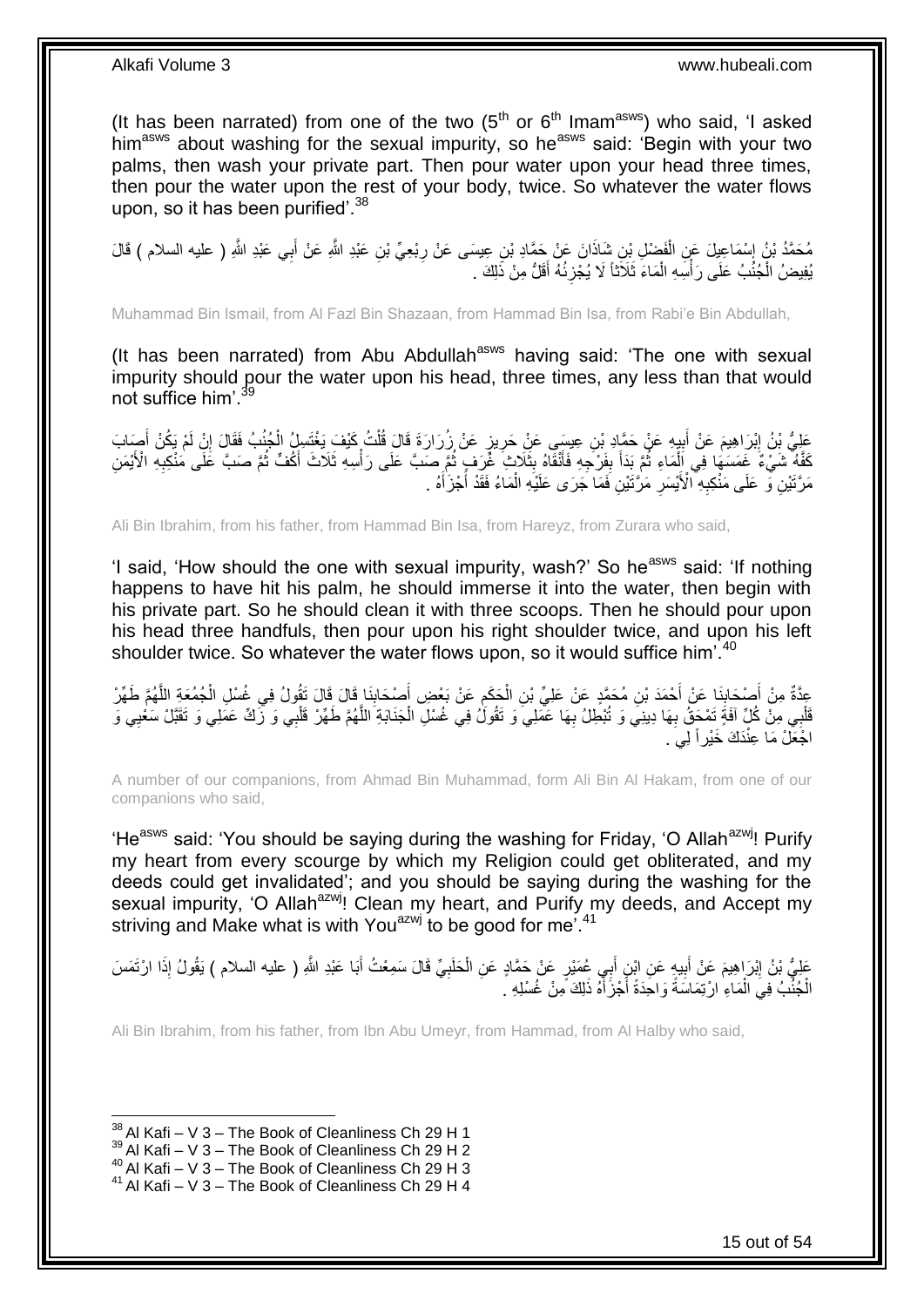(It has been narrated) from one of the two  $(5<sup>th</sup>$  or  $6<sup>th</sup>$  Imam<sup>asws</sup>) who said, 'I asked him<sup>asws</sup> about washing for the sexual impurity, so he<sup>asws</sup> said: 'Begin with your two palms, then wash your private part. Then pour water upon your head three times, then pour the water upon the rest of your body, twice. So whatever the water flows upon, so it has been purified<sup>'38</sup>

َ مُحَمَّدُ بْنُ إِسْمَاعِيلَ عَنِ الْفَضْلِ بْنِ شَاذَانَ عَنْ حَمَّادِ بْنِ عِيسَى عَنْ رِبْعِيٍّ بْنِ عَبْدِ اللَّهِ عَنْ أَبِي عَبْدِ اللَّهِ ( عليه السلام ) قَالَ **∶** ْ يُفِيضُ الْجُنُبُ عَلَى رَأْسِهِ الْمَاءَ ثَلَاثَاً لَا يُجْزِئُهُ أَقَلُّ مِنْ ذَلِكَ . ْ ا<br>أ ْ َ ِ

Muhammad Bin Ismail, from Al Fazl Bin Shazaan, from Hammad Bin Isa, from Rabi'e Bin Abdullah,

(It has been narrated) from Abu Abdullah $a<sup>asws</sup>$  having said: 'The one with sexual impurity should pour the water upon his head, three times, any less than that would not suffice him'.<sup>39</sup>

عَلِيُّ بِنُ إِبْرَاهِيمَ عَنْ أَبِيهِ عَنْ حَمَّادِ بْنِ عِيسَى عَنْ حَرِيزٍ عَنْ زُرَارَةَ قَالَ قُلْتُ كَيْفَ بَغْتَسِلُ الْجُنُبُ فَقَالَ إِنْ لَمْ يَكُنْ أُصِبَابَ ْ ِ **!** َ ِ َ ِ ْ كَفَّهُ ۖ شَيْءٌ غَمَسَهَا فِي إِلَٰمَاءِ ثُمَّ بَذَأَ بِفَرْجِهِ فَأَنْقَاهُ بِثَلَاثٍ ۖ غُرَفٍ ثُمَّ صَبَّ عَلَى رَأْسِهِ ثَلَاثٌ أَكُفِّ ثُمَّ صَبَّ عَلَى مُنْكِبِهِ الْأَيْمَنِ ْ ِ ا<br>المقام َ ة<br>أ ُ َ ِ َ ۔<br>۔<br>۔ مَرَّتَيْنِ فَّى عَلَى مَنْكِبِهِ ۗالْأَيْسَرِ مَرَّتَيْنِ فَمَا جَرَى عَلَيْهِ الْمَاءُ فَقَدْ أَجْزَأَهُ . َ َ ْ ِ ِ

Ali Bin Ibrahim, from his father, from Hammad Bin Isa, from Hareyz, from Zurara who said,

'I said, 'How should the one with sexual impurity, wash?' So he<sup>asws</sup> said: 'If nothing happens to have hit his palm, he should immerse it into the water, then begin with his private part. So he should clean it with three scoops. Then he should pour upon his head three handfuls, then pour upon his right shoulder twice, and upon his left shoulder twice. So whatever the water flows upon, so it would suffice him'.<sup>40</sup>

عِدَّةٌ مِنْ أَصْحَابِذَا عَنْ أَحْمَدَ بْنِ مُحَمَّدٍ عَنْ عَلِيِّ بْنِ الْحَكَمِ عَنْ بَعْضٍ أَصْحَابِذَا قَالَ قَالَ تَقُولُ فِي غُسْلِ الْجُمُعَةِ اللَّهُمَّ طَهِّرْ<br>عَمَّدَةٌ مِنْ أَصْحَابِذَا عَنْ أَحْمَدَ بْنِ مُحَ  $\frac{1}{2}$ َ **∶** ْ **↓**<br>; َ َّ ْ قَلْبِي مِنْ كُلِّ آفَةٍ تَمْحَقُ بِهَا دِينِيَ وَ تُبْطِلُ بِهَا عَمَلِيَ وَ تَقُولُ فِي غُسْلِ الْجَذَابَةِ اللَّهُمَّ طَهِّرْ قَلْبِي وَ زَكِّ عَمَلِي وَ تَقَبَّلْ سَعْيِي وَ ِ **∶** ْ ْ َّ ْ اجُعَلْ مَا عِنْدَكَ خَيْرٍ أَ لِيَ .

A number of our companions, from Ahmad Bin Muhammad, form Ali Bin Al Hakam, from one of our companions who said,

'He<sup>asws</sup> said: 'You should be saying during the washing for Friday, 'O Allah<sup>azwj</sup>! Purify my heart from every scourge by which my Religion could get obliterated, and my deeds could get invalidated'; and you should be saying during the washing for the sexual impurity, 'O Allah<sup>azwj</sup>! Clean my heart, and Purify my deeds, and Accept my striving and Make what is with You<sup>azwj</sup> to be good for me<sup> $141$ </sup>

عَلِيُّ بْنُ إِبْرَاهِيمَ عَنْ أَبِيهٍ عَنِ ابْنِ أَبِي عُمَيْرٍ عَنْ حَمَّادٍ عَنِ الْحَلَبِيِّ قَالَ سَمِعْتُ أَبَا عَبْدِ اللَّهِ ( عليه السلام ) يَقُولُ إِذَا ارْتَمَسَ َ **∶** ْ َ ِ َ ِ الْجُنُّبُ فِيَ الْمَاءِ ارْتِمَاسَةً وَاحَِدَةً أَجْزَأَهُ ذَلِكَ مِنْ غُسْلِهِ ۚ َ َ ْ ْ

Ali Bin Ibrahim, from his father, from Ibn Abu Umeyr, from Hammad, from Al Halby who said,

<sup>1</sup>  $38$  Al Kafi – V 3 – The Book of Cleanliness Ch 29 H 1

 $39$  Al Kafi – V 3 – The Book of Cleanliness Ch 29 H 2

<sup>40</sup> Al Kafi – V 3 – The Book of Cleanliness Ch 29 H 3

 $41$  Al Kafi – V 3 – The Book of Cleanliness Ch 29 H 4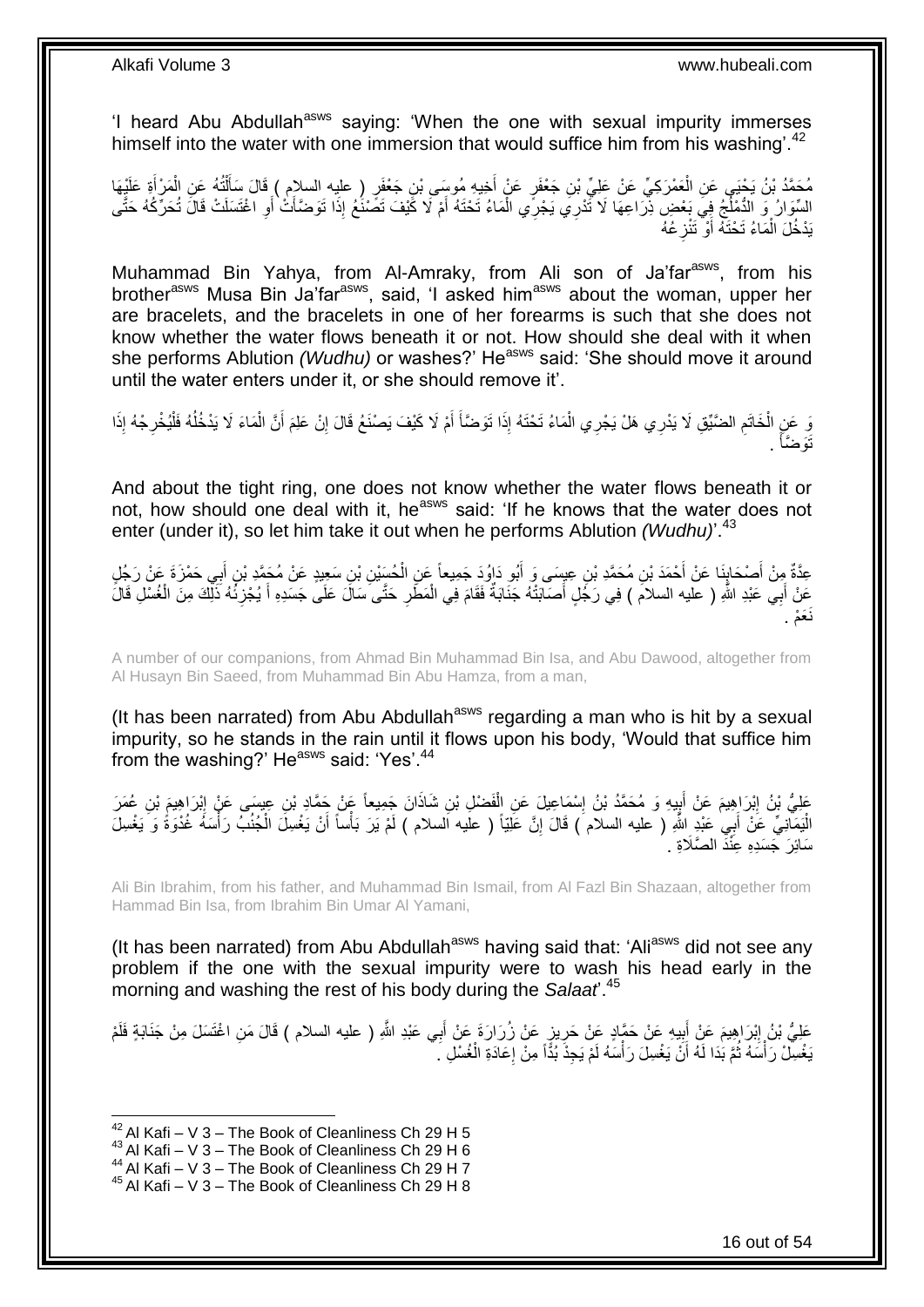'I heard Abu Abdullah<sup>asws</sup> saying: 'When the one with sexual impurity immerses himself into the water with one immersion that would suffice him from his washing'.<sup>42</sup>

مُحَمَّدُ بْنُ يَحْيَى عَنِ الْعَمْرَكِيِّ عَنْ عَلِيِّ بْنِ جَعْفَرٍ عَنْ أُخِيهِ مُوسَى بْنِ جَعْفَرٍ ( عليه السلام ) قَالَ سَأَلْتُهُ عَنِ الْمَرْأَةِ عَلَيْهَا<br>مَسَمَّدُ بْنُ يَحْيَى عَنِ الْعَمْرَكِيِّ عَنْ عَلِيِّ بْ َ َ ْ َ ْ ْ السِّوَارُ وَ الدُّمْلُجُ فِيَ بَعْضٍ ذِرَاعِهَا لَا تَٰذْرِي يَجْرِي الْمَاءُ تَحْتَهُ أَمْ لَا كََيْفَ تَصَنْغُ إِذَا تَوَضَّأَتْ أَوِ اغْتَسَلَتْ قَالَ تُحَرِّكُهُ حَتَّى<br>وُمُن نُو النَّصْلُغُ فِي بَعْضٍ نَبِّل َ ْ **∶** َ َ بَدْخُلَ الْمَاءُ تَحْتَهُ أَوْ تَتْزِعُهُ ِ َ ْ

Muhammad Bin Yahya, from Al-Amraky, from Ali son of Ja'far<sup>asws</sup>, from his brother<sup>asws</sup> Musa Bin Ja'far<sup>asws</sup>, said, 'I asked him<sup>asws</sup> about the woman, upper her are bracelets, and the bracelets in one of her forearms is such that she does not know whether the water flows beneath it or not. How should she deal with it when she performs Ablution *(Wudhu)* or washes?' He<sup>asws</sup> said: 'She should move it around until the water enters under it, or she should remove it'.

وَ عَنٍ الْخَاتَمِ الضَّيِّقِ لَا يَدْرِي هَلْ يَجْرِي الْمَاءُ تَحْتَهُ إِذَا تَوَضَّأَ أَمْ لَا كَيْفَ يَصْنَعُ قَالَ إِنْ عَلِمَ أَنَّ الْمَاءَ لَا يَدْخُلُهُ فَلْيُخْرِجْهُ إِذَا ِ ا<br>ا **∫** ْ ِ ْ ِ ْ ا<br>ا ْ َ . َتَو َّضأ َ

And about the tight ring, one does not know whether the water flows beneath it or not, how should one deal with it, he<sup>asws</sup> said: 'If he knows that the water does not enter (under it), so let him take it out when he performs Ablution *(Wudhu)*<sup>'.43</sup>

عِدَّةٌ مِنْ أَصْحَابِنَا عَنْ أَحْمَدَ بْنِ مُحَمَّدِ بْنِ عِبِسَى وَ أَبُو دَاوُدَ جَمِيعاً عَنِ الْحُسَيْنِ بْنِ سَعِيدٍ عَنْ مُحَمَّدٍ بْنِ أَبِي حَمْزَةَ عَنْ رَجُلٍ َ ِ َ َ ْ ِّعَنْ أَبِي عَبْدِ اللَّهِ ( عليه السلامَ ) فِي رَجُلٍ أَصَابَتْهُ جَنَابَةٌ فَقَامَ فِي الْمَطَرِ حَتَّىَ سَالَ عَلَى جَسَدِهِ أَ يُجْزِئُهُ ذَلِّكَ مِنَ الْغُسْلِ قَالَّ ِ ْ َ ْ ِ نَعَمْ .

A number of our companions, from Ahmad Bin Muhammad Bin Isa, and Abu Dawood, altogether from Al Husayn Bin Saeed, from Muhammad Bin Abu Hamza, from a man,

(It has been narrated) from Abu Abdullah<sup>asws</sup> regarding a man who is hit by a sexual impurity, so he stands in the rain until it flows upon his body, 'Would that suffice him from the washing?' He<sup>asws</sup> said: 'Yes'.<sup>44</sup>

عَلِيُّ بْنُ إِبْرَاهِيمَ عَنْ أَبِيهِ وَ مُحَمَّدُ بْنُ إِسْمَاعِيلَ عَنِ الْفَضْلِ بْنِ شَاذَانَ جَمِيعاً عَنْ جَمَّادِ بْنِ عِيسَى عَنْ إِبْرَاهِيمَ بْنِ عُمَرَ ْ ِ ا<br>پ َ ِ الْيَمَانِيِّ عَنْ أَبِي عَبْدٍ اللَّهِ ( عليه السلام ) قَالَ إِنَّ عَلِيّاً ( عليه السلام ) لَمْ يَرَ بَأْساً أَنْ يَغْسِلَ الْجُنُبَ رَأْسَهَ غُدْوَةً وَ يَغْسِلَ َ ْ ِ َ ْ ْ سَائِرَ جَسَدِهِ عِنَّذَ الصَّلَاةِ .

Ali Bin Ibrahim, from his father, and Muhammad Bin Ismail, from Al Fazl Bin Shazaan, altogether from Hammad Bin Isa, from Ibrahim Bin Umar Al Yamani,

(It has been narrated) from Abu Abdullah<sup>asws</sup> having said that: 'Ali<sup>asws</sup> did not see any problem if the one with the sexual impurity were to wash his head early in the morning and washing the rest of his body during the *Salaat*'.<sup>45</sup>

عَلِيُّ بْنُ إِبْرَاهِيمَ عَنْ أَبِيهِ عَنْ حَمَّادٍ عَنْ حَرِيزٍ عَنْ زُرَارَةَ عَنْ أَبِي عَبْدِ اللَّهِ ( عليه السلام ) قَالَ مَنِ اغْتَسَلَ مِنْ جَنَابَةٍ فَلَمْ َ **∶ ∣** َ ِ يَغْسِلْ رَأْسَهُ ثُمَّ بَدَا لَهُ أَنَّ يَغْسِلَ رَأْسَهُ لَمْ يَجِذُ بُدًّاً مِنْ إِعَادَةِ الْغُسْلِ ۗ. ِ ،<br>ا ا<br>ا ُ :<br>ا ْ

 $42$  Al Kafi – V 3 – The Book of Cleanliness Ch 29 H 5

<sup>43</sup> Al Kafi – V 3 – The Book of Cleanliness Ch 29 H 6

<sup>44</sup> Al Kafi – V 3 – The Book of Cleanliness Ch 29 H 7

 $45$  Al Kafi – V 3 – The Book of Cleanliness Ch 29 H 8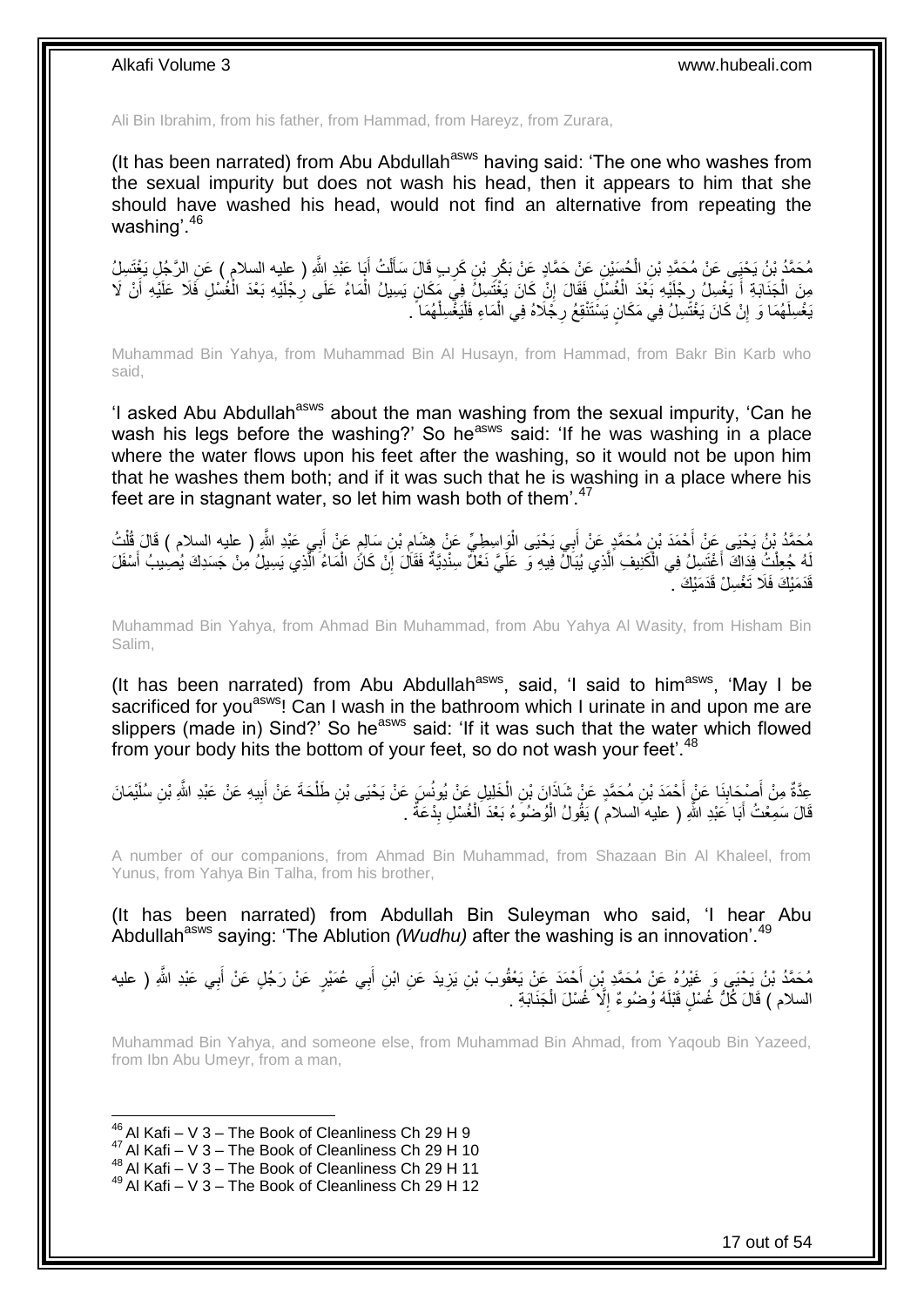Ali Bin Ibrahim, from his father, from Hammad, from Hareyz, from Zurara,

(It has been narrated) from Abu Abdullah<sup>asws</sup> having said: 'The one who washes from the sexual impurity but does not wash his head, then it appears to him that she should have washed his head, would not find an alternative from repeating the washing'.<sup>46</sup>

مُحَمَّدُ بْنُ يَحْيَى عَنْ مُحَمَّدٍ بْنِ الْحُسَيْنِ عَنْ حَمَّادٍ عَنْ بَكْرِ بْنِ كَرِبٍ قَالَ سَأَلْتُ أَبَا عَبْدِ اللَّهِ ( عليه السلام ) عَنِ الرَّجُلِ يَغْتَسِلُ<br>. َ ْ َ ِ ِ ْ **∶** مِنَ اِلْجَذَابَةِ أَ يَغْسِلُ رِجْلَيْهِ بَعْدَ الْغُسْلِ فَقَالَ إِنْ كَانَ يَغْتَسِلُ فِيَ مَكَانٍ يَسِيلُ الْمَاءُ عَلَى رِجْلَيْهِ بَعْدَ الْغُسْلِ فَلَا عَلَيْهِ أَنْ لَا ْ ِ ْ ِ َ ْ َ ْ ْ يَغْسِلَهُمَا وَ إِنْ كَانَ يَغْتََسِلُ فِي مَكَانٍ يَسْتَنْقِعُ رِجُلَاهُ فِي الْمَاءِ فَلْيَغْسِلْهُمَا ً. ِ ِ ْ ْ

Muhammad Bin Yahya, from Muhammad Bin Al Husayn, from Hammad, from Bakr Bin Karb who said,

'I asked Abu Abdullah<sup>asws</sup> about the man washing from the sexual impurity, 'Can he wash his legs before the washing?' So he<sup>asws</sup> said: 'If he was washing in a place where the water flows upon his feet after the washing, so it would not be upon him that he washes them both; and if it was such that he is washing in a place where his feet are in stagnant water, so let him wash both of them'.<sup>47</sup>

مُحَمَّدُ بْنُ يَحْيَى عَنْ أَحْمَدَ بْنِ مُحَمَّدٍ عَنْ أَبِي يَحْيَى الْوَاسِطِيِّ عَنْ هِشَامِ بْنِ سَالِمٍ عَنْ أَبِي عَبْدِ اللَّهِ ( عليه السلام ) قَالَ قُلْتُ<br>يَمْسَمَّدُ بْنُ يَحْيَى ءَنْ أَحْمَدَ بْنِ مُحَمَّدٍ ع ِ َ ٍ ِ ا.<br>ا َ ْ لَهُ جُعِلْتُ فِدَاكَ أَغْتَسِلُ فِي الْكَنِيفِ الَّذِي يُبَالٌ فِيهِ وَ عَلَيَّ نَعْلٌ سِنْدِيَّةٌ فَقَالَ إِنْ كَانً الْمَاءُ الَّذِي يَسِيلُ مِنْ جَسَدِكَ يُصِيبُ أَسْفَلَ َّ ْ اً<br>ا ْ َ َّ ْ ِ .<br>قَدَمَنْكَ فَلَا تَغْسِلْ قَدَمَنْكَ <sup>.</sup>

Muhammad Bin Yahya, from Ahmad Bin Muhammad, from Abu Yahya Al Wasity, from Hisham Bin Salim,

(It has been narrated) from Abu Abdullah<sup>asws</sup>, said, 'I said to him<sup>asws</sup>, 'May I be sacrificed for you<sup>asws</sup>! Can I wash in the bathroom which I urinate in and upon me are slippers (made in) Sind?' So he<sup>asws</sup> said: 'If it was such that the water which flowed from your body hits the bottom of your feet, so do not wash your feet'.<sup>48</sup>

عِدَّةٌ مِنْ أَصْدَابِذَا عَنْ أَحْمَدَ بْنِ مُحَمَّدٍ عَنْ شَاذَانَ بْنِ الْخَلِيلِ عَنْ يُونُسَ عَنْ يَحْيَى بْنِ طَلْحَةَ عَنْ أَبِيهِ عَنْ عَبْدِ اللَّهِ بْنِ سُلَيْمَانَ ْ ْ َ ِ َ ِ َ ْ قَالَ سَمِعْتُ أَبَا عَبْدِ اللَّهِ ( عليه السلام ) يَقُولُ الْوُضُوَءُ بَعْدَ الْغُسْلِ بِدْعَةٌ . ْ َ **!** 

A number of our companions, from Ahmad Bin Muhammad, from Shazaan Bin Al Khaleel, from Yunus, from Yahya Bin Talha, from his brother,

(It has been narrated) from Abdullah Bin Suleyman who said, 'I hear Abu Abdullah<sup>asws</sup> saying: 'The Ablution *(Wudhu)* after the washing is an innovation'.<sup>49</sup>

مُحَمَّدُ بْنُ يَحْيَى وَ غَيْرُهُ عَنْ مُحَمَّدِ بْنِ أَحْمَدَ عَنْ يَعْقُوبَ بْنِ يَزِيدَ عَنِ ابْنِ أَبِي عُمَيْرٍ عَنْ رَجُلٍ عَنْ أَبِي عَبْدِ اللَّهِ ( عليه َ ِ َ السلام ) قَالَ كُلُّ غُسْلٍ قَبْلَهُ وُضُوءٌ إِلَّا خُسْلَ الْجَنَابَةِ . ْ ِ

Muhammad Bin Yahya, and someone else, from Muhammad Bin Ahmad, from Yaqoub Bin Yazeed, from Ibn Abu Umeyr, from a man,

 $^{46}$  Al Kafi – V 3 – The Book of Cleanliness Ch 29 H 9

 $47$  Al Kafi – V 3 – The Book of Cleanliness Ch 29 H 10

<sup>48</sup> Al Kafi – V 3 – The Book of Cleanliness Ch 29 H 11

 $49$  Al Kafi – V 3 – The Book of Cleanliness Ch 29 H 12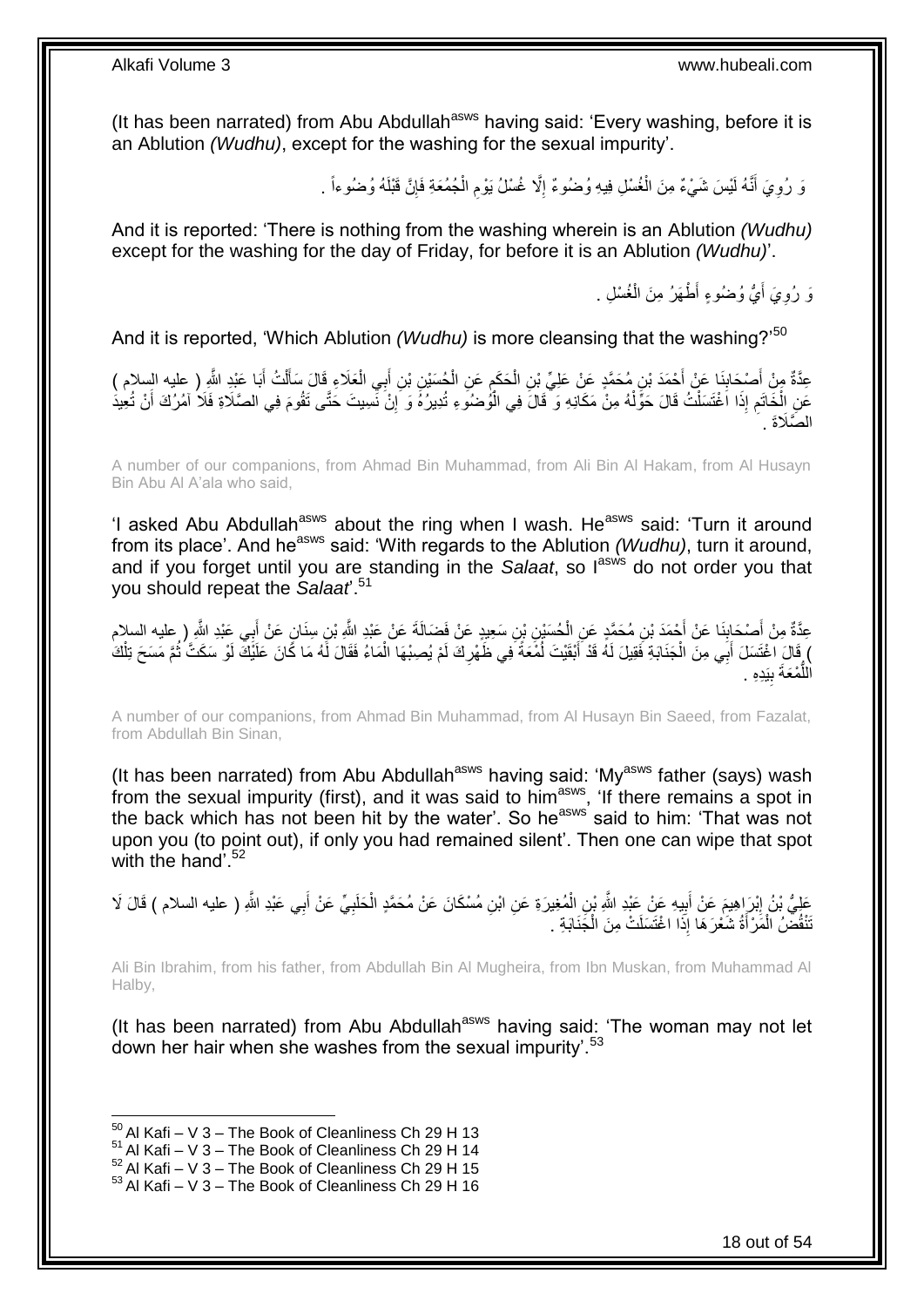(It has been narrated) from Abu Abdullah<sup>asws</sup> having said: 'Every washing, before it is an Ablution *(Wudhu)*, except for the washing for the sexual impurity'.

> وَ رُوِيَ أَنَّهُ لَيْسَ شَيْءٌ مِنَ الْغُسْلِ فِيهِ وُضُوءٌ إِلَّا غُسْلُ يَوْمِ الْجُمُعَةِ فَإِنَّ قَبْلَهُ وُضُوءاً <sub>.</sub> َ **∶** ∣ļ ْ ِ ِ ْ

And it is reported: 'There is nothing from the washing wherein is an Ablution *(Wudhu)* except for the washing for the day of Friday, for before it is an Ablution *(Wudhu)*'.

> وَ رُوِيَ أَيُّ وُضُوءٍ أَطْهَرُ مِنَ الْغُسْلِ . ْ اً.<br>ا ِ

And it is reported, 'Which Ablution *(Wudhu)* is more cleansing that the washing?'<sup>50</sup>

عِدَّةٌ مِنْ أَصْدَابِنَا عَنْ أَحْمَدَ بْنِ مُحَمَّدٍ عَنْ عَلِيِّ بْنِ الْحَكَمِ عَنِ الْحُسَيْنِ بْنِ أَبِي الْعَلَاءِ قَالَ سَأَلْتُ أَبَا عَيْدِ الثَّهِ ( عليه السلام )<br>- يَحَدُّهُ مِنْ أَصْدِدَابِنَا عَنْ أَحْمَدَ بْ **∣** َ َ ْ ĺ ْ َ ْ ِ ْ َ عَنِ الْخَاتَمِ إِذَا اَغْتَسَلْتُ قَالَ حَوَّلْهُ مِنْ مَكَانِهِ وَ قَالَ فِي الْوُصْنُوَ ءِ تُدِيرُهُ وَ إِنْ نَسِيتَ حَتَّى تَقُومَ فِي الصَّلَاةِ فَلَا أَمْرُكَ أَنْ تُعِيدَ ِ ْ ْ ْ ِ ْ َ الصَّلَاةَ .

A number of our companions, from Ahmad Bin Muhammad, from Ali Bin Al Hakam, from Al Husayn Bin Abu Al A'ala who said,

'I asked Abu Abdullah<sup>asws</sup> about the ring when I wash. He<sup>asws</sup> said: 'Turn it around from its place'. And he<sup>asws</sup> said: 'With regards to the Ablution *(Wudhu)*, turn it around, and if you forget until you are standing in the Salaat, so lasws do not order you that you should repeat the *Salaat*'.<sup>51</sup>

عِدَّةٌ مِنْ أَصْحَابِنَا عَنْ أَحْمَدَ بْنِ مُحَمَّدٍ عَنِ الْحُسَيْنِ بْنِ سَعِيدٍ عَنْ فَضَالَةَ عَنْ عَبْدِ الثَّهِ بْنِ سِنَانٍ عَنْ أَبِي عَبْدِ الثَّهِ ( عليه السلام<br>حَدَّةٌ مِنْ أَصْحَابِنَا عَنْ أَحْمَدَ بْنِ مُحَ **∣** َ َ ْ ) قَالَ اغْتَسَلَ أَبَي مِنَ الْجَذَابَةِ فَقِيلَ لَهُ قَدْ أَبْقَيْتَ لُمُعَةً فِي ظَهْرِكَ لَمْ يُصِبْهَا الْمَاءُ فَقَالَ لَهُ مَا كَانَ عَلَيْكَ لَوْ سَكَتَّ ثُمَّ مَسَحَ تِلْكَ ْ ِ ُ َ ْ َ ْ ُ اللَّمْعَةَ بِيَدِهِ . **!** ُّ

A number of our companions, from Ahmad Bin Muhammad, from Al Husayn Bin Saeed, from Fazalat, from Abdullah Bin Sinan,

(It has been narrated) from Abu Abdullah<sup>asws</sup> having said: 'My<sup>asws</sup> father (says) wash from the sexual impurity (first), and it was said to him<sup>asws</sup>, 'If there remains a spot in the back which has not been hit by the water'. So he<sup>asws</sup> said to him: 'That was not upon you (to point out), if only you had remained silent'. Then one can wipe that spot with the hand'.<sup>52</sup>

عَلِيُّ بْنُ إِبْرَاهِيمَ عَنْ أَبِيهِ عَنْ عَبْدِ اللَّهِ بْنِ الْمُغِيرَةِ عَنِ ابْنِ مُسْكَانَ عَنْ مُحَمَّدٍ الْحَلَبِيِّ عَنْ أَبِي عَبْدِ اللَّهِ ( عليه السلام ) قَالَ لَا<br>وَفَي اللَّهُ الصلاة عَلَي اللَّهُ عَنْ عَبْ **∶** ْ ْ **!** َ ِ َ َنْقُضُ الْمََرْأَةُ شَعْرَهَا إِذَا اغْتَسَلَتْ مِنَ الْجَذَابَةِ . ْ َ ْ

Ali Bin Ibrahim, from his father, from Abdullah Bin Al Mugheira, from Ibn Muskan, from Muhammad Al Halby,

(It has been narrated) from Abu Abdullah<sup>asws</sup> having said: 'The woman may not let down her hair when she washes from the sexual impurity'.<sup>53</sup>

 $50$  Al Kafi – V 3 – The Book of Cleanliness Ch 29 H 13

 $51$  Al Kafi – V 3 – The Book of Cleanliness Ch 29 H 14

 $^{52}$  Al Kafi – V 3 – The Book of Cleanliness Ch 29 H 15

 $53$  Al Kafi – V 3 – The Book of Cleanliness Ch 29 H 16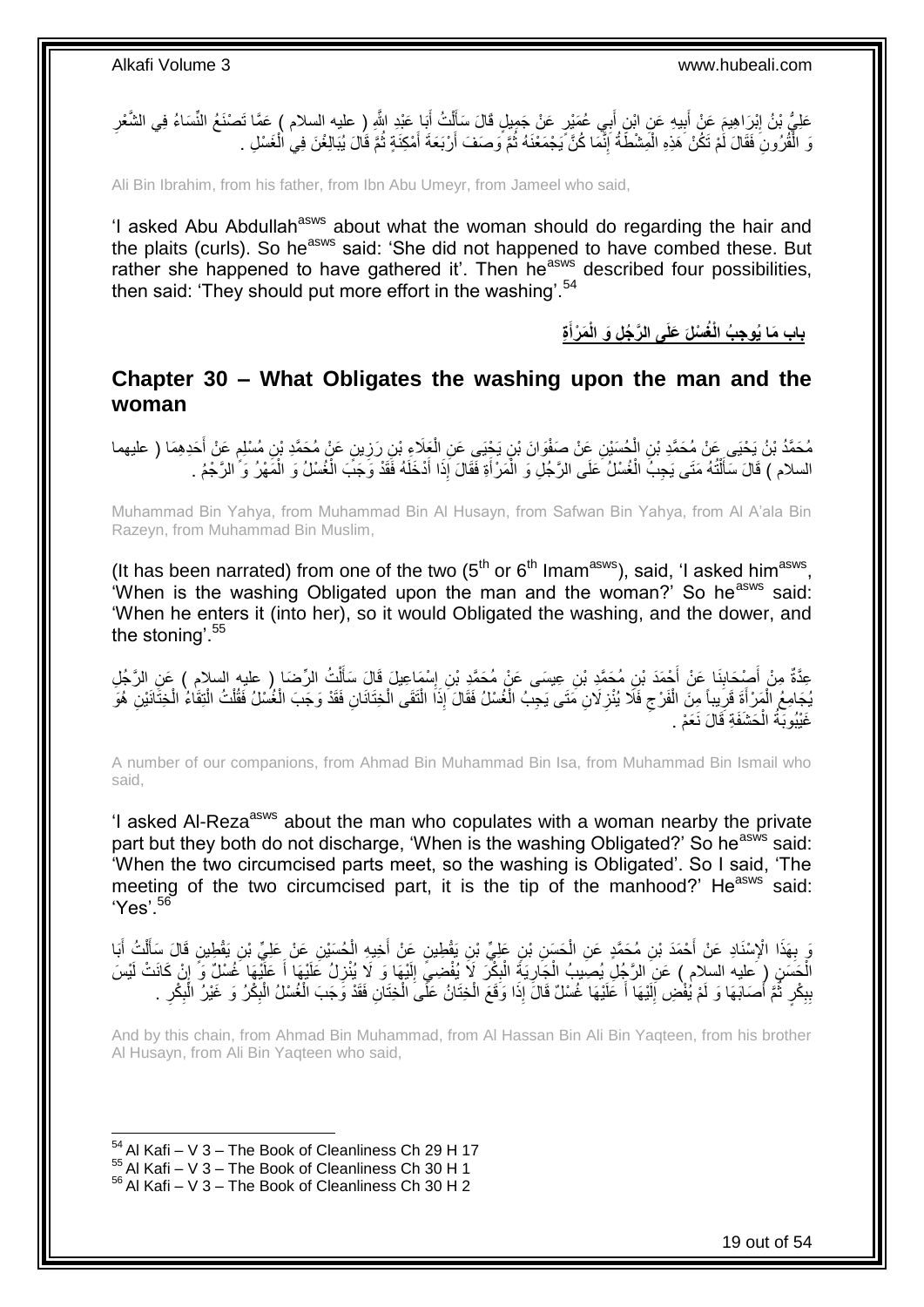عَلِيُّ بْنُ إِبْرَاهِيمَ عَنْ أَبِيهِ عَنِ ابْنِ أَبِي عُمَيْرٍ عَنْ جَمِيلٍ قَالَ سَأَلْتُ أَبَا عَبْدِ اللَّهِ ( عليه السلام ) عَمَّا تَصنْغُ النِّسَاءُ فِي الشَّعْرِ ِ َ ْ َ َ **!** ِ وَ الْقُرُونِ فَقَالَ لَمْ تَكُنْ هَذِهِ الْمَشْطَةُ إِنَّمَا كُنَّ يَجْمَعْنَهُ ثُمَّ وَصَفَ أَرْبَعَةَ أُمْكِنَةٍ ثُمَّ قَالَ يُبَالِغْنَ فِي الْغَسْلِ . َ ُ ِ ْ ْ ْ ا پایا<br>سال َ

Ali Bin Ibrahim, from his father, from Ibn Abu Umeyr, from Jameel who said,

'I asked Abu Abdullah<sup>asws</sup> about what the woman should do regarding the hair and the plaits (curls). So heasws said: 'She did not happened to have combed these. But rather she happened to have gathered it'. Then he<sup>asws</sup> described four possibilities, then said: 'They should put more effort in the washing'.<sup>54</sup>

> **ِة َم ْرأ باب َما ُيو ِج ُب الْ ُغ ْسلَ َعلَى ال َّر ُج ِل َو الْ َ**

### <span id="page-18-0"></span>**Chapter 30 – What Obligates the washing upon the man and the woman**

مُحَمَّدُ بْنُ يَحْيَى عَنْ مُحَمَّدِ بْنِ الْحُسَيْنِ عَنْ صَفْوَانَ بْنِ يَجْيَى عَنِ الْعَلَاءِ بْنِ رَزِينٍ عَنْ مُحَمَّدِ بْنِ مُسْلِمٍ عَنْ أَحَدِهِمَا ( عليهما<br>. **ٍ** ْ ْ َ ہ<br>پا السلام ) قَالَ سَأَلْتُهُ مَتَى يَجِبُّ الْغُسْلُ عَلَى الرَّجُلِ وَ الْمَرْ أَةِ فَقَالَ إِذَا أَدْخَلَهُ فَقَدْ وَجَبَّ الْغُسْلُ وَ الْمَهْرُ وَ ّالرَّجْمُ . ֦֧֦֧֦֦֧֦֦֦֦֦֦֦֦֦֦֦֦֦֦֦֦֦֦֦֧֦֧֦֦֧֦֪֪֦֪֪֦֧֦֪֦֦֧֦֦֧֦֧֦֪֪֦֧֦֧֦֧֦֧֦֪֪֪֦֟֟֟֟֟֟֟֟֟֟֟֟֟֟֓֕֟֟֓֕֟֓֟֓֞֟֝֟֓֟֓֞֓֞֟֓֞֟֟֓֞֟֟֟֓֞֟֟ َ ْ ْ َ َ ْ ْ

Muhammad Bin Yahya, from Muhammad Bin Al Husayn, from Safwan Bin Yahya, from Al A'ala Bin Razeyn, from Muhammad Bin Muslim,

(It has been narrated) from one of the two  $(5<sup>th</sup>$  or  $6<sup>th</sup>$  Imam<sup>asws</sup>), said, 'I asked him<sup>asws</sup>, 'When is the washing Obligated upon the man and the woman?' So he<sup>asws</sup> said: 'When he enters it (into her), so it would Obligated the washing, and the dower, and the stoning'.<sup>55</sup>

عِدَّةٌ مِنْ أَصْدَانِنَا عَنْ أَجْمَدَ بْنِ مُحَمَّدِ بْنِ عِيسَى عَنْ مُحَمَّدِ بْنِ إِسْهَاعِيلَ قَالَ سَأَلْتُ الرِّضَا ( عليه السلام ) عَنِ الرَّجُلِ<br>- يَسْتَمَّذُ مِنْ أَجْبَهَ مَنْ أَجْمَدَ بْنِ مُحَمَّدِ بْنِ عِيسَ ْ َ ِ َ **∣** َ يُجَامِعُ الْمَرْ أَةَ قَرَيباً مِنَ الْفَرْجِ فَلَا يُنْزِلَانِ مَتَى يَجِبُ الْغُسْلُ فَقَالَ إِذَا الْتَقَى الْخِتَانَانِ فَقَدْ وَجَبَ الْغُسْلُ فَقُلْتُ الْتِقَاءُ الْخَتَانَيْنِ هُوَ ْ ِ  $\zeta$ ْ ِ َ ْ ْ ْ ْ ْ ْ غَيْبُوبَّةُ الْحَشَفَةِ قَالَ نَعَمْ . ْ

A number of our companions, from Ahmad Bin Muhammad Bin Isa, from Muhammad Bin Ismail who said,

'I asked AI-Reza<sup>asws</sup> about the man who copulates with a woman nearby the private part but they both do not discharge, 'When is the washing Obligated?' So he<sup>asws</sup> said: 'When the two circumcised parts meet, so the washing is Obligated'. So I said, 'The meeting of the two circumcised part, it is the tip of the manhood?' He<sup>asws</sup> said: 'Yes'.<sup>56</sup>

ِيَ بِهَذَا الْإِسْنَادِ عَنْ أَحْمَدَ بْنِ مُحَمَّدٍ عَنِ الْحَسَنِ بْنِ عَلِّيٍّ بْنِ يَقْطِينِ عَنْ أَجَدِهِ الْحُسَيْنِ عَنْ عَلِيٍّ بِّنِ يَقْطِينِ مَنْ أَجَدِيدِ الْجَسَيْنِ عَنْ عَلِيٍّ بِّنِ يَقْطِينِ مَنْ الْجَسَن ْ َ ْ َ **∶** َ ْ ĺ ∣∣<br>∶ الْجَسَنِ ( عليه السلام ) عَنِ الرَّجُلِ يُصِيبُ الْجَارِيَةِ الْبِكْرَ لَإَ يُفْضِيَ إِلَيْهَا وَ لَا يُنْزِلُ عَلَيْهَا أَ عَلَيْهَا غُسْلٌ وَ إِنْ كَانَتْ لَيْسَ ِ ْ ِ ْ  $\frac{1}{2}$ َ **ٍ** لَ بِدِكْرٍ ثُمَّ أَصَابَهَا وَ لَمْ يُفْضِ إِلَيْهَا أَ عَلَيْهَا غُسْلٌ قَالَ إِذَا وَقَعَ الْخِتَانُ عَلَى الْخِتَانِ فَقَدْ وَجَبَ الْغُسْلُ الْبِكْرُ وَ غَيْرُ الْبِكْرِ . ْ ْ َ لَ ِ َ بر ہے<br>ا ِ **∣** ِ ِ ْ ِ ْ ْ

And by this chain, from Ahmad Bin Muhammad, from Al Hassan Bin Ali Bin Yaqteen, from his brother Al Husayn, from Ali Bin Yaqteen who said,

 $54$  Al Kafi – V 3 – The Book of Cleanliness Ch 29 H 17

 $55$  Al Kafi – V  $3$  – The Book of Cleanliness Ch 30 H 1

 $56$  Al Kafi – V 3 – The Book of Cleanliness Ch 30 H 2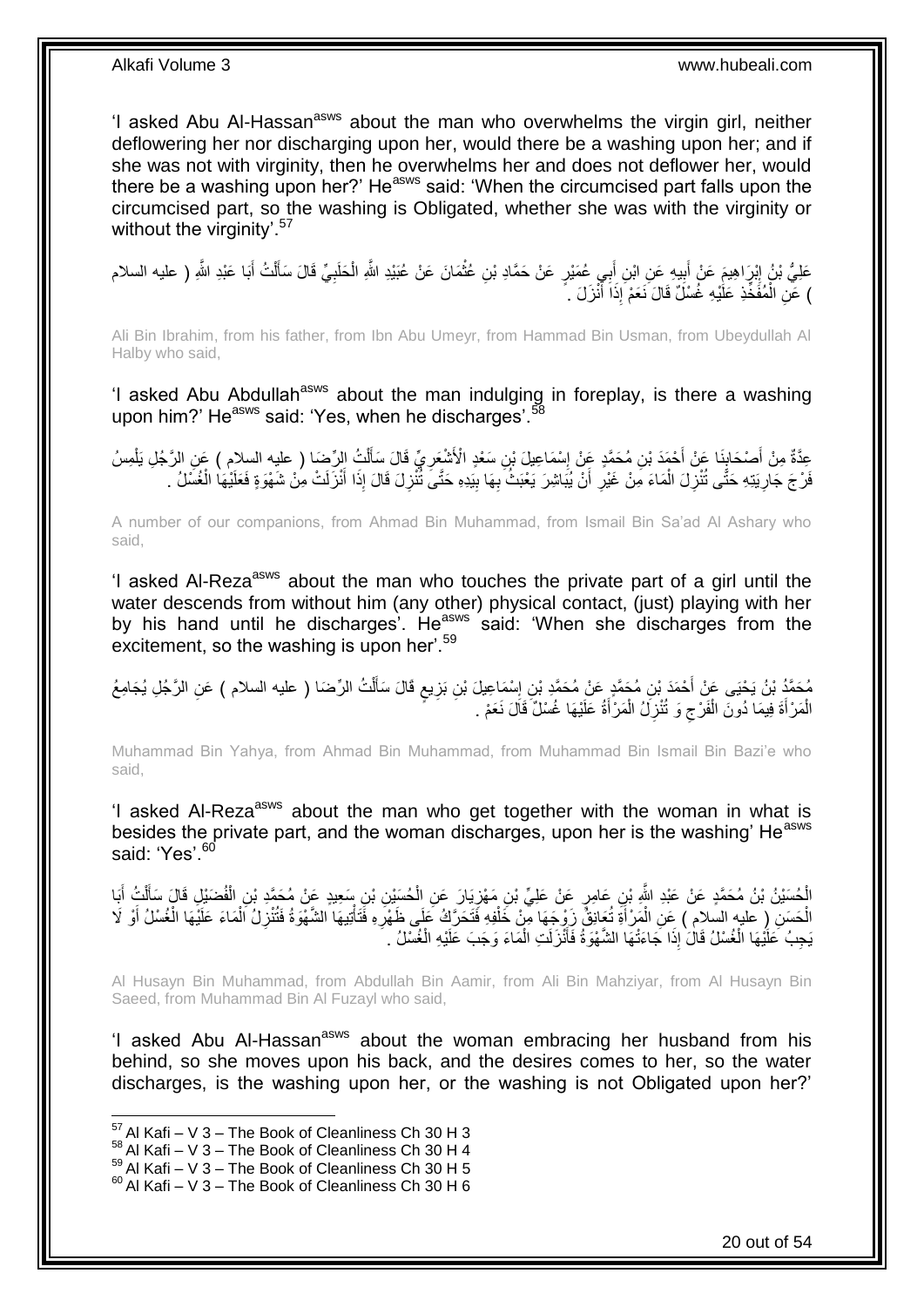'I asked Abu Al-Hassan<sup>asws</sup> about the man who overwhelms the virgin girl, neither deflowering her nor discharging upon her, would there be a washing upon her; and if she was not with virginity, then he overwhelms her and does not deflower her, would there be a washing upon her?' He<sup>asws</sup> said: 'When the circumcised part falls upon the circumcised part, so the washing is Obligated, whether she was with the virginity or without the virginity'.<sup>57</sup>

**∶** عَلِيُّ بْنُ إِبْرَاهِيمَ عَنْ أَبِيهِ عَنِ ابْنِ أَبِي عُمَيْرٍ عَنْ حَمَّادِ بْنِ عُثْمَانَ عَنْ عُبَيْدِ اللَّهِ الْحَلَبِيِّ قَالَ سَأَلْتُ أَبَا عَبْدِ اللَّهِ ( عليه السلام ْ ْ َ  $\frac{1}{2}$ َ ِ َ ْ ĺ ْ ) عَنِ الْمُفَخِّذِ عَلَٰيْهِ غُسْلٌ قَالَ نَعَمْ إِذَاَ أَنْزَلَ . ٰ َ

Ali Bin Ibrahim, from his father, from Ibn Abu Umeyr, from Hammad Bin Usman, from Ubeydullah Al Halby who said,

'I asked Abu Abdullah<sup>asws</sup> about the man indulging in foreplay, is there a washing upon him?' He<sup>asws</sup> said: 'Yes, when he discharges'.<sup>58</sup>

عِدَّةٌ مِنْ أَصْحَابِنَا عَنْ أَحْمَدَ بْنِ مُحَمَّدٍ عَنْ إِسْمَاعِيلَ بْنِ سَعْدٍ الْأَشْعَرِيِّ قَالَ سَأَلْتُ الرِّضَا ( عليه السلام ) عَنِ الرَّجُلِ يَلْمِسُ<br>ِ ْ َ ِ ِ َ ِ َ ْ فَرْجَ جَارِيَتِهِ حَتَّى تُنْزِلَ الْمَاءَ مِنْ غَيْرِ أَنْ يُبَاشِرَ يَعْبَثُ بِهَا بِيَدِهِ حَتَّىَ تُنْزِلَ قَالَ إِذَا أَنْزَلَتْ مِنْ شَهْوَةٍ فَعَلَيْهَا الْغُسَلُ . ْ ِ ِ ْ َ ِ ِ ِ َ ِ

A number of our companions, from Ahmad Bin Muhammad, from Ismail Bin Sa'ad Al Ashary who said,

'I asked AI-Reza<sup>asws</sup> about the man who touches the private part of a girl until the water descends from without him (any other) physical contact, (just) playing with her by his hand until he discharges'. He<sup>asws</sup> said: 'When she discharges from the excitement, so the washing is upon her'.<sup>59</sup>

مُحَمَّدُ بْنُ يَحْيَى عَنْ أَحْمَدَ بْنِ مُحَمَّدٍ عَنْ مُحَمَّدٍ بْنِ إِسْمَاعِيلَ بْنِ بَزِيعٍ قَالَ سَأَلْتُ الرِّضَا ( عليه السلام ) عَنِ الرَّجُلِ يُجَامِعُ ْ َ **∶** ِ ِ الْمَرْأَةَ فِيمَا دُونَ الْفَرْجِ وَ تُنْزِلُ الْمَرْأَةُ عَلَيْهَا غُسْلٌ قَالَ نَعَمْ . َ ْ ِ  $\zeta$ ْ َ ْ

Muhammad Bin Yahya, from Ahmad Bin Muhammad, from Muhammad Bin Ismail Bin Bazi'e who said,

'I asked Al-Reza<sup>asws</sup> about the man who get together with the woman in what is besides the private part, and the woman discharges, upon her is the washing' He<sup>asws</sup> said: 'Yes'.<sup>60</sup>

الْحُسَيْنُ بْنُ مُحَمَّدٍ عَنْ عَبْدِ اللَّهِ بْنِ عَامِرٍ عَنْ عَلِيِّ بْنِ مَهْزِيَارَ عَنِ الْحُسَيْنِ بْنِ سَعِيدٍ عَنْ مُحَمَّدِ بْنِ الْفُضَيْلِ قَالَ سَأَلْتُ أَبَا<br>الْحُسَيْنُ بْنُ مُحَمَّدٍ عَنْ عَبْدِ اللَّهِ بْ ْ ِ ْ َ ْ َ ْ الْحَسَنِ (ِ عليه السّلام ) عَنِ الْمَرْأَةِ تُعَانِقُ زَوْجِهَا مِنْ خَلْفِهِ فَتَحَرَّكُ عَلَى ظَهْرِهِ فَتَأْتِيهَا الشَّهْوَةُ فَتُنْزِلُ اَلْمَاءَ عَلَيْهَا الْغُسْلُ أَوْ لَا ْ َ ْ ْ َ ْ ْ **ٍ** ْ **∶** يَجِبُ عَلَيْهَا الْغُسْلُ قَالَ ٰإِذَا جَاءَتْهَا الشَّهْوَةُ فَأَنْزَلَتِ الْمَاءَ وَجَبَ عَلَيْهِ الْغُسْلُ ْ ْ َ ْ

Al Husayn Bin Muhammad, from Abdullah Bin Aamir, from Ali Bin Mahziyar, from Al Husayn Bin Saeed, from Muhammad Bin Al Fuzayl who said,

'I asked Abu Al-Hassan<sup>asws</sup> about the woman embracing her husband from his behind, so she moves upon his back, and the desires comes to her, so the water discharges, is the washing upon her, or the washing is not Obligated upon her?'

 $57$  Al Kafi – V 3 – The Book of Cleanliness Ch 30 H 3

 $58$  Al Kafi – V 3 – The Book of Cleanliness Ch 30 H 4

 $^{59}$  Al Kafi – V 3 – The Book of Cleanliness Ch 30 H 5

 $60$  Al Kafi – V 3 – The Book of Cleanliness Ch 30 H 6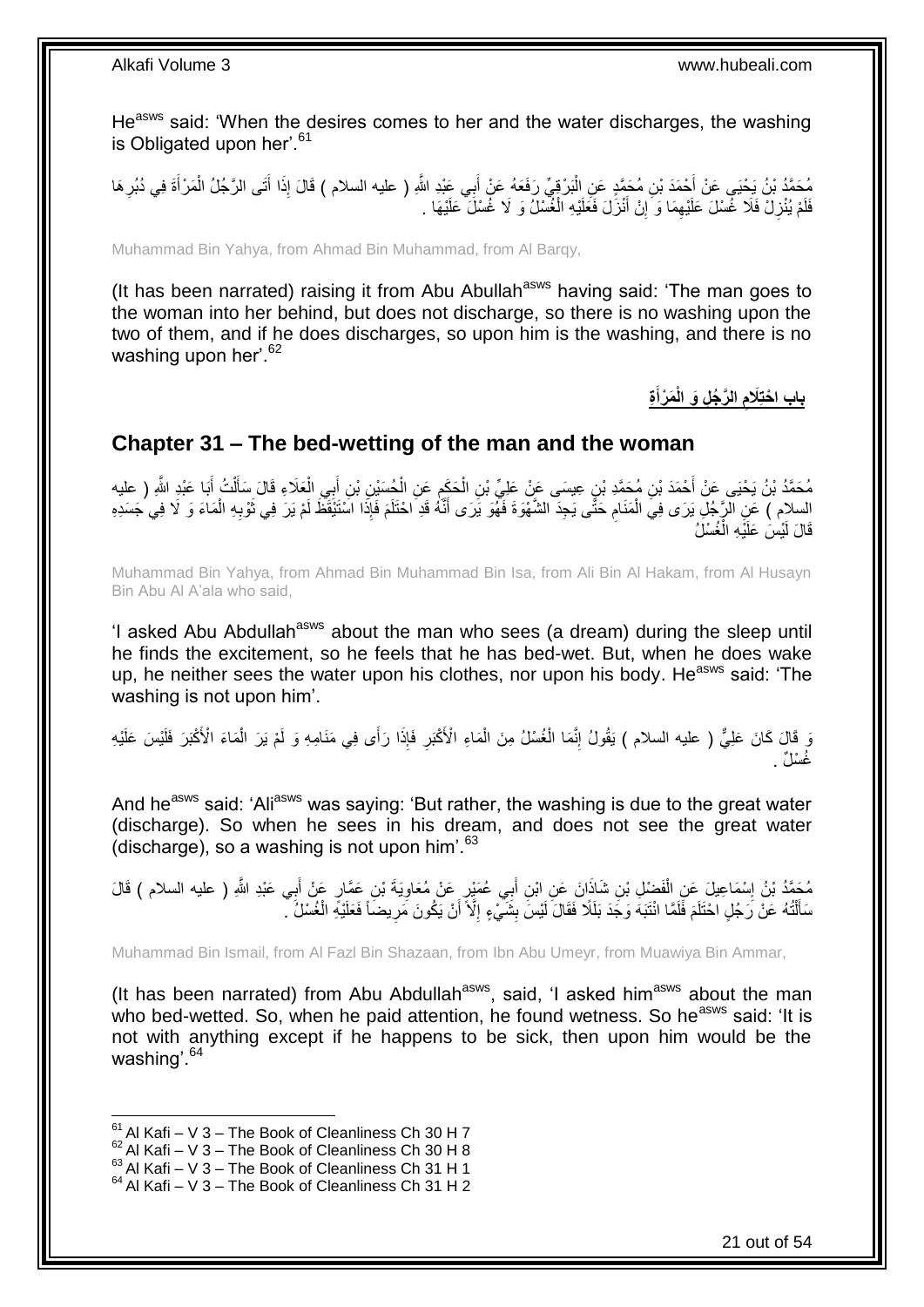He<sup>asws</sup> said: 'When the desires comes to her and the water discharges, the washing is Obligated upon her'.<sup>61</sup>

مُحَمَّدُ بْنُ يَحْيَى عَنْ أَحْمَدَ بْنِ مُحَمَّدٍ عَنِ الْبَرْقِيِّ رَفَعَهُ عَنْ أَبِي عَبْدِ اللَّهِ ( عليه السلام ) قَالَ إِذَا أَتَى الرَّجُلُ الْمَرْأَةَ فِي دُبُرِ هَا<br>يَمْ يَمْسُلُ بِجُنْبِي عَنْ أَحْمَدَ بْنِ مُح َ ْ ِ َ ْ َ فَلَمْ يُنْزِلْ فَلَا غُسْلَ عَلَيْهِمَا وَ إِنْ أَنْزَلَ فَعَلَيْهِ الْغُسْلُ وَ لَا غُسْلَ عَلَيْهَا . ْ َ ِ ِ ِ

Muhammad Bin Yahya, from Ahmad Bin Muhammad, from Al Barqy,

(It has been narrated) raising it from Abu Abullah<sup>asws</sup> having said: 'The man goes to the woman into her behind, but does not discharge, so there is no washing upon the two of them, and if he does discharges, so upon him is the washing, and there is no washing upon her'.<sup>62</sup>

> **ِة َم ْرأ ال َّر ُج ِل َو الْ َالم باب ا ْحتِ َ ِ**

## <span id="page-20-0"></span>**Chapter 31 – The bed-wetting of the man and the woman**

مُحَمَّدُ بْنُ يَحْيَى عَنْ أَحْمَدَ بْنِ مُحَمَّدِ بْنٍ عِيسَى عَنْ عَلِيِّ بْنِ الْحَكِمِ عَنِ الْجُسَيْنِ بْنِ أَبِي الْعَلَاءِ قَالَ سَأَلْتُ أَبَا عَبْدِ اللَّهِ ( عليه َ ْ َ ْ َ ْ ِ ْ السلام ) عَنِ الرَّجُلِ يَرَى فِيَ الْمَنَامِ حَتَّى يَجِدَ الشَّهْوَةَ فَهُوَ يَرَى أَنَّهُ قَدِ احْتَلَمَ فَإِذَا اسْتَيْقَظَ لَمْ يَرَ فِي ثَوْبِهِ الْمَاءَ وَ لَا فِي جَسَدِهِ َ **∶** ْ ْ ِ َ قَالَ لَيْسَٰ عَلَيْهِ الْغُسْلُ ْ

Muhammad Bin Yahya, from Ahmad Bin Muhammad Bin Isa, from Ali Bin Al Hakam, from Al Husayn Bin Abu Al A'ala who said,

'I asked Abu Abdullah<sup>asws</sup> about the man who sees (a dream) during the sleep until he finds the excitement, so he feels that he has bed-wet. But, when he does wake up, he neither sees the water upon his clothes, nor upon his body. He<sup>asws</sup> said: 'The washing is not upon him'.

وْ قَالَ كَانَ عَلِيٌّ ( عليه السلام ) يَقُولُ إِنَّمَا الْغُسْلُ مِنَ الْمَاءِ الْأَكْبَرِ فَإِذَا رَأَى فِي مَنَامِهِ وَ لَمْ يَرَ الْمَاءَ الْأَكْبَرَ فَلَيْس عَلَيْهِ ْ **ٍ** ْ ْ ِ غُسْلٌ .

And he<sup>asws</sup> said: 'Ali<sup>asws</sup> was saying: 'But rather, the washing is due to the great water (discharge). So when he sees in his dream, and does not see the great water (discharge), so a washing is not upon him'. $63$ 

مُحَمَّدُ بْنُ إِسْمَاعِيلَ عَنِ الْفَضْلِ بْنِ شَاذَانَ عَنِ ابْنِ أَبِي عُمَيْرٍ عَنْ مُعَاوِيَةَ بْنِ عَمَّارٍ عَنْ أَبِي عَبْدِ اللَّهِ ( عليه السلام ) قَالَ<br>مُعْلمُ بِّنُ إِسْمَاعِيلَ عَنِ الْفَضْلِ بْنِ شَاذَانَ عَن َ ِ َ ْ ֘<u>֓</u> سَأَلْتُهُ عَنْ رَجُلٍ احْتَلَمَ فََلَمًا انْتَبَهَ وَجَّدَ بَلَلًا فَقَالَ لَيْسَ بِشَيِّيْءٍ إِلَّا ۖ أَنْ يَكُونَ مَرِيضًاً فَعَلَيْهِ الْغُسْلُ ۖ **!** ֦֧֦֧֦֦֧֦֦֦֦֦֦֦֦֦֦֦֦֦֦֦֦֦֦֦֧֦֧֦֦֧֦֪֪֦֪֪֦֧֦֪֦֦֧֦֦֧֦֧֦֪֪֦֧֦֧֦֧֦֧֦֪֪֪֦֟֟֟֟֟֟֟֟֟֟֟֟֟֟֓֕֟֟֓֕֟֓֟֓֞֟֝֟֓֟֓֞֓֞֟֓֞֟֟֓֞֟֟֟֓֞֟֟ ْ ِ اُ ِ

Muhammad Bin Ismail, from Al Fazl Bin Shazaan, from Ibn Abu Umeyr, from Muawiya Bin Ammar,

(It has been narrated) from Abu Abdullah<sup>asws</sup>, said, 'I asked him<sup>asws</sup> about the man who bed-wetted. So, when he paid attention, he found wetness. So he<sup>asws</sup> said: 'It is not with anything except if he happens to be sick, then upon him would be the washing'.<sup>64</sup>

 $61$  Al Kafi – V 3 – The Book of Cleanliness Ch 30 H 7

 $62$  Al Kafi – V 3 – The Book of Cleanliness Ch 30 H 8

 $^{63}$  Al Kafi – V 3 – The Book of Cleanliness Ch 31 H 1

 $64$  Al Kafi – V 3 – The Book of Cleanliness Ch 31 H 2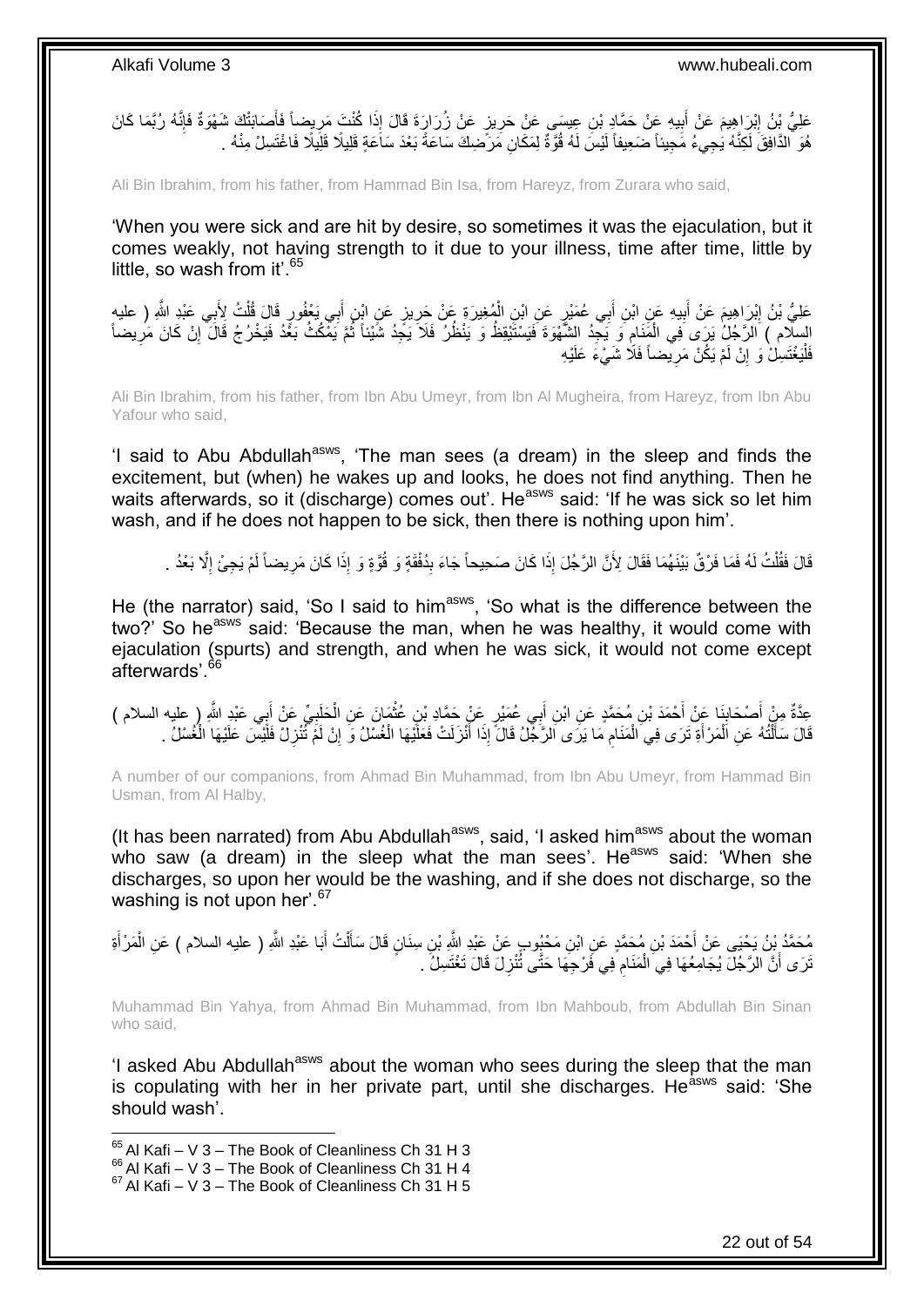عَلِيُّ بِنُ إِبْرَاهِيمَ عَنْ أَبِيهِ عَنْ حَمَّادٍ بْنِ عِيسَى عَنْ حَرِيزٍ عَنْ زُرَارٍةَ قَالَ إِذَا كُنْتَ مَرِيضِاً فَأَصَابَتْكَ شَهْوَةٌ فَإِنَّهُ رُبَّمَا كَانَ **ֽוּ** َ ِ ِ **!** َ  $\frac{1}{2}$ هُوَ ٱلذَّافِقَ لَكِنَّهُ يَٰجِيءُ مََجِيئاً ضَعِيفاً لَيْسَ لَهُ قُوَّةٌ لِمَكَانِ مَرَّضِكَ سَاعَةً بَعْدَ سَاعَةٍ قَلِيلًا قَلِيلًا فَاغْتَسِلْ مِنْهُ . لَ

Ali Bin Ibrahim, from his father, from Hammad Bin Isa, from Hareyz, from Zurara who said,

'When you were sick and are hit by desire, so sometimes it was the ejaculation, but it comes weakly, not having strength to it due to your illness, time after time, little by little, so wash from it'.  $65$ 

ِي َي ْعفُ ب ِن أ ٍز َع ِن اْب ي ُمِغي َرِة َع ْن َحر ِن ال ٍر َع ِن اْب ِي ُع َمْي ب ِن أ ي ِه َع ِن اْب ب َم َع ْن أ ْب َرا ِهي ِي َعْبِد ََّّللا َعلِ ُّي ْب ُن <sup>إ</sup> ِ ) علي ب ُت ِْلَ ل ٍر َقا َل قُ و هُ َ ِ ْ ِ َ <u>֖֓</u> ْ السِلِّامِ ﴾ اَللَّ جُلُّ يَرَى فِي الْمَنَامِ وَ يَجِّدُ الشَّهْوَةَ فَيَسْتَيْقِظُ وَ يَنْظُلُ فَلَا يَجِّدُ شَيْئاً ثُمَّ يَمْكُثُ بَغُّدُ فَلَلَّ إِنْ كَانَ مَرِيضاً ُ ِ ْ ِ ِ فَلْيَغْتَسِلْ وَ إِنْ لَمْ يَكُنْ مَرِيضماً فَلَا شَيْءَ عَلَيْهِ ِ ِ :<br>ا

Ali Bin Ibrahim, from his father, from Ibn Abu Umeyr, from Ibn Al Mugheira, from Hareyz, from Ibn Abu Yafour who said,

'I said to Abu Abdullah<sup>asws</sup>, 'The man sees (a dream) in the sleep and finds the excitement, but (when) he wakes up and looks, he does not find anything. Then he waits afterwards, so it (discharge) comes out'. He<sup>asws</sup> said: 'If he was sick so let him wash, and if he does not happen to be sick, then there is nothing upon him'.

ِ قَالَ فَقُلْتُ لَهُ فَمَا فَرْقٌ بَيْنَهُمَا فَقَالَ لِأَنَّ الرَّجُلَ إِذَا كَانَ صَحِيحاً جَاءَ بِدُفْقَةٍ وَ قُوَّةٍ وَ إِذَا كَانَ مَرِيضاً لَمْ يَجِئْ إِلَّا بَعْدُ . ِ ْ ِ لَ ِ

He (the narrator) said, 'So I said to him<sup>asws</sup>, 'So what is the difference between the two?' So heasws said: 'Because the man, when he was healthy, it would come with ejaculation (spurts) and strength, and when he was sick, it would not come except afterwards'.<sup>66</sup>

عِدَّةٌ مِنْ أَصْحَابِنَا عَنْ أَحْمَدَ بْنِ مُحَمَّدٍ عَنِ ابْنِ أَبِي عُمَيْرٍ عَنْ حَمَّادِ بْنِ عُثْمَانَ عَنِ الْحَلَبِيِّ عَنْ أَبِي عَبْدِ اللَّهِ ( عليه السلام )<br>ِ َ َ ِ َ َ ِ ْ **ٔ** ِ قَالَ سَأَلْتُهُ عَنِ الْمَرْأَةِ تَرَى فِي الْمَنَامِ مَا يَرَى الرَّجْلُ قَالَ إِذَا أَنْزَلَتْ فَعَلَيْهَا الْغُسْلُ وَ إِنْ لَمَّ تُنْزِلْ فَلَيْسَ عَلَيْهَا الْغُسْلُ مَا يَرَى الرَّجْلُ قَالَ إِذَا أَنْزَلَتْ فَعَلَي ْ َ ِ ْ َ ْ ֺ֦֧֦֦֧֦֦֦֦֦֪֦֦֦֦֦֦֦֦֦֦֧֦֦֧֦֧֝֟֟֓֕֓֕֓֕֓֕֓֕֓֓֡֟֓֡֟֓֡֟֓֓֞֓֞֓֞֓֞֓֞֓֡֓֓֡֓֓֡֟֓֡֟֟֓֡<br>֧֧֧֪֪֧֦֧֦֧֦֧֦֪֦֧֦֪֦֧֦֧֦֦֖֪֦֧֝֘֘֝֞֟֟֟֞֞֟֘ َ ِ ْ

A number of our companions, from Ahmad Bin Muhammad, from Ibn Abu Umeyr, from Hammad Bin Usman, from Al Halby,

(It has been narrated) from Abu Abdullah $a<sup>asws</sup>$ , said, 'I asked him $a<sup>asws</sup>$  about the woman who saw (a dream) in the sleep what the man sees'. He<sup>asws</sup> said: 'When she discharges, so upon her would be the washing, and if she does not discharge, so the washing is not upon her'.<sup>67</sup>

ْ مُحَمَّدُ بِنُ يَحْيَى عَنْ أَحْمَدَ بْنِ مُحَمَّدٍ عَنِ ابْنِ مَحْيُوبٍ عَنْ عَبْدِ اللَّهِ بْنِ سِنَانٍ قَالَ سَأَلْتُ أَبَا عَبْدِ اللَّهِ ( عليه السلام ) عَنِ الْمَرْ أَةِ َ َ ْ َ نَرَى أَنَّ الرَّجُلَ يُجَامِعُهَا فِي الْمَنَامِ فِي فَرْجِهَا حَتَّى تُنْزِلَ قَالَ تَغْتَسِلُ ۚ . ِ ِ ْ

Muhammad Bin Yahya, from Ahmad Bin Muhammad, from Ibn Mahboub, from Abdullah Bin Sinan who said,

'I asked Abu Abdullah<sup>asws</sup> about the woman who sees during the sleep that the man is copulating with her in her private part, until she discharges. He<sup>asws</sup> said: 'She should wash'.

 $65$  Al Kafi – V 3 – The Book of Cleanliness Ch 31 H 3

 $^{66}_{-2}$ Al Kafi – V 3 – The Book of Cleanliness Ch 31 H 4

 $67$  Al Kafi – V 3 – The Book of Cleanliness Ch 31 H 5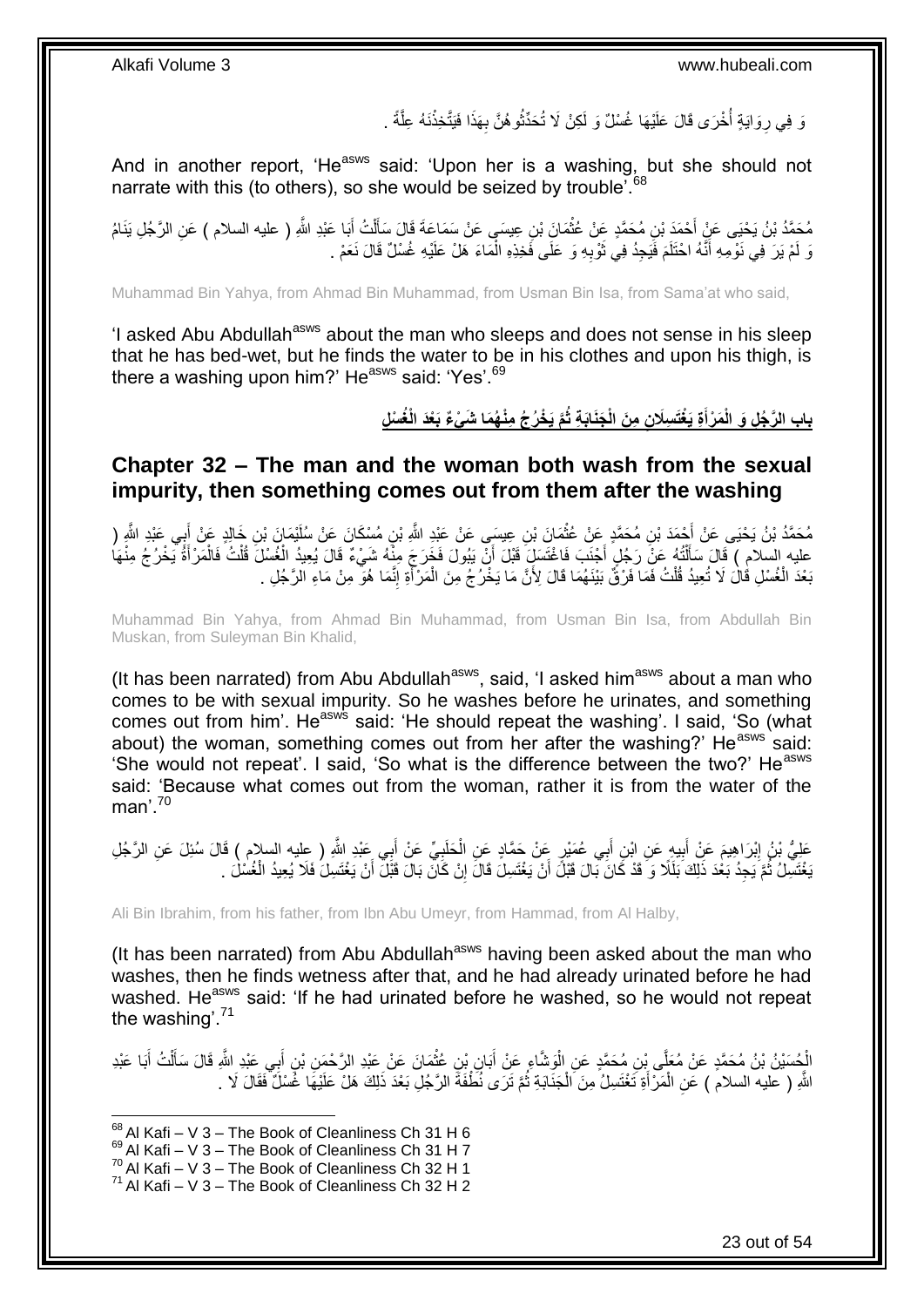وَ فِي رِوَايَةٍ أُخْرَى قَالَ عَلَيْهَا غُسْلٌ وَ لَكِنْ لَا تُحَذِّثُوهُنَّ بِهَذَا فَيَتَّخِذْنَهُ عِلَّةً . ان<br>سال 11 ا<br>ا ِ َّ **ٔ:** ِ

And in another report, 'He<sup>asws</sup> said: 'Upon her is a washing, but she should not narrate with this (to others), so she would be seized by trouble<sup>'.68</sup>

مُحَمَّدُ بْنُ يَحْيَى عَنٍْ أَحْمَدَ بْنِ مُحَمَّدٍ عَنْ عُثْمَانَ بْنِ عِيسَى عَنْ سَمَاعَةَ قَالَ سَأَلْتُ أَبَا عَبْدِ اللَّهِ ( عليه السلام ) عَنِ الرَّجُلِ يَنَامُ ْ َ ْ َ وَ لَمْ يَرَ فِي نَوْمِهِ أَنَّهُ احْتَلَمَ فَيَجِدُ فِي ثَوْبِهِ وَ عَلَى فَخِذِهِ الْمَاءَ هَلْ عَلَيْهِ غُسْلٌ قَالَ نَعَمْ . ْ ِ َ َ

Muhammad Bin Yahya, from Ahmad Bin Muhammad, from Usman Bin Isa, from Sama'at who said,

'I asked Abu Abdullah<sup>asws</sup> about the man who sleeps and does not sense in his sleep that he has bed-wet, but he finds the water to be in his clothes and upon his thigh, is there a washing upon him?' He<sup>asws</sup> said: 'Yes'.<sup>69</sup>

> باب الرَّجُلِ وَ الْمَرْأَةِ يَغْتَسِلَانِ مِنَ الْجَنَابَةِ ثُمَّ يَخْرُجُ مِنْهُمَا شَىْءٌ بَعْدَ الْغُسْلِ **َ**

<span id="page-22-0"></span>**Chapter 32 – The man and the woman both wash from the sexual impurity, then something comes out from them after the washing**

ِن ُم َح َّمُد ْب ُن َي ْحَي َخالِ ٍد َع ْي َما َن ْب ِن ُم ْس َكا َن َع ْن ُسلَ ِن ِعي َس َع ْن َعْبِد ََّّللاِ ْب َما َن ْب ِن ُم َح َّمٍد َع ْن ُعث ْح َمَد ْب َِّللا ) بي َعْبِد َّ َع ْن أ ْن أ ْ َ ِ َ عليه السلام ) قَالَ سَأَلْتُهُ عَنْ رَجُلٍ أَجْنَبَ فَاغْتَسَلِّ قَبْلَ أَنْ يَبُولَ فَخَرَجَ مِنْهُ شَيْءٌ قَالَ يُعِيدُ الْغُسْلَ قُلْتُ فَالْمَرْأَةُ يَخْرُجُ مِنْهَا اُ َ ْ Í َ ْ ْ بَعْدَ الْغُسْلِ قُالَ لَا تُعِيدُ قُلْتُ فَمَا فَرْقٌ بَيْنَهُمَا قَالَ لِأَنَّ مَا يَخْرُجُ مِنَ الْمَرْأَةِ إِنَّمَا هُوَ مِنْ مَاءِ الْرَجُلِ . ِ َ ْ ْ ْ

Muhammad Bin Yahya, from Ahmad Bin Muhammad, from Usman Bin Isa, from Abdullah Bin Muskan, from Suleyman Bin Khalid,

(It has been narrated) from Abu Abdullah $a_{\text{sws}}$ , said, 'I asked him $a_{\text{sws}}$  about a man who comes to be with sexual impurity. So he washes before he urinates, and something comes out from him'. He<sup>asws</sup> said: 'He should repeat the washing'. I said, 'So (what about) the woman, something comes out from her after the washing?' He<sup>asws</sup> said: 'She would not repeat'. I said, 'So what is the difference between the two?' He<sup>asws</sup> said: 'Because what comes out from the woman, rather it is from the water of the man' 70

عَلِيُّ بْنُ إِبْرَاهِيمَ عَنْ أَبِيهِ عَنِ ابْنِ أَبِي عُمَيْرٍ عَنْ حَمَّادٍ عَنِ الْحَلَبِيِّ عَنْ أَبِي عَبْدِ اللَّهِ ( عِليه السلام ) قَالَ سُئِلَ عَنِ الرَّجُلِ<br>وَجَنِّ بِنُ إِبْرَاهِيمَ عَنْ أَبِيهِ عَنِ ابْنِ أَبِ َ ِ ْ َ **!** َ ِ يَغْتَسِلُ ثُمَّ يَجِدُ بَعْدَ ذَلِكَ بَلَلًا وَ قَدْ كَانَ بَالَ قَبْلَ أَنْ يَغْتَسِلَ قَالَ إِنْ كَانَ بَالَ قَبْلَ أَنْ يَغْتَسِلَ فَلَا يُعِيدُ الْغُسْلُ . ُ َ ِ اُ ْ

Ali Bin Ibrahim, from his father, from Ibn Abu Umeyr, from Hammad, from Al Halby,

(It has been narrated) from Abu Abdullah<sup>asws</sup> having been asked about the man who washes, then he finds wetness after that, and he had already urinated before he had washed. He<sup>asws</sup> said: 'If he had urinated before he washed, so he would not repeat the washing'.<sup>71</sup>

الْجُسَيْنُ بْنُ مُحَمَّدٍ عَنْ مُعَلِّي بِنِ مُحَمَّدٍ عَنِ الْوَشَاعِ عَنْ أَبَانٍ بِنِ عُثْمَانَ عَنْ عَبْدِ الرَّحْمَنِ بْنِ أَبِي عَبْدِ اللَّهِ قَالَ سَأَلْتُ أَبَا عَبْدِ ْ َ ْ َ ْ َ ْ َ اللَّهِ ( عَليه السلام ) عَنِ الْمَرْ أَةِ تَغْتَسِلُ مِنَ الْجَنَّابَةِ ثُمَّ تَرَى نُظَّفَةً الرَّجُلِ بَعْدَ ذَلِكَ هَلْ عَلَيْهَا غُسْلٌ فَقَالَ لَا يَ ُ ْ َ ْ

<sup>1</sup>  $68$  Al Kafi – V 3 – The Book of Cleanliness Ch 31 H 6

 $^{69}$  Al Kafi – V 3 – The Book of Cleanliness Ch 31 H 7

 $^{70}$  Al Kafi – V 3 – The Book of Cleanliness Ch 32 H 1

 $71$  Al Kafi – V 3 – The Book of Cleanliness Ch 32 H 2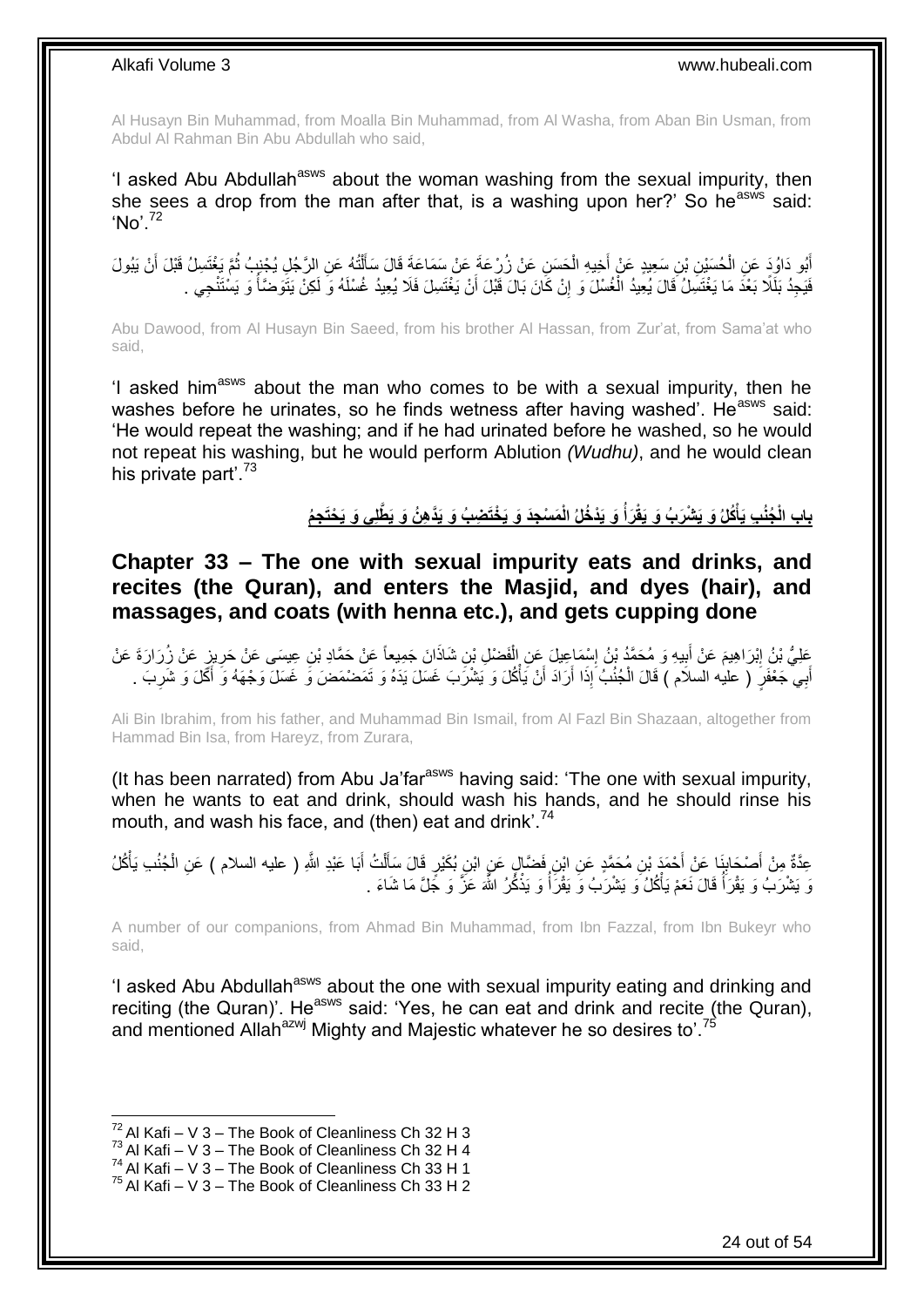Al Husayn Bin Muhammad, from Moalla Bin Muhammad, from Al Washa, from Aban Bin Usman, from Abdul Al Rahman Bin Abu Abdullah who said,

'I asked Abu Abdullah<sup>asws</sup> about the woman washing from the sexual impurity, then she sees a drop from the man after that, is a washing upon her?' So he<sup>asws</sup> said: 'No'.<sup>72</sup>

أَبُو دَاوُدَ عَنِ الْحُسَيْنِ بْنِ سَعِيدٍ عَنْ أَخِيهِ الْحَسَنِ عَنْ زُرْعَةَ عَنْ سَمَاعَةَ قَالَ سَأَلْتُهُ عَنِ الرَّجُلِ يُجْنِبُ ثُمَّ يَغْتَسِلُ قَبْلَ أَنْ يَبُولَ ْ َ ْ َ ْ َ ا<br>:<br>: َ فَيَجِدُ بَلَلًا بَعْدَ مَا يَغْتَسِلُ قَالَ يُعِيدُ الْغُسْلَ وَ إِنْ كَانَ بَالَ قَبْلَ أَنْ يَغْتَسِلَ فَلَا يُعِيدُ غُسْلَهُ وَ لَكِنْ يَتَوضَأُ وَ يَسْتَنْجِي . اُ ِ ْ ُ

Abu Dawood, from Al Husayn Bin Saeed, from his brother Al Hassan, from Zur'at, from Sama'at who said,

'I asked him<sup>asws</sup> about the man who comes to be with a sexual impurity, then he washes before he urinates, so he finds wetness after having washed'. He<sup>asws</sup> said: 'He would repeat the washing; and if he had urinated before he washed, so he would not repeat his washing, but he would perform Ablution *(Wudhu)*, and he would clean his private part'.<sup>73</sup>

> **ِج ُم** باب الْجُنُبِ يَأْكُلُ وَ يَشْرَبُ وَ يَقْرَأَ وَ يَدْخُلُ الْمَسْجِدَ وَ يَخْتَضِبُ وَ يَدَّهِنُ وَ يَطْلِى وَ يَحْتَ **ْ**

<span id="page-23-0"></span>**Chapter 33 – The one with sexual impurity eats and drinks, and recites (the Quran), and enters the Masjid, and dyes (hair), and massages, and coats (with henna etc.), and gets cupping done**

َعَلِّيُّ بْنُ إِبْرَاهِيمَ عَنْ أَبِيهِ وَ مُحَمَّدُ بْنُ إِسْمَاعِيلَ عَنِ الْفَضْلِ بْنِ شَاذَانَ جَمِيعاً عَنْ حَمَّادِ بْنِ عِيسَى عَنْ حَرِينٍ عَنْ زُرَارَةَ عَنْ<br>. ْ ِ **!** َ ِ أَبِي جَعْفَرٍ ( عليه السلام ) قَالَ الْجُنُبُ إِذَا أَرَادَ أَنْ يَأْكُلَ وَ يَشْرَبَ غَسَلَ يَدَهُ وَ تَمَصْمَضَ وَ غَسَلَ وَجْهَهُ وَ أَكَلَ وَ شَرِبَ . َ ِ َ ْ َ َ ْ

Ali Bin Ibrahim, from his father, and Muhammad Bin Ismail, from Al Fazl Bin Shazaan, altogether from Hammad Bin Isa, from Hareyz, from Zurara,

(It has been narrated) from Abu Ja'far<sup>asws</sup> having said: 'The one with sexual impurity, when he wants to eat and drink, should wash his hands, and he should rinse his mouth, and wash his face, and (then) eat and drink'.<sup>74</sup>

¦ٍ عِدَّةٌ مِنْ أَصْحَابِنَا عَنْ أَحْمَدَ بْنِ مُحَمَّدٍ عَنِ ابْنِ فَضَّالٍ عَنٍ ابْنِ بُكَيْرٍ قَالَ سَأَلْتُ أَبَا عَبْدِ اللَّهِ ( عليه السلام ) عَنِ الْجُنُبِ يَأْكُلُ َ َ ْ ĺ ْ ْ وَ يَشْرَبُ وَ يَقْرَأُ قَالَ نَعَمْ يَأْكُلُ وَ يَشْرَبُ وَ يَقْرَأُ وَ يَذْكُرُ اللَّهَ عَزَّ وَ جَلَّ مَا شَاءَ . ْ ْ المناطقي.<br>أحداث المناطقين المناطقين المناطقين المناطقين المناطقين المناطقين المناطقين المناطقين المناطقين المناطقين المناطقين<br>المناطقين المناطقين المناطقين المناطقين المناطقين المناطقين المناطقين المناطقين المناطقين المنا

A number of our companions, from Ahmad Bin Muhammad, from Ibn Fazzal, from Ibn Bukeyr who said,

'I asked Abu Abdullah<sup>asws</sup> about the one with sexual impurity eating and drinking and reciting (the Quran)'. He<sup>asws</sup> said: 'Yes, he can eat and drink and recite (the Quran), and mentioned Allah<sup>azwj</sup> Mighty and Majestic whatever he so desires to'.<sup>75</sup>

 $72$  Al Kafi – V 3 – The Book of Cleanliness Ch 32 H 3

 $73$  Al Kafi – V 3 – The Book of Cleanliness Ch 32 H 4

 $^{74}$  Al Kafi – V 3 – The Book of Cleanliness Ch 33 H 1

 $75$  Al Kafi – V 3 – The Book of Cleanliness Ch 33 H 2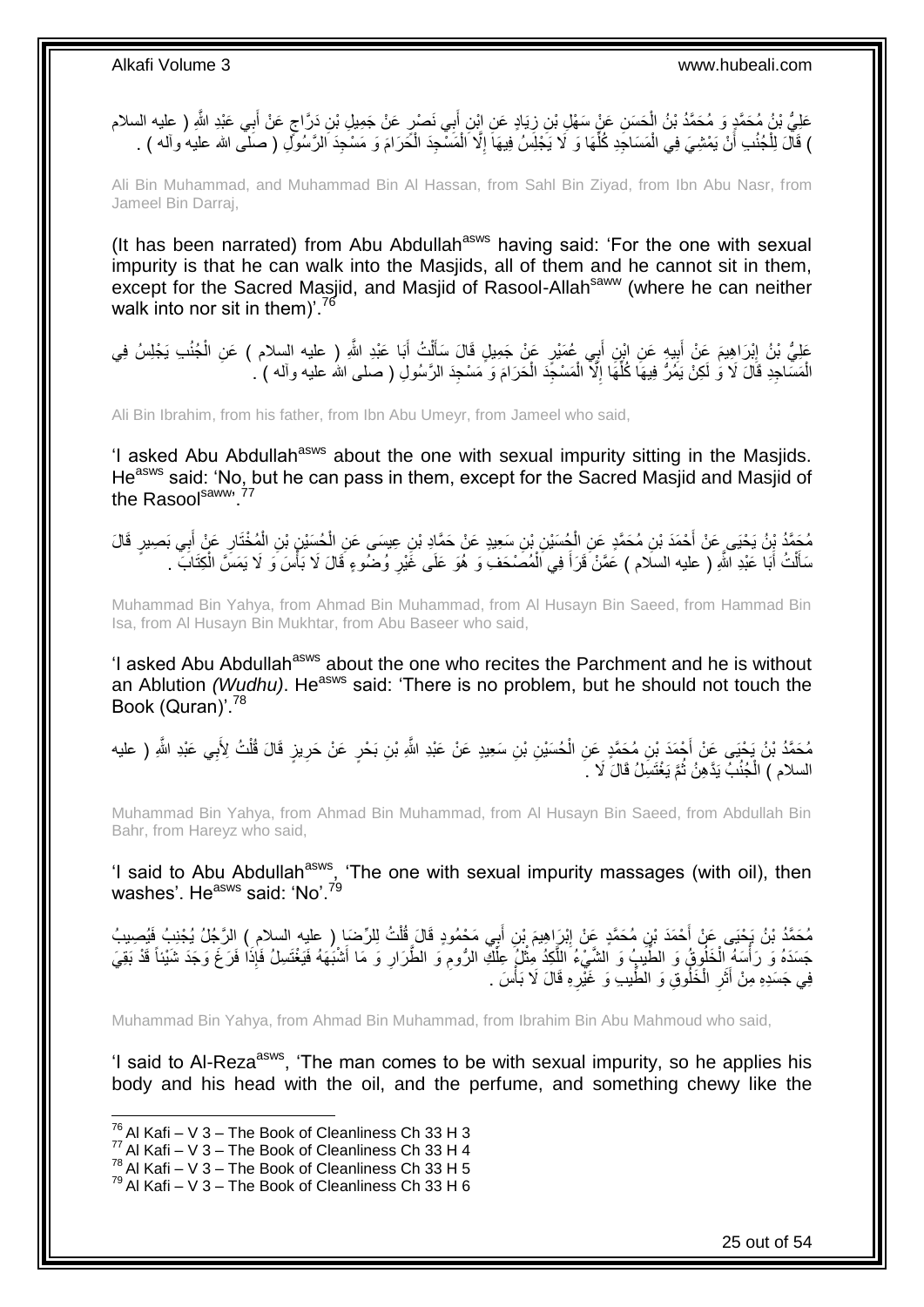ٍ عَلِيُّ بْنُ مُحَمَّدٍ وَ مُحَمَّدُ بْنُ الْحَسَنِ عَنْ سَهْلِ بْنِ زِيَادٍ عَنِ ابْنِ أَبِي نَصْرٍ عَنْ جَمِيلِ بْنِ دَرَّاجٍ عَنْ أَبِي عَبْدِ اللَّهِ ( عليه السلام َ **∶** ْ َ ) قَالَ لِلْجُنُدِ أَنْ يَمْشِيَ فِي الْمَسَاجِدِ كُلِّهَا وَ لَا يَجْلِسُ فِيهَاَ إِلَّا الْمَسْجِدَ الْحَرَامَ وَ مَسْجِدَ الرَّسُوِّلِ ( صَلَّى الله عليه وآله ) . ْ ْ ِ ِّ ْ ْ

Ali Bin Muhammad, and Muhammad Bin Al Hassan, from Sahl Bin Ziyad, from Ibn Abu Nasr, from Jameel Bin Darraj,

(It has been narrated) from Abu Abdullah<sup>asws</sup> having said: 'For the one with sexual impurity is that he can walk into the Masjids, all of them and he cannot sit in them, except for the Sacred Masjid, and Masjid of Rasool-Allah<sup>saww</sup> (where he can neither walk into nor sit in them)'.<sup>76</sup>

عَلِيُّ بْنُ إِبْرَاهِيمَ عَنْ أَبِيهٍ عَنِ ابْنٍ أَبِي عُمَيْرٍ عَنْ جَمِيلٍ قَالَ سَأَلْتُ أَبَا عَبْدِ اللَّهِ ( عليه السلام ) عَنِ الْجُنُبِ يَجْلِسُ فِي َ ْ َ َ ِ َ **ֽו** ْ الْمَسَاجِدِ قَالَ لَا وَ لَكِنْ بَمُرٌ فِيهَا كُلِّهَا إِلَّا الْمَسْجَدَ الْحَرَامَ وَ مَسْجِدَ الرَّسُولِ ( صلى الله عليه وأله ) . ْ ْ ِ ِّ ْ

Ali Bin Ibrahim, from his father, from Ibn Abu Umeyr, from Jameel who said,

'I asked Abu Abdullah<sup>asws</sup> about the one with sexual impurity sitting in the Masjids. He<sup>asws</sup> said: 'No, but he can pass in them, except for the Sacred Masjid and Masjid of the Rasoolsaww, 77

مُحَمَّدُ بِنُ يَحْيَى عَنْ أَحْمَدَ بْنِ مُحَمَّدٍ عَنِ الْجُسَيْنِ بْنِ سَعِيدٍ عَنْ حَمَّادِ بْنِ عِيسَى عَنِ الْحُسِيْنِ بْنِ الْمُخْتَارِ عَنْ أَبِي بَصِيرٍ قَالَ ْ ْ َ ِ ْ سَأَلْتُ أَبَا عَبْدِ اللّهِ ( عليه السلام ) عَمَّنْ قَرَأَ فِي الْمُصَىْحَفِۚ وَ هُوَ عَلَى غَيْرِ وُضُّوءٍ قَالَ لَا بَأْسَ وَ لَا يَمَسَّ الْكِتَابَ ۚ . َ ْ َ ْ ا<br>ا ِ ْ َ

Muhammad Bin Yahya, from Ahmad Bin Muhammad, from Al Husayn Bin Saeed, from Hammad Bin Isa, from Al Husayn Bin Mukhtar, from Abu Baseer who said,

'I asked Abu Abdullah<sup>asws</sup> about the one who recites the Parchment and he is without an Ablution *(Wudhu)*. He<sup>asws</sup> said: 'There is no problem, but he should not touch the Book (Quran)<sup>'78</sup>

مُحَمَّدُ بْنُ يَحْيَى عَنْ أَجْمَدَ بْنِ مُحَمَّدٍ عَنِ الْحُسَيْنِ بْنِ سَعِيدٍ عَنْ عَبْدِ اللَّهِ بْنِ بَحْرٍ عَنْ حَرِيزٍ قَالَ قُلْتُ لِأَبِي عَبْدِ اللَّهِ ( عليه<br>. ْ ْ ِ السلام ) الْجُنُبُ يَدَّهِنُ ثُمَّ يَغْتَسِلُ قَالَ لَا  $\,$ ُ ْ

Muhammad Bin Yahya, from Ahmad Bin Muhammad, from Al Husayn Bin Saeed, from Abdullah Bin Bahr, from Hareyz who said,

'I said to Abu Abdullah<sup>asws</sup>, 'The one with sexual impurity massages (with oil), then washes'. He<sup>asws</sup> said: 'No'.<sup>79</sup>

مُحَمَّدُ بْنُ يَحْبَى عَنْ أَحْمَدَ بْنِ مُحَمَّدٍ عَنْ إِبْرَاهِيمَ بْنِ أَبِي مَحْمُودٍ قَالَ قُلْتُ لِلرِّضَارِ ( عليه السلام ) الرَّجُلُ يُجْنِبُ فَيُصِيبُ ْ َ ِ جَسَدَهُ وَ رَأْسَهُ اِلْخَلْوِقُ وَ الطَّيِّبِ وَ الشَّيِءُ الْلَكِدُ مِثْلُ عِلْكِ الرُّومِ وَ الطَّرَارِ وَ مَا أَشْبَهَهُ فَيَغْتَسِلُ فَإِذَا فَرَغَ وَجَدَ شَيْئاً قَدْ بَقِيَ ْ َ **∶** ِ ْ ْ َّ فِي جَسَدِهِ مِنْ أَثَرِ الْخَلُوقِ وَ الطِّيبِ وَ غَيْرِهِ قَالَ لَا بَأْسَ . ْ ِ َ **∶** 

Muhammad Bin Yahya, from Ahmad Bin Muhammad, from Ibrahim Bin Abu Mahmoud who said,

'I said to Al-Reza<sup>asws</sup>. 'The man comes to be with sexual impurity, so he applies his body and his head with the oil, and the perfume, and something chewy like the

 $^{76}$  Al Kafi – V 3 – The Book of Cleanliness Ch 33 H 3

 $77$  Al Kafi – V  $3$  – The Book of Cleanliness Ch 33 H 4

 $^{78}$  Al Kafi – V 3 – The Book of Cleanliness Ch 33 H 5

 $79$  Al Kafi – V 3 – The Book of Cleanliness Ch 33 H 6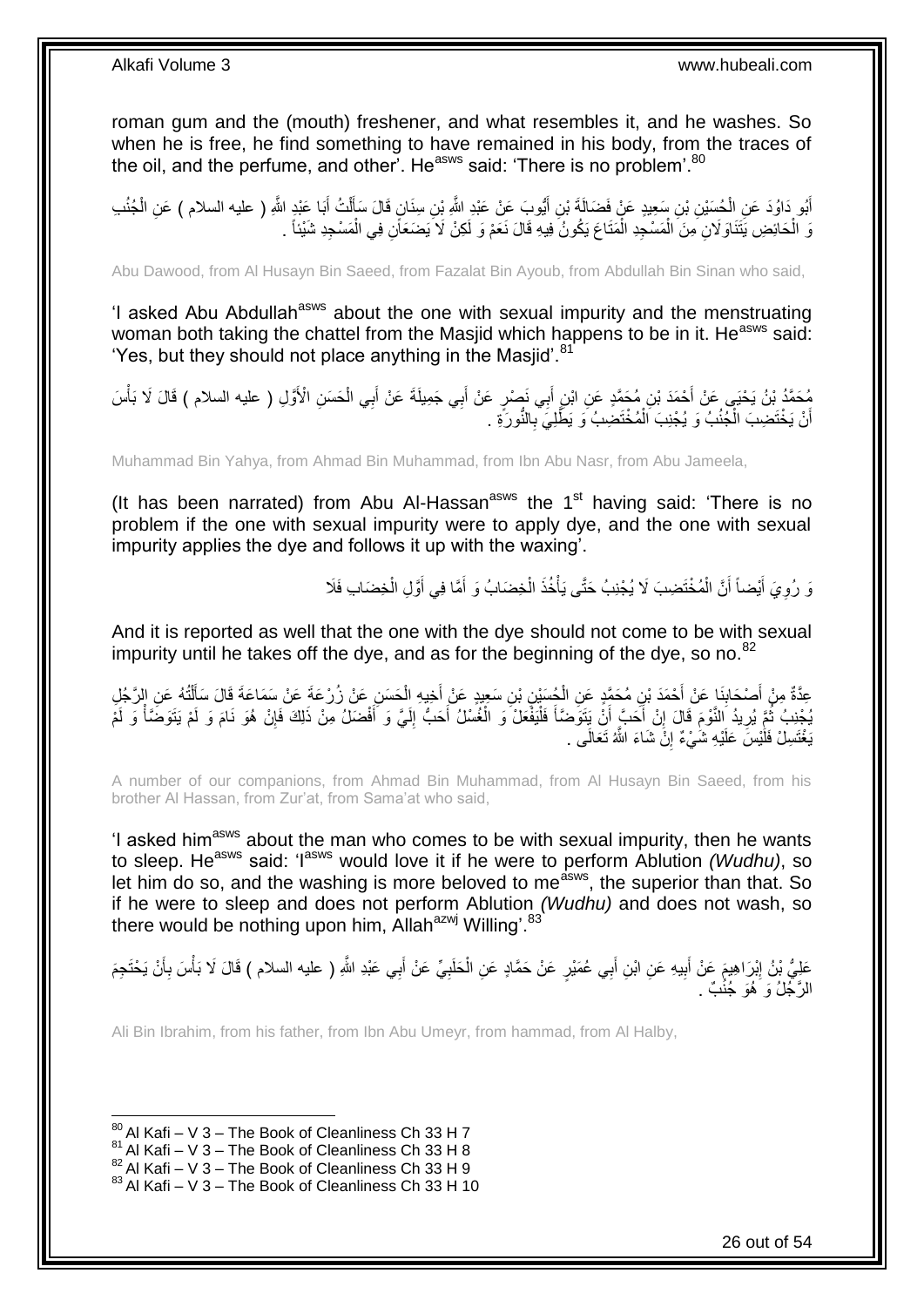roman gum and the (mouth) freshener, and what resembles it, and he washes. So when he is free, he find something to have remained in his body, from the traces of the oil, and the perfume, and other<sup>7</sup>. He<sup>asws</sup> said: 'There is no problem'.<sup>80</sup>

أَبُو دَاوُدَ عَنِ الْحُسَيْنِ بْنِ سَعِيدٍ عَنْ فَضَالَةَ بْنِ أَيُّوبَ عَنْ عَبْدِ اللَّهِ بْنِ سِنَانٍ قَالَ سَأَلْتُ أَبَا عَنْدٍ اللَّهِ ( عليه السلام ) عَنِ الْجُنُدِ َ ْ ĺ َ ْ ْ يَ الْحَائِضِ يَتَنَاوَ لَانِ مِنَ الْمَسْجِدِ الْمَتَاعَ يَكُونُ فِيهِ قَالَ نَعَمْ وَ لَكِنْ لَا يَضَعَأَنِ فِي الْمَسْجِدِ شَيْئاً . ْ ْ ْ ْ

Abu Dawood, from Al Husayn Bin Saeed, from Fazalat Bin Ayoub, from Abdullah Bin Sinan who said,

'I asked Abu Abdullah<sup>asws</sup> about the one with sexual impurity and the menstruating woman both taking the chattel from the Masjid which happens to be in it. He<sup>asws</sup> said: 'Yes, but they should not place anything in the Masjid'.<sup>81</sup>

مُحَمَّدُ بْنُ يَحْيَي عَنْ أَحْمَدَ بْنِ مُحَمَّدٍ عَنِ ابْنِ أَبِي نَصْرٍ عَنْ أَبِي جَمِيلَةَ عَنْ أَبِي الْحَسَنِ الْأَوَّلِ ( عليه السلام ) قَالَ لَا بَأْسَ<br>. ْ َ َ َ ْ أَنْ يَخْتَضِبَ الْجُنُبُ وَ يُجْنِبَ اَلْمُخْتَضِبُ وَ يَطَّلِيَ بِالنُّورَةِ . **∶** ْ ْ اً

Muhammad Bin Yahya, from Ahmad Bin Muhammad, from Ibn Abu Nasr, from Abu Jameela,

(It has been narrated) from Abu Al-Hassan $^{asws}$  the 1 $^{st}$  having said: 'There is no problem if the one with sexual impurity were to apply dye, and the one with sexual impurity applies the dye and follows it up with the waxing'.

> نَّ رُوِيَ أَيْضاً أَنَّ الْمُخْتَضِبَ لَا يُجْنِبُ حَتَّى يَأْخُذَ الْخِضَابُ وَ أَمَّا فِي أَوَّلِ الْخِضَابِ فَلَا َ َ ْ ا<br>المسلمان<br>المسلمان ْ َ َ ِ ْ

And it is reported as well that the one with the dye should not come to be with sexual impurity until he takes off the dye, and as for the beginning of the dye, so no. $82$ 

عِدَّةٌ مِنْ أَصْحَابِذَا عَنْ أَحْمَدَ بْنِ مُحَمَّدٍ عَنِ الْجُسَيْنِ بْنِ سَعِيدٍ عَنْ أَخِيهِ الْحَسَنِ عَنْ زُرْعَةَ عَلْ سَمَاعَةَ قَالَ سَأَلْتُهُ عَنِ الرَّجُلِ<br>يَمْنُ نَّ يَسْمَلُ الْمَسْمَلِنَا عَنْ أَحْمَدَ بْنِ ْ **ِ** َ ْ َ ْ َ يُجْنِبُ ثُمَّ يُرِيدُ النَّوْمَ قَالَ إِنْ أَحَبَّ أَنُ يَتَوَصَّنَاً فَلْيَفْعَلْ َوَ الْغُسْلُ أَحَبُّ إِلَيَّ وَ أَفْضَلُ مِنْ ذَلِكَ فَإِنْ هُوَ نَامَ وَ لَمْ يَتَوَضَّنَاْ وَ لَمْ َ لَ ِ َ ْ :<br>ا **∫** ֺ<u>֓</u>֖֚֚֚֚֚֚֚֓֘֩֩ **׀ ∶** ∣ļ ْ لَ يَغْتَسِلْ فَلَٰيْسَ عَلَيْهِ شَٰيْءٌ إِنَّ شَاءَ اللَّهُ تَعَالَى . **׀** 

A number of our companions, from Ahmad Bin Muhammad, from Al Husayn Bin Saeed, from his brother Al Hassan, from Zur'at, from Sama'at who said,

'I asked him<sup>asws</sup> about the man who comes to be with sexual impurity, then he wants to sleep. He<sup>asws</sup> said: 'I<sup>asws</sup> would love it if he were to perform Ablution *(Wudhu)*, so let him do so, and the washing is more beloved to me<sup>dsws</sup>, the superior than that. So if he were to sleep and does not perform Ablution *(Wudhu)* and does not wash, so there would be nothing upon him, Allah<sup>azwj</sup> Willing'.<sup>83</sup>

عَلِيُّ بْنُ إِبْرَاهِيمَ عَنْ أَبِيهِ عَنِ ابْنِ أَبِي عُمَيْرٍ عَنْ حَمَّادٍ عَنِ الْحَلَبِيِّ عَنْ أَبِي عَبْدِ اللَّهِ ( عليه السلام ) قَالَ لَا بَأْسَ بِأَنْ يَحْتَجِمَ َ **∶** ْ ِ َ ِ أ **∶** ْ الرَّجُلُ وَ ُهُوَ جُنُبٌ .

Ali Bin Ibrahim, from his father, from Ibn Abu Umeyr, from hammad, from Al Halby,

 $80$  Al Kafi – V 3 – The Book of Cleanliness Ch 33 H 7

 $81$  Al Kafi – V 3 – The Book of Cleanliness Ch 33 H 8

 $^{82}$  Al Kafi – V 3 – The Book of Cleanliness Ch 33 H 9

 $83$  Al Kafi – V 3 – The Book of Cleanliness Ch 33 H 10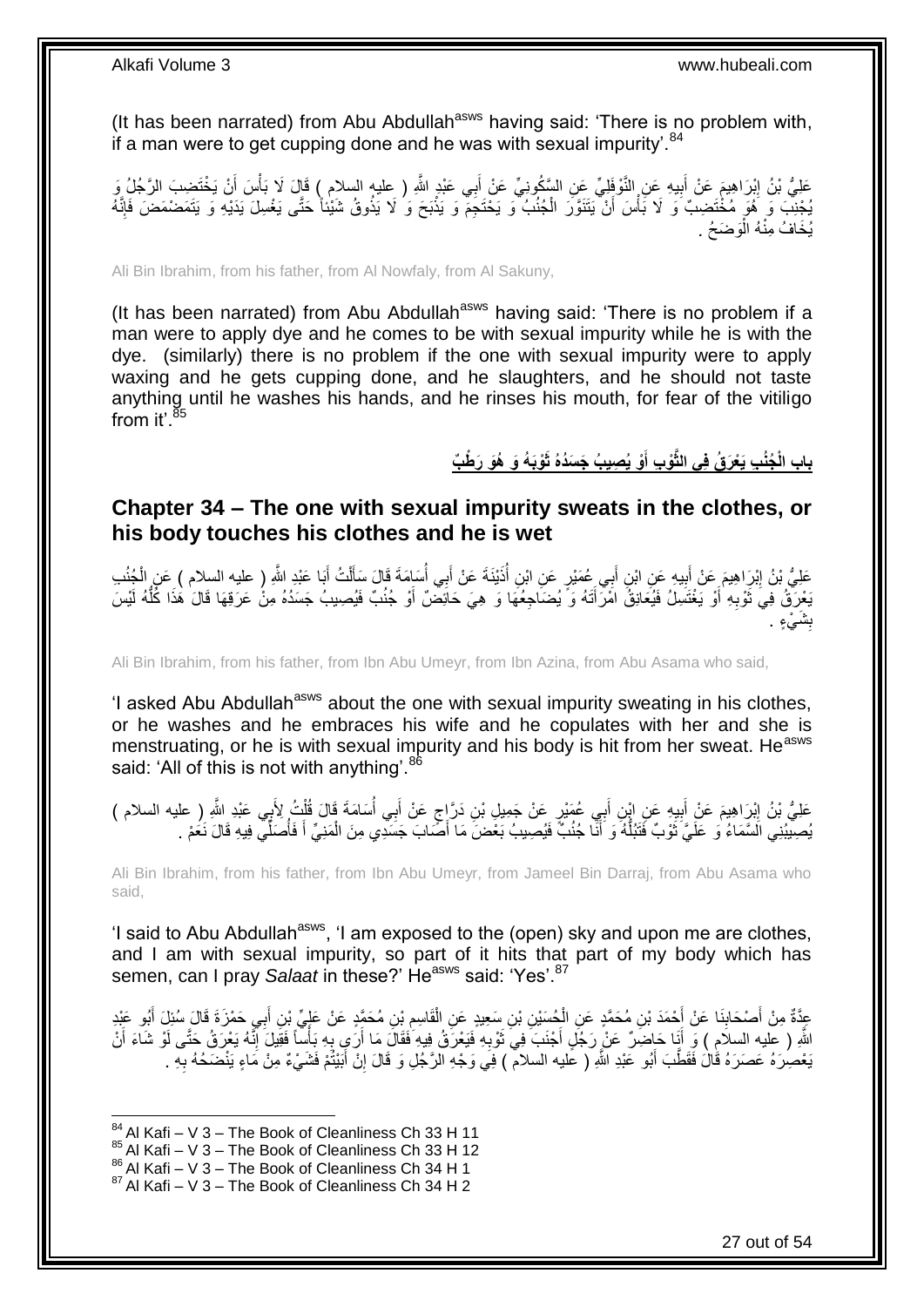(It has been narrated) from Abu Abdullah<sup>asws</sup> having said: 'There is no problem with, if a man were to get cupping done and he was with sexual impurity'.<sup>84</sup>

عَلِيُّ بْنُ إِبْرَاهِيمَ عَنْ أَبِيهِ عَنِ النَّوْفَلِيِّ عَنِ السَّكُونِيِّ عَنْ أَبِي عَبْدٍ اللَّهِ ( عليه السلام ) قَالَ لَا بَأْسَ أَنْ يَخْتَضِبَ الرَّجُلُ وَ **! ֽוּ** َ ْ َ يُجْنِبَ وَ ۗ هُوَ مُخْتَضِبٌ وَ لَا بَأْسَ ۖ أَنْ يَتَنَوَّرَ الْجُنُبُ ۖ وَ يَخْتَجِمْٓ وَ يَذْبَحَ وَ ُلَا يَذُوقُ شَيْئاً حَتَّى يَغْسِلَ يَدَيْهِ وَ يَتَمَضْمَضَ فَإِنَّهُ **ٔ** ْ َ **ٔ**  $\frac{1}{2}$ يُخَافُ مِنْهُ الْوَضَحُ . ْ

Ali Bin Ibrahim, from his father, from Al Nowfaly, from Al Sakuny,

(It has been narrated) from Abu Abdullah<sup>asws</sup> having said: 'There is no problem if a man were to apply dye and he comes to be with sexual impurity while he is with the dye. (similarly) there is no problem if the one with sexual impurity were to apply waxing and he gets cupping done, and he slaughters, and he should not taste anything until he washes his hands, and he rinses his mouth, for fear of the vitiligo from it' $^{85}$ 

> باب الْجُنُبِ يَعْرَقُ فِى النَّوْبِ أَوْ يُصِيبُ جَسَدُهُ ثَوْبَهُ وَ هُوَ رَطْبٌ **َ**

### <span id="page-26-0"></span>**Chapter 34 – The one with sexual impurity sweats in the clothes, or his body touches his clothes and he is wet**

عَلِيُّ بْنُ إِبْرَاهِيمَ عَنْ أَبِيهِ عَنِ ابْنِ أَبِي عُمَيْرٍ عَنِ ابْنِ أُذَيْنَةَ عَنْ أَبِي أُسَامَةَ قَالَ سَأَلْتُ أَبَا عَبْدِ اللَّهِ ( عليه السلام ) عَنِ الْجُنُبِ َ ِ َ ِ ْ َ ْ ĺ َ ُ بَعْرَقُ فِيَ ثَوْبِهِ أَوْ يَغْتَسِلُ فَيُعَانِقُ امْرَأَتَهُ وَ يُضَاجِعُهَا وَ هِيَ حَائِضٌ أَوْ جُنُبٌ فَيُصِيبُ جَسَدُهُ مِنْ عَرَقِهَا قَالَ هَذَا كُلُّهُ لَيْسَ َ َ َ **∶** َ ُّ ش<br>تنسي **ِ** بِشَيْءٍ .

Ali Bin Ibrahim, from his father, from Ibn Abu Umeyr, from Ibn Azina, from Abu Asama who said,

'I asked Abu Abdullah<sup>asws</sup> about the one with sexual impurity sweating in his clothes, or he washes and he embraces his wife and he copulates with her and she is menstruating, or he is with sexual impurity and his body is hit from her sweat. He<sup>asws</sup> said: 'All of this is not with anything'.<sup>86</sup>

عَلِيُّ بْنُ إِبْرَاهِيمَ عَنْ أَبِيهِ عَنِ إِبْنِ أَبِي عُمَيْرٍ عَنْ جَمِيلِ بْنِ دَرَّإِجٍ عَنْ أَبِي أُسَامَةَ قَالَ قُلْتُ لِأَبِي عَبْدِ اللَّهِ ( عليه السلام ) َ **!** َ ِ ْ اُ، َ ٍ يُصِيْبُنِي الَسَّمَاءُ وَ عَلَيَّ ثَوْبٌ فَتَبُلُّهُ وَ أَنَّا جُنُبٌّ فَيُصِيبُ بَعْضَ مَا أَصَّابَ جَسَدِي مِنَ الْمَنِيِّ أَ فَأَصَلِّي فِيهِ قَالَ نَعُمْ . َ ْ َ َ ُّ ة<br>أ ُ

Ali Bin Ibrahim, from his father, from Ibn Abu Umeyr, from Jameel Bin Darraj, from Abu Asama who said,

'I said to Abu Abdullah<sup>asws</sup>, 'I am exposed to the (open) sky and upon me are clothes, and I am with sexual impurity, so part of it hits that part of my body which has semen, can I pray *Salaat* in these?' He<sup>asws</sup> said: 'Yes'.<sup>87</sup>

عِدَّةٌ مِنْ أَصْحَابِنَا عَنْ إِحْمَدَ بْنِ مُحَمَّدٍ عَنِ الْجُسَيْنِ بْنِ سَعِيدٍ عَنِ الْقَاسِمِ بْنِ مُحَمَّدٍ عَنْ عَلَيٍّ بْنِ أَبِي حَمْزَةَ قَالَ سُئِلَ أَبُو عَبْدِ ِ ْ ْ ِ َ َ َ اللَّهِ ( عليه السلاَم ) وَ أَنَا حَاضِرٌ عَنْ رَجُلٍ أَجْنَبَ فِي تُوْبِهِ فَيَعْرَقُ فِيهِ فَقَالَ مَا أَرَى بِهِ بَأْسًا فَقِيلَ إِنَّهُ يَعْرَقُ حَتَّى لَوْ شَاءَ أَنْ ِ َ َ َ َ ِ ة<br>أا ِ َ يَعْصِرَهُ عَصَرَهُ قَالَ فَقَطَّبَ أَبُو عَبْدِ اللَّهِ ( عَليه السلام ) فِي وَجْهِ الرَّجُلِ وَ قَالَ إِنَّ أَبَيْتُمْ فَشَيْءٌ مِنْ مَاءٍ يَنْضَحُهُ بِهِ . َ ِ َ ِ

 $84$  Al Kafi – V 3 – The Book of Cleanliness Ch 33 H 11

 $85$  Al Kafi – V 3 – The Book of Cleanliness Ch 33 H 12

 $^{86}_{-2}$ Al Kafi – V 3 – The Book of Cleanliness Ch 34 H 1

 $87$  Al Kafi – V 3 – The Book of Cleanliness Ch 34 H 2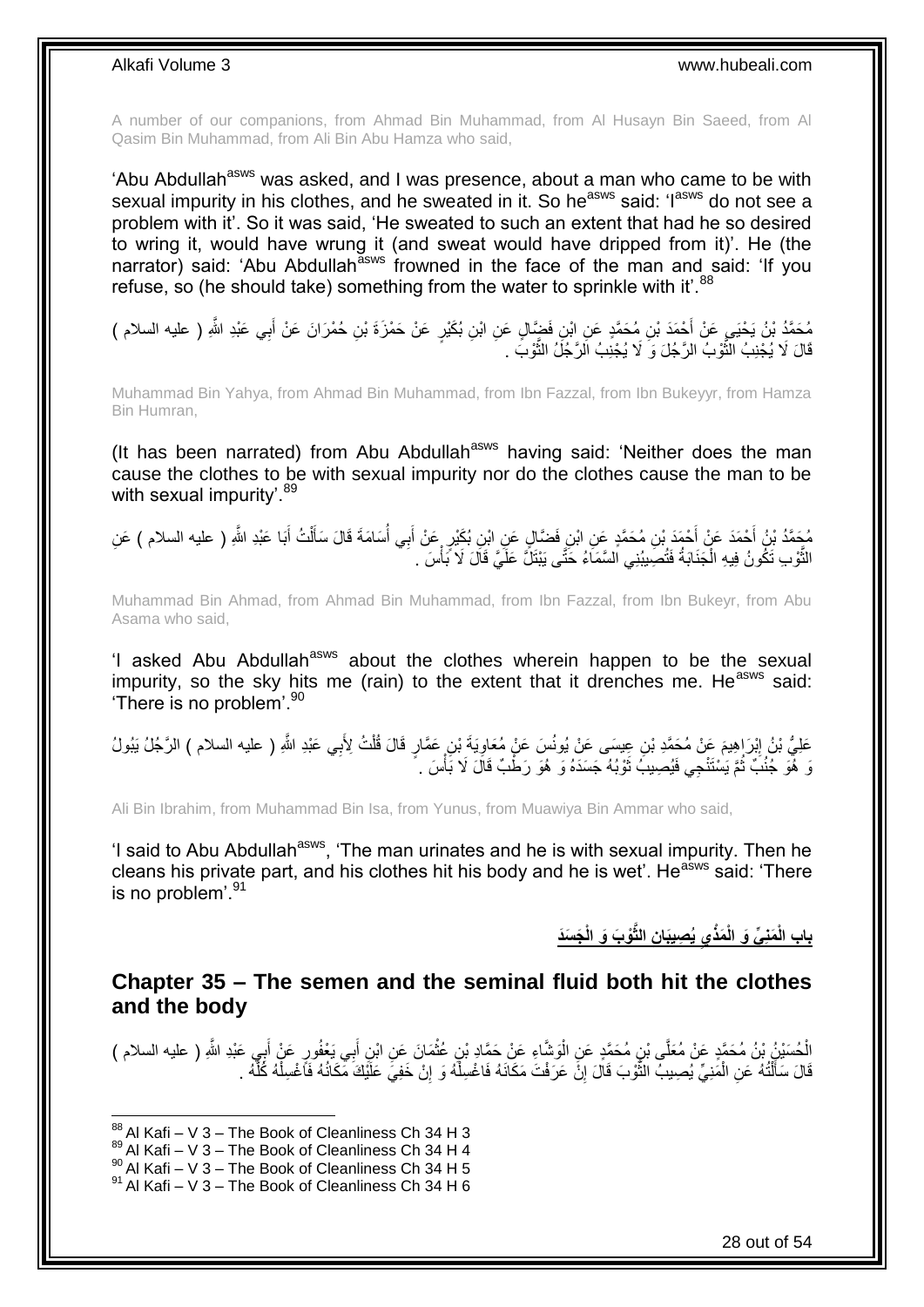A number of our companions, from Ahmad Bin Muhammad, from Al Husayn Bin Saeed, from Al Qasim Bin Muhammad, from Ali Bin Abu Hamza who said,

'Abu Abdullah<sup>asws</sup> was asked, and I was presence, about a man who came to be with sexual impurity in his clothes, and he sweated in it. So he<sup>asws</sup> said: 'I<sup>asws</sup> do not see a problem with it'. So it was said, 'He sweated to such an extent that had he so desired to wring it, would have wrung it (and sweat would have dripped from it)'. He (the narrator) said: 'Abu Abdullah<sup>asws</sup> frowned in the face of the man and said: 'If you refuse, so (he should take) something from the water to sprinkle with it'. $88$ 

مُحَمَّدُ بْنُ يَحْيَي عَنْ أَحْمَدَ بْنِ مُحَمَّدٍ عَنِ ابْنِ فَضَّالٍ عَنِ ابْنِ بُكَيْرٍ عَنْ حَمْزَةَ بْنِ حُمْرَانَ عَنْ أَبِي عَبْدِ اللَّهِ ( عليه السلام )<br>. ِ َ قَالَ لَا يُجْنِبُ الثَّوْبُ الرَّجُلَ وَ لَا يُجْنِبُ الرَّجُلُ الثَّوْبَ . َّ َّ

Muhammad Bin Yahya, from Ahmad Bin Muhammad, from Ibn Fazzal, from Ibn Bukeyyr, from Hamza Bin Humran,

(It has been narrated) from Abu Abdullah<sup>asws</sup> having said: 'Neither does the man cause the clothes to be with sexual impurity nor do the clothes cause the man to be with sexual impurity'.<sup>89</sup>

مُحَمَّدُ بْنُ أَحْمَدَ عَنْ أَحْمَدَ بْنِ مُحَمَّدٍ عَنِ ابْنِ فَضَّالٍ عَنِ ابْنِ بُكَيْرٍ عَنْ أَبِي أُسَامَةَ قَالَ سَأَلْتُ أَبَا عَبْدِ اللَّهِ ( عليه السلام ) عَنِ<br>تَقْصَدُ بَنُ أَحْمَدَ عَنْ أَحْمَدَ بِأَسْمَعُهُم َ َ ْ ĺ الثَّوْبِ تَكُونُ فِيهِ الْجَذَابَةُ فَتُصِيبُنِي السَّمَاءُ حَتَّى يَبْتَلُّ عَلَيَّ قَالَ لَا بَأْسَ . ْ ْ ن<br>أ

Muhammad Bin Ahmad, from Ahmad Bin Muhammad, from Ibn Fazzal, from Ibn Bukeyr, from Abu Asama who said,

'I asked Abu Abdullah<sup>asws</sup> about the clothes wherein happen to be the sexual impurity, so the sky hits me (rain) to the extent that it drenches me. He $a<sub>sws</sub>$  said: 'There is no problem'.<sup>90</sup>

عَلِيُّ بْنُ إِبْرَاهِيمَ عَنْ مُحَمَّدِ بْنِ عِيسَى عَنْ يُونُسَ عَنْ مُعَاوِيَةَ بْنِ عَمَّارٍ قَالَ قُلْتُ لِأَبِي عَبْدِ اللَّهِ ( عليه السلام ) الرَّجُلُ يَبُولُ<br>. ْ ِ نَ هُوَ جُنُبً ثُمَّ يَسْتَنْجِي فَيُصِيبُ ثَوْبُهُ جَسَدَهُ وَ هُوَ رَطْبٌ قَالَ لَا بَأْسَ . ْ َ ُ

Ali Bin Ibrahim, from Muhammad Bin Isa, from Yunus, from Muawiya Bin Ammar who said,

'I said to Abu Abdullah<sup>asws</sup>, 'The man urinates and he is with sexual impurity. Then he cleans his private part, and his clothes hit his body and he is wet'. He<sup>asws</sup> said: 'There is no problem'.<sup>91</sup>

**َمذْ َمنِ ِّي َو الْ باب ال َج َسَد ْ ْو َب َو الْ ِن الثَّ ُي ِصيَبا يِ**

### <span id="page-27-0"></span>**Chapter 35 – The semen and the seminal fluid both hit the clothes and the body**

الْحُسَنُيْنُ بْنُ مُحَمَّدٍ عَنْ مُعَلَّى بْنِ مُحَمَّدٍ عَنِ الْوَشَّاءِ عَنْ حَمَّادٍ بْنِ عُثْمَانَ عَنِ ابْنِ أَبِي يَعْفُورٍ عَنْ أَبِي عَبْدِ اللَّهِ ( عليه السلام ) َ ْ :<br>ا ْ ِ َ قَالَ سَأَلْتُهُ عَنِ الْمَنِيِّ يُصِيبُ النَّوْبَ قَالَ إِنَّ عَرَفْتَ مَكَانَهُ فَاغْسِلْهُ وَ إِنْ خَفِيَ عَلَيْكَ مَكَانُهُ فَأَغْسِلْهُ كُلِّهُ . ِ ْ ِ ة<br>الم≉ا ْ ֦֧֦֧֧֦֧֦֧֦֧֦֧֦֧֦֧֧֦֧֦֪֧֪֦֪֦֧֧֧֧֧֧֧֟֟֟֓֕֟֓֕֝֓֟֓֡֟֓֡֟֓֡֟֓֡֟֓֡֟֟֓֡֟֓֡֟֟֩֓֞֟֓֞֟֓֡֟֓֞֟֓֟֓֝֬֝֓֟֝֓֟֝֬֝֬֝֬֝֬֝֬֝֬֝֬<br>֧֪֪֧֪֧֪֪֪֪֦֧֪֧֪֪֪֪֪֦֧֝֝֝֬֝֝֬֝ َ َّ ْ

 $88$  Al Kafi – V 3 – The Book of Cleanliness Ch 34 H 3

 $89$  Al Kafi – V 3 – The Book of Cleanliness Ch 34 H 4

 $^{90}$  Al Kafi – V 3 – The Book of Cleanliness Ch 34 H 5

 $91$  Al Kafi – V 3 – The Book of Cleanliness Ch 34 H 6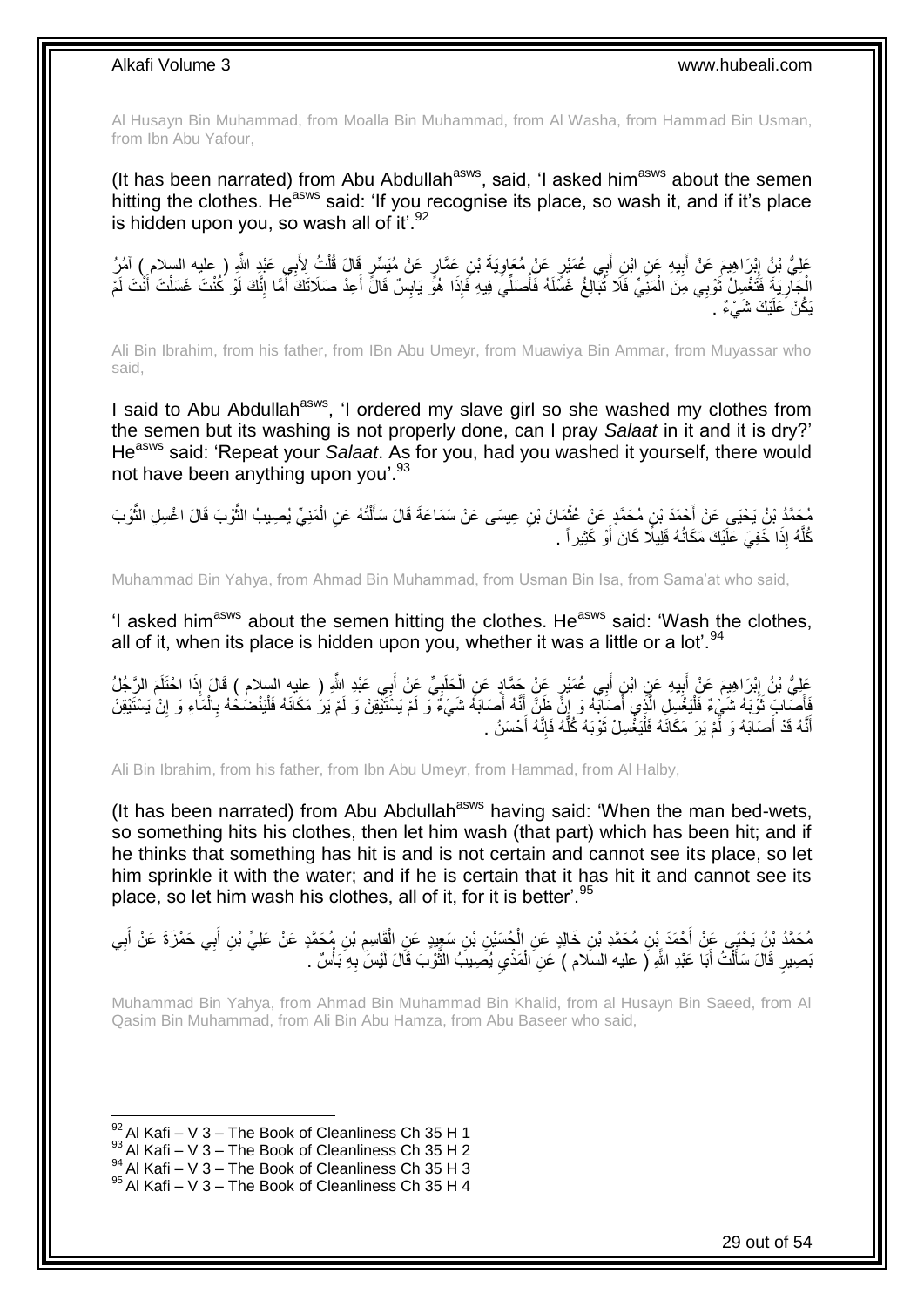Al Husayn Bin Muhammad, from Moalla Bin Muhammad, from Al Washa, from Hammad Bin Usman, from Ibn Abu Yafour,

(It has been narrated) from Abu Abdullah<sup>asws</sup>, said, 'I asked him<sup>asws</sup> about the semen hitting the clothes. He<sup>asws</sup> said: 'If you recognise its place, so wash it, and if it's place is hidden upon you, so wash all of it'. $92$ 

عَلِيُّ بْنُ إِبْرَاهِيمَ عَنْ أَبِيهِ عَنِ ابْنِ أَبِي عُمَيْرٍ عَنْ مُعَاوِيَةَ بْنِ عَمَّارٍ عَنْ مُيَسِّرٍ قَالَ قُلْتُ لِأَبِي عَبْدٍ اللَّهِ ( عليه السلام ) آمُرُ ْ ِ ِ َ الْجَارِيَةَ فَتَغْسِلُ ثَوْبِي مِنَ الْمَنِيِّ فَلَا ثُبَالِغُ غَسَّلَهُ فَأُصَلِّيَ فِيهِ فَإِذَا هُوً يَابِسٌ قَالَ أَعِدْ صَلَاتَكَ أَمَّا إِنَّكَ لَوْ كُنْتَ غَسَلْتَ أَنْتَ لَمْ ان<br>المستقبل ْ َ ِ َ ْ ِ َ َ ِ يَكُنْ َعَلَيْكَ شَيْءٌ .

Ali Bin Ibrahim, from his father, from IBn Abu Umeyr, from Muawiya Bin Ammar, from Muyassar who said,

I said to Abu Abdullah<sup>asws</sup>, 'I ordered my slave girl so she washed my clothes from the semen but its washing is not properly done, can I pray *Salaat* in it and it is dry?' He<sup>asws</sup> said: 'Repeat your *Salaat*. As for you, had you washed it yourself, there would not have been anything upon you'.<sup>93</sup>

مُحَمَّدُ بْنُ يَحْيَى عَنْ أَحْمَدَ بْنِ مُحَمَّدٍ عَنْ عُثْمَانَ بْنِ عِيسَى عَنْ سَمَاعَةَ قَالَ سَأَلْتُهُ عَنِ الْمَنِيِّ يُصِيبُ الثَّوْبَ قَالَ اغْسِلِ الثَّوْبَ<br>نُعَمَّدُ بْنُ يَحْيَى عَنْ أَمُرُ نَبِّ مَحَمَّدٍ م ْ ْ َ **ٔ** َّ َّ كُلَّهُ إِذَا خَفِيَ عَلَيْكَ مَكَانُهُ قَلِيلًا كَانَ أَوْ كَثِيراً . َ َّ

Muhammad Bin Yahya, from Ahmad Bin Muhammad, from Usman Bin Isa, from Sama'at who said,

'I asked him<sup>asws</sup> about the semen hitting the clothes. He<sup>asws</sup> said: 'Wash the clothes, all of it, when its place is hidden upon you, whether it was a little or a lot'.<sup>94</sup>

ِ عَلِيُّ بْنُ إِبْرَاهِيمَ عَنْ أَبِيهِ عَنِ ابْنِ أَبِي عُمَيْرٍ عَنْ جَمَّادٍ عَنِ الْحَلَبِيِّ عَنْ أَبِي عَبْدِ اللَّهِ ( عليه السلام ) قَالَ إِذَا اخْتَلَمَ الرَّجُلُ َ ِ ْ ِ َ فَأَصَّابَ ثَوْبَهُ شَيْءٌ فَلْيَغْسِلِ الَّذِي أَصَابَهُ وَ إِنَّ ظَنَّ أَنَّهُ أَصَابَهُ شَيْءٌ وَ لَمْ يَسْتَيْقِنْ وَ لَمْ يَرْ مَكَانَهُ فَلْيَنْضُحْهُ بِالْمَاءِ وَ إِنْ يَسْتَيْقِنْ َ َ َ ِ َ َّ ِ ْ ِ ْ لَ أَنَّهُ قَدْ أَصَابَهُ وَ لَّمْ يَرَ مَكَانَهُ فَلْيَغْسِلْ ثَوْبَهُ كُلُّهُ فَإِنَّهُ أَحْسَنُ . َ ِ َّ َ :<br>ا َ َ

Ali Bin Ibrahim, from his father, from Ibn Abu Umeyr, from Hammad, from Al Halby,

(It has been narrated) from Abu Abdullah<sup>asws</sup> having said: 'When the man bed-wets, so something hits his clothes, then let him wash (that part) which has been hit; and if he thinks that something has hit is and is not certain and cannot see its place, so let him sprinkle it with the water; and if he is certain that it has hit it and cannot see its place, so let him wash his clothes, all of it, for it is better'.<sup>95</sup>

مُحَمَّدُ بْنُ يَحْيَى عَنْ أَحْمَدَ بْنِ مُحَمَّدِ بْنِ خَالِدٍ عَنِ الْجُسَيْنِ بْنِ سَعِيْدٍ عَنِ الْقَاسِمِ بْنِ مُحَمَّدٍ عَنْ عَلِيٍّ بْنِ أَبِي حَمْزَةَ عَنْ أَبِي ِ ْ ْ ِ َ َ َّ بَصِيرٍ قَالَ سَأَلَتُ أَبَا عَبْدِ اللَّهِ ( عليه السلَّام ) عَنِ الْمَذْيِ يُصِيبُ الثَّوْبَ قَالَ لَيْسَ بِهِ بَأْسٌ .  $\ddot{\phantom{0}}$ ْ َ ْ َ ْ ِ

Muhammad Bin Yahya, from Ahmad Bin Muhammad Bin Khalid, from al Husayn Bin Saeed, from Al Qasim Bin Muhammad, from Ali Bin Abu Hamza, from Abu Baseer who said,

 $92$  Al Kafi – V 3 – The Book of Cleanliness Ch 35 H 1

 $93$  Al Kafi – V 3 – The Book of Cleanliness Ch 35 H 2

 $^{94}$  Al Kafi – V 3 – The Book of Cleanliness Ch 35 H 3

 $95$  Al Kafi – V 3 – The Book of Cleanliness Ch 35 H 4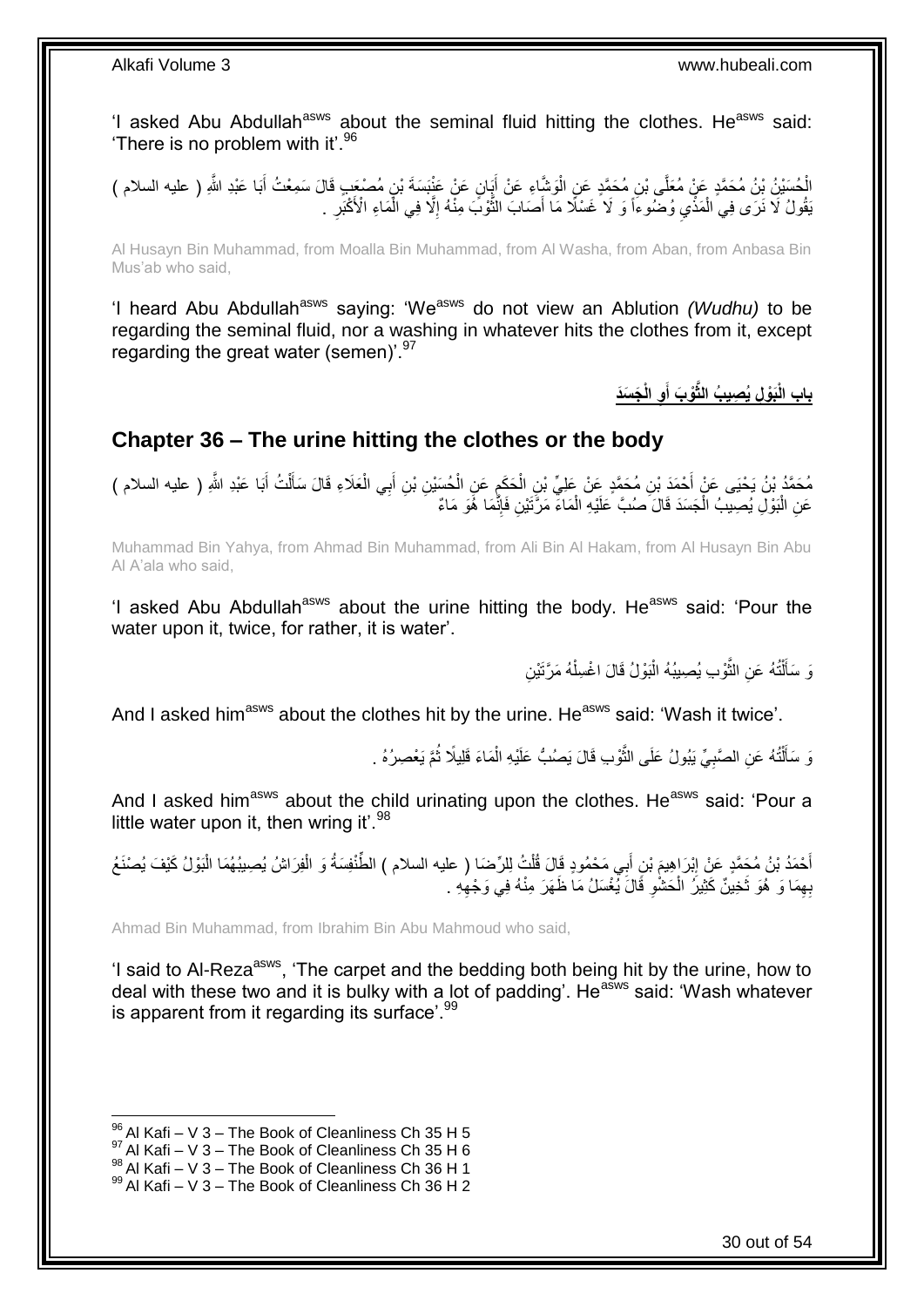'I asked Abu Abdullah<sup>asws</sup> about the seminal fluid hitting the clothes. He<sup>asws</sup> said: 'There is no problem with it'.<sup>96</sup>

الْحُسَيْنُ بْنُ مُحَمَّدٍ عَنْ مُعَلَّى بْنِ مُحَمَّدٍ عَنِ الْوَشَاءِ عَنْ أَيَانٍ عَنْ عَنْبَسَةَ بْنٍ مُصْعَبٍ قَالَ سَمِعْتُ أَبَا عَبْدِ اللَّهِ ( عليه السلام ) َ ْ َ  $\ddot{\cdot}$ نِقُولُ لَا نَرَى فِي الْمَذْيِ وُضُّوءًا وَ لَا غَسْلًا مَا أَصَابَ النُّوْبَ مِنّْهُ إِلَّا فِي الْمَاءِ الْأَكْبَرِ . ْ ِ ْ ِ َّ َ

Al Husayn Bin Muhammad, from Moalla Bin Muhammad, from Al Washa, from Aban, from Anbasa Bin Mus'ab who said,

'I heard Abu Abdullah<sup>asws</sup> saying: 'We<sup>asws</sup> do not view an Ablution *(Wudhu)* to be regarding the seminal fluid, nor a washing in whatever hits the clothes from it, except regarding the great water (semen)'.<sup>97</sup>

> **َج َسَد ِو الْ ْو َب أ َبْو ِل ُي ِصي ُب الثَّ باب الْ َ**

## <span id="page-29-0"></span>**Chapter 36 – The urine hitting the clothes or the body**

مُحَمَّدُ بْنُ يَحْيَى عَنْ أَحْمَدَ بْنِ مُحَمَّدٍ عَنْ عَلِيِّ بْنِ الْحَكَمِ عَنِ الْحُسَيْنِ بْنِ أَبِي الْعَلَاءِ قَالَ سَأَلْتُ أَبَا عَبْدِ اللَّهِ ( عليه السلام ) اً ا ْ َ ْ ِ ْ َ َ ْ عَنِ الْبَوْلِ يُصِيبُ الْجَسَدَ قَالَ صُنُبَّ عَلَيْهِ الْمَاءَ مَرَّتَيْنِ فَإِنَّمَا هُوَ مَاءٌ ِ ْ ْ ْ

Muhammad Bin Yahya, from Ahmad Bin Muhammad, from Ali Bin Al Hakam, from Al Husayn Bin Abu Al A'ala who said,

'I asked Abu Abdullah<sup>asws</sup> about the urine hitting the body. He<sup>asws</sup> said: 'Pour the water upon it, twice, for rather, it is water'.

> وَ سَأَلْتُهُ عَنِ الثَّوْبِ يُصِيبُهُ الْبَوْلُ قَالَ اغْسِلْهُ مَرَّتَيْنِ ْ :<br>ا ة<br>ا ْ َ

And I asked him<sup>asws</sup> about the clothes hit by the urine. He<sup>asws</sup> said: 'Wash it twice'.

وَ سَأَلْتُهُ عَنِ الصَّبِيِّ يَبُولُ عَلَى الثَّوْبِ قَالَ يَصُبُّ عَلَيْهِ الْمَاءَ قَلِيلًا ثُمَّ يَعْصِرُهُ . ْ ة<br>أ ِ ֺ֧֦֧֦֧֦֦֦֦֖֦֪֦֪֦֧֦֪֦֪֦֪֪֦֪֪֦֪֪֦֪֦֪֪֦֝֟֟֟֟֟֟֟֟֟֟֟֟֟֟֟֟֟֟֟֟֟֟֓֕֟֓֟֓֟֓֟֓֟֓֟֓֟֓֟֓֟֓֟֓֟֟֟֝֟֟֟֟֟֟֟֝֟ َ ُ

And I asked him<sup>asws</sup> about the child urinating upon the clothes. He<sup>asws</sup> said: 'Pour a little water upon it, then wring it'. $98$ 

أَحْمَدُ بْنُ مُحَمَّدٍ عَنْ إِبْرَاهِيمَ بْنِ أَبِي مَحْمُودٍ قَالَ قُلْتُ لِلرِّضَا ( عليه السلام ) الطِّنْفِسَةُ وَ الْفِرَاشُ يُصِيبُهُمَا الْبَوْلُ كَيْفَ يُصنْعَ ْ َ ِ ْ ْ بِهِمَا وَ هُوَ ثَخِينٌ كَثِيرُ الْحَشْوِ قَالَ يُغْسَلُ مَا ظَهَرَ مِنْهُ فِي وَجْهِهِ . ِ ِ ْ  $\ddot{\phantom{0}}$ ِ

Ahmad Bin Muhammad, from Ibrahim Bin Abu Mahmoud who said,

'I said to Al-Reza<sup>asws</sup>, 'The carpet and the bedding both being hit by the urine, how to deal with these two and it is bulky with a lot of padding'. He<sup>asws</sup> said: 'Wash whatever is apparent from it regarding its surface'.<sup>99</sup>

 $96$  Al Kafi – V 3 – The Book of Cleanliness Ch 35 H 5

 $97$  Al Kafi – V 3 – The Book of Cleanliness Ch 35 H 6

 $^{98}$  Al Kafi – V 3 – The Book of Cleanliness Ch 36 H 1

 $99$  Al Kafi – V 3 – The Book of Cleanliness Ch 36 H 2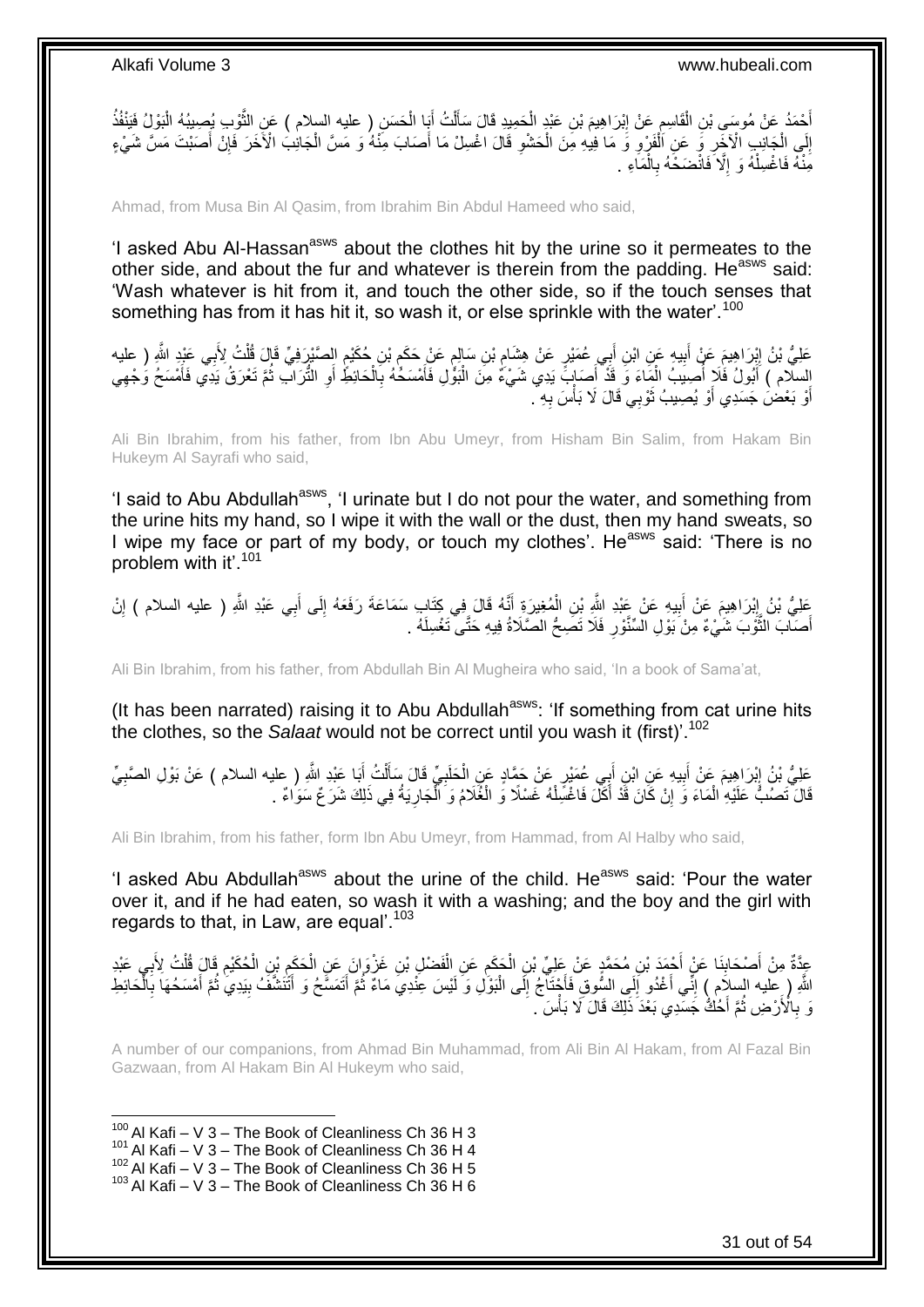أَحْمَدُ عَنْ مُوسَىِ بْنِ الْقَاسِمِ عَنْ إِبْرَاهِيمَ بْنِ عَبْدٍ الْحَمِيدِ قَالَ سَأَلْتُ أَبَا الْحَسَنِ ( عليه السلام ) عَنِ الثَّوْبِ يُصِيبُهُ الْبَوْلُ فَيَنْفُذُ ْ ِ ِ ْ َ ْ َّ ْ َ ْ َ إِلَى الْجَانِبِ الْأَخْرِ وَ عَنِ اَلْفَرْوِ وَ مَا فِيهِ مِنَ الْحَشْوِ قَالَ اغْسِلْ مَا أَصَابَ مِنْهُ وَ مَسَّ الْجَانِبُ الْأَخَرَ فَإِنْ أَصَبْتَ مَسَّ شَيْءٍ ْ َ ِ ْ ِ ْ ِ ْ ِ َ ∣ٍ إ مَِنْهُ فَاغْسِلْهُ وَ إِلَّا فَانْضَخَهُ بِالْمَاءِ <sub>.</sub> ْ ِ ِ ْ

Ahmad, from Musa Bin Al Qasim, from Ibrahim Bin Abdul Hameed who said,

'I asked Abu Al-Hassan<sup>asws</sup> about the clothes hit by the urine so it permeates to the other side, and about the fur and whatever is therein from the padding. He<sup>asws</sup> said: 'Wash whatever is hit from it, and touch the other side, so if the touch senses that something has from it has hit it, so wash it, or else sprinkle with the water'.<sup>100</sup>

َ عَلِيُّ بْنُ إِبْرَاهِيمَ عَنْ أَبِيهِ عَنِ ابْنِ أَبِي عُمَيْرٍ عَنْ هِشَامٍ بْنِ سَالِمٍ عَنْ حَكَمٍ بْنِ حُكَيْمٍ الصَّبْرِرَفِيِّ قَالَ قُلْتُ لِأَبِي عَبْدٍ اللَّهِ ( عليه **!** ِ ْ ֧֧֚֝֝֟֝֟֓֝֬ ֺ֖֧֧֧֧֧ׅ֧ׅ֧֧֧ׅ֧֧ׅ֧֧֧֧֚֚֚֚֚֚֚֚֚֚֚֚֚֚֚֚֚֚֚֚֚֚֚֚֚֚֚֘֝֝֓֝֓֝֓֝֓֜֓֡֜֓֡֝֓֡֜֓֡֝֬֜֓֝֬֜֡֝֬ ֧֖֖֧֧֧֧֧֧֧֧֧֚֚֚֚֚֚֚֚֚֚֚֚֚֝֝֝֝֝֝֓֝֓֝֓֝֓֟֓֟֓֡֟֓֟֓֡֟֓֝֬֝֓֝֬֜֝ ;<br>∤ السلّام ) أَبُولُ فَلَا أُصِيبُ الْمَاءَ وَ قَدْ أَصَابٍ ً يَدِي شَيْءٌ مِنَ الْبَوّْلِ فَأَمْسَكُهُ بِالْحَائِطُ أَوِ الثُّرَاتِ ثُمَّ تَعْرَقُ يَدِي فَأَمْسَحُ وَجْهِي َ ْ ابل<br>ا ُ ِ َ ْ **∶** َ ِ َ أَوْ بَعْضُ جَسَدِي أَوْ يُصِيبُ ثَوْبِي قَالَ لَا بَأْسَ بِهِ ۚ. ِ ْ ان<br>ا َ َ

Ali Bin Ibrahim, from his father, from Ibn Abu Umeyr, from Hisham Bin Salim, from Hakam Bin Hukeym Al Sayrafi who said,

'I said to Abu Abdullah<sup>asws</sup>, 'I urinate but I do not pour the water, and something from the urine hits my hand, so I wipe it with the wall or the dust, then my hand sweats, so I wipe my face or part of my body, or touch my clothes'. He<sup>asws</sup> said: 'There is no problem with it'.<sup>101</sup>

عَلِيُّ بْنُ إِبْرَاهِيمَ عَنْ أَبِيهِ عَنْ عَبْدِ اللَّهِ بْنِ الْمُغِيرَةِ أَنَّهُ قَالَ فِي كِتَابٍ سَمَاعَةَ رَفَعَهُ إِلَى أَبِي عَبْدِ اللَّهِ ( عليه السلام ) إِنْ ِ َ ِ َ ْ ِ َ **֓**֧֦֧֦֦֦֦֧֦֧֦֓֝֝ ِ أَصَالَبَ النُّؤُلِّبَ شَيْءٌ مِنْ بَوْلِ الْسِّنَّوْرِ فَلَا تَصِّحُّ الصَّلَاةُ فِيهِ حَتَّى تَغْسِلَهُ . َّ ِ

Ali Bin Ibrahim, from his father, from Abdullah Bin Al Mugheira who said, 'In a book of Sama'at,

(It has been narrated) raising it to Abu Abdullah<sup>asws</sup>: 'If something from cat urine hits the clothes, so the *Salaat* would not be correct until you wash it (first)<sup>'.102</sup>

عَلِيُّ بْنُ إِبْرَاهِيمَ عَنْ أَبِيهِ عَنِ ابْنِ أَبِي عُمَيْرٍ عَنْ جَمَّادٍ عَنِ الْحَلَبِيِّ قَالَ سَأَلْتُ أَبَا عَبْدِ اللَّهِ ( عليه السلام ) عَنْ بَوْلِ الصَّبِيِّ َ ْ ĺ **∶** ْ ِ َ ِ ِ قَالَ تَصُدُّ عَلَيْهِ الْمَاءَ وَ إِنْ كَانَ قَدْ أَكَلَ فَاغْسِّلْهُ غَسْلًا وَ الْغُلَامُ وَ الْجَارِيَةُ فِي ذَلِكَ شَرَعٌ سَوَاءٌ . ْ َ اٍ ْ ِ ْ ْ

Ali Bin Ibrahim, from his father, form Ibn Abu Umeyr, from Hammad, from Al Halby who said,

'I asked Abu Abdullah<sup>asws</sup> about the urine of the child. He<sup>asws</sup> said: 'Pour the water over it, and if he had eaten, so wash it with a washing; and the boy and the girl with regards to that, in Law, are equal'.<sup>103</sup>

عِدَّةٌ مِنْ أَصْحَابِنَا عَنْ أَجْمَدَ بْنِ مُحَمَّدٍ عَنْ عَلِيِّ بْنِ الْحَكَمِ عَنِ الْفَضْلِ بْنِ غَزْوَانَ عَنِ الْحَكَمِ بْنِ الْحُكَيْمِ قَالَ قُلْتُ لِأَبِي عَبْدِ ْ ْ ِ ْ **∣** َ ِ ْ **∶** ْ اللَّهِ ( عِليه السِلاَم ) إِنِّي أَغْدُو إِلَي السُّوقِ فَأَجْنَآجُ إِلَى الْبَوْلِ وَ لَيْسَ عِنْدِيَ مَاءٌ ثُمَّ أَتَمَسَّحُ وَ أَتَنتَشَفُ بِيَدِي ثُمَّ أَمْسَحُهَا بِالْحَائِطِ َ ا<br>المقام ْ  $\frac{1}{2}$ ا<br>است ِ َ ِ ْ **∶** َ ا<br>ا ِ َ وَ بِالْأَرْضِ ثُمَّ أَخُكُّ جَسَّدِي بَعْدَ ذَلِّكَ قَالَ لَا بَأْسَ ٔ.<br>ـ **∶** ْ

A number of our companions, from Ahmad Bin Muhammad, from Ali Bin Al Hakam, from Al Fazal Bin Gazwaan, from Al Hakam Bin Al Hukeym who said,

 $100$  Al Kafi – V 3 – The Book of Cleanliness Ch 36 H 3

1

- $101$  Al Kafi V 3 The Book of Cleanliness Ch 36 H 4
- $102$  Al Kafi V 3 The Book of Cleanliness Ch 36 H 5

 $103$  Al Kafi – V 3 – The Book of Cleanliness Ch 36 H 6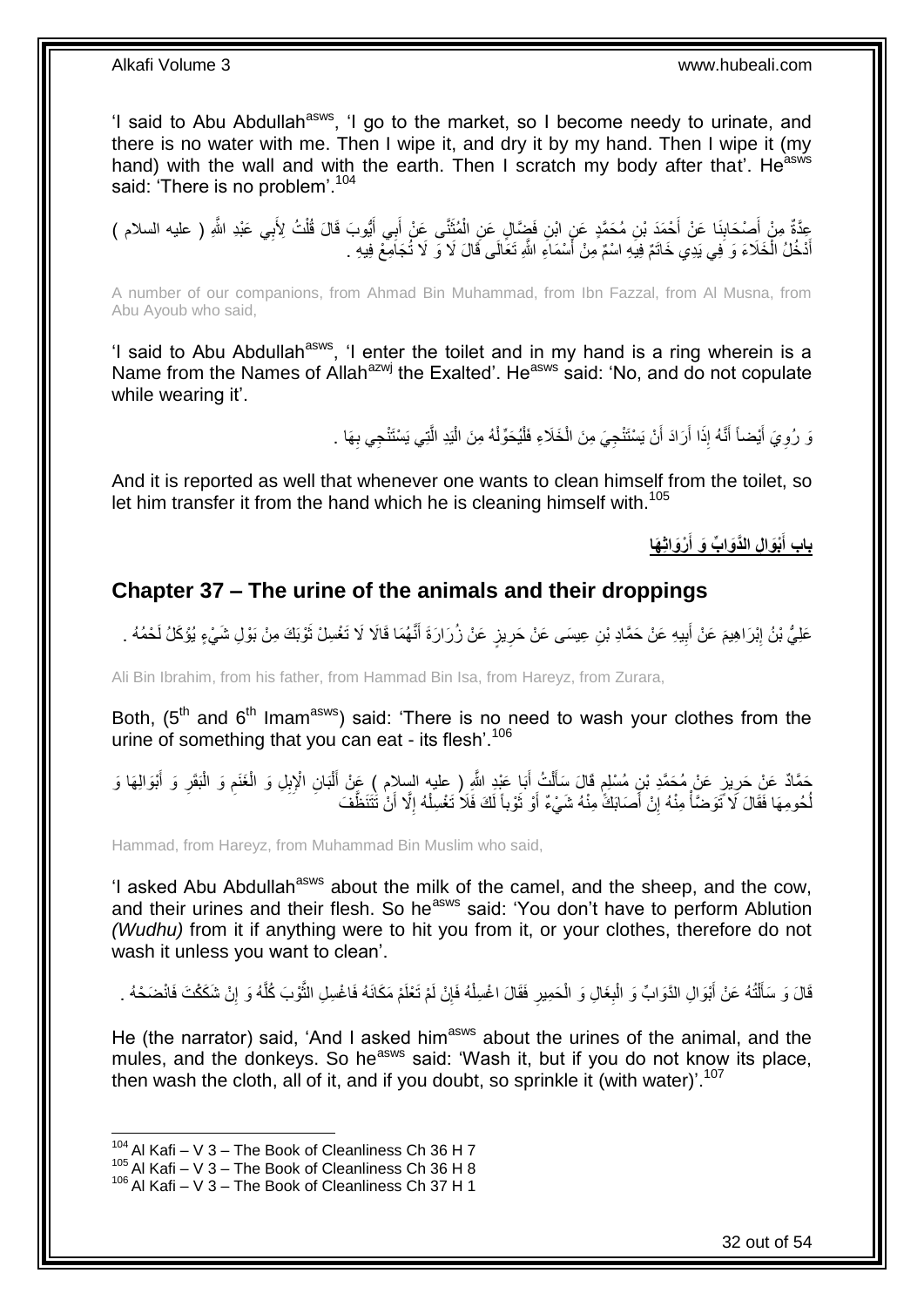'I said to Abu Abdullah<sup>asws</sup>, 'I go to the market, so I become needy to urinate, and there is no water with me. Then I wipe it, and dry it by my hand. Then I wipe it (my hand) with the wall and with the earth. Then I scratch my body after that'. He<sup>asws</sup> said: 'There is no problem'.<sup>104</sup>

عِدَّةٌ مِنْ أَصِدْحَابِذَا عَنْ أَحْمَدَ بْنِ مُحَمَّدٍ عَنِ ابْنِ فَضَالٍ عَنِ الْمُثَنَّى عَنْ أَبِي أَيُّوبَ قَالَ قُلْتُ لِأَبِي عَبْدِ اللَّهِ ( عليه السلام )<br>أَوْ مُرْجَعَةٌ مِنْ أَحْمَدَ بِنَّ مُحَمَّدٍ عَنِ ابْنِ **∣** َ ْ َ َ َ ْ أَدْخُلُ الْخَلَاءَ وَ فِي يَدِي خَاتَمٌ فِيَهِ اسْمٌ مِنْ أَسْمَاءِ اللَّهِ تَعَالَى قَالَ لَا وَ لَا تُجَامِعْ فِيهِ . َ ْ َ

A number of our companions, from Ahmad Bin Muhammad, from Ibn Fazzal, from Al Musna, from Abu Ayoub who said,

'I said to Abu Abdullah<sup>asws</sup>, 'I enter the toilet and in my hand is a ring wherein is a Name from the Names of Allah<sup>azwj</sup> the Exalted'. He<sup>asws</sup> said: 'No, and do not copulate while wearing it'.

> ِ يَ رُوِيَ أَيْضاً أَنَّهُ إِذَا أَرَادَ أَنْ يَسْتَنْجِيَ مِنَ الْخَلَاءِ فَلْيُحَوِّلْهُ مِنَ الْيَدِ الَّتِي يَسْتَنْجِي بِهَا . َّ ْ ْ ْ ْ اُ َ َ َ ِ

And it is reported as well that whenever one wants to clean himself from the toilet, so let him transfer it from the hand which he is cleaning himself with.<sup>105</sup>

> **ْرَواثِ َها ِل الَّدَوا ِّب َو أ ْبَوا باب أ َ َ**

### <span id="page-31-0"></span>**Chapter 37 – The urine of the animals and their droppings**

عَلِيُّ بْنُ إِبْرَاهِيمَ عَنْ أَبِيهِ عَنْ حَمَّادِ بْنِ عِيسَى عَنْ حَرِيزٍ عَنْ زُرَارَةَ أَنَّهُمَا قَالَا لَا تَغْسِلْ ثَوْبَكَ مِنْ بَوْلِ شَيْءٍ يُؤْكَلُ لَحْمُهُ . َ **∶** ِ َ

Ali Bin Ibrahim, from his father, from Hammad Bin Isa, from Hareyz, from Zurara,

Both,  $(5<sup>th</sup>$  and  $6<sup>th</sup>$  Imam<sup>asws</sup>) said: 'There is no need to wash your clothes from the urine of something that you can eat - its flesh'.<sup>106</sup>

ِ حَمَّادٌ عَنْ حَرِيزٍ عَنْ مُحَمَّدِ بْنِ مُسْلِمٍ قَالَ سَأَلْتُ أَبَا عَبْدِ اللَّهِ ( عليه السلام ) عَنْ أَلْبَانِ الْإِبِلِ وَ الْغَنَمِ وَ الْبَقَرِ وَ أَبْوَالِهَا وَ<br>المسموع المُحَمَّدِ مَّنْ أَمْسَ اللَّهُ وَالِيَ ْ َ َ ْ َ ֧֖֧֚֚֓֝֝֝ ِ َ ِ ْ ِ ْ لْحُومِهَا فَقَالَ لَا تَّوَضَّأْ مِنْهُ إِنْ أَصَابَكَ ٰمِنْهُ شَيْءٌ أَوْ ثَوْباً لَكَ فَلاُ تَغْسِلْهُ إِلَّا أَنْ تَٰتَنَظَّفَ َ ِ ْ :<br>ا ة<br>أ َ ِ ْ لَ

Hammad, from Hareyz, from Muhammad Bin Muslim who said,

'I asked Abu Abdullah<sup>asws</sup> about the milk of the camel, and the sheep, and the cow, and their urines and their flesh. So he<sup>asws</sup> said: 'You don't have to perform Ablution *(Wudhu)* from it if anything were to hit you from it, or your clothes, therefore do not wash it unless you want to clean'.

قَالَ وَ سَأَلْتُهُ عَنْ أَبْوَالِ الدَّوَابِّ وَ الْمِغَالِ وَ الْحَمِيرِ فَقَالَ اغْسِلْهُ فَإِنْ لَمْ تَعْلَمْ مَكَانَهُ فَاغْسِلِ النَّوْبَ كُلَّهُ وَ إِنْ شَكَكْتَ فَانْضَحْهُ . ِ ْ ِ ْ **∶** ْ َ ֦֧֦֧֧֦֧֦֧֦֧֦֧֦֧֦֧֧֦֧֦֪֧֪֦֪֦֧֧֧֧֧֧֧֟֟֟֓֕֟֓֕֝֓֟֓֡֟֓֡֟֓֡֟֓֡֟֓֡֟֟֓֡֟֓֡֟֟֩֓֞֟֓֞֟֓֡֟֓֞֟֓֟֓֝֬֝֓֟֝֓֟֝֬֝֬֝֬֝֬֝֬֝֬֝֬<br>֧֪֪֧֪֧֪֪֪֪֦֧֪֧֪֪֪֪֪֦֧֝֝֝֬֝֝֬֝ َ ِ َّ َّ

He (the narrator) said, 'And I asked him<sup>asws</sup> about the urines of the animal, and the mules, and the donkeys. So he<sup>asws</sup> said: 'Wash it, but if you do not know its place, then wash the cloth, all of it, and if you doubt, so sprinkle it (with water)<sup>'.107</sup>

<sup>1</sup>  $104$  Al Kafi – V 3 – The Book of Cleanliness Ch 36 H 7

 $105$  Al Kafi – V 3 – The Book of Cleanliness Ch 36 H 8

 $106$  Al Kafi – V 3 – The Book of Cleanliness Ch 37 H 1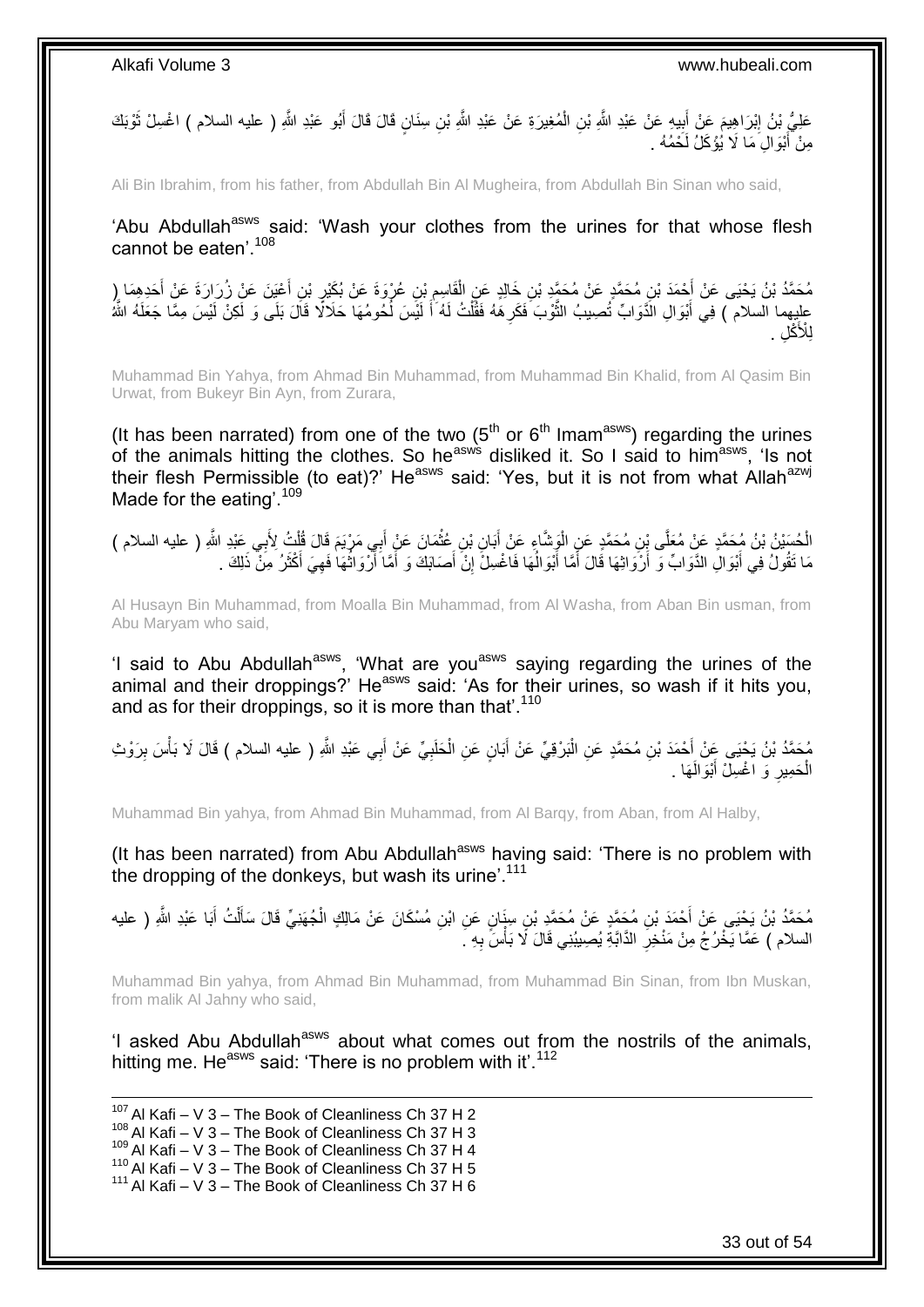عَلِيُّ بْنُ إِبْرَاهِيمَ عَنْ أَبِيهِ عَنْ عَبْدِ اللَّهِ بْنِ الْمُغِيرَةِ عَنْ عَبْدِ اللَّهِ بْنِ سِنَانٍ قَالَ قَالَ أَبُو عَبْدِ اللَّهِ ( عليه السلام ) اغْسِلْ ثَوْبَكَ َ ْ **!** َ ِ َ مِنْ أَبْوَالِ مَا لَا يُؤْكَلُ لَحْمُهُ . َ

Ali Bin Ibrahim, from his father, from Abdullah Bin Al Mugheira, from Abdullah Bin Sinan who said,

'Abu Abdullah<sup>asws</sup> said: 'Wash your clothes from the urines for that whose flesh cannot be eaten'.<sup>108</sup>

مُحَمَّدُ بْنُ يَحْيَى عَنْ أَحْمَدَ بْنِ مُحَمَّدٍ عَنْ مُحَمَّدٍ بْنِ خَالِدٍ عَنِ الْقَاسِمِ بْنِ عُرْوَةَ عَنْ بُكَيْرٍ بْنِ أَعْيَنَ عَنْ زُرَارَةَ عَنْ أَحَدِهِمَا إِرْ َ ِ ِ ْ َ عليهما السلام ۖ) فِي أَبْوَالِ الذَّوَابِّ تُصِيبُ النُّوْبَ فَكَرِ هَٰهُ فَقُلْتُ لَهُ ٰأَ لَيْسَ لُحُومُهَا حَلَالًا قَالَ بَلَى وَ لَكِنْ لَيْسَ مِمَّا جَعَلَهُ اللَّهُ ا<br>ا لَ َ ْ ِ َّ َ ڭلِ . **لأَ** لِ

Muhammad Bin Yahya, from Ahmad Bin Muhammad, from Muhammad Bin Khalid, from Al Qasim Bin Urwat, from Bukeyr Bin Ayn, from Zurara,

(It has been narrated) from one of the two  $(5<sup>th</sup>$  or  $6<sup>th</sup>$  Imam<sup>asws</sup>) regarding the urines of the animals hitting the clothes. So he<sup>asws</sup> disliked it. So I said to him<sup>asws</sup>, 'Is not their flesh Permissible (to eat)?' He<sup>asws</sup> said: 'Yes, but it is not from what Allah<sup>azwj</sup> Made for the eating'.<sup>109</sup>

الْحُسَيْنُ بْنُ مُحَمَّدٍ عَنْ مُعَلَّى بِْنِ مُحَمَّدٍ عَنِ الْوَشَاءِ عَنْ أَبَانِ بْنِ عُثْمَانَ عَنْ أَبِي مَرْيَمَ قَالَ قُلْتُ لِأَبِي عَبْدِ اللَّهِ ( عليه السلام )<br>. ْ ْ َ **ٔ** َ ْ مَا تَقُولُ فِي أَبْوَالِ الدَّوَابِّ وَ أَرْوَاثِهَا قَالَ أَمَّا أَبْوَالُهَا فَاغْسِلْ إِنْ أَصَابَكَ وَ أَمَّا أَرْوَاثُهَا فَهِيَ أَكْثَرُ مِنْ ذَلِكَ . َ ِ ُ َ َ َ َ َ َ ِ ُ َ

Al Husayn Bin Muhammad, from Moalla Bin Muhammad, from Al Washa, from Aban Bin usman, from Abu Maryam who said,

'I said to Abu Abdullah<sup>asws</sup>, 'What are you<sup>asws</sup> saying regarding the urines of the animal and their droppings?' He<sup>asws</sup> said: 'As for their urines, so wash if it hits you, and as for their droppings, so it is more than that'.<sup>110</sup>

مُحَمَّدُ بْنُ يَحْيَى عِنْ أَحْمَدَ بْنِ مُحَمَّدٍ عَنِ الْبَرْقِيِّ عَنْ أَبَانٍ عَنِ الْحَلَبِيِّ عَنْ أَبِي عَبْدِ اللَّهِ ( عليه السلام ) قَالَ لَا بَأْسَ بِرَوْثِ َ ِ ْ َ :<br>ا ِ ْ الْحَمِيرِ وَ اغْسِلْ أَبْوَالَـهَا . َ **∶** ْ

Muhammad Bin yahya, from Ahmad Bin Muhammad, from Al Barqy, from Aban, from Al Halby,

(It has been narrated) from Abu Abdullah<sup>asws</sup> having said: 'There is no problem with the dropping of the donkeys, but wash its urine'.<sup>111</sup>

مُحَمَّدُ بْنُ يَحْيَى عَنْ أَحْمَدَ بْنِ مُحَمَّدٍ عَنْ مُحَمَّدِ بْنِ سِنَانٍ عَنِ ابْنِ مُسْكَانَ عَنْ مَالِكٍ الْجُهَنِيِّ قَالَ سَأَلْتُ أَبَا عَبْدِ اللَّهِ ( عليه ْ َ ْ َ ِ السلام ) عَمَّا يَخْرُجُ مِنْ مَنْخِرِ الدَّابَّةِ يُصِيبُنِي قَالَ لَا بَأْسَّ بِهِ ـَ ِ **ٔ** 

Muhammad Bin yahya, from Ahmad Bin Muhammad, from Muhammad Bin Sinan, from Ibn Muskan, from malik Al Jahny who said,

'I asked Abu Abdullah<sup>asws</sup> about what comes out from the nostrils of the animals, hitting me. He<sup>asws</sup> said: 'There is no problem with it'.<sup>112</sup>

1  $107$  Al Kafi – V 3 – The Book of Cleanliness Ch 37 H 2  $^{108}$  Al Kafi – V 3 – The Book of Cleanliness Ch 37 H 3 <sup>109</sup> Al Kafi – V 3 – The Book of Cleanliness Ch 37 H 4 110 Al Kafi – V  $3$  – The Book of Cleanliness Ch 37 H 5  $111$  Al Kafi – V 3 – The Book of Cleanliness Ch 37 H 6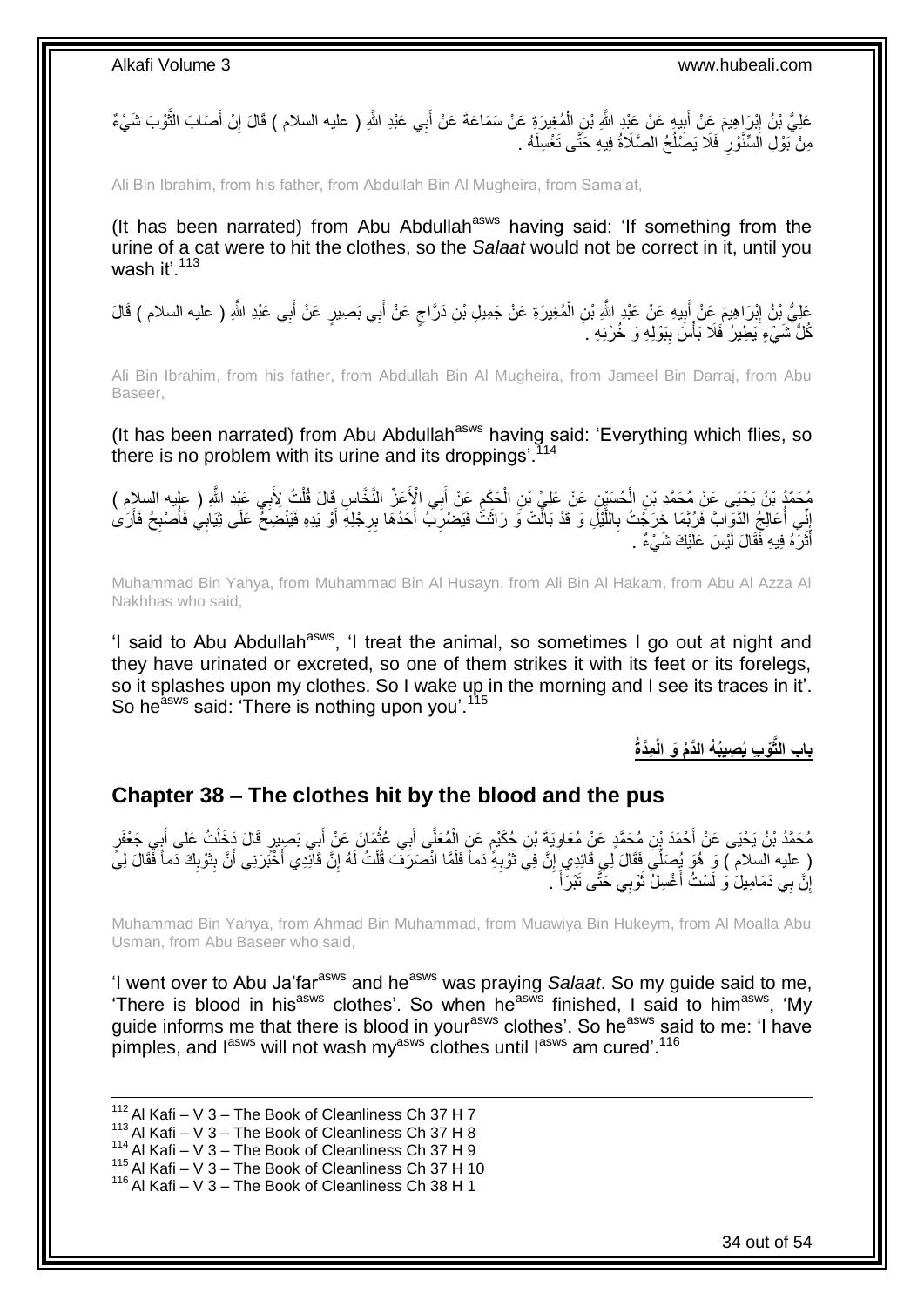عَلِيُّ بْنُ إِبْرَاهِيمَ عِنْ أَبِيهٍ عَنْ عَبْدِ اللَّهِ بْنِ الْمُغِيرَةِ عَنْ سَمَاعَةَ عَنْ أَبِي عَبْدِ اللَّهِ ( عليه السلام ) قَالَ إِنْ أَصَابَ الثَّوْبَ شَيْءٌ ْ ِ َ ِ َّ َ ِ ُ مِنْ بَوْلِ الْسِّنَّوْرِ فَلَا يَصْلُحُ الصَّلَاةُ فِيهِ حَتَّى تَغْسِلَهُ . ِ

Ali Bin Ibrahim, from his father, from Abdullah Bin Al Mugheira, from Sama'at,

(It has been narrated) from Abu Abdullah $^{asws}$  having said: 'If something from the urine of a cat were to hit the clothes, so the *Salaat* would not be correct in it, until you wash it' $113$ 

عَلِيُّ بْنُ إِبْرَاهِيمَ عَنْ أَبِيهِ عَنْ عَبْدِ اللَّهِ بْنِ الْمُغِيرَةِ عَنْ جَمِيلِ بْنِ دَرَّاجٍ عَنْ أَبِي بَصِيرٍ عَنْ أَبِي عَبْدِ اللَّهِ ( عليه السلام ) قَالَ<br>مُسْمَعُ َ ٍ ْ **!** َ َ كُلُّ شَيْءٍ يَطِيرُ ۖ فَلَا بَأْسَ بِبَوْلِهِ وَ خُرْئِهِ ۚ ۚ **ٔ ∣** 

Ali Bin Ibrahim, from his father, from Abdullah Bin Al Mugheira, from Jameel Bin Darraj, from Abu Baseer,

(It has been narrated) from Abu Abdullah<sup>asws</sup> having said: 'Everything which flies, so there is no problem with its urine and its droppings'.<sup>114</sup>

مُحَمَّدُ بْنُ يَحْيَى عَنْ مُحَمَّدِ بْنِ الْحُسَيْنِ عَنْ عَلِيِّ بْنِ الْحَكَمِ عَنْ أَبِي الْإِخَرِّ النَّخَاسِ قَالَ قُلْتُ لِأَبِي عَبْدِ اللَّهِ ( عِلْيه السلام ) َ ِ ْ ْ ْ إِنِّي أَعَالِجُ الذَّوَابَّ فَرُبَّمَا خَرَجَتُ بِاللَّيْلَ وَ قَدْ بَالْتُ وَ رَاثَتُ فَيَضْرِبُ أَحَدُهَا بِرِجْلِهِ أَوْ يَدِهِ فَيَنْضِخُ عَلَى ثِيَابِي فَأُصْبِحُ فَأَرَىٰ َّ ِ ِ أ ِ ُ َ **ٍ** َ ِ أَثَرَ هُ فِيهِ فَقَالَ لَيْسَ عَلَيْكَ شَيْءٌ . َ َ

Muhammad Bin Yahya, from Muhammad Bin Al Husayn, from Ali Bin Al Hakam, from Abu Al Azza Al Nakhhas who said,

'I said to Abu Abdullah<sup>asws</sup>, 'I treat the animal, so sometimes I go out at night and they have urinated or excreted, so one of them strikes it with its feet or its forelegs, so it splashes upon my clothes. So I wake up in the morning and I see its traces in it'. So he<sup>asws</sup> said: 'There is nothing upon you'.<sup>115</sup>

**ِمَّدُة ْو ِب ُي ِصيُب ُه الَّدُم َو الْ باب الثَّ**

### <span id="page-33-0"></span>**Chapter 38 – The clothes hit by the blood and the pus**

مُحَمَّدُ بْنُ يَحْيَى عَنْ أَحْمَدَ بِنِ مُحَمَّدٍ عَنْ مُعَاوِيَةَ بْنِ جُكْيْمٍ عَنِ الْمُعَلَّى أَبِي غُثْمَانَ عَنْ أَبِي بَصِبِيرٍ قَالَ دَخَلْتُ عَلَى أَبِي جَعْفَرٍ ٍ ِ َ ْ َ ْ ْ ( عليه السلام ) وَ هُوَ يُصَلِّيَ فَقَالَ لِي قَائِدِي ۭاِنَّ فِي ثَوْبِهِۖ دَماً فَلَمَّا انْصَرَفَ قُلْتُ لَهُ إِنَّ قَانِّدِي أَنْ بَثَرْنِنِي أَنَّ بِثَوْبِكَ دَماً فَقَالَ لِيً ِ ْ ِ ٔ, ِ َ ِ َ َ إِنَّ بِي دَمَامِيلَ وَ لَسْتُ أَغْسِلُ ثَوْبِي خَتَّى نَبْرَأَ ۚ. َ  $\ddot{\phantom{0}}$ اً<br>ا اٍ

Muhammad Bin Yahya, from Ahmad Bin Muhammad, from Muawiya Bin Hukeym, from Al Moalla Abu Usman, from Abu Baseer who said,

'I went over to Abu Ja'far<sup>asws</sup> and he<sup>asws</sup> was praying *Salaat*. So my guide said to me, 'There is blood in his<sup>asws</sup> clothes'. So when he<sup>asws</sup> finished, I said to him<sup>asws</sup>, 'My guide informs me that there is blood in your<sup>asws</sup> clothes'. So he<sup>asws</sup> said to me: 'I have pimples, and l<sup>asws</sup> will not wash my<sup>asws</sup> clothes until l<sup>asws</sup> am cured'.<sup>116</sup>

1  $112$  Al Kafi – V 3 – The Book of Cleanliness Ch 37 H 7  $^{113}$  Al Kafi – V 3 – The Book of Cleanliness Ch 37 H 8 <sup>114</sup> Al Kafi – V 3 – The Book of Cleanliness Ch 37 H 9 115 Al Kafi – V  $3$  – The Book of Cleanliness Ch 37 H 10 <sup>116</sup> Al Kafi – V 3 – The Book of Cleanliness Ch 38 H 1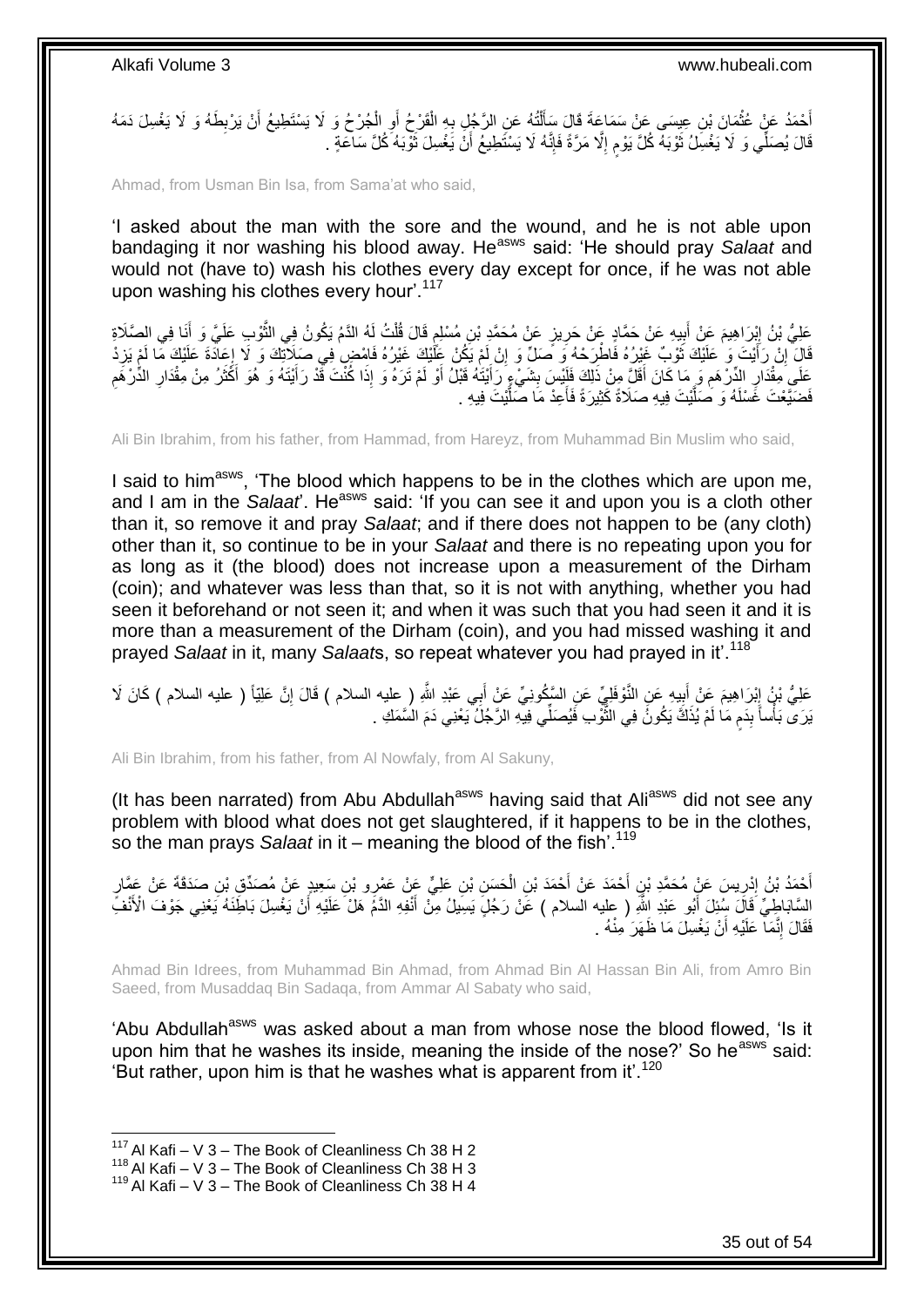أَحْمَدُ عَنْ عُثْمَانَ بْنِ عِيسَى عَنْ سَمَاعَةَ قَالَ سَأَلْتُهُ عَنِ الرَّجُلِ بِهِ الْقَرْحُ أَوِ الْجُرْحُ وَ لَا يَسْتَطِيعُ أَنْ يَرْبِطَهُ وَ لَا يَغْسِلَ دَمَهُ<br>ِ ْ ِ اً ْ ِ ْ َ ْ ِ َ ∣اٍ<br>∶ قَالَ يُصَلِّي وَ لَا يَغْسِلُ ثَوْبَهُ كُلَّ يَوْم إِلَّا مَرَّةً فَإِنَّهُ لَا يَسْتَطِيعُ أَنْ يَغْسِلَ ثَوْبَهُ كُلَّ سَاعَةٍ . ِ م رو<br>ا  $\ddot{\phantom{a}}$ اُ

Ahmad, from Usman Bin Isa, from Sama'at who said,

'I asked about the man with the sore and the wound, and he is not able upon bandaging it nor washing his blood away. He<sup>asws</sup> said: 'He should pray Salaat and would not (have to) wash his clothes every day except for once, if he was not able upon washing his clothes every hour'.<sup>117</sup>

عَلِيُّ بْنُ إِبْرَاهِيمَ عَنْ أَبِيهِ عَنْ حَمَّادٍ عَنْ حَرِيزٍ عَنْ مُحَمَّدٍ بْنِ مُسْلِمٍ قَالَ قُلْتُ لَهُ الذَّمْ يَكُونُ فِي الثَّوْبِ عَلَيَّ وَ أَنَا فِي الصَّلَاةِ<br>حَفِّيُّ بَنُّ إِبْرَاهِيمَ عَنْ أَبِيهِ عَنْ ْ ֧֧֚֚֝֝֝֓֝ ِ ِ َ ।।<br>इ َ َّ قَالَ ۚ إِنْ رَأَيْتَ وَ ٰ عَلَيْكَ ثَوْبٌ غَيْرُهُ فَاطْرَحْهُ وَ مَّمَلٌ وَ إِنْ لَمْ يَكُنْ عَلَيْكَ غَيْرُهُ فَاسْضِ فِي صَلِاّتِكَ وَ لَا إِعَادَةَ عَلَيْكَ مَّا لَمْ يَزِدْ ِ  $\ddot{\phantom{0}}$ َ ِ ِ  $\frac{1}{5}$ عَلَى مِقْدَارِ الدِّرْهَمِ وَ مَا كَانَ أَقَلَّ مِنْ ذَلِكَ فَلَيْسَ بِشَيْءٍ رَأَيْتَهُ قَبْلُ أَوْ لَمْ تَرَهُ وَ إِذَا كُنْتَ قَدْ رَأَيْتَهُ وَ هُوَ أَكَثَرُ مِنْ مِقْدَارِ الدُّرْهَمِ ِ ِ **!** َ ِ ِ َ َ َ َ َ فَضَيَّعْتَ غَسْلَهُ وَ صَلَّيْتَ فِيهِ صَلَاةً كَثِيرَةً فَأَعِدْ مَا صَلَّيْتَ فِيهِ . َّ َ َّ

Ali Bin Ibrahim, from his father, from Hammad, from Hareyz, from Muhammad Bin Muslim who said,

I said to him<sup>asws</sup>, 'The blood which happens to be in the clothes which are upon me, and I am in the *Salaat*. He<sup>asws</sup> said: 'If you can see it and upon you is a cloth other than it, so remove it and pray *Salaat*; and if there does not happen to be (any cloth) other than it, so continue to be in your *Salaat* and there is no repeating upon you for as long as it (the blood) does not increase upon a measurement of the Dirham (coin); and whatever was less than that, so it is not with anything, whether you had seen it beforehand or not seen it; and when it was such that you had seen it and it is more than a measurement of the Dirham (coin), and you had missed washing it and prayed *Salaat* in it, many *Salaat*s, so repeat whatever you had prayed in it'.<sup>118</sup>

عَلِيُّ نِنُ إِبْرَاهِيمَ عَنْ أَبِيهِ عَنِ النَّوْفَلِيِّ عَنِ السَّكُونِيِّ عَنْ أَبِي عَبْدِ اللَّهِ ( عليه السلام ) قَالَ إِنَّ عَلِيّاً ( عليه السلام ) كَانَ لَا َ ِ َ ِ ِ يَرَى بَأْساً بِدَمٍ مَا لَمْ يُذَكَّ يَكُونَۢ فِي الثَّوْبِ فَيُصَلِّي فِيهِ الرَّجُلُ يَعْنِي دَمَ السَّمَكِ .<br>ا َّ ٍ **∣** 

Ali Bin Ibrahim, from his father, from Al Nowfaly, from Al Sakuny,

(It has been narrated) from Abu Abdullah<sup>asws</sup> having said that Ali<sup>asws</sup> did not see any problem with blood what does not get slaughtered, if it happens to be in the clothes, so the man prays *Salaat* in it – meaning the blood of the fish'.<sup>119</sup>

ِ أَحْمَدُ بْنُ إِدْرِيسَ عَنْ مُحَمَّدِ بْنِ أَحْمَدَ عَنْ أَحْمَدَ بْنِ الْحَسَنِ بْنِ عَلِيٍّ عَنْ عَمْرِو بْنِ سَعِيدٍ عَنْ مُصَدِّقٍ بْنِ صَدَقَةَ عَنْ عَمَّارٍ<br>. ْ َ َ ِ ِ َ السَّابَاطِِيِّ ۚ قَالَ سِّئِلَ أَبُو عَبْدِ اللَّهِ ( عليه السلام ) عََنْ رَجُلٍّ يَسِّيلُ مِنّْ أَنْفِهِ الذَّمَ هَلْ عَلَيْهِ أَنْ يَغْسِلَ بَاطِّنَهُ يَعْنِي جَوْفَ الْأَنْفَ َ فَقَالَ إِنَّمَا عَلَيْهِ أَنْ يَغْسِلَ مَا ظَهَرَ مِنْهُ . ֺ֧֖ׅ֧ׅ֧֧֚֚֚֚֚֚֚֚֚֚֚֚֚֚֝֝֬֓֡֡֓֡֟֡֡֡֡֡֡֬֓֡֟֓֡֟֓֡֟֓֡֡֡֬֩֓֓֩ ْ

Ahmad Bin Idrees, from Muhammad Bin Ahmad, from Ahmad Bin Al Hassan Bin Ali, from Amro Bin Saeed, from Musaddaq Bin Sadaqa, from Ammar Al Sabaty who said,

'Abu Abdullah<sup>asws</sup> was asked about a man from whose nose the blood flowed, 'Is it upon him that he washes its inside, meaning the inside of the nose?' So he<sup>asws</sup> said: 'But rather, upon him is that he washes what is apparent from it'.<sup>120</sup>

 $117$  Al Kafi – V 3 – The Book of Cleanliness Ch 38 H 2

<sup>118</sup> Al Kafi – V  $3 -$  The Book of Cleanliness Ch 38 H 3

 $119$  Al Kafi – V 3 – The Book of Cleanliness Ch 38 H 4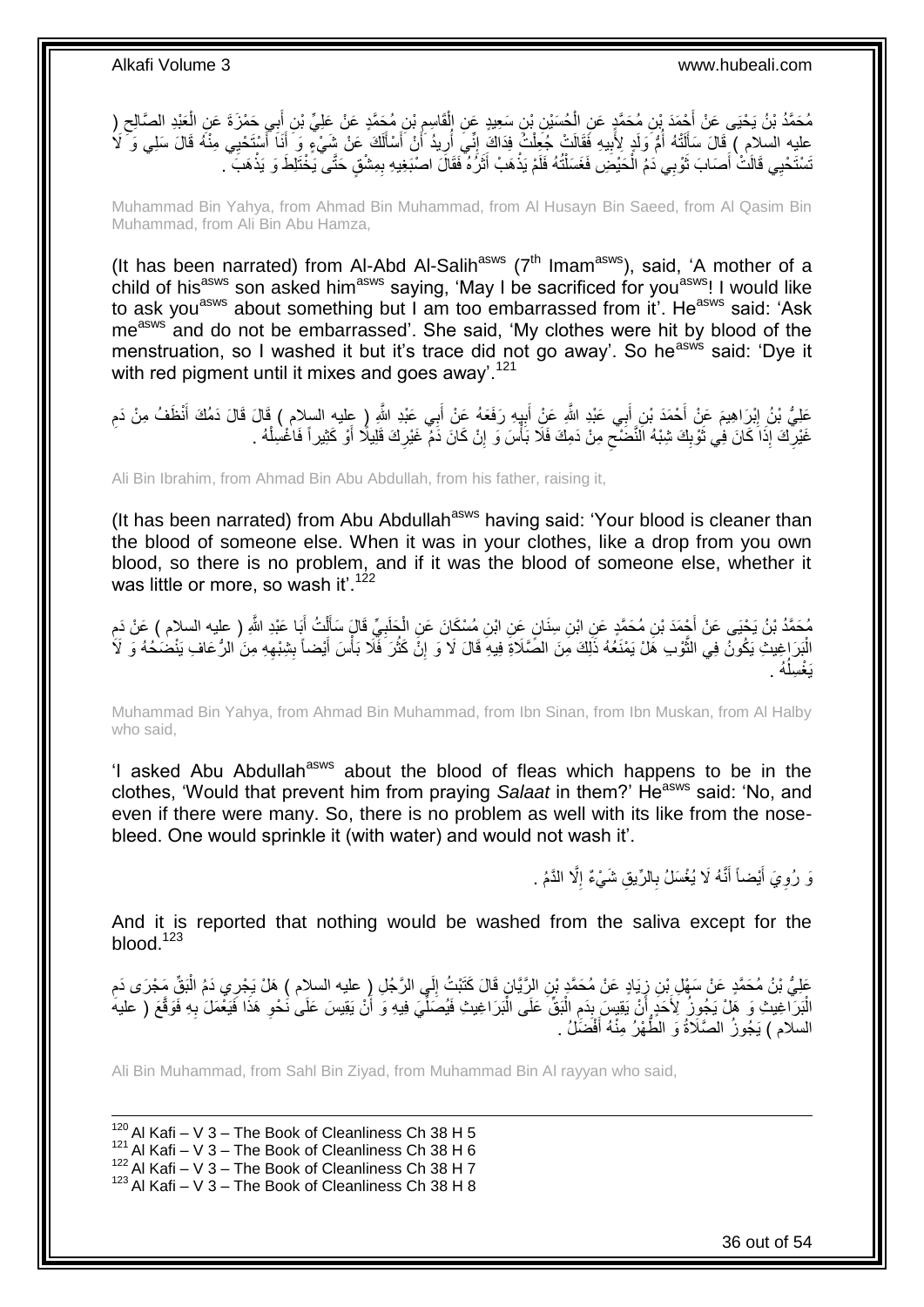ْ مُحَمَّدُ بْنُ يَحْيَى عَنْ أَجْمَدَ بْنِ مُحَمَّدٍ عَنِ الْحُسَيْنِ بْنِ سَعِيدٍ عَنِ الْقَاسِمِ بْنِ مُحَمَّدٍ عَنْ عَلِيٍّ بْنِ إِبِي حَمْزَةَ عَنِ الْعَبْدِ الصَّالِحِ (<br>- يَمْ يَجْمَعُ بَنُ يَحْيَى عَنْ أَمْثَهُ بِّي ْ َ ِ ْ َ ِ عليه السلام ) فَالَ سَأَلَتْهُ أُمُّ وَلَدٍ لِأُبِيهِ فَقَالَتْ جُعِلْتُ فِدَاكَ إِنِّي أُرِيدُ أَنْ أَسْأَلَكَ عَنْ شَيْءٍ وَ أَنَا أَسْتَحْيِي مِنْهُ قَالَ سَلِي وَ َكُمُ لَ Í َ اُ ِ ֦֦֦֦֦֦֦֦֦֦֦֦֦֦֦֦֦֦֦֦֧֦֧֚֚֚֚֝֟֝֝֝֝֝֝֝֬֝֝֝֝֝֟֓֡֟֟֟֟֟֟֓֡֟֓ ْ **!** ैं لَ َ َ تَسْتَحْيِي قَالَتْ أَصَابَ ثَوْبِي دَمُ الْحَيْضَِ فَغَسَلْتُهُ فَلَمْ يَذْهَبْ أَثَرُهُ فَقَالَ اصْبَغِيهِ بِمِثْنْقٍ حَتَّى يَخْتَلِطَ وَ يَذْهَبَ ِ َ َ **ٔ** ْ ْ رو<br>ا َ **ٔ** 

Muhammad Bin Yahya, from Ahmad Bin Muhammad, from Al Husayn Bin Saeed, from Al Qasim Bin Muhammad, from Ali Bin Abu Hamza,

(It has been narrated) from Al-Abd Al-Salih<sup>asws</sup> ( $7<sup>th</sup>$  Imam<sup>asws</sup>), said, 'A mother of a child of his<sup>asws</sup> son asked him<sup>asws</sup> saying, 'May I be sacrificed for you<sup>asws</sup>! I would like to ask you<sup>asws</sup> about something but I am too embarrassed from it'. He<sup>asws</sup> said: 'Ask me<sup>asws</sup> and do not be embarrassed'. She said, 'My clothes were hit by blood of the menstruation, so I washed it but it's trace did not go away'. So he<sup>asws</sup> said: 'Dve it with red pigment until it mixes and goes away'.<sup>121</sup>

عَلِيُّ بْنُ إِبْرِاهِيمَ عَنْ أَحْمَدَ بْنِ أَبِي عَبْدِ اللَّهِ عَنِْ أَبِيهِ رَفَعَهُ عَنْ أَبِي عَبْدِ اللَّهِ ( عليه السلام ) قَالَ ذَمُكَ أَنْظَفُ مِنْ دَمِ َ ِ َ َ ِ َ غَيْرِكَ إِذَا كَانَ فِي ثَوْبِكَ شِبْهُ الْنَّصَٰنِّعِ مِنْ دَمِكَ فَلَا بَأْسَ وَ إِنْ كَانَ دَمْ غَيْرِكَ قَلِيلًا أَوْ كَثِيراً فَاغْسِلْهُ . ِ ِ ِ  $\frac{1}{2}$ َ **∶** ْ َ

Ali Bin Ibrahim, from Ahmad Bin Abu Abdullah, from his father, raising it,

(It has been narrated) from Abu Abdullah<sup>asws</sup> having said: 'Your blood is cleaner than the blood of someone else. When it was in your clothes, like a drop from you own blood, so there is no problem, and if it was the blood of someone else, whether it was little or more, so wash it'.<sup>122</sup>

مُحَمَّدُ بْنُ يَحْيَى عَنْ أَجْمَدَ بْنِ مُحَمَّدٍ عَنِ ابْنِ سِنَانٍ عِنِ ابْنِ مُسْكَانَ عَنِ الْجَلَبِيِّ قَالٍَ سَأَلْتُ أَبَا عَبْدِ اللَّهِ ( عليه السلام ) عَنْ دَمِ **∶** ْ ِ َ ْ ĺ الْبَرَ اِغِيثِ يَكُونُ فِي الثَّوْبِ هَلْ يَمْنَعُهُ ذَلِّكَ مِنَ الصَّلَاةِ فِيهِ قَالَ لَا وَ إِنَّ كَثُرَ فَلَا بَأْسَ أَيْضاً بِشِبْهِهِ مِنَ الرُّعَافِ يَنْضُحُهُ وَ لَأَ َ ْ ان<br>سالات ا ِ ة<br>ا ْ ِ ِ ُه . ا<br>ا يَغْسِلُ

Muhammad Bin Yahya, from Ahmad Bin Muhammad, from Ibn Sinan, from Ibn Muskan, from Al Halby who said,

'I asked Abu Abdullah<sup>asws</sup> about the blood of fleas which happens to be in the clothes, 'Would that prevent him from praying *Salaat* in them?' He<sup>asws</sup> said: 'No, and even if there were many. So, there is no problem as well with its like from the nosebleed. One would sprinkle it (with water) and would not wash it'.

> وَ رُوِيَ أَيْضاً أَنَّهُ لَا يُغْسَلُ بِالرِّيقِ شَيْءٌ إِلَّا الذَّمُ . **∶** َ َ ِ ِ

And it is reported that nothing would be washed from the saliva except for the blood. $123$ 

عَلِيُّ بْنُ مُحَمَّدٍ عَنْ سَهْلِ بِّنِ زِيَادٍ عَنْ مُحَمَّدٍ بْنِ الرِّيَّانِ قَالَ كَتَبْتُ إِلَي الرَّجُلِ زِ عليه السلام ) هَلْ يَجْرِي دَمُ الْبَقِّ مَجْرَى دَمِ ِ ∫ ِ ْ الْبَرَآخِيتَ وَ هَلْ يَجُوزُ لِأَخَدٍ أَنْ يَقِيسَ بِدَمِ الْبَقِّ عَلَى الْبَرَاغِيثِ فَيُصَلِّيَ فِيهِ وَ أَنْ يَقِيسَ عَلَى نُحْوِ هَذَا فَيَغْمَلَ بِهِ فَوَقَعَ ( عليه ِ ِ َ ِّ ْ :<br>ا ِ **ِ** السلام ) يَجُوزُ الصَّلَاةُ وَ الطَّهْرُ مِنْهُ أَفْضَلْ . َ

Ali Bin Muhammad, from Sahl Bin Ziyad, from Muhammad Bin Al rayyan who said,

1 Al Kafi – V 3 – The Book of Cleanliness Ch 38 H 5 Al Kafi – V 3 – The Book of Cleanliness Ch 38 H 6 Al Kafi – V 3 – The Book of Cleanliness Ch 38 H 7 Al Kafi – V 3 – The Book of Cleanliness Ch 38 H 8

36 out of 54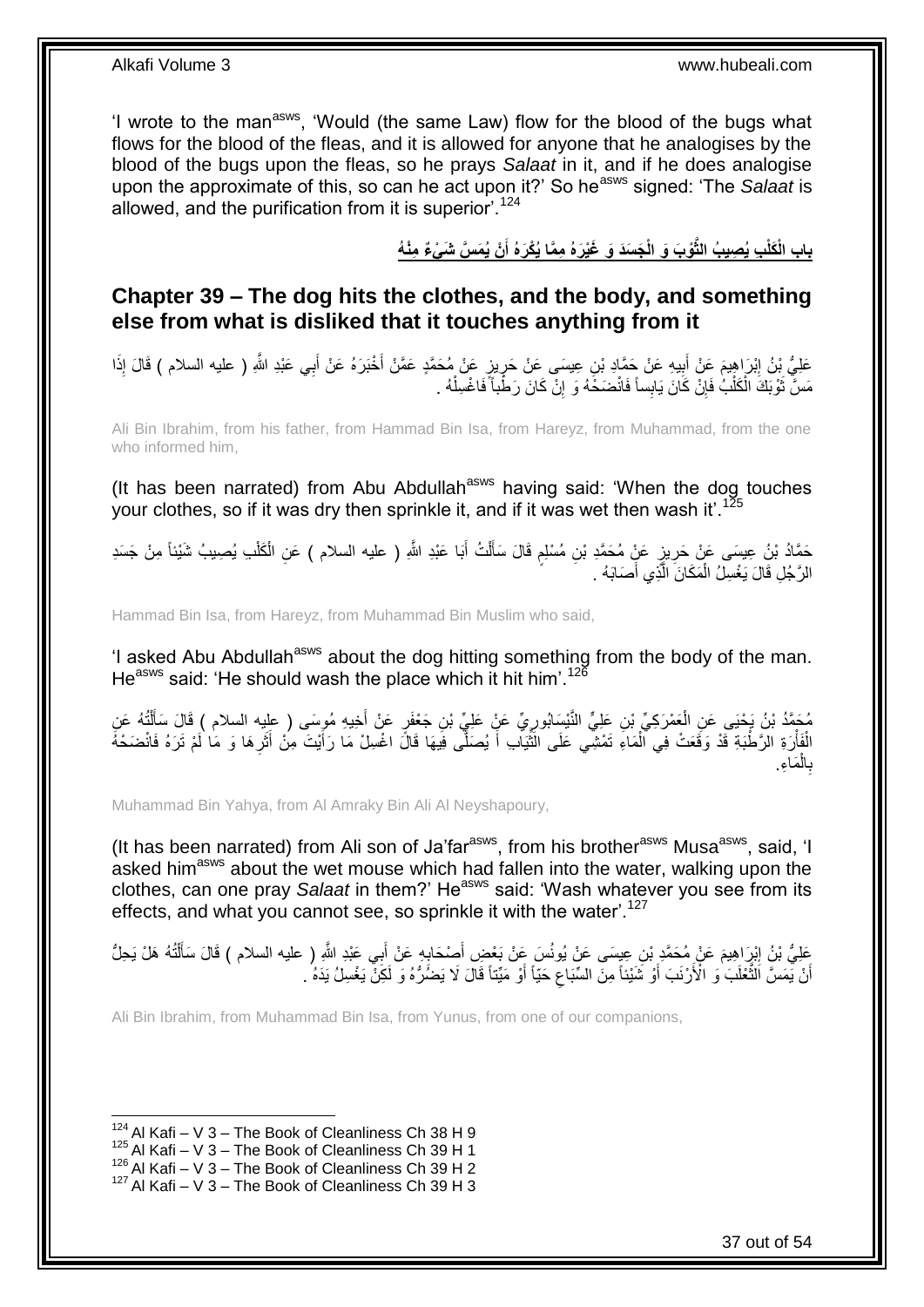'I wrote to the man<sup>asws</sup>, 'Would (the same Law) flow for the blood of the bugs what flows for the blood of the fleas, and it is allowed for anyone that he analogises by the blood of the bugs upon the fleas, so he prays *Salaat* in it, and if he does analogise upon the approximate of this, so can he act upon it?' So he<sup>asws</sup> signed: 'The *Salaat* is allowed, and the purification from it is superior<sup>'.124</sup>

> باب الْكَلْبِ يُصِيبُ الثَّوْبَ وَ الْجَسَدَ وَ غَيْرَهُ مِمَّا يُكْرَهُ أَنْ يُمَسَّ شَىْءٌ مِنْهُ **َ**

<span id="page-36-0"></span>**Chapter 39 – The dog hits the clothes, and the body, and something else from what is disliked that it touches anything from it**

ِ عَلِيُّ بِنُ إِبْرَاهِيمَ عَنْ أَبِيهِ عَنْ جَمَّادِ بْنِ عِيسَى عَنْ حَرِيزٍ عَنْ مُحَمَّدٍ عَمَّنْ أَخْبَرَهُ عَنْ أَبِي عَبْدِ اللَّهِ ( عليه السلام ) قَالَ إِذَا َ َ ِ **!** َ ِ مَسَّ ثَوْبَكَ الْكَلْبُ فَإِنْ كَانَ يَابِساً فَانْضَخَّهُ وَ ۚ إِنّْ كَانَ رَطْباً ۖ فَاغْسِلْهُ ۚ ـ ْ ِ ِ ْ ْ ٔ,

Ali Bin Ibrahim, from his father, from Hammad Bin Isa, from Hareyz, from Muhammad, from the one who informed him,

(It has been narrated) from Abu Abdullah<sup>asws</sup> having said: 'When the dog touches your clothes, so if it was dry then sprinkle it, and if it was wet then wash it'.<sup>12</sup>

حَمَّادُ بْنُ عِيسَى عَنْ حَرِيزٍ عَنٍْ مُحَمَّدِ بْنِ مُسْلِمٍ قَالَ سَأَلْتُ أَبَا عَبْدِ اللَّهِ ( عليه السلام ) عَنِ الْكَلْبِ يُصِيبُ شَيْئاً مِنْ جَسَدِ َ ْ Í ٍ ِ ْ ْ الرَّجُلِ قَالَ يَغْسِلُ الْمَكَانَ الَّذِي أَصَابَهُ . َ َّ ْ

Hammad Bin Isa, from Hareyz, from Muhammad Bin Muslim who said,

'I asked Abu Abdullah<sup>asws</sup> about the dog hitting something from the body of the man. He<sup>asws</sup> said: 'He should wash the place which it hit him'.<sup>126</sup>

مُحَمَّدُ بْنُ يَحْيَى عَنِ الْعَمْرَكِيِّ بْنِ عَلِيٍّ النَّنْسِلُورِيِّ عَنٍْ عَلِيٍّ بْنِ جَعْفَرٍ عَنْ أَخِيهِ مُوسَى ( عليه السلام ) قَالَ سَأَلْتُهُ عَنِ<br>مُؤْمِنات َ ِ ْ ْ ĺ الْفَأْرَةِ الرَّطْبَةِ قَدْ وَقَعَتْ فِي الْمَاءِ تَمْشِي عَلَى النَّيَابِ أَ يُصَلِّى فِيهَا قَالَ اغْسِلْ مَا رَأَيْتَ مِنْ أَثَرِها وَ مَا لَمْ تَرَهُ فَانْضَحْهُ ْ ْ ِ َ َ َ ِّ ْ َما ِء. ال ب ْ **∶** 

Muhammad Bin Yahya, from Al Amraky Bin Ali Al Neyshapoury,

(It has been narrated) from Ali son of Ja'far<sup>asws</sup>, from his brother<sup>asws</sup> Musa<sup>asws</sup>, said, 'I asked him<sup>asws</sup> about the wet mouse which had fallen into the water, walking upon the clothes, can one pray *Salaat* in them?' He<sup>asws</sup> said: 'Wash whatever you see from its effects, and what you cannot see, so sprinkle it with the water<sup>'127</sup>

عَلِيُّ بْنُِ إِبْرَاهِيمَ عَنْ مُحَمَّدٍ بْنِ عِيسَى عَنْ يُونُسَ عَنْ بَعْضٍ أَصِدْحَابِهِ عَنْ أَبِي عَبْدِ اللَّهِ ( عليه السلام ) قَالَ سَأَلْتُهُ هَلْ يَحِلُّ<br>يَسْتَمِي الْإِرَاهِيمَ عَنْ مُحَمَّدٍ بِنَ عِيسَى عَنْ َ ֦֧<u>֓</u> َ יִין<br>∶ ْ َ أَنْ يَمَسَّ اَلْثَّغْلَبَ وَ الْأَرْنَبَ أَوْ شَيْئاً مِنَ السِّبَاعَ حَيَّاً أَوْ مَيِّنَاً قَالَ لَا يَضُرُّهُ وَ لَكِنْ يَغْسِلُ يَدَهُ ُ َ َّ اً اُ ِ

Ali Bin Ibrahim, from Muhammad Bin Isa, from Yunus, from one of our companions,

 $124$  Al Kafi – V 3 – The Book of Cleanliness Ch 38 H 9

 $125$  Al Kafi – V 3 – The Book of Cleanliness Ch 39 H 1

 $^{126}$  Al Kafi – V 3 – The Book of Cleanliness Ch 39 H 2

 $127$  Al Kafi – V 3 – The Book of Cleanliness Ch 39 H 3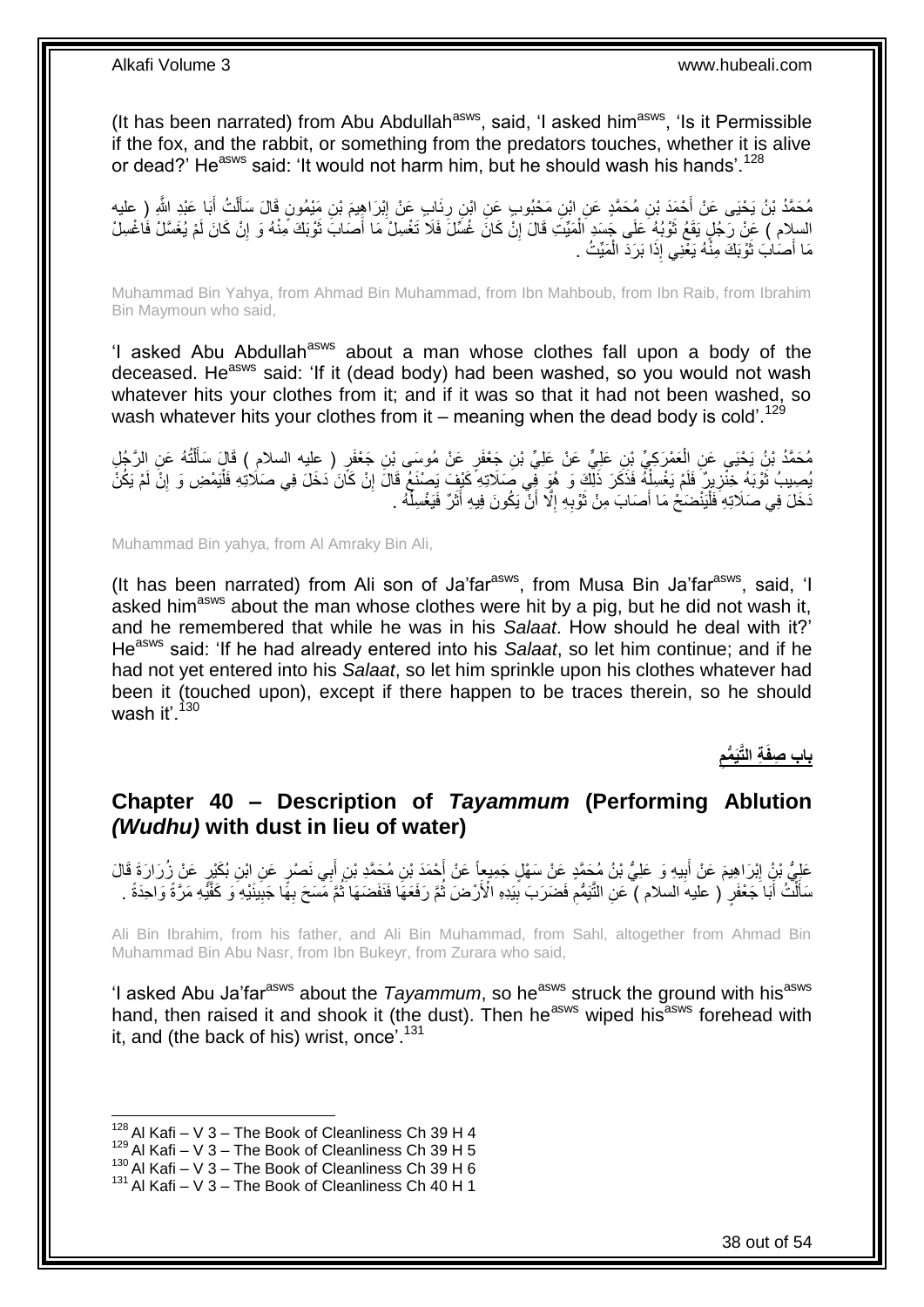(It has been narrated) from Abu Abdullah<sup>asws</sup>, said, 'I asked him<sup>asws</sup>, 'Is it Permissible if the fox, and the rabbit, or something from the predators touches, whether it is alive or dead?' He<sup>asws</sup> said: 'It would not harm him, but he should wash his hands', <sup>128</sup>

مُحَمَّدُ بْنُ يَحْيَى عَنْ أَحْمَدَ بْنِ مُحَمَّدٍ عَنِ ابْنِ مَحْبُوبٍ عَنِ ابْنِ رِئَابٍ عَنْ إِبْرَاهِيمَ بْنِ مَيْمُونٍ قَالَ سَأَلْتُ أَبَا عَبْدِ اللَّهِ ( عليه<br>مُحَمَّدُ بْنُ يَحْيَى عَنْ أَحْمَدَ بْنِ مُحَمَّدٍ عَ ِ َ ْ َ ِ السلام ) عَنْ رَجُلٍ يَقَعُ ثَوْبُهُ عَلَى جَسَدٍ الْمَيِّتِ قَالَ إِنْ كَانَ غُسِّلَ فَلَا تَغْسِلْ مَا أَصَابَ ثَوْبَكَ مِنْهُ وَ إِنْ كَانَ لَمْ يُغَسَّلْ فَاَغْسِلْ َ َ ِ ْ ة<br>أ ِ مَا أَصَابَ ثَوْبَكَ مِنَّهُ يَغْنِي إِذَا بَرَدَ الْمَيِّتُ . ٔ, ْ

Muhammad Bin Yahya, from Ahmad Bin Muhammad, from Ibn Mahboub, from Ibn Raib, from Ibrahim Bin Maymoun who said,

'I asked Abu Abdullah<sup>asws</sup> about a man whose clothes fall upon a body of the deceased. He<sup>asws</sup> said: 'If it (dead body) had been washed, so you would not wash whatever hits your clothes from it; and if it was so that it had not been washed, so wash whatever hits your clothes from it – meaning when the dead body is cold<sup>'.129</sup>

مُحَمَّدُ بْنُ يَحْيَى عَنِ الْعَمْرَكِيِّ بْنِ عَلِيٍّ عَنْ عَلِيٍّ بْنِ جَعْفَرٍ عَنْ مُوسَى بْنِ جَعْفَرٍ ( عليه السلام ) قَالَ سَأَلْتُهُ عَنِ الرَّجُلِ<br>. ْ َ ْ يُصِيبُ ثَوْبَهُ خِنْزِيرٌ ۖ فَلَمْ يَغْسِلْهُ فَذَكَرَ ذَلِّكَ وَ هُوَ فِي صَلَاتِهِ ۖ كَيْفٍ يَصْنَعُ قَالَ إِنْ كَأَنَ دَخَلَ فِي صَلَاتِهِ فَلْيَمْضِ وَ إِنَّ لَمْ يَكُنْ ِ ْ ِ ِ ْ َخَلَ فِي صَلَاتِهِ فَلْيَنْضَحْ مَا أَصَابَ مِنْ ثَوْبِهِ إِلَّا أَنْ يَكُونَ فِيهِ أَثَرٌ فَيَغْسِلُّهُ . .<br>ا ة<br>أ َ َ ِ **∶** ة<br>أ :<br>ا

Muhammad Bin yahya, from Al Amraky Bin Ali,

(It has been narrated) from Ali son of Ja'far $a<sup>asws</sup>$ , from Musa Bin Ja'far $a<sup>asws</sup>$ , said, 'I asked him<sup>asws</sup> about the man whose clothes were hit by a pig, but he did not wash it, and he remembered that while he was in his *Salaat*. How should he deal with it?' Heasws said: 'If he had already entered into his *Salaat*, so let him continue; and if he had not yet entered into his *Salaat*, so let him sprinkle upon his clothes whatever had been it (touched upon), except if there happen to be traces therein, so he should wash it'. $130$ 

> **ِ ِة الَّتَي ُّمم باب ِصفَ**

### <span id="page-37-0"></span>**Chapter 40 – Description of** *Tayammum* **(Performing Ablution**  *(Wudhu)* **with dust in lieu of water)**

عَلِيُّ بْنُ إِبْرَاهِيمَ عَنْ أَبِيهِ وَ عَلِيُّ بْنُ مُجَمَّدٍ عَنْ سَهْلٍ جَمِيعاً عَنْ أَحْمَدَ بْنِ مُحَمَّدِ بْنِ أَبِي نَصْرٍ عَنِ ابْنِ بُكَيْرٍ عَنْ زُرَارَةَ قَالَ َ َ ِ َ سَأَلَٰٓتُ أَبَا جَعْفَرٍ ۚ ( عليه السلام ) ۖ عَنِ الثَّيَمُّمِ فَضَرَبَ بِيَدِهِ الْأَرْضَ ثُمَّ رَفَعَهَا فَنَفَضَهَا ثُمَّ مَسَحَ بِهًا جَبِينَيْهِ ۖ وَ كَفَّيْهِ مَرَّةً وَاحِدَةً . ۔<br>ا ْ َ ِ ِ ا<br>المقام ان<br>المقامات ِ ِ

Ali Bin Ibrahim, from his father, and Ali Bin Muhammad, from Sahl, altogether from Ahmad Bin Muhammad Bin Abu Nasr, from Ibn Bukeyr, from Zurara who said,

'I asked Abu Ja'far<sup>asws</sup> about the *Tayammum*, so he<sup>asws</sup> struck the ground with his<sup>asws</sup> hand, then raised it and shook it (the dust). Then he<sup>asws</sup> wiped his<sup>asws</sup> forehead with it, and (the back of his) wrist, once'.<sup>131</sup>

 $128$  Al Kafi – V 3 – The Book of Cleanliness Ch 39 H 4

 $129$  Al Kafi – V 3 – The Book of Cleanliness Ch 39 H 5

 $^{130}$  Al Kafi – V 3 – The Book of Cleanliness Ch 39 H 6

 $131$  Al Kafi – V  $3$  – The Book of Cleanliness Ch 40 H 1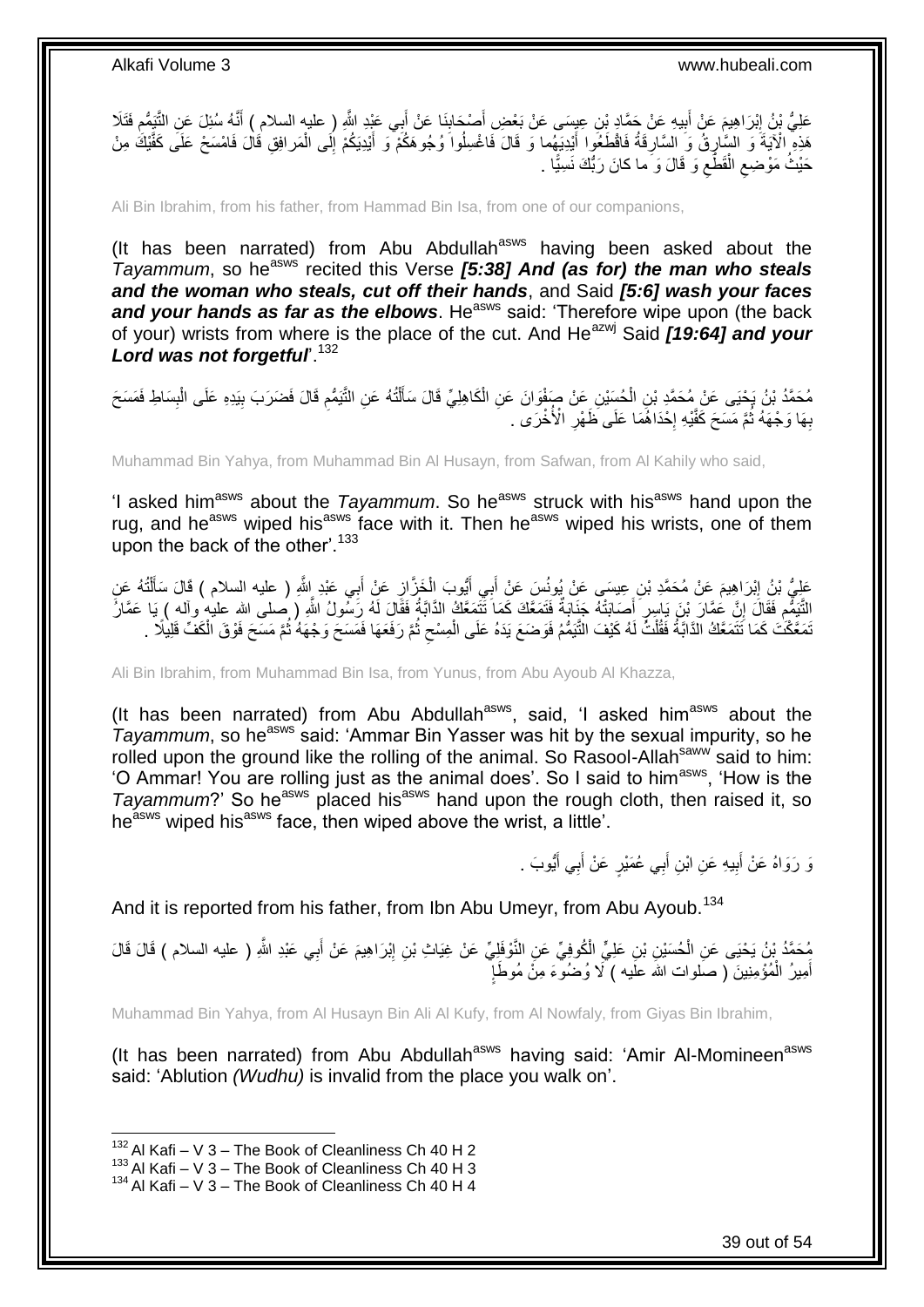عَلِيُّ بْنُ إِبْرَاهِيمَ عَنْ أَبِيهِ عَنْ جَمَّادٍ بْنِ عِيِسَى عَنْ بَعْضِ أَصْحَابِنَا عَنْ أَبِي عَيْدِ اللَّهِ ( عليه السلام ) أَنَّهُ سُئِلَ عَنِ التَّنِيُّمِ فَتَلَا َ َ **!** َ ِ ِ َ هَذِهِ ۗ الْآيَةَ وَ السَّارِقُ وَ السَّارِقَةُ فَاقْطَعُوا أَيْدِيَهُما وَ قَالَ فَاغْسِلُوا وُجُوهَكُمْ وَ أَيْدِيَكُمْ إِلَى الْمَرافِقِ قَالَ فَامْسَحْ عَلَى كَفَّيْكَ مِنْ َ ِ ِ ْ ِ َ حَيْثُ مَوْضِعِ الْقَطَّعِ وَ قَالَ وَ َما كانَ رَبُّكَ نَسِيًّا . ِ ْ  $\zeta$ 

Ali Bin Ibrahim, from his father, from Hammad Bin Isa, from one of our companions,

(It has been narrated) from Abu Abdullah<sup>asws</sup> having been asked about the *Tayammum*, so he<sup>asws</sup> recited this Verse [5:38] And (as for) the man who steals *and the woman who steals, cut off their hands*, and Said *[5:6] wash your faces*  and your hands as far as the elbows. He<sup>asws</sup> said: 'Therefore wipe upon (the back of your) wrists from where is the place of the cut. And He<sup>azwj</sup> Said **[19:64] and your** Lord was not forgetful<sup>132</sup>

مُحَمَّدُ بْنُ يَحْيَى عَنْ مُحَمَّدِ بْنِ الْحُسِّيْنِ عَنْ صَفْوَانَ عَنِ الْكَاهِلِيِّ قَالَ سَأَلْتُهُ عَنِ التَّبَمُّمِ قَالَ فَضَرَبَ بِيَدِهِ عَلَى الْبِسَاطِ فَمَسَحَ ْ ْ ِ ْ ِ ِ ْ َ بِهَا وَجْهَهُ ثُمَّ مَسَحَ كَفَّيْهِ إِخْذَاهُمَا عَلَى ظَهْرِ الْأُخْرَى . **∶** ·<br>∶ :<br>ا ِ

Muhammad Bin Yahya, from Muhammad Bin Al Husayn, from Safwan, from Al Kahily who said,

'I asked him<sup>asws</sup> about the *Tayammum*. So he<sup>asws</sup> struck with his<sup>asws</sup> hand upon the rug, and he<sup>asws</sup> wiped his<sup>asws</sup> face with it. Then he<sup>asws</sup> wiped his wrists, one of them upon the back of the other'.<sup>133</sup>

عَلِيُّ بْنُ إِبْرَاهِيمَ عَنْ مُحَمَّدِ بْنِ عِيسَى عَنْ يُونُسَ عَنْ أَبِي أَيُّوبَ الْخَزَّازِ عَنْ أَبِي عَبْدِ اللَّهِ ( عليه السلام ) قَالَ سَأَلْتُهُ عَنِ ِ ْ اً<br>أ َ ِ ْ َ َ لَّتَيَهِم فَقَالَ إِنَّ عُمَّارَ بْنَ يَاسِرٍ أَصَابَتْهُ جَنَابَةٌ فَتَمَعَّكَ كَمَا تَتَمَعَّكُ الدَّابَةُ فَقَالَ لَهُ رَسُولُ اللَّهِ ( صلى الله عليه وآله ) يَا عَمَّالُ<br>التَّنَهُّمِ فَقَالَ إِنَّ عَنه وَجَهَهُ مَنْه َ ِ ِ ّمَعَّكَٰتَ كَمَا نَّتَمَعَّكُ الدَّابَّةُ فَقُلْتُ لَهُ كَيْفَ النَّيَمُّمُ فَوَضَعَ يَدَهُ عَلَى الْمِسْحِ ثُمَّ رَفَعَهَا فَمَسَحَ وَجْهَهُ ثُمَّ مَسَحَ فَوْقَ الْكَفِّ قَلِيلًا . ُ ِ ْ ْ ْ ا پایا<br>ا

Ali Bin Ibrahim, from Muhammad Bin Isa, from Yunus, from Abu Ayoub Al Khazza,

(It has been narrated) from Abu Abdullah $^{asws}$ , said, 'I asked him $^{asws}$  about the *Tayammum*, so he<sup>asws</sup> said: 'Ammar Bin Yasser was hit by the sexual impurity, so he rolled upon the ground like the rolling of the animal. So Rasool-Allah<sup>saww</sup> said to him: 'O Ammar! You are rolling just as the animal does'. So I said to him<sup>asws</sup>, 'How is the *Tayammum*?' So he<sup>asws</sup> placed his<sup>asws</sup> hand upon the rough cloth, then raised it, so he<sup>asws</sup> wiped his<sup>asws</sup> face, then wiped above the wrist, a little'.

> يَ رَوَاهُ عَنْ أَبِيهِ عَنِ ابْنِ أَبِي عُمَيْرٍ عَنْ أَبِي أَيُّوبَ . َ َ َ **!** َ

And it is reported from his father, from Ibn Abu Umeyr, from Abu Ayoub.<sup>134</sup>

بُحَمَّدُ بْنُ يَحْيَى عَنِ الْحُسَيْنِ بْنِ عَلِيٍّ الْكُوفِيِّ عَنِ النَّوْفَلِيِّ عَنْ غِيَاتٍ بْنِ إِبْرَاهِيمَ عَنْ أَبِي عَبْدِ اللَّهِ ( عليه السلام ) قَالَ قَالَ ِ ْ َ ।<br>; أَمِيرُ الْمُؤْمِنِينَ ( صَلوات اللهَ علَيه ) لَا وُضُوءَ مِنً مُوطَإِ ْ َ

Muhammad Bin Yahya, from Al Husayn Bin Ali Al Kufy, from Al Nowfaly, from Giyas Bin Ibrahim,

(It has been narrated) from Abu Abdullah<sup>asws</sup> having said: 'Amir Al-Momineen<sup>asws</sup> said: 'Ablution *(Wudhu)* is invalid from the place you walk on'.

 $132$  Al Kafi – V 3 – The Book of Cleanliness Ch 40 H 2

 $133$  Al Kafi – V  $3$  – The Book of Cleanliness Ch 40 H 3

<sup>134</sup> Al Kafi – V 3 – The Book of Cleanliness Ch 40 H 4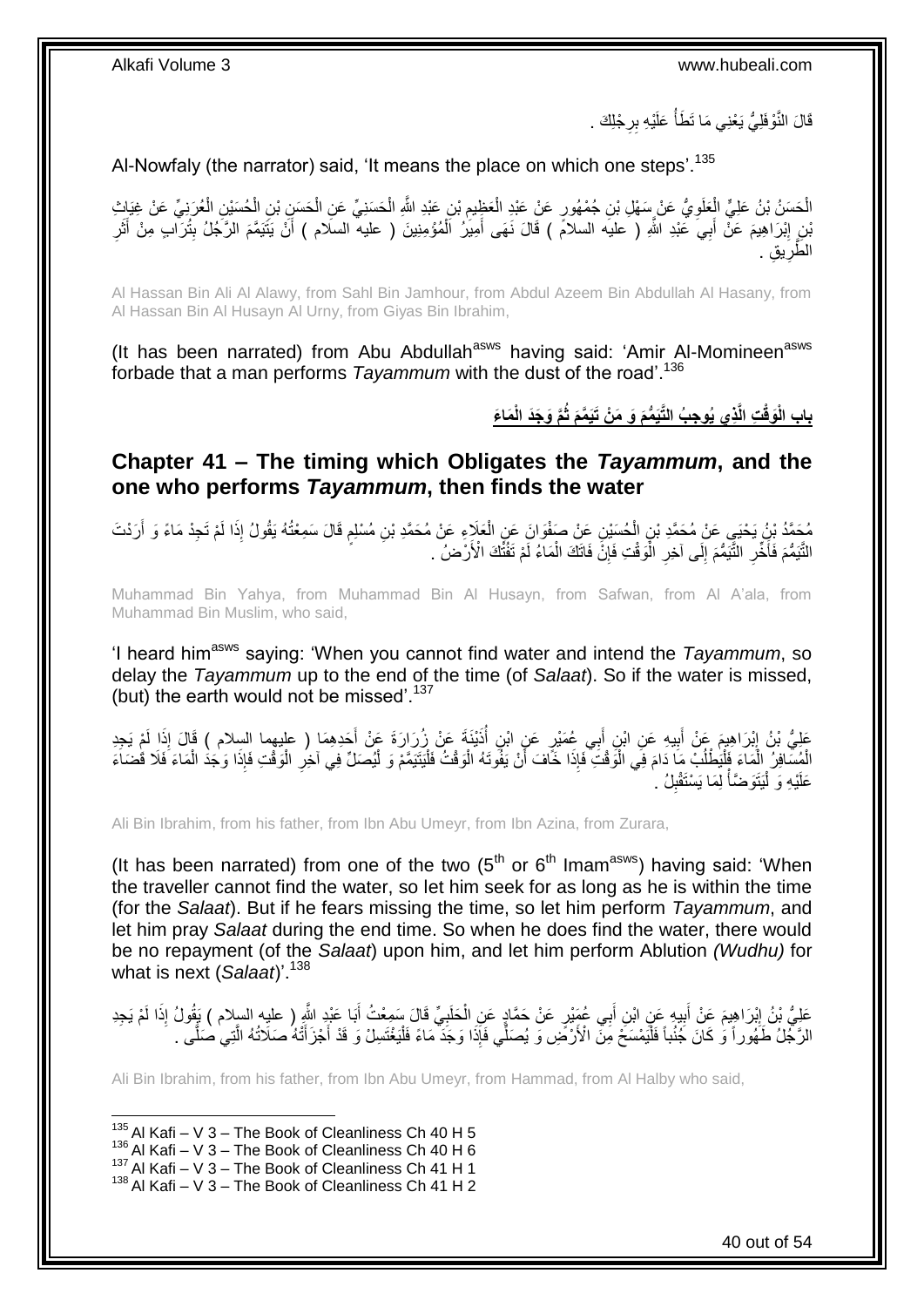قَالَ النَّوْفَلِيُّ يَعْنِي مَا تَطَأُ عَلَيْهِ بِرِجْلِكَ . ِ ُ

Al-Nowfaly (the narrator) said, 'It means the place on which one steps'.<sup>135</sup>

الْحَسَنُ بْنُ عَلِيٍّ الْعَلَوِيُّ عَنْ سَهْلِ بْنِ جُمْهُورٍ عَنْ عَبْدِ الْعَظِيمِ بْنِ عَبْدِ اللَّهِ الْحَسَنِيِّ عَنِ الْحَسَنِيِّ بْنِ الْحُسَنِيِّ الْحُسَنِيِّ الْحُسَنِيِّ الْحُسَنِيِّ الْحُسَنِيِّ بِالْحُسَنِيِّ ْ ْ ِ ْ **∶** ْ ْ بْنِ إِبْرَاهِيمَ عَنّْ أَبِيَ عَبْدِ اللَّهِ ( عليه السلامَ ) قَالَ نَهَى أَمِيَرُ اَلْمُؤْمِنِينَ ( عليه السلام ) أَنْ يَتَيَمَّمَ الرَّجُلُ بِتُرَآا مِنْ أَثَرِ ْ َ ِ ِ َ ِ َ ِق . ي ِ َّطر ال

Al Hassan Bin Ali Al Alawy, from Sahl Bin Jamhour, from Abdul Azeem Bin Abdullah Al Hasany, from Al Hassan Bin Al Husayn Al Urny, from Giyas Bin Ibrahim,

(It has been narrated) from Abu Abdullah<sup>asws</sup> having said: 'Amir Al-Momineen<sup>asws</sup> forbade that a man performs *Tayammum* with the dust of the road'.<sup>136</sup>

باب الْوَقْتِ الَّذِي يُوجِبُ التَّيَمُّمَ وَ مَنْ تَيَمَّمَ ثُمَّ وَجَدَ الْمَاعَ

<span id="page-39-0"></span>**Chapter 41 – The timing which Obligates the** *Tayammum***, and the one who performs** *Tayammum***, then finds the water**

مُحَمَّدُ بْنُ يَحْيَي عَنْ مُحَمَّدِ بْنِ الْحُسَيْنِ عَنْ صَفْوَانَ عَنِ الْعَلَاءِ عَنْ مُحَمَّدِ بْنِ مُسْلِمٍ قَالَ سَمِعْتُهُ يَقُولُ إِذَا لَمْ تَجِدْ مَاءً وَ أَرَدْتَ ֧֖֧֚֚֓֝֝֝ ْ ْ َ الثَّيَمُّمَ فَأَخِّرِ الثَّيَمُّمَ إِلَى آخِرِ الْمَوْقْتِ فَإِنَّ فَاتَكَ الْمَاءُ لَمْ تَفْثَّكَ الْأَرْضُ ۖ ْ ِ ْ **∶**  $\frac{1}{2}$ ِ ؚ<br>ا

Muhammad Bin Yahya, from Muhammad Bin Al Husayn, from Safwan, from Al A'ala, from Muhammad Bin Muslim, who said,

'I heard himasws saying: 'When you cannot find water and intend the *Tayammum*, so delay the *Tayammum* up to the end of the time (of *Salaat*). So if the water is missed, (but) the earth would not be missed'. $137$ 

عَلِيُّ بْنُ إِبْرَاهِيمَ عَنْ أَبِيهِ عَنِ ابْنٍ أَبِي عُمَيْرٍ عَنِ ابْنِ أَذَيْنَةَ عَنْ زُرَارَةَ عَنْ أَخدِهِمَا ( عليهما السلام ) قَالَ إِذَا لَمْ يَجِدِ<br>فَيَمْ بَنُّ إِبْرَاهِيمَ فِي اللّهِ عَنِ ابْنٍ أَبِي عُمَيْر ُ َ ِ َ ِ َ الْمُسَّافِرُ إِلَٰمَآءَ فَأَيَٰطُلُبۡ مَا دَامَ فِي الْوَقْتَ ۖ فَإِذَا خَاّفَ أَنْ يَفُوَّتَهُ الْوَقْتُ فَلْيَتَيَمَّمْ وَ لْيُصَلِّ فِي آخِرِ الْوَقْتِ فَإِذَا خَافَ مَنْكَمَ :<br>ا :<br>ا ْ اُ :<br>ا ُ :<br>ا ا<br>ا ْ ْ ِ عَلَيْهِ وَ لْيَتَوَضَّأْ لِمَا يَسْتَقْبِلُ ۚ ِ ال<br>أما السياسية<br>مستقبل :<br>ا

Ali Bin Ibrahim, from his father, from Ibn Abu Umeyr, from Ibn Azina, from Zurara,

(It has been narrated) from one of the two  $(5<sup>th</sup>$  or  $6<sup>th</sup>$  Imam<sup>asws</sup>) having said: 'When the traveller cannot find the water, so let him seek for as long as he is within the time (for the *Salaat*). But if he fears missing the time, so let him perform *Tayammum*, and let him pray *Salaat* during the end time. So when he does find the water, there would be no repayment (of the *Salaat*) upon him, and let him perform Ablution *(Wudhu)* for what is next (*Salaat*)'.<sup>138</sup>

عَلِيُّ بْنُ إِبْرَاهِيمَ عَنْ أَبِيهِ عَنِ ابْنِ أَبِي عُهَيْرٍ عَنْ حَمَّادٍ عَنِ الْحَلَبِيِّ قَالَ سَمِعْتُ أَبَا عَبْدِ اللَّهِ ( عليه السلام ) يَقُولُ إِذَا لَمْ يَجِدِ<br>دَيَّنَ مِنْ نَبِيْنَ مِنْ الْبَيْنَ مِنْ أَيْ َ **∶** ْ َ **!** َ ِ الرَّجُلُ طَهُوراً وَ كَانَ جُنُباً فَلْيَمْسَخَ مِنَّ الْأَرْضِ وَ يُصَلِّي فَإِذَا وَجَدَّ مَاءً فَلْيَغْتَسِلْ وَ قَدْ أَجْزَأَتْهُ صَلَاتُهُ الَّتِي صَلَّى . َ َ ْ ֧֞֝֟֩֟֘֩֟֘֩֟֓֟֓֡֟֓֟֓֟֓֟֓֡֟׆<br>֧֧ׅ֧֘ َّ

Ali Bin Ibrahim, from his father, from Ibn Abu Umeyr, from Hammad, from Al Halby who said,

 $135$  Al Kafi – V 3 – The Book of Cleanliness Ch 40 H 5

 $136$  Al Kafi – V 3 – The Book of Cleanliness Ch 40 H 6

 $137$  Al Kafi – V 3 – The Book of Cleanliness Ch 41 H 1

 $138$  Al Kafi – V 3 – The Book of Cleanliness Ch 41 H 2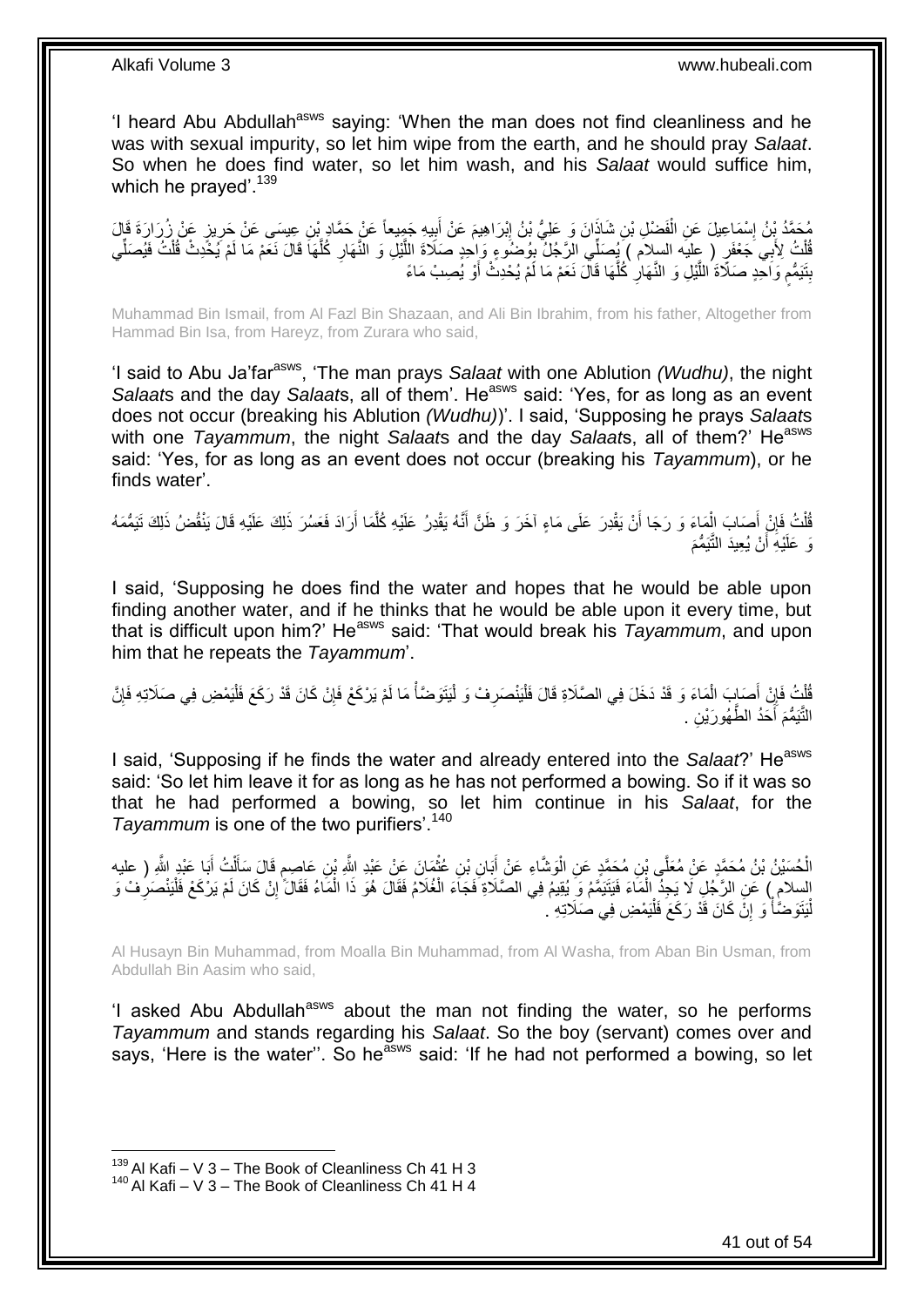'I heard Abu Abdullah<sup>asws</sup> saying: 'When the man does not find cleanliness and he was with sexual impurity, so let him wipe from the earth, and he should pray *Salaat*. So when he does find water, so let him wash, and his *Salaat* would suffice him, which he prayed'.<sup>139</sup>

ِن ُم َح ِع َع ْن َح َّماِد ْب ي ِه َج ِميعاً ب َم َع ْن أ ْب َرا ِهي ا َن َو َعلِ ُّي ْب ُن إ ِن َشاذَ َف ْض ِل ْب ْس َما ِعي َل َع ِن ال ٍز َع ْن ُز َرا َرَة َق َّمُد ْب ُن إ ا َل ِ ي ي َس َع ْن َحر ِ َ ِ ْ ¦ َفُلْتُ لِأَبِي َجَعْفَرٍ ( عِليه السلام ) بِمُصَلِّي الزَّجُلُ بِهُضَنُوءٍ وَإِحْدٍ صَلَاةَ اللَّيْلِ وَ النَّهَارِ كُلَّهَا قَالَ نَعَمْ مَا لَمْ يُخَّدِتْ قُلْتُ فَيُصَلِّي َّ ِ ْ ِّ ْ َّ ِ بِتَيَمُّعِ وَاحْدٍ صَلَاةَ اللَّيْلِ وَ النَّهَالِ كُلُّهَا قَالَ نَعَمْ مَا لَمْ يُحْدِثُ أَوْ يُصِبْ مَاءً َ َّ **∶** َّ ٍ **ِ** 

Muhammad Bin Ismail, from Al Fazl Bin Shazaan, and Ali Bin Ibrahim, from his father, Altogether from Hammad Bin Isa, from Hareyz, from Zurara who said,

'I said to Abu Ja'farasws, 'The man prays *Salaat* with one Ablution *(Wudhu)*, the night *Salaats* and the day *Salaats*, all of them'. He<sup>asws</sup> said: 'Yes, for as long as an event does not occur (breaking his Ablution *(Wudhu)*)'. I said, 'Supposing he prays *Salaat*s with one *Tayammum*, the night *Salaat*s and the day *Salaats*, all of them?' He<sup>asws</sup> said: 'Yes, for as long as an event does not occur (breaking his *Tayammum*), or he finds water'.

ُفْلَتُ فَإِنْ أَصَابَ الْمَاءَ وَ رَجَا أَنْ يَقْدِرَ عَلَى مَاءٍ آخَرَ وَ ظَنَّ أَنَّهُ يَقْدِرُ عَلَيْهِ كُلَّمَا أَرَادَ فَعَسُرَ ذَلِكَ عَلَيْهِ قَالَ يَنْقُضُ ذَلِكَ تَيَمُّمَهُ اُ َّ َ اً ْ َ ِ ْ َي ُّمَم ْن ُي ِعيَد التَّ ْي ِه أ َو َعلَ اً

I said, 'Supposing he does find the water and hopes that he would be able upon finding another water, and if he thinks that he would be able upon it every time, but that is difficult upon him?' He<sup>asws</sup> said: 'That would break his *Tayammum*, and upon him that he repeats the *Tayammum*'.

قُلْتُ فَإِنْ أَصَابٍ الْمَاءَ وَ قَدْ دَخَلَ فِي الصَّلَاةِ قَالَ فَلْيَنْصَرِفْ وَ لْيَتَوَضَّأْ مَا لَمْ يَرْكَعْ فَإِنْ كَانَ قَدْ رَكَعَ فَلْيَمْضِ فِي صَلَاتِهِ فَإِنَّ ∣ٍ إ **CONTRACTOR** ا<br>ا **∶** ْ ْ َ ِ ∣ٍ إ ْ النَّيَمُّمَ أَحَدُ الطَّهُورَيْنِ . َ

I said, 'Supposing if he finds the water and already entered into the *Salaat*?' He<sup>asws</sup> said: 'So let him leave it for as long as he has not performed a bowing. So if it was so that he had performed a bowing, so let him continue in his *Salaat*, for the Tayammum is one of the two purifiers'.<sup>140</sup>

الْحُسَيْنُ بْنُ مُحَمَّدٍ عَنْ مُعَلَّى بْنِ مُحَمَّدٍ عَنِ الْوَشَاءِ عَنْ أَبَانِ بْنِ عُثْمَانَ عَنْ عَبْدِ اللَّهِ بْنِ عَاصِمٍ قَالَ سَأَلْتُ أَبَا عَبْدِ اللَّهِ ( عليه ْ ֧֖֧֦֧֦֧֦֧֚֚֝֝֝֝֬֝֓֝֓֝֓**֓** ْ َ ْ َ ْ َ إِسِلامٍ ) عَنِ الرَّجُلِ لَا يَجِدُ الْمَاءَ فَيَتَيَمَّمُ وَ يُقِيمُ فِي الصَّلَاةِ فَجَاءَ الْغُلَامُ فَقَالَ هُوَ ذَا الْمَاءُ فَقَالَ ۚ إِنْ كَانَ لَمْ يَرْكَعْ فَلْيَنْصَرِفْ وَ ْ ِ ْ ِ ْ ْ لْيَتَوَضَّأَ وَ إِنَّ كَانَ قَدْ رَكَعَ فَلْيَمْضِ فِي صَلَاتِهِ ۚ. :<br>ا ِ ْ ْ

Al Husayn Bin Muhammad, from Moalla Bin Muhammad, from Al Washa, from Aban Bin Usman, from Abdullah Bin Aasim who said,

'I asked Abu Abdullah<sup>asws</sup> about the man not finding the water, so he performs *Tayammum* and stands regarding his *Salaat*. So the boy (servant) comes over and says, 'Here is the water". So he<sup>asws</sup> said: 'If he had not performed a bowing, so let

 $139$  Al Kafi – V 3 – The Book of Cleanliness Ch 41 H 3

<sup>140</sup> Al Kafi – V 3 – The Book of Cleanliness Ch 41 H 4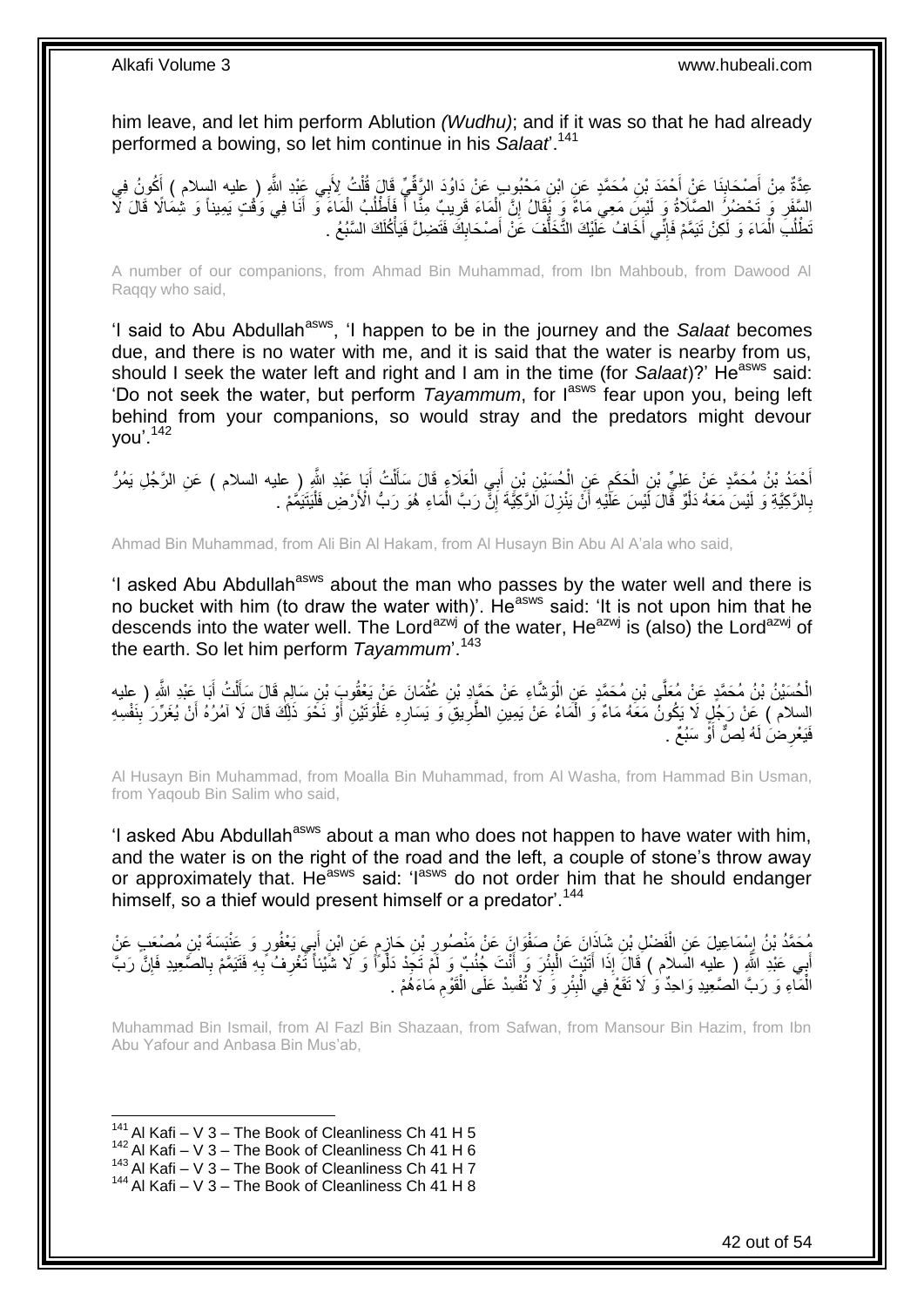him leave, and let him perform Ablution *(Wudhu)*; and if it was so that he had already performed a bowing, so let him continue in his *Salaat*'.<sup>141</sup>

عِدَّةٌ مِنْ أَصْحَابِنَا عَنْ أَحْمَدَ بْنِ مُحَمَّدٍ عَنِ ابْنِ مَحْبُوبٍ عَنْ دَاوُدَ الرَّقِّيِّ قَالَ قُلْتُ لِأَبِي عَبْدِ اللَّهِ ( عليه السلام ) أَكُونُ فِي **∣** َ َ ْ السَّفَرِ وَ تَحْضُرُ الصَّلَاةُ وَ لَيْسَ مَعِيَ مَاءٌ وَ يُُقَالُ إِنَّ الْمَاءَ قَرِيبٌ مِثًّا أَ فَأَطْلُبُ الْمَاءَ وَ أَنَا فِي وَقْتٍ يَمِيناً وَ تُثِمَالًا قَالَ لَأَ َ ْ ُ َ ِ ْ יֲ<br>י ِ تَطْلُبَ الْمَاءَ وَ لَكِنْ تَيَمَّمْ فَإِنِّي أَخَافُ عَلَيْكَ التَّخَلُّفَ عَنْ أَصْحَابِكَ فَتَضِلَّ فَيَأْكُلَكَ السَّبُعُ . ْ ٔ<br>ا ْ ِ َ ُّ َ ∣اٍ<br>∶

A number of our companions, from Ahmad Bin Muhammad, from Ibn Mahboub, from Dawood Al Raqqy who said,

'I said to Abu Abdullah<sup>asws</sup>, 'I happen to be in the journey and the *Salaat* becomes due, and there is no water with me, and it is said that the water is nearby from us, should I seek the water left and right and I am in the time (for *Salaat*)?' He<sup>asws</sup> said: 'Do not seek the water, but perform *Tayammum*, for Iasws fear upon you, being left behind from your companions, so would stray and the predators might devour you'.<sup>142</sup>

أَحْمَدُ بْنُ مُحَمَّدٍ عَنْ عَلِيِّ بْنِ الْحَكَمِ عَنِ الْحُسَيْنِ بْنِ أَبِيِ الْعَلَاءِ قَالَ سَأَلْتُ أَبَا عَبْدِ اللَّهِ ( عليه السلام ) عَنِ الرَّجُلِ يَمُرُّ<br>حَيَيَةَ الْمَرْضَمَةِ عَنْ عَلَيِّ بِهِ الْحَكَمِ عَن َ ْ َ ْ َ ْ ِ ْ بِالرَّكِيَّةِ وَ لَيْسَ مَعَهُ دَلْوٌ قَالَ لَّيْسَ عَلَيْهِ أَنْ يَنْزِلَ الرَّكِيَّةَ إِنَّ رَبَّ الْمَاءِ هُوَ رَبُّ الْأَرْضِ فَلْيَتَيَمَّمْ . ْ ِ ِ َ ْ **∶** ْ

Ahmad Bin Muhammad, from Ali Bin Al Hakam, from Al Husayn Bin Abu Al A'ala who said,

'I asked Abu Abdullah<sup>asws</sup> about the man who passes by the water well and there is no bucket with him (to draw the water with)'. He<sup>asws</sup> said: 'It is not upon him that he descends into the water well. The Lord<sup>azwj</sup> of the water, He<sup>azwj</sup> is (also) the Lord<sup>azwj</sup> of the earth. So let him perform *Tayammum*'.<sup>143</sup>

الْحُسَيْنُ بْنُ مُحَمَّدٍ عَنْ مُعَلَّى بْنِ مُحَمَّدٍ عَنِ الْوَشَّاءِ عَنْ حَمَّإِدِ بْنِ عُثْمَانَ عَنْ يَعْقُوبَ بْنِ سَالِمٍ قَالَ سَأَلْتُ أَبَا عَيْدِ اللَّهِ ( عِليه **ٔ** ْ َ ْ ĺ ٍ السلام ) عَنْ رَجُلٍ لَا يَكُونُ مَعَهُ مَاءٌ وَ الْمَاءُ عَنْ يَمِينِ الطَّرِيقِ وَ يَسَارِهِ غَلْوَتَيْنِ أَوْ نَخَوَ ذَلِّكَ قَالَ لَا آمُرُهُ أَنْ يُغَرِّرَ بِنَفْسِهِ َ َ ْ ِ **∶** فَيَعْرِ ضَ لَهُ لِصٌّ أَوْ سَبُعٌ . َ ِ

Al Husayn Bin Muhammad, from Moalla Bin Muhammad, from Al Washa, from Hammad Bin Usman, from Yaqoub Bin Salim who said,

'I asked Abu Abdullah<sup>asws</sup> about a man who does not happen to have water with him, and the water is on the right of the road and the left, a couple of stone's throw away or approximately that. He<sup>asws</sup> said: 'l<sup>asws</sup> do not order him that he should endanger himself, so a thief would present himself or a predator<sup>144</sup>

مُحَمَّدُ بْنُ إِسْمَاعِيلَ عَنِ الْفَضْلِ بْنِ شَاذَانَ عَنْ صَفْوَانَ عَنْ مَنْصُورِ بْنِ حَازِمٍ عَنِ ابْنِ أَبِي يَعْفُورِ وَ عَنْبَسَةَ بْنِ مُصْعَبِ عَنْ َ ٍ ِ ِ ْ أَبِي عَبْدِ اللَّهِ ( عِليه السَلام ) قَالَ إِذَا أَتَيْتَ الْبِئْرَ وَ أَنْتَ جُنُبٌ وَ لَمْ تَجِدْ دَلْوَاً وَ لَا شَيْئاً تَّغْرِفُ بَهِ فَتَيَمَّمْ بِالصَّعِيدِ فَإِنَّ رَبَّ َ ِ ْ َ ∣ٍ **∶** ِ **∶** الْمَاءِ وَ رَبَّ الْصَّعِيدِ وَاحِدٌ وَ لَا تَقَعْ فِي الْبِئْرِ وَ لَا تُفْسِدْ عَلَى الْقَوْمِ مَاءَهُمْ . ِ **∣** ْ ْ ِ ْ

Muhammad Bin Ismail, from Al Fazl Bin Shazaan, from Safwan, from Mansour Bin Hazim, from Ibn Abu Yafour and Anbasa Bin Mus'ab,

<sup>1</sup>  $141$  Al Kafi – V 3 – The Book of Cleanliness Ch 41 H 5

 $142$  Al Kafi – V 3 – The Book of Cleanliness Ch 41 H 6

 $143$  Al Kafi – V  $3$  – The Book of Cleanliness Ch 41 H 7

 $144$  Al Kafi – V 3 – The Book of Cleanliness Ch 41 H 8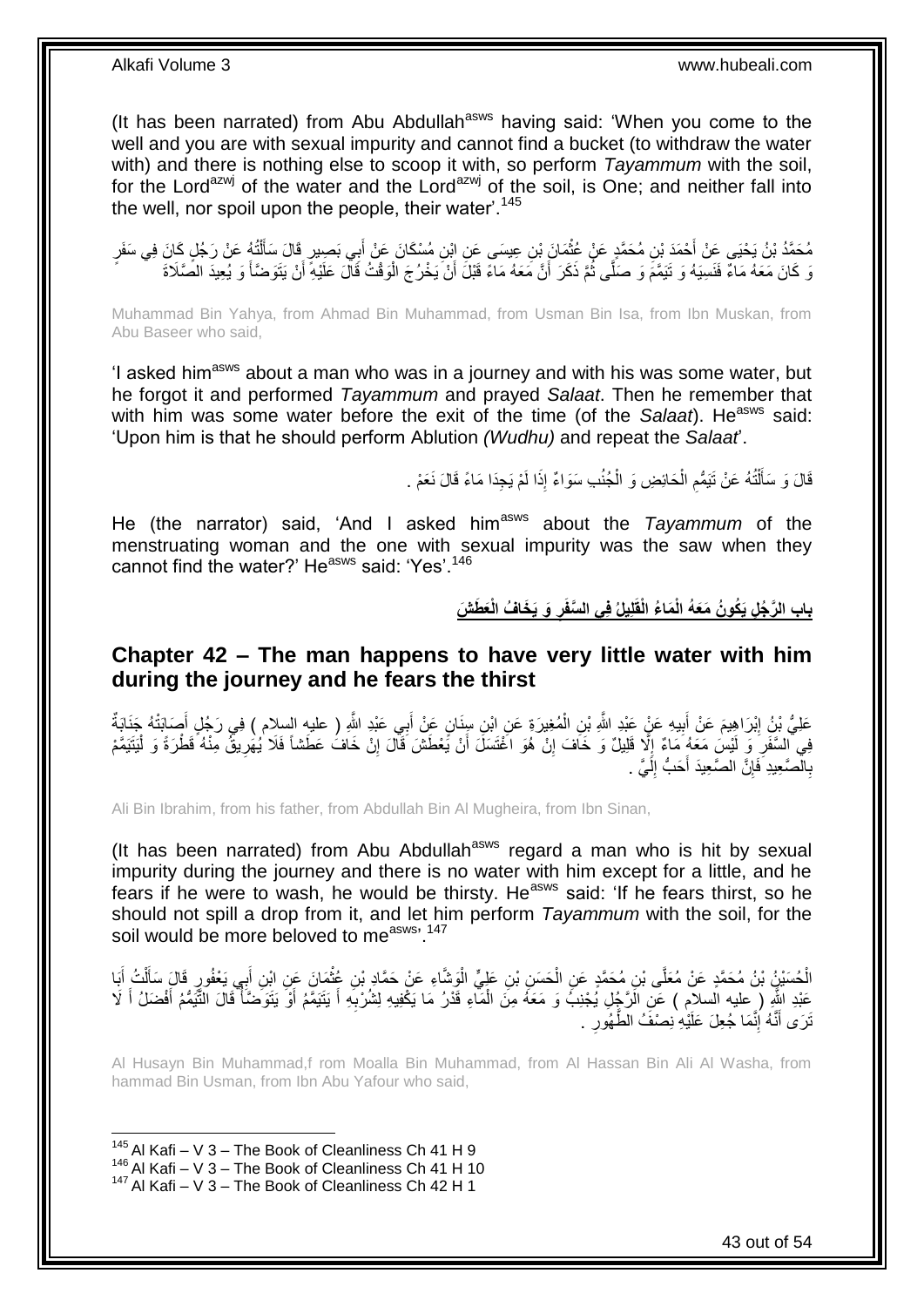(It has been narrated) from Abu Abdullah<sup>asws</sup> having said: 'When you come to the well and you are with sexual impurity and cannot find a bucket (to withdraw the water with) and there is nothing else to scoop it with, so perform *Tayammum* with the soil, for the Lord<sup>azwj</sup> of the water and the Lord<sup>azwj</sup> of the soil, is One; and neither fall into the well, nor spoil upon the people, their water'.<sup>145</sup>

مُحَمَّدُ بْنُ يَحْيَى عَنْ أَحْمَدَ بْنِ مُحَمَّدٍ عَنْ عُثْمَانَ بْنِ عِيسَى عَنِ إِبْنِ مُسْكَانَ عَنْ أَبِي بَصِيرٍ قَالَ سَأَلْتُهُ عَنْ رَجُلٍ كَانَ فِي سَفَرٍ َ ْ َ ْ َ رَ كَانَ مَعَهُ مَاءٌ فَنَسِيَهُ وَ نَيَمَّمَ وَ صَلَّى ثُمَّ ذَكَرَ أَنَّ مَعَهُ مَاءً قَبْلَ أَنْ يَخْرُجَ الْوَقْتُ قَالَ عَلَيْهِ أَنْ يَتَوَضَّأُ وَ يُعِيدَ الصَّلَاةَ َ َ ْ َ َ ُ

Muhammad Bin Yahya, from Ahmad Bin Muhammad, from Usman Bin Isa, from Ibn Muskan, from Abu Baseer who said,

'I asked him<sup>asws</sup> about a man who was in a journey and with his was some water, but he forgot it and performed *Tayammum* and prayed *Salaat*. Then he remember that with him was some water before the exit of the time (of the *Salaat*). He<sup>asws</sup> said: 'Upon him is that he should perform Ablution *(Wudhu)* and repeat the *Salaat*'.

> قَالَ وَ سَأَلْتُهُ عَنْ تَيَمُّعِ الْحَائِضِ وَ الْجُنُبِ سَوَاءٌ إِذَا لَمْ يَجِدَا مَاءً قَالَ نَعَمْ . ْ ْ ِ ֺ֦֧֦֦֧֦֦֦֦֦֪֦֦֦֦֦֦֦֦֦֦֧֦֦֧֦֧֝֟֟֓֕֓֕֓֕֓֕֓֕֓֓֡֟֓֡֟֓֡֟֓֓֞֓֞֓֞֓֞֓֞֓֡֓֓֡֓֓֡֟֓֡֟֟֓֡<br>֧֧֧֪֪֧֦֧֦֧֦֧֦֪֦֧֦֪֦֧֦֧֦֦֖֪֦֧֝֘֘֝֞֟֟֟֞֞֟֘ َ

He (the narrator) said, 'And I asked him<sup>asws</sup> about the *Tayammum* of the menstruating woman and the one with sexual impurity was the saw when they cannot find the water?' He<sup>asws</sup> said: 'Yes'.<sup>146</sup>

> باب الرَّجُلِ يَكُونُ مَعَهُ الْمَاءُ الْقَلِيلُ فِى السَّفَرِ وَ يَخَافُ الْعَطَشَ **ِ**

### <span id="page-42-0"></span>**Chapter 42 – The man happens to have very little water with him during the journey and he fears the thirst**

عَلِيُّ بْنُِ إِبْرَاهِيمَ عَنْ أَبِيهِ عَنٍْ عَبْدِ اللَّهِ بْنِ الْمُغِيرَةِ عَنِ ابْنِ سِنَانٍ عَنْ أَبِي عَبْدِ اللَّهِ ( عليهِ السلام ) فِي رَجُلٍ أَصَابَتْهُ جَذَابَةٌ َ ْ **!** َ ِ َ ِ فِي السَّفَرِ ۚ وَ لَيْسَ مَعَهُ مَاءٌ إِلَّا قَلِيلٌ وَ خَافَ إِنْ هُوَ اخْتَسَلَ أَنْ يَّعْطَشَ قَالَ إِنْ خَافُ عَطَشاً فَلا يُهَرِيقٌ مِنْهُ قَطْرَةً وَ لَيَتَيَمَّمْ  $\frac{1}{2}$ ِ ْ ِ ِ َ بِالصَّعِيدِ ۖ فَإِنَّ الصَّعِيدَ أَحَبُّ إِلَٰيَّ ۚ ـ لَ  $\frac{1}{2}$ َ ِ **∶** 

Ali Bin Ibrahim, from his father, from Abdullah Bin Al Mugheira, from Ibn Sinan,

(It has been narrated) from Abu Abdullah $a<sup>asws</sup>$  regard a man who is hit by sexual impurity during the journey and there is no water with him except for a little, and he fears if he were to wash, he would be thirsty. He<sup>asws</sup> said: 'If he fears thirst, so he should not spill a drop from it, and let him perform *Tayammum* with the soil, for the soil would be more beloved to measws, 147

الْحُسَيْنُ بْنُ مُحَمَّدٍ عَنْ مُعَلَّى بْنِ مُحَمَّدٍ عَنِ الْحَسَنِ بْنِ عَلِيٍّ الْوَشَّاءِ عَنْ حَمَّادٍ بْنِ عُثْمَانَ عَنِ ابْنِ أَبِي يَعْفُورٍ قَالَ سَأَلْتُ أَبَا ْ ْ ْ ْ َ َ ْ َ عَبْدِ اللَّهِ ( عليه السلام ) عَلِ الَرَّجُلِ يُجْنِبُ وَ مَعَهُ مِنَ الْمَاءِ قَدْرُ مَا يَكْفِيهِ لِشُرْبِهِ أَ يَتَيَمَّمُ أَوْ يَتَوَضَّأُ قَالَ التَّيَمُّمُ أَفْضَلُ أَ لَا َ ِ ْ َ َ ا<br>ا َ ِ َّنَّرَى أَنَّهُ إِنَّمَا جُعِلَ عَلَيْهِ نِصْفَ الطَّهُورِ . ِ َ

Al Husayn Bin Muhammad,f rom Moalla Bin Muhammad, from Al Hassan Bin Ali Al Washa, from hammad Bin Usman, from Ibn Abu Yafour who said,

<sup>1</sup>  $145$  Al Kafi – V 3 – The Book of Cleanliness Ch 41 H 9

 $146$  Al Kafi – V  $3$  – The Book of Cleanliness Ch 41 H 10

<sup>147</sup> Al Kafi – V 3 – The Book of Cleanliness Ch 42 H 1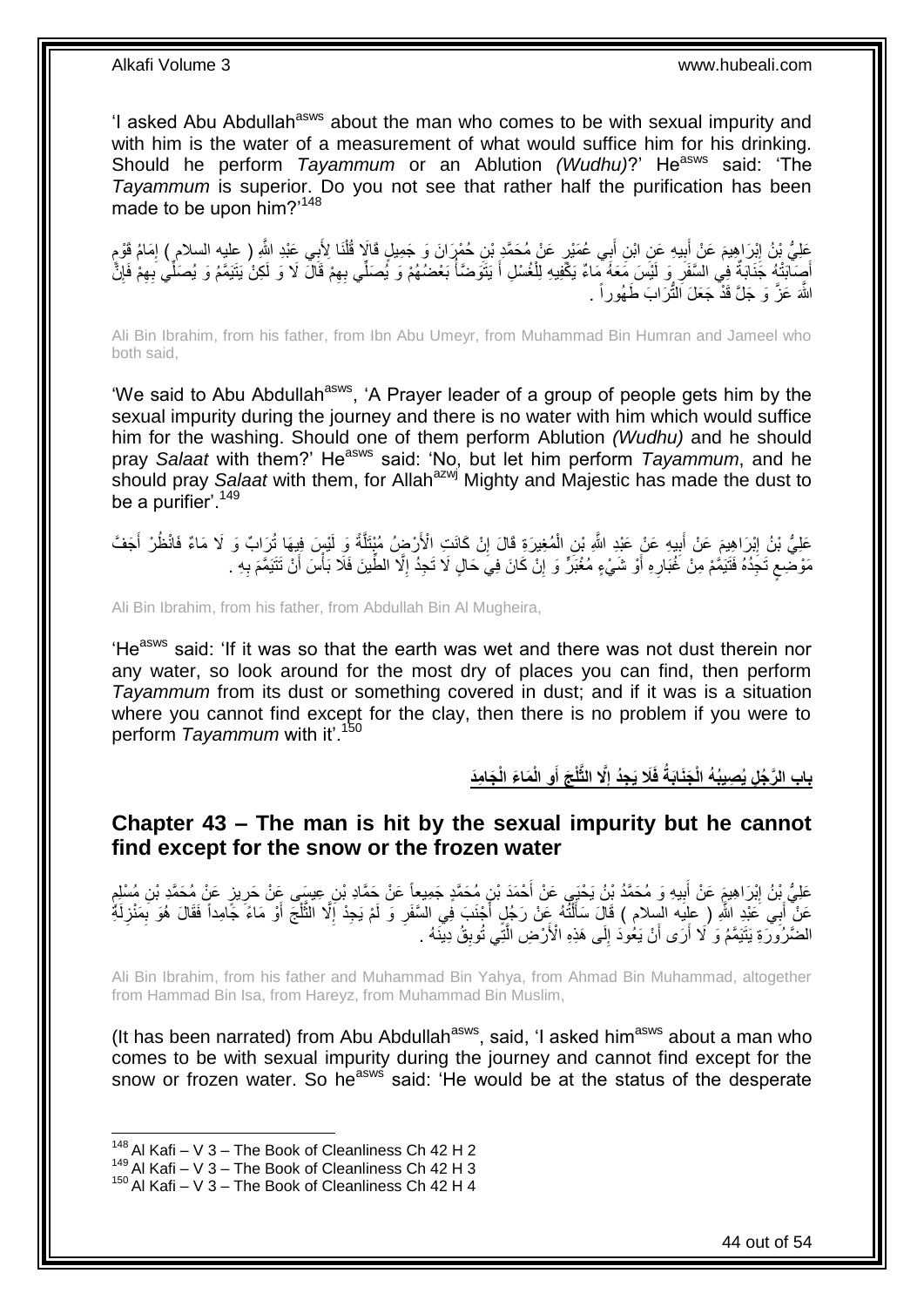'I asked Abu Abdullah<sup>asws</sup> about the man who comes to be with sexual impurity and with him is the water of a measurement of what would suffice him for his drinking. Should he perform *Tayammum* or an Ablution *(Wudhu)*?' He<sup>asws</sup> said: 'The *Tayammum* is superior. Do you not see that rather half the purification has been made to be upon him?'<sup>148</sup>

َ عَلِيُّ بْنُ إِبْرَاهِيمَ عَنْ أَبِيهِ عَنِ ابْنِ أَبِي عُمَيْرٍ عَنْ مُحَمَّدٍ بْنِ حُمْرَانَ وَ جَمِيلٍ قَالَا قُلْنَا لِأَبِي عَبْدِ اللَّهِ ( عِليه السلام ) إمَامُ قَوْمٍ ِ ْ َ **!** ֦֚֬֝֝֬֝֬֝֬֝֬֝֬֝ ِ أَصِلْبَتْهُ جَذَابَةٌ فِي السَّفَرِ وَ لَيْسَ مَعَهُ مِّماءٌ يَكْفِيهِ لِلْغُسْلِ أَ يَتَوَصْنَاْ بَعْضُهُمْ وَ يُصَلِّي بِهِمْ قَالَ لَا وَ لَكِنْ يَتَيَمَّمُ وَ يُصَلِّي بِهِمْ فَإِنَّ ا<br>ا َ ْ **∶** ِ ِ ِ اللَّهَ عَزَّ وَ جَلَّ قَذَّ جَعَلَ النُّرَابَ طَهُوراً <sub>.</sub>

Ali Bin Ibrahim, from his father, from Ibn Abu Umeyr, from Muhammad Bin Humran and Jameel who both said,

'We said to Abu Abdullah<sup>asws</sup>, 'A Prayer leader of a group of people gets him by the sexual impurity during the journey and there is no water with him which would suffice him for the washing. Should one of them perform Ablution *(Wudhu)* and he should pray Salaat with them?' He<sup>asws</sup> said: 'No, but let him perform *Tayammum*, and he should pray *Salaat* with them, for Allah<sup>azwj</sup> Mighty and Majestic has made the dust to be a purifier<sup>' 149</sup>

عَلِيُّ بْنُ إِبْرَاهِيمَ عَنْ أَبِيهِ عَنْ عَبْدِ اللَّهِ بْنِ الْمُغِيرَةِ قَالَ إِنْ كَانَتِ الْأَرْضِ مُبْتَلَةً وَ لَيْسٍ فِيهَا ثُرَابٌ وَ لَا مَاءٌ فَانْظُرْ أَجَفَّ ِ ْ ِ َ **ֽו** َ َّ مَوْضَعِ تَجِّدُهُ فَتَيَمَّمْ مِنْ غُبَارِهِ أَوْ شَيْءٍ مُغْبَرٍّ وَ إِنّْ كَانَ فِيَ حَالٍ لَا تَجِدُّ إِلَّا الطِّينَ فَلَا بَأْسَ أَنْ تَتَيَمَّمَ بِهِ ۖ. ِ ٍ ِ َ ْ ِ ِ

Ali Bin Ibrahim, from his father, from Abdullah Bin Al Mugheira,

'He<sup>asws</sup> said: 'If it was so that the earth was wet and there was not dust therein nor any water, so look around for the most dry of places you can find, then perform *Tayammum* from its dust or something covered in dust; and if it was is a situation where you cannot find except for the clay, then there is no problem if you were to perform *Tayammum* with it'.<sup>150</sup>

> باب الرَّجُل يُصِيبُهُ الْجَنَابَةُ فَلَا يَجِدُ إِلَّا الثَّلْجَ أَوِ الْمَاعَ الْجَامِدَ **َ ِ**

### <span id="page-43-0"></span>**Chapter 43 – The man is hit by the sexual impurity but he cannot find except for the snow or the frozen water**

عَلِيُّ بِنُ إِبْرَاهِيمَ عَنْ أَبِيهِ وَ مُحَمَّدُ بْنُ يَحْيَى عَنْ أَحْمَدَ بْنِ مُحَمَّدٍ جَمِيعاً عَنْ حَمَّادِ بْنِ عِيسَى عَنْ حَرِيزٍ عَنْ مُحَمَّدٍ بْنِ مُسْلِمٍ َ **!** َ ِ ِ ֦֦֧֦֧֦֧֦֝֝֝֝֝֟ عَنْ ۖ أَبِي َعَبْدِ اللَّهِ ( عِلِيه السِلام ) قَالَ سَأَأَنَّهُ عَنْ رَجُلٍ أَجْنَبَ فِي السَّفَرِ وَ لَمْ يَجِدْ إِلَّا الْثَلْجَ أَوْ مَاءً جَامِداً فَقَالَ هُوَ بِمَنْزِلَةً ْ َّ ِ **∶** َ ֧֦֦֦֖֧֦֪֪֦֪֪֦֪֪ׅ֦֧֦֪֪֦֪֪֦֧֦֧֦֧֦֪֪֪ׅ֦֧֪ׅ֦֧֪ׅ֧֘֟֟֓֕֟֓֕֓֡֟֓֟֓֡֟֓֡֟֟֘֩֓֡֟֟֓֡֟֓֞֟֟֓֡֟֟֩֞֓֞֞֟֓֞֟֞֟֟֩֓֞֟֟֓֞֞֞֟֟֓֞֟֟֞֟֟֟֞֟֓<br>֧֖֖֖֖֝֩֞֞֞֞֞֞֞֞֞֞ َ لَ **∶** ِ َ الضَّرْوَرَةِ يَتَيَمَّمُ وَ ۢلَا أَرَى أَنْ يَعُوٰدَ إِلَى هَذِهِ الْأَرْضِ الَّتِّي تُوبِقُ دِينَنْهُ . َّ ِ َ اُ ِ

Ali Bin Ibrahim, from his father and Muhammad Bin Yahya, from Ahmad Bin Muhammad, altogether from Hammad Bin Isa, from Hareyz, from Muhammad Bin Muslim,

(It has been narrated) from Abu Abdullah $a$ sws, said, 'I asked him $a$ sws about a man who comes to be with sexual impurity during the journey and cannot find except for the snow or frozen water. So he<sup>asws</sup> said: 'He would be at the status of the desperate

 $148$  Al Kafi – V 3 – The Book of Cleanliness Ch 42 H 2

 $^{149}$  Al Kafi – V 3 – The Book of Cleanliness Ch 42 H 3

 $150$  Al Kafi – V 3 – The Book of Cleanliness Ch 42 H 4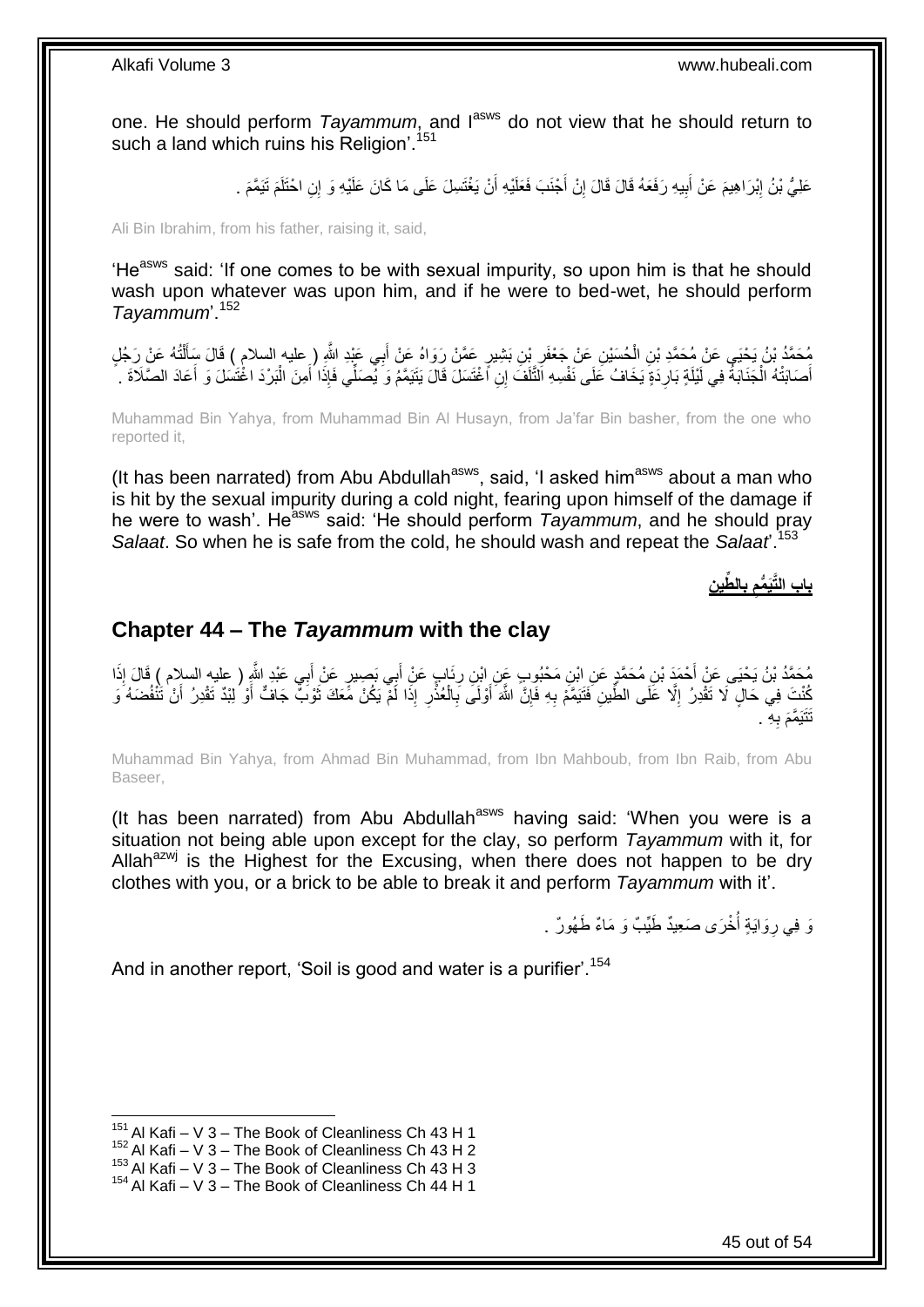one. He should perform *Tayammum*, and last do not view that he should return to such a land which ruins his Religion'.<sup>151</sup>

> عَلِيُّ بْنُ إِبْرَاهِيمَ عَنْ أَبِيهِ رَفَعَهُ قَالَ قَالَ إِنْ أَجْنَبَ فَعَلَيْهِ أَنْ يَغْتَسِلَ عَلَى مَا كَانَ عَلَيْهِ وَ إِنِ احْتَلَمَ تَيَمَّمَ . َ ِ **!** َ ِ

Ali Bin Ibrahim, from his father, raising it, said,

'He<sup>asws</sup> said: 'If one comes to be with sexual impurity, so upon him is that he should wash upon whatever was upon him, and if he were to bed-wet, he should perform *Tayammum*'.<sup>152</sup>

مُحَمَّدُ بْنُ يَحْيَى عَنْ مُحَمَّدِ بْنِ الْحُسَيْنِ عَنْ جَعْفَرِ بْنِ بَشِيرٍ عَمَّنْ رَوَاهُ عَنْ أَبِي عَبْدِ اللَّهِ ( عليه السلام ) قَالَ سَأَلْتُهُ عَنْ رَجُلٍ<br>يُحْمَدُ بْنُ يَحْيَى عَنْ مُحَمَّدِ بْنِ الْحُسَيْنِ ¦ ْ ْ َ َ أَصَابَتْهُ الْجَذَابَةُ فِي لَيْلَةٍ بَارِدَةٍ يَخَافُ عَلَى نَفْسِهِ التَّلْفَ إِنِ اَغْتَسَلَ قَالَ يَتَيَمَّمُ وَ يُصَلِّي فَإِذَا أَمِنَ الْبَرْدَ اغْتَسَلَ وَ اَعَادَ الصَّلَاةَ . لَ **∶** ْ َ َ ْ َ

Muhammad Bin Yahya, from Muhammad Bin Al Husayn, from Ja'far Bin basher, from the one who reported it,

(It has been narrated) from Abu Abdullah $a<sup>asws</sup>$ , said, 'I asked him $a<sup>asws</sup>$  about a man who is hit by the sexual impurity during a cold night, fearing upon himself of the damage if he were to wash'. He<sup>asws</sup> said: 'He should perform *Tayammum*, and he should pray *Salaat*. So when he is safe from the cold, he should wash and repeat the *Salaat*'.<sup>153</sup>

**ِن ِّطي ال ب باب الَّتَي ُّمم ِ ِ**

### <span id="page-44-0"></span>**Chapter 44 – The** *Tayammum* **with the clay**

مُحَمَّدُ بْنُ يَحْيَى عَنْ أَحْمَدَ بْنِ مُحَمَّدٍ عَنِ ابْنِ مَحْبُوبٍ عَنِ ابْنِ رِئَابٍ عَنْ أَبِي بَصِيرٍ عَنْ أَبِي عَبْدِ اللَّهِ ( عليه السلام ) قَالَ إِذَا<br>' َ َ **∶** َ يُّنْتَ فِي حَالٍ لَا نَقْدِرُ ۚ إِلَّا عَلَى الطِّينِ فَتَيَمَّمْ بِهِ فَإِنَّ اللَّهَ أَوْلَى بِالْعُذْرِ إِذَا لَمْ يَكُنْ مَعَكَ ثَوْبٌ جَافٌ أَوْ لِبْدٌ تَقْدِرُ أَنْ تُنْفُضَهُ وَ ِ ِ ِ َ َ َ **∶ ٔ**<br>: ْ **∶** ِه . **∶** تَتَيَمَّمَ بِ

Muhammad Bin Yahya, from Ahmad Bin Muhammad, from Ibn Mahboub, from Ibn Raib, from Abu Baseer,

(It has been narrated) from Abu Abdullah<sup>asws</sup> having said: 'When you were is a situation not being able upon except for the clay, so perform *Tayammum* with it, for Allah $a^{2}$ wj is the Highest for the Excusing, when there does not happen to be dry clothes with you, or a brick to be able to break it and perform *Tayammum* with it'.

> وَ فِي رِوَايَةٍ أُخْرَى صَعِيدٌ طَيِّبٌ وَ مَاءٌ طَهُورٌ . .<br>ا ِ

And in another report, 'Soil is good and water is a purifier'.<sup>154</sup>

<sup>1</sup>  $151$  Al Kafi – V 3 – The Book of Cleanliness Ch 43 H 1

 $152$  Al Kafi – V 3 – The Book of Cleanliness Ch 43 H 2

 $^{153}$  Al Kafi – V 3 – The Book of Cleanliness Ch 43 H 3

<sup>154</sup> Al Kafi – V 3 – The Book of Cleanliness Ch 44 H 1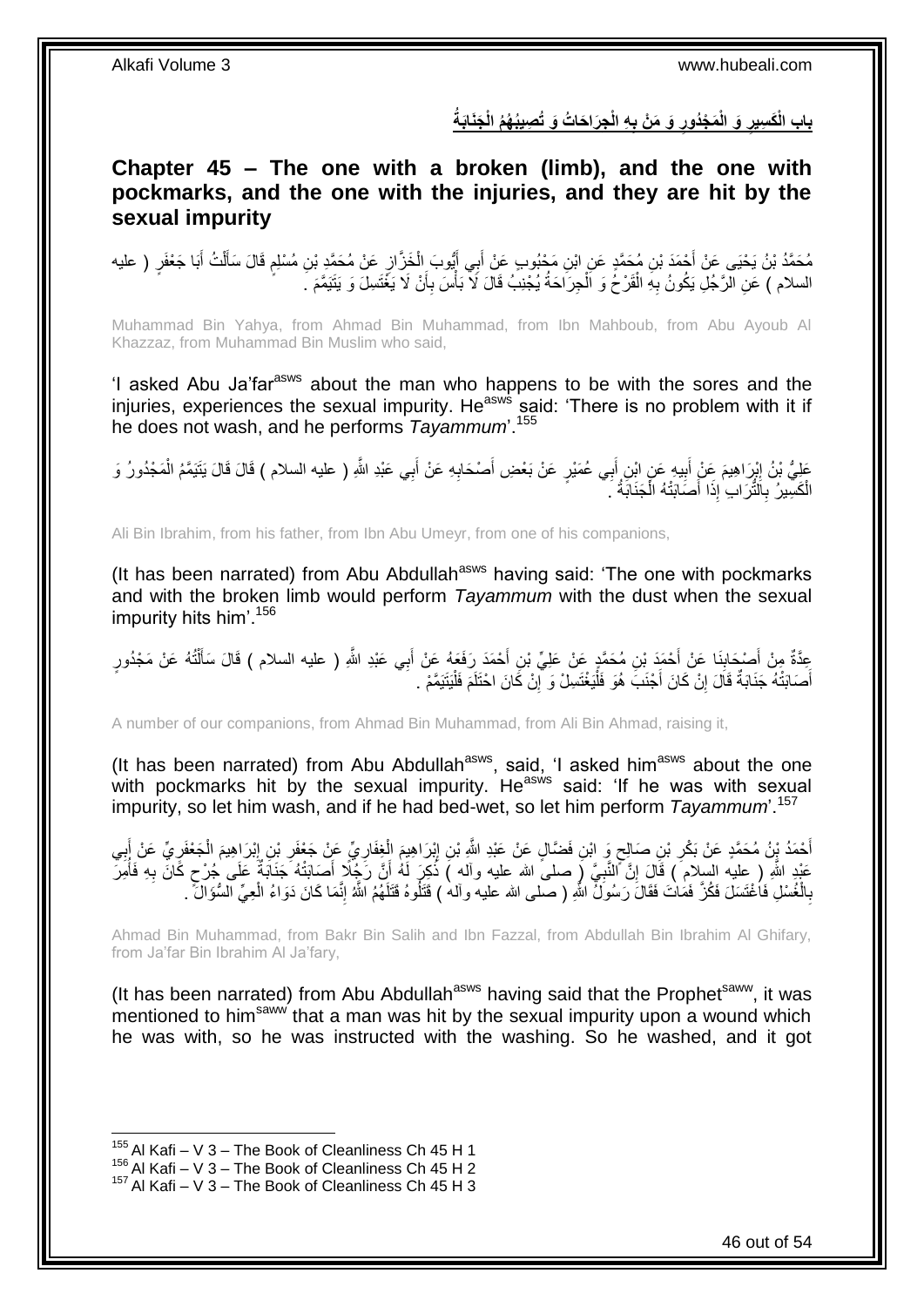باب الْكَسِيرِ وَ الْمَجْدُورِ وَ مَنْ بِهِ الْجِرَاحَاتُ وَ تُصِيبُهُمُ الْجَنَابَةُ **ِ ِ ِ**

<span id="page-45-0"></span>**Chapter 45 – The one with a broken (limb), and the one with pockmarks, and the one with the injuries, and they are hit by the sexual impurity**

مُحَمَّدُ بْنُ يَحْيَى عَنْ أَحْمَدَ بْنِ مُحَمَّدٍ عَنِ ابْنِ مَحْبُوبٍ عَنْ أَبِي أَيُّوبَ الْخَزَّانِ عَنْ مُحَمَّدِ بْنِ مُسْلِمٍ قَالَ سَأَلْتُ أَبَا جَعْفَرٍ ( عليه ِ ْ َ َ ٍ َ ْ َ السلام ) عَنِ الرَّجُلِ يَكُونُ بِهِ الْقَرْحُ وَ اَلْجِرَاحَةُ يُجْنِبُ قَالَ لَا بَأْسَ بِأَنْ لَا يَغْتَسِلَ وَ يَتَيَمَّمَ ـَ أ ِ :<br>أ ْ ْ ِ

Muhammad Bin Yahya, from Ahmad Bin Muhammad, from Ibn Mahboub, from Abu Ayoub Al Khazzaz, from Muhammad Bin Muslim who said,

'I asked Abu Ja'far<sup>asws</sup> about the man who happens to be with the sores and the injuries, experiences the sexual impurity. He<sup>asws</sup> said: 'There is no problem with it if he does not wash, and he performs *Tayammum*'.<sup>155</sup>

عَلِيُّ بْنُ إِيْرَاهِيمَ عِنْ أَبِيهِ عَنِ ابْنِ أَبِي عُمَيْرٍ عَنْ بَعْضِ أَصْحَابِهِ عَنْ أَبِي عَبْدِ اللَّهِ ( عليه السلام ) قَالَ قَالَ يَتَيَمَّمُ الْمَجْدُورُ وَ َ ِ َ َ **!** َ יִי<br>: ْ الْكَسِيرُ بِاَلَثَّرَابِ إِذَا أَصَلَبَتْهُ الْجَنَابَةُ ۚ ۚ ْ َ **∶** ْ

Ali Bin Ibrahim, from his father, from Ibn Abu Umeyr, from one of his companions,

(It has been narrated) from Abu Abdullah<sup>asws</sup> having said: 'The one with pockmarks and with the broken limb would perform *Tayammum* with the dust when the sexual impurity hits him'.<sup>156</sup>

عِدَّةٌ مِنْ أَصْحَابِذَا عَنْ أَحْمَدَ بْنِ مُحَمَّدٍ عَنْ عَلِيٍّ بْنِ أَحْمَدَ رَفَعَهُ عَنْ أَبِي عَبْدِ اللَّهِ ( عليه السلام ) قَالَ سَأَلْتُهُ عَنْ مَجْدُورٍ **∣** َ ْ َ َ َ أَصَابَتْهُ جَذَابَةٌ قَالَ إِنْ كَانَ أَجْنَبَ هُوَ فَلْيَغْتَسِلْ وَ آلِنْ كَانَ احْتَلَمَ فَلْيَتَيَمَّمْ . :<br>ا ِ :<br>ا َ ِ َ

A number of our companions, from Ahmad Bin Muhammad, from Ali Bin Ahmad, raising it,

(It has been narrated) from Abu Abdullah<sup>asws</sup>, said, 'I asked him<sup>asws</sup> about the one with pockmarks hit by the sexual impurity. He $^{asws}$  said: 'If he was with sexual impurity, so let him wash, and if he had bed-wet, so let him perform *Tayammum*'.<sup>157</sup>

أَحْمَدُ بِنُ مُحَمَّدٍ عَنْ بَكْرِ بْنِ صَالِحٍ وَ ابْنِ فَضَّالٍ عَنْ عَبْدِ اللَّهِ بْنِ إِبْرَاهِيِمَ الْغِفَارِيِّ عَنْ إَجْهَةً بِيِّ مِنْ إَبِي ِ ْ ِ ٍ ِ ِ َ ِ ْ ِ **∶** عَبْدِ اللَّهِ ( عليه السِّلام ) قَالَ إِنَّ النَّبِيَّ ( صلى الله عليه وآله ) ذُكِّرَ لَهُ أَنَّ رَجُلًا أَصَابَتْهُ جَنَابَةٌ عَلَى جُرْح كَانَ بِهِ فَأُمِرَ َ َ ِ ِ ُ **∶** ٍ بِالْخُسْلِ فَاُغْتَسَلَ فَكُنَّ فَمَاتَ فَقَالَ رَسُولٌ اللّهِ ( صلّمى الله عليه وآلم ) قَتَلُوهُ قَتَلَهُمُ اللّهُ إِنّمَا كَانَ دَوَاءُ الْعِيِّ السُّؤَالُ ۚ ـ ْ ِ ْ ِ

Ahmad Bin Muhammad, from Bakr Bin Salih and Ibn Fazzal, from Abdullah Bin Ibrahim Al Ghifary, from Ja'far Bin Ibrahim Al Ja'fary,

(It has been narrated) from Abu Abdullah<sup>asws</sup> having said that the Prophet<sup>saww</sup>, it was mentioned to him<sup>saww</sup> that a man was hit by the sexual impurity upon a wound which he was with, so he was instructed with the washing. So he washed, and it got

 $155$  Al Kafi – V 3 – The Book of Cleanliness Ch 45 H 1

 $^{156}$  Al Kafi – V 3 – The Book of Cleanliness Ch 45 H 2

<sup>157</sup> Al Kafi – V 3 – The Book of Cleanliness Ch 45 H 3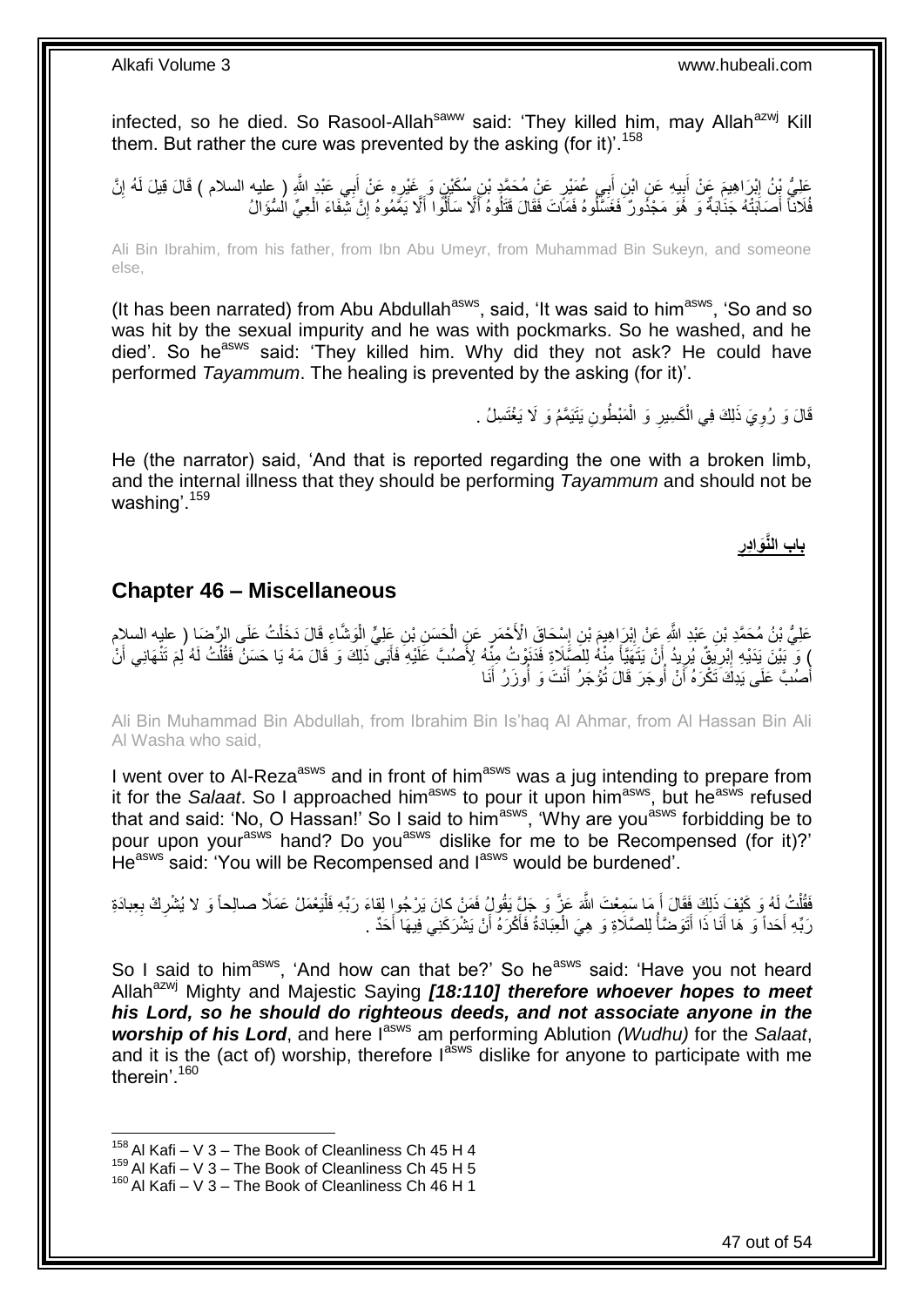infected, so he died. So Rasool-Allah<sup>saww</sup> said: 'They killed him, may Allah<sup>azwj</sup> Kill them. But rather the cure was prevented by the asking (for it)<sup>'.158</sup>

عَلِيُّ بِنُ اِبْرَاهِيمَ عَنْ أَبِيهِ عَنِ ابْنِ أَبِي عُمَيْرٍ عَنْ مُحَمَّدٍ بْنِ سُكَيْنٍ وَ عَنْدِرِهِ عَنْ أَبِي عَبْدِ اللَّهِ ( عليه السلام ) قَالَ قِيلَ لَمُهُ إِنَّ َ ِ َ  $\frac{1}{2}$  ِ ِ فُلَاناً أَصَّاَبَتْهُ جَنَابَةٌ وَ ۚ هُوَ مَجْدُونٌ فَغَسَّلُوهُ فَمَاّتَ فَقَالَ قَتَلُوهُ أَلَّا سَأَلُّوا أَلَّا يَمَّمُوهُ إِنَّ شِّفَاءَ الْعِيِّ الْسُؤَالُ َ ْ ِ اً<br>ا

Ali Bin Ibrahim, from his father, from Ibn Abu Umeyr, from Muhammad Bin Sukeyn, and someone else,

(It has been narrated) from Abu Abdullah<sup>asws</sup>, said, 'It was said to him<sup>asws</sup>, 'So and so was hit by the sexual impurity and he was with pockmarks. So he washed, and he died'. So he<sup>asws</sup> said: 'They killed him. Why did they not ask? He could have performed *Tayammum*. The healing is prevented by the asking (for it)'.

> قَالَ وَ رُوِيَ ذَلِكَ فِي الْكَسِيرِ وَ الْمَبْطُونِ يَتَيَمَّمُ وَ لَا يَغْتَسِلُ . ْ ِ ْ ِ

He (the narrator) said, 'And that is reported regarding the one with a broken limb, and the internal illness that they should be performing *Tayammum* and should not be washing'.<sup>159</sup>

> **ِ باب الَّنَواِدر**

### <span id="page-46-0"></span>**Chapter 46 – Miscellaneous**

عَلِيُّ بْنُ مُحَمَّدِ بْنِ عَبْدِ النَّهِ عَنْ إِبْرَاهِيمَ بْنِ إِسْحَاقَ الْأَحْمَرِ عَنِ الْحَسَنِ بْنِ عَلِيٍّ الْوَشَّاءِ قَالَ دَخَلْتُ عَلَى الرِّضَا ( عليه السلامِ ْ ْ ِ ِ ِ ْ ) وَ ۖبَيْنَ بِدَيْهِ إِبْرِيَةٍ ۗ يُرِيدُ إِنْ يَتَهَيَّأَ مِنْهُ لِلَصِّلَاةِ فَدَنَوْتُ مِنِّهُ لِأَصْبَّ عَلَيْهِ فَأَبَى ۖ ذَلِكَ وَ قَالَ مَهْ يَا حَسَنُ فَقُلْتُ لَهُ لِمَ تَتْهَانِي أَنْ َ َ ِ ِ ∣l<br>∶ َ ْ أَصُٰبَّ عَلَى يَدِكَ َتَكْرَهُ أَنْ أُوجَرَ قَالَ تُؤْجَرُ أَنْتَ وَ أُوزَرُ أَنَا ُ اً َ َ ِ<br>ا َ

Ali Bin Muhammad Bin Abdullah, from Ibrahim Bin Is'haq Al Ahmar, from Al Hassan Bin Ali Al Washa who said,

I went over to Al-Reza<sup>asws</sup> and in front of him<sup>asws</sup> was a jug intending to prepare from it for the *Salaat*. So I approached him<sup>asws</sup> to pour it upon him<sup>asws</sup>, but he<sup>asws</sup> refused that and said: 'No, O Hassan!' So I said to him<sup>asws</sup>, 'Why are you<sup>asws</sup> forbidding be to pour upon your<sup>asws</sup> hand? Do you<sup>asws</sup> dislike for me to be Recompensed (for it)?' He<sup>asws</sup> said: 'You will be Recompensed and l<sup>asws</sup> would be burdened'.

ْ فَقُلْتُ لَهُ وَ كَيْفَ ذَلِكَ فَقَالَ أَ مَا سَمِعْتَ اللَّهَ عَزَّ وَ جَلِّ يَقُولُ فَمَنْ كانَ يَرْجُواٍ لِقاءَ رَبِّهِ فَلْيَعْمَلْ عَمَلًا صالحاً وَ لا يُشْرِكْ بِعِبادَةِ َ .<br>ا **∶** ِ المُحَمَّد المُحَمَّد المُحَمَّد المُحَمَّد المُحَمَّد المُحَمَّد المُحَمَّد المُحَمَّد المُحَمَّد المُحَمَّد رَبِّهِ أَحَداً وَ هَا أَنَا ذَا أَتَوَضَّأَ لِلصَّلَاةِ وَ هِيَ الْعِبَادَةُ فَأَكْرَهُ أَنْ يَشْرَكَنِي فِيهَا أَحَدٌ . َ َ اُ َ ْ

So I said to him<sup>asws</sup>, 'And how can that be?' So he<sup>asws</sup> said: 'Have you not heard Allah<sup>azwj</sup> Mighty and Majestic Saying *[18:110] therefore whoever hopes to meet his Lord, so he should do righteous deeds, and not associate anyone in the worship of his Lord*, and here I<sup>asws</sup> am performing Ablution *(Wudhu)* for the *Salaat*, and it is the (act of) worship, therefore  $I^{absws}$  dislike for anyone to participate with me therein'.<sup>160</sup>

 $158$  Al Kafi – V 3 – The Book of Cleanliness Ch 45 H 4

 $^{159}$  Al Kafi – V 3 – The Book of Cleanliness Ch 45 H 5

<sup>160</sup> Al Kafi – V 3 – The Book of Cleanliness Ch 46 H 1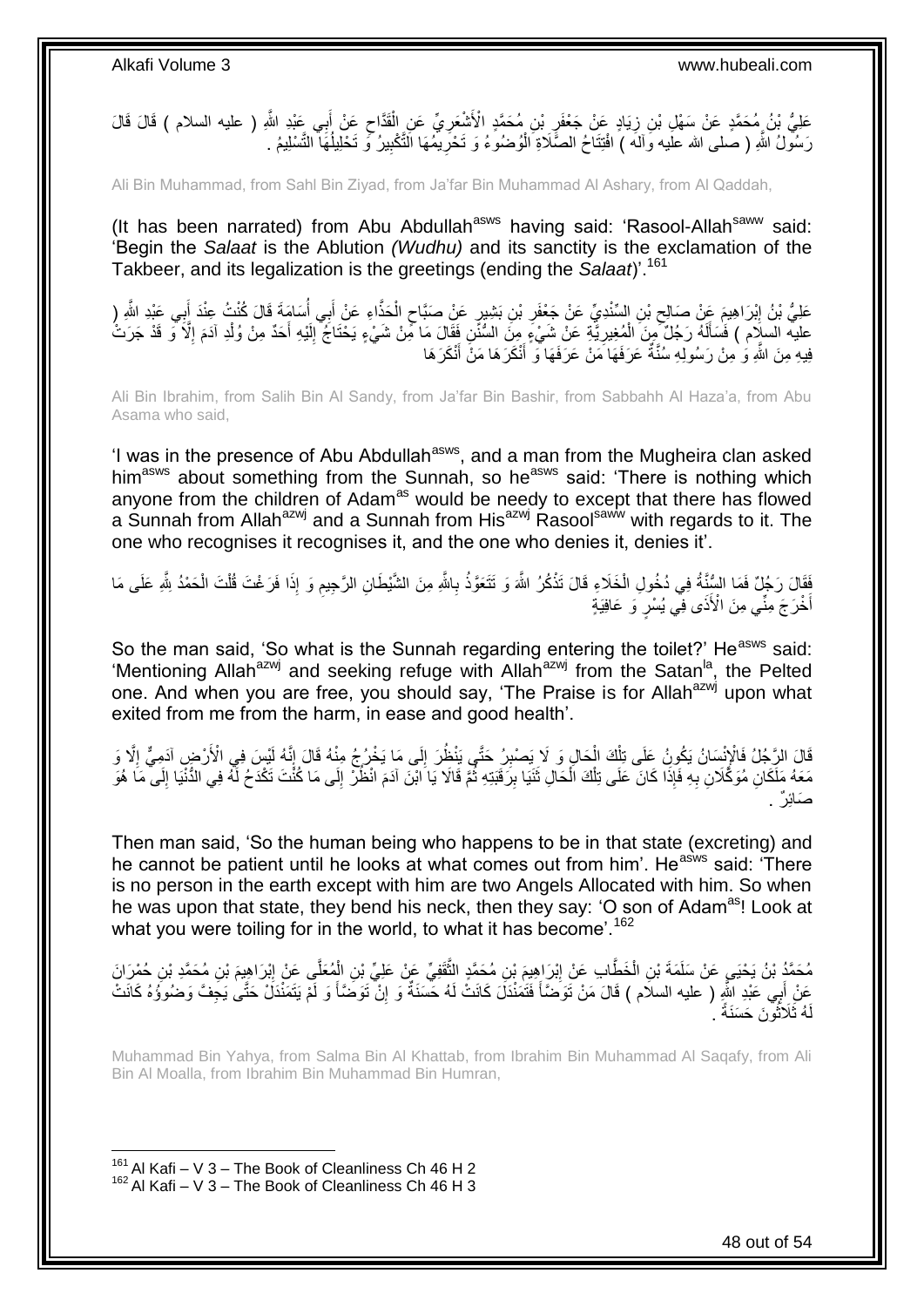عَلِيُّ بْنُ مُحَمَّدٍ عَنْ سَهْلِ بْنِ زِيَادٍ عَنْ جَعْفَرٍ بْنِ مُحَمَّدٍ الْأَشْعَرِيِّ عَنِ الْقَدَّاحِ عَنْ أَبِي عَبْدِ اللَّهِ ( عليه السلام ) قَالَ قَالَ َ ِ ْ **ٍ** ِ **∶** رَسُولُ اللَّهِ ( صَلَى الله علَيه وَالَهَ ) افْتِنَاحُ الصَّلَاةِ الْوُضُوءُ وَ تَحْرِيمُهَا النَّكْبِيرُ وَ تَحْلِيلُهَآ النَّسْلِيمُ . ِ **∶** ْ ُ

Ali Bin Muhammad, from Sahl Bin Ziyad, from Ja'far Bin Muhammad Al Ashary, from Al Qaddah,

(It has been narrated) from Abu Abdullah<sup>asws</sup> having said: 'Rasool-Allah<sup>saww</sup> said: 'Begin the *Salaat* is the Ablution *(Wudhu)* and its sanctity is the exclamation of the Takbeer, and its legalization is the greetings (ending the *Salaat*)'.<sup>161</sup>

عَلِيُّ بْنُ إِبْرَاهِيمَ عَنْ صَالِحٍ بْنِ السِّنْدِيِّ عَنْ جَعْفَرِ بْنِ بَشِيرٍ عَنْ صَبَّاحٍ الْحَذَّاءِ عَنْ أَبِي أُسَامَةَ قَالَ كُنْتُ عِنْدَ أَبِي عَبْدِ اللَّهِ (ِ ُ َ ْ ٍ ِ  $\zeta$ <u>֖֓</u> ِ َ عليه السلَام ) فَسَأَلَهُ رَجُلٌ مِنَ الْمُغِيرِيَّةِ عَنْ شَيْءٍ مِنَ السُّنَنِ فَقَالَ مَا مِّنْ شَيْءٍ يَحْتَاجُ إِلَيْهِ أَحَدٌ مِنْ وُلْدِ آدَمَ إِلَّا َوَ قَدْ جَرَتْ ِ ْ لَ َ ِ َ لَ ِ فِيهِ مِنَ اللَّهِ وَ ٰمِنْ رَسُولِهِ سُنَّةٌ عَرَفَهَا مَنْ عَرَفَهَا وَ ۗ أَنْكَرَ هَا مَنَّ أَنْكَرَ هَا َ َ

Ali Bin Ibrahim, from Salih Bin Al Sandy, from Ja'far Bin Bashir, from Sabbahh Al Haza'a, from Abu Asama who said,

'I was in the presence of Abu Abdullah<sup>asws</sup>, and a man from the Mugheira clan asked him<sup>asws</sup> about something from the Sunnah, so he<sup>asws</sup> said: 'There is nothing which anyone from the children of Adam<sup>as</sup> would be needy to except that there has flowed a Sunnah from Allah<sup>azwj</sup> and a Sunnah from His<sup>azwj</sup> Rasool<sup>saww</sup> with regards to it. The one who recognises it recognises it, and the one who denies it, denies it'.

َفَقَالَ رَجُلٌ فَمَا السُّنِّةُ فِي دُخُولِ الْخَلَاءِ قَالَ تَذْكُرُ اللَّهَ وَ تَتَعَوَّذُ بِاللَّهِ مِنَ الشَّيْطَانِ الرَّجِيمِ وَ إِذَا فَرَغْتَ قُلْتَ الْحَمْدُ لِلَّهِ عَلَى مَا ِ **ٔ** ْ ْ ْ ِ أَخْرَجَ مِنًّـي مِنَ الْأَذَى فِي يُسْرٍۗ وَ عَافِيَةٍ

So the man said, 'So what is the Sunnah regarding entering the toilet?' He<sup>asws</sup> said: 'Mentioning Allah<sup>azwj</sup> and seeking refuge with Allah<sup>azwj</sup> from the Satan<sup>la</sup>, the Pelted one. And when you are free, you should say, 'The Praise is for Allah<sup>azwj</sup> upon what exited from me from the harm, in ease and good health'.

قَالَ الرَّجُلُ فَالْإِنْسَانُ يَكُونُ عَلَى تِلْكَ الْحَالِ وَ لَا يَصْبِرُ حَتَّى يَنْظُرَ إِلَى مَا يَخْرُجُ مِنْهُ قَالَ إِنَّهُ لَيْسَ فِي الْأَرْضِ آدَمِيٌّ إِلَّا وَ ∣∣<br>∶ ِ ْ ْ ا<br>ا  $\frac{1}{3}$ مَعَهُ مَلَّكَانِ مُوَكَّلَانِ بِهِ فَإِذَا كَانَ ۖ عَلَى تِلْكَ الْحَالِ ثَنَيَا بِرَفَّبَتِهِ ثُمَّ قَالَا يَا ابْنَ آدَمَ انْظُرْ إِلَى مَا كُنُّتَ تَكْدَحُ لَّهُ فِي الدُّنْيَا إِلَى مَا هُوَ ار<br>سال ِ **ٔ** ْ ْ ِ لَ ِ  $\frac{1}{2}$ صَائِرٌ .

Then man said, 'So the human being who happens to be in that state (excreting) and he cannot be patient until he looks at what comes out from him'. He<sup>asws</sup> said: 'There is no person in the earth except with him are two Angels Allocated with him. So when he was upon that state, they bend his neck, then they say: 'O son of Adam<sup>as</sup>! Look at what you were toiling for in the world, to what it has become'.<sup>162</sup>

مُحَمَّدُ بْنُ يَحْيَيِ عَنْ سَلَمَةَ بْنِ الْخَطَّابِ عَنْ إِبْرَاهِيمَ بْنِ مُحَمَّدٍ الثَّقَفِيِّ عَنْ عَلِيِّ بْنِ الْمُعَلَّي عَنْ إِبْرَاهِيمَ بْنِ مُحَمَّدِ بْنِ حُمْرَانَ ْ َّ ِ ْ  $\frac{1}{2}$ ِ أَبِي عَبْدِ اللَّهِ ( عليه السلام ) قَالَ مَنْ تَوَضَّأَ فَتُمَنْدَلَ كَانَتْ لَهُ حَسَنَةٌ وَ إِنّْ تَوَضَّأَ وَ لَمْ يَتَمَنْدَلْ حَتَّىٰ يَجَفَّ وَضُوؤُهُ كَانَتْ َ ِ َ َ هُ ثَلَاثُونَ حَسَنَةً  $\,$ :<br>أ لَ

Muhammad Bin Yahya, from Salma Bin Al Khattab, from Ibrahim Bin Muhammad Al Saqafy, from Ali Bin Al Moalla, from Ibrahim Bin Muhammad Bin Humran,

 $161$  Al Kafi – V 3 – The Book of Cleanliness Ch 46 H 2  $162$  Al Kafi – V 3 – The Book of Cleanliness Ch 46 H 3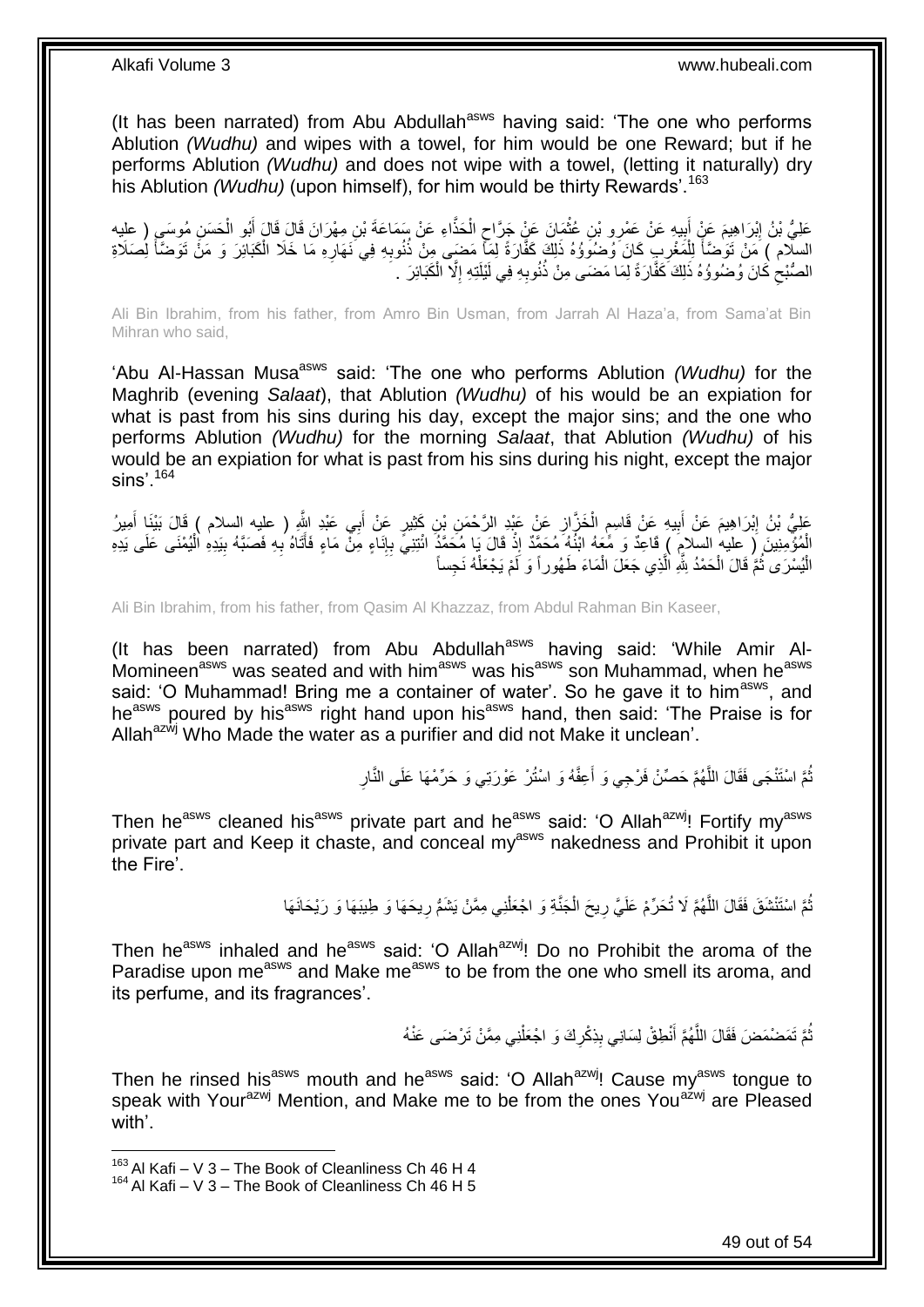(It has been narrated) from Abu Abdullah $a<sup>asws</sup>$  having said: 'The one who performs Ablution *(Wudhu)* and wipes with a towel, for him would be one Reward; but if he performs Ablution *(Wudhu)* and does not wipe with a towel, (letting it naturally) dry his Ablution *(Wudhu)* (upon himself), for him would be thirty Rewards<sup>', 163</sup>

ا َحذَّ ال َما َن َع ْن َج َّراح ِن ُعث ِ و ْب ي ِه َع ْن َع ْمر ب َم َع ْن أ ْب َرا ِهي َح َس ِن َعلِ ُّي ْب ُن إ ُمو َس ) عليه ُبو ال ِن ِمْه َرا َن َقا َل َقا َل أ ِء َع ْن َس َما َع َة ْب ْ ٍ **ٔ !** َ <u>֖֓</u> ْ َ ْ السلّام ) مَنْ تَوَصَّأَ لِلْمَغْرِبِ كَانَ َوُضُوَوُهُ ذَلِكَ كَفَّارَةً لِمَأْ مَضَى مِنْ ذُنُوبِهِ فِي نَهَارِهِ مَا خَلَا الْكَبَائِرَ وَ مَنْ تَوَضَّأَ لِصَلَاةِ **∶ ∶** ِ ْ َ َ الصُّبْحِ كَانَ وُضُوؤُهُ ذَلِكَ كَفَّارَةً لِمَا مَضَى مِنْ ذُنُوبِهِ فِي لَيْلَتِهِ إِلَّا الْكَبَائِرَ . ِ ْ ِ ِ

Ali Bin Ibrahim, from his father, from Amro Bin Usman, from Jarrah Al Haza'a, from Sama'at Bin Mihran who said,

'Abu Al-Hassan Musa<sup>asws</sup> said: 'The one who performs Ablution *(Wudhu)* for the Maghrib (evening *Salaat*), that Ablution *(Wudhu)* of his would be an expiation for what is past from his sins during his day, except the major sins; and the one who performs Ablution *(Wudhu)* for the morning *Salaat*, that Ablution *(Wudhu)* of his would be an expiation for what is past from his sins during his night, except the major  $\sin s$ <sup>164</sup>

عَلِيُّ بْنُ إِبْرَاهِيمَ عَنْ أَبِيهِ عَنْ قَاسِمِ الْخَزَّازِ عَنْ عَبْدِ الرَّحْمَنِ بْنِ كَثِيرٍ عَنْ أَبِي عَبْدِ الثَّو ( عليه السلام ) قَالَ بَيْنَا أَمِيرُ َ ِ ْ ֧֧֩֩֓׆֧ **!** َ ِ أَ َ الْمُؤْمِنِينَ ( عليه السلامِ ) قَاعِدٌ وَ مَّعَهُ ابْنُهُ مُحَمَّدٌ إِذْ قَالَ يَا مُحَمَّدٌ ائْتِنِيَّ بِإِنَاءِ مِنْ مَاءٍ فَأَتَاهُ بِهِ فَصَبَّهُ بِيَدِهِ الْيُمْنَى عَلَى يَدِهِ ׀ו<br>ְי ِ **ٔ** ْ ِ **∶** ْ الْيُسْرَى ثُمَّ قَالَ الْحَمْدُ لِثَّهِ الَّذِي جَعَلَ الْمَاءَ طَهُور اً وَ لَمْ يَجْعَلْهُ نَجِساً ر<br>إ ْ ا ماہ<br>سال ْ ْ

Ali Bin Ibrahim, from his father, from Qasim Al Khazzaz, from Abdul Rahman Bin Kaseer,

(It has been narrated) from Abu Abdullah<sup>asws</sup> having said: 'While Amir Al-Momineen<sup>asws</sup> was seated and with him<sup>asws</sup> was his<sup>asws</sup> son Muhammad, when he<sup>asws</sup> said: 'O Muhammad! Bring me a container of water'. So he gave it to him<sup>asws</sup>, and heasws poured by hisasws right hand upon hisasws hand, then said: 'The Praise is for Allah $a^{2xy}$  Who Made the water as a purifier and did not Make it unclean'.

> ِ نُّمَّ اسْتَنْجَى فَقَالَ اللَّهُمَّ حَصِّنْ فَرْجِي وَ أُعِفَّهُ وَ اسْتُرْ عَوْرَتِي وَ حَرِّمْهَا عَلَى النَّارِ َ َّ ُ

Then he<sup>asws</sup> cleaned his<sup>asws</sup> private part and he<sup>asws</sup> said: 'O Allah<sup>azwj</sup>! Fortify my<sup>asws</sup> private part and Keep it chaste, and conceal my<sup>asws</sup> nakedness and Prohibit it upon the Fire'.

> نُّمَّ اسْتَنْشَقَ فَقَالَ اللَّهُمَّ لَا تُحَرِّمْ عَلَيَّ رِيحَ الْجَنَّةِ وَ اجْعَلْنِي مِمَّنْ يَشَمُّ رِيحَهَا وَ طِيبَهَا وَ رَيْحَانَهَا **∶** ْ ْ ِ َّ ُ

Then he<sup>asws</sup> inhaled and he<sup>asws</sup> said: 'O Allah<sup>azwj</sup>! Do no Prohibit the aroma of the Paradise upon me<sup>asws</sup> and Make me<sup>asws</sup> to be from the one who smell its aroma, and its perfume, and its fragrances'.

> نُّمَّ تَمَضْمَضَ فَقَالَ اللَّهُمَّ أَنْطِقْ لِسَانِي بِذِكْرِكَ وَ اجْعَلْنِي مِمَّنْ تَرْضَى عَنْهُ ْ ِ **∣** َ َّ ُ

Then he rinsed his<sup>asws</sup> mouth and he<sup>asws</sup> said: 'O Allah<sup>azwj</sup>! Cause my<sup>asws</sup> tongue to speak with Your<sup>azwj</sup> Mention, and Make me to be from the ones You<sup>azwj</sup> are Pleased with'.

 $163$  Al Kafi – V 3 – The Book of Cleanliness Ch 46 H 4

 $164$  Al Kafi – V 3 – The Book of Cleanliness Ch 46 H 5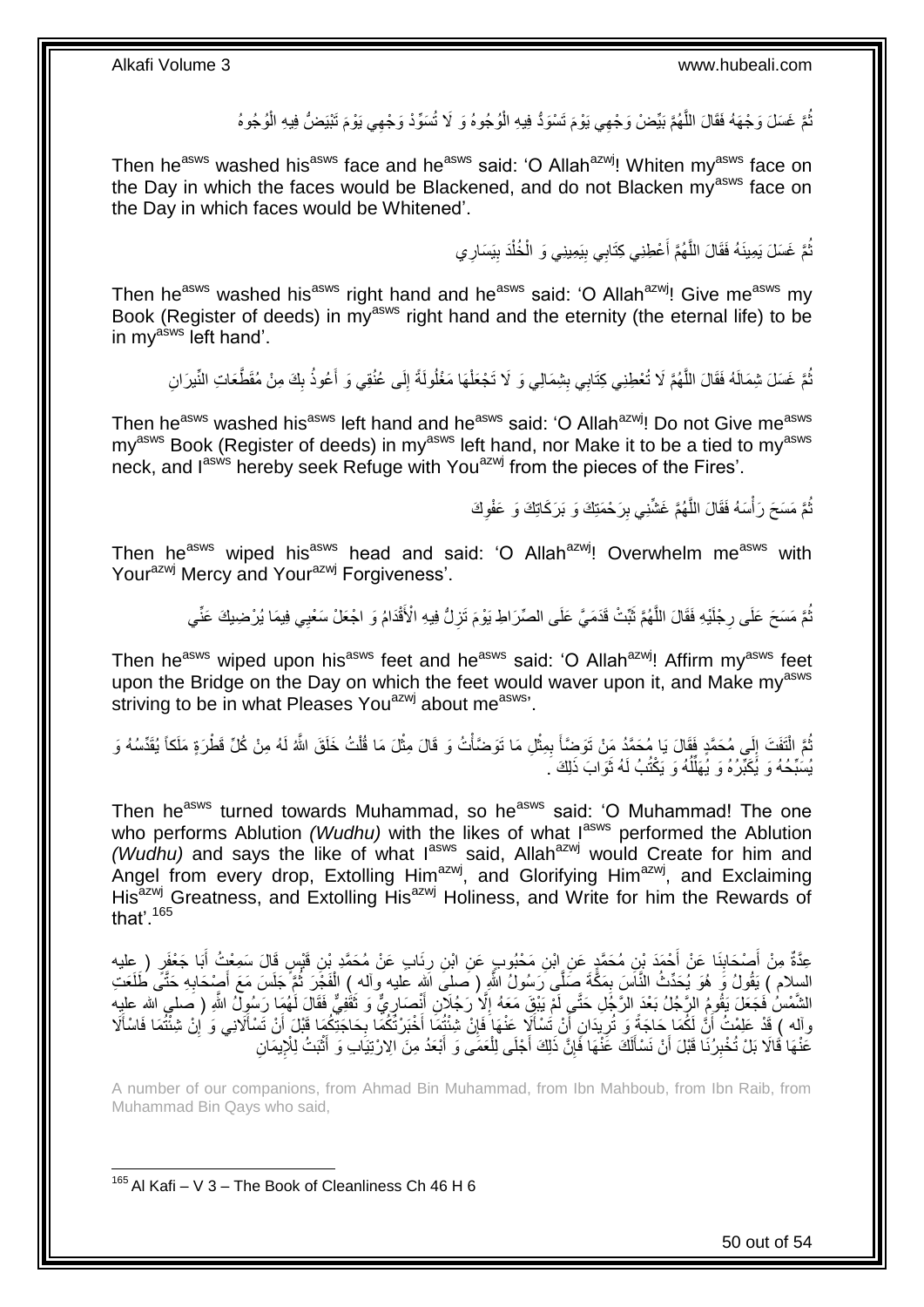ُّمَّ غَسَلَ وَجْهَهُ فَقَالَ اللَّهُمَّ بَيِّضْ وَجْهِي يَوْمَ تَسْوَدُّ فِيهِ الْوُجُوهُ وَ لَا تُسَوِّدْ وَجْهِي يَوْمَ تَبْيَضُّ فِيهِ الْوُجُوهُ ْ َّ ُ ْ

Then he<sup>asws</sup> washed his<sup>asws</sup> face and he<sup>asws</sup> said: 'O Allah<sup>azwj</sup>! Whiten my<sup>asws</sup> face on the Day in which the faces would be Blackened, and do not Blacken  $my<sup>asws</sup>$  face on the Day in which faces would be Whitened'.

> تُمَّ غَسَلَ يَمِينَهُ فَقَالَ اللَّهُمَّ أَعْطِنِي كِتَابِي بِيَمِينِي وَ الْخُلْدَ بِيَسَارِي **!** ْ ِ َ َّ ُ

Then he<sup>asws</sup> washed his<sup>asws</sup> right hand and he<sup>asws</sup> said: 'O Allah<sup>azwj</sup>! Give me<sup>asws</sup> my Book (Register of deeds) in my<sup>asws</sup> right hand and the eternity (the eternal life) to be in my<sup>asws</sup> left hand'.

َ نُمَّ غَسَلَ شِمَالَهُ فَقَالَ اللَّهُمَّ لَا تُعْطِنِي كِتَابِي بِشِمَالِي وَ لَا تَجْعَلْهَا مَغْلُولَةً إِلَى عُنُقِي وَ أَعُوذُ بِكَ مِنْ مُقَطَّعَاتِ النِّيرَانِ ِ ْ ِ َّ ُ ِ

Then he<sup>asws</sup> washed his<sup>asws</sup> left hand and he<sup>asws</sup> said: 'O Allah<sup>azwj</sup>! Do not Give me<sup>asws</sup> my<sup>asws</sup> Book (Register of deeds) in my<sup>asws</sup> left hand, nor Make it to be a tied to my<sup>asws</sup> neck, and lasws hereby seek Refuge with You<sup>azwj</sup> from the pieces of the Fires'.

> ُّمَّ مَسَحَ رَأْسَهُ فَقَالَ اللَّهُمَّ غَشَّنِي بِرَحْمَتِكَ وَ بَرَكَاتِكَ وَ عَفْوِكَ َّ **∶ ِ**

Then he<sup>asws</sup> wiped his<sup>asws</sup> head and said: 'O Allah<sup>azwj</sup>! Overwhelm me<sup>asws</sup> with Your<sup>azwj</sup> Mercy and Your<sup>azwj</sup> Forgiveness'.

> ُّمَّ مَسَحَ عَلَى رِجْلَيْهِ فَقَالَ اللَّهُمَّ ثَبِّتْ قَدَمَيَّ عَلَى الصِّرَاطِ يَوْمَ تَزِلُّ فِيهِ الْأَقْدَامُ وَ اجْعَلْ سَعْبِي فِيمَا يُرْضِيكَ عَنِّي َ َّ **∶ ٍ**

Then he<sup>asws</sup> wiped upon his<sup>asws</sup> feet and he<sup>asws</sup> said: 'O Allah<sup>azwj</sup>! Affirm my<sup>asws</sup> feet upon the Bridge on the Day on which the feet would waver upon it, and Make my<sup>asws</sup> striving to be in what Pleases You<sup>azwj</sup> about me<sup>asws</sup>.

ُمَّ الْتَفَتَ إِلَى مُحَمَّدٍ فَقَالَ يَا مُحَمَّدُ مَنْ تَوَضِّأَ بِمِثْلِ مَا تَوَضَّأْتُ وَ قَالَ مِثْلَ مَا قُلْتُ خَلَقَ اللَّهُ لَهُ مِنْ كُلِّ قَطْرَةٍ مَلَكاً يُقَدِّسُهُ وَ ْ **ٔ** ْ **ٔ** ِ **∫**  $\frac{1}{2}$ ْ يُسَبِّحُهُ وَ يُكَبِّرُهُ وَ يُهَلِّلُهُ وَ يَكْتُبُ لَهُ ثَوَابَ ذَلِكَ َ ة<br>أ ا<br>ا

Then he<sup>asws</sup> turned towards Muhammad, so he<sup>asws</sup> said: 'O Muhammad! The one who performs Ablution *(Wudhu)* with the likes of what I<sup>asws</sup> performed the Ablution *(Wudhu)* and says the like of what l<sup>asws</sup> said, Allah<sup>azwj</sup> would Create for him and Angel from every drop, Extolling Him<sup>azwj</sup>, and Glorifying Him<sup>azwj</sup>, and Exclaiming His<sup>azwj</sup> Greatness, and Extolling His<sup>azwj</sup> Holiness, and Write for him the Rewards of that'  $165$ 

عِدَّةٌ مِنْ أَصْحَابِذَا عَنْ أَحْمَدَ بْنِ مُحَمَّدٍ عَنِ إِبْنِ مَحْبُوبٍ عَنِ ابْنِ رِئَابٍ عَنْ مُحَمَّدٍ بْنِ قَبْسٍ قَالَ سَمِعْتُ أَبَا جَعْفَرٍ ( عِليه َ **∣** َ َ ِ السِلام ) يَقُولُ وَ هُوَ يُحَدِّثُ النَّاسَ بِمَكَّةَ صَلَّى رَسُولُ اللَّهِ ( صلى اللهِ عليه وآله ) الْفَجْرَ ثُمَّ جَلَسَ مَعَ أَصْحَابِهِ حَتَّى طَلَعَتِ ا<br>المقام ْ ِ ِ َ الشَّمْسُ فَجَعَلَ يَقُومُ الرَّجُلُ بَعْدَ الرَّجُلِ حَتَّـمٍ لَمْٓ يَبْقَ مَعَهُ إِلَّا رَجُلِنَ أَنْصَارِيٌّ وَ تَقْفِيُّ فَقَالَ لَهُمَا رَسُولُ اللَّهِ ( صلى الله عليه َ ِ َ ِ وآله ) قَدْ عَلِمْتُ أَنَّ لَكُمَا حَاجَةً وَ تُرِيدَانِ أَنْ تُسْأَلَا عَنْهَا فَإِنْ شِنْتُهَا أَخْبَرْتُكُمَا بِحَاجَتِكُمَا قَبْلَ أَنْ تَسْأَلَانِي وَ إِنْ شِئْتُمَا فَاسْأَلَا<br>وآله ) قَدْ عَلِمْتُ أَنَّ يَنِد أَمَرَ ِ اً<br>ا َ ِ َ ِ َ اُ ِ َ عَنْهَا فَالَا بَلْ تُخْبِرُنَا قَبْلَ أَنْ نَسْأَلَكَ عَنْهَا فَإِنَّ ذَلِكَ أَجْلَى لِلْعَمَى وَ أَبْعَدُ مِنَ الِارْتِيَابِ وَ أَثْبَتُ لِلْإِيمَانِ َ ْ ِ لَ َ اً **!** ْ َ

A number of our companions, from Ahmad Bin Muhammad, from Ibn Mahboub, from Ibn Raib, from Muhammad Bin Qays who said,

<sup>1</sup>  $165$  Al Kafi – V 3 – The Book of Cleanliness Ch 46 H 6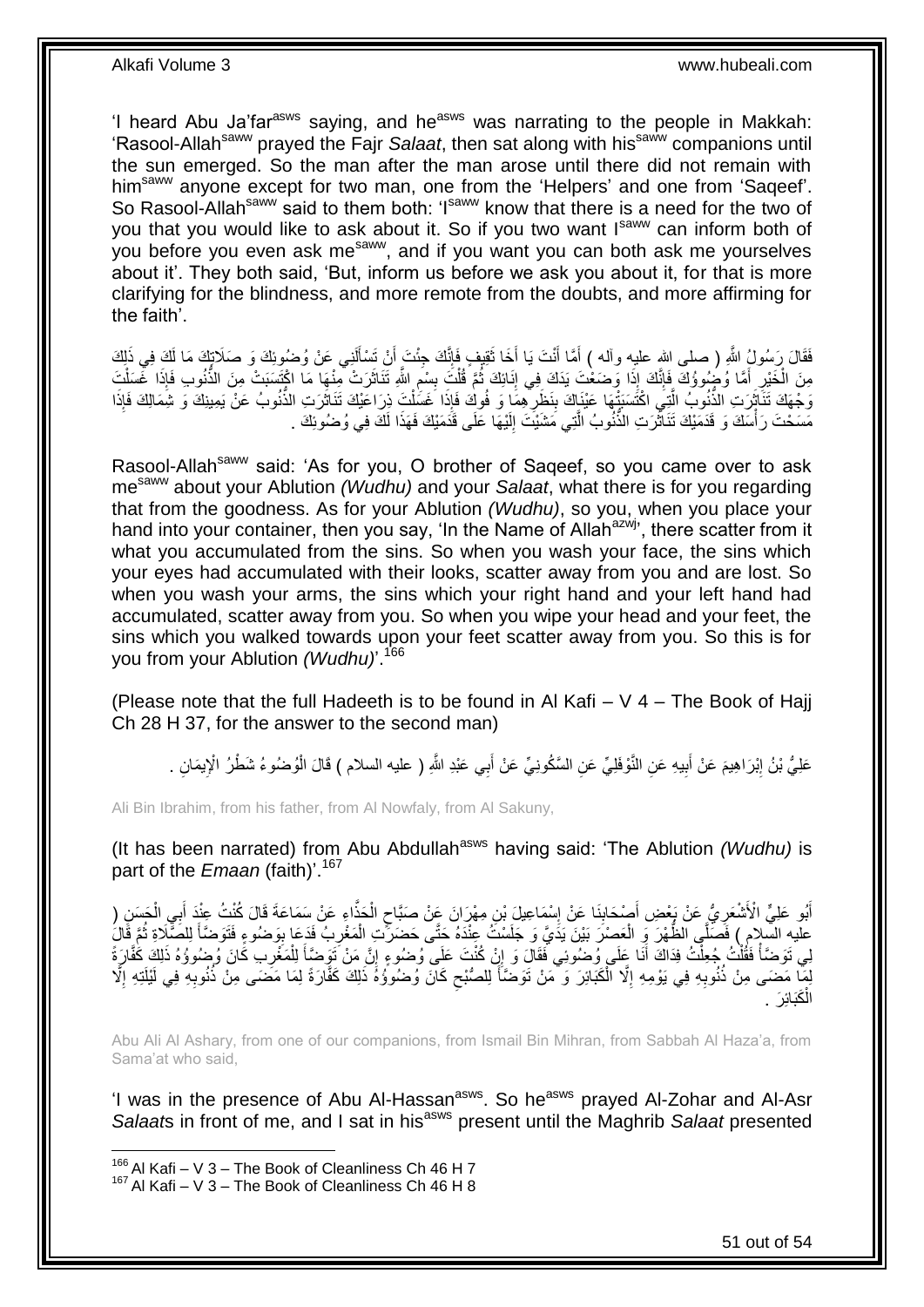'I heard Abu Ja'far<sup>asws</sup> saying, and he<sup>asws</sup> was narrating to the people in Makkah: 'Rasool-Allah<sup>saww</sup> prayed the Fajr *Salaat*, then sat along with his<sup>saww</sup> companions until the sun emerged. So the man after the man arose until there did not remain with him<sup>saww</sup> anyone except for two man, one from the 'Helpers' and one from 'Saqeef'. So Rasool-Allah<sup>saww</sup> said to them both: 'I<sup>saww</sup> know that there is a need for the two of you that you would like to ask about it. So if you two want  $I<sup>saww</sup>$  can inform both of you before you even ask me<sup>saww</sup>, and if you want you can both ask me yourselves about it'. They both said, 'But, inform us before we ask you about it, for that is more clarifying for the blindness, and more remote from the doubts, and more affirming for the faith'.

فَقَالَ رَسُولُ اللَّهِ ( صلى الله عليه وآله ) أَمَّا أَنْتَ يَا أَخَا ثَقِيفٍ فَإِنَّكَ جِئْتَ أَنْ تَسْأَلَنِي عَنْ وُضُوئِكَ وَ صَلَاتٍكَ فَي ذَلِكَ لَ ĺ َ ِ َ َ َ َ مِنَ الْخَيْرِ أَمَّا وُضُوؤُكَ فَإِنَّكَ إِذَا وَصَعْتَ يَدَكَ فِي إِنَائِكَ ثُمَّ قُلْتَ بِسْمِ اللَّهِ تَنَاثَرَتْ مِنْهَا مَا اكْتَسَبَتْ مِنَ الذُّنُوبِ فَإِذَا غَسَلْتَ َ ِ **!** ْ ُ ِ ِ َ ِ ْ وَجْهَكَ تَنَاثَوَتِ الذُّنُوبُ الَّذِي اكْتَسَنَتْهَا عَيْنَاكَ بِنَظَرِ هِمَا وَ فُوكٍ فَإِذَا خَسَلْتَ ذِرَاعَيْكَ تَنَاثَرَتِ الذُّنُوبُ عَنْ يَمِينِكَ وَ شَمَالِكَ فَإِذَا َّ ن<br>با َ ْ ِ **∣** مَسَحْتَ رَأْسَكَ وَ قَدَمَيْكَ تَنَاثُّرَتِ الذُّنُوبُ الَّتِي مَشَيْتَ إِلَيْهَا عَلَى قَدَمَيْكَ فَهَذَا لَكَ فِي وُضُوئِكَ . لَ ِ َّ َ ֡**֟** 

Rasool-Allah<sup>saww</sup> said: 'As for you, O brother of Saqeef, so you came over to ask mesaww about your Ablution *(Wudhu)* and your *Salaat*, what there is for you regarding that from the goodness. As for your Ablution *(Wudhu)*, so you, when you place your hand into your container, then you say, 'In the Name of Allah<sup>azwj</sup>', there scatter from it what you accumulated from the sins. So when you wash your face, the sins which your eyes had accumulated with their looks, scatter away from you and are lost. So when you wash your arms, the sins which your right hand and your left hand had accumulated, scatter away from you. So when you wipe your head and your feet, the sins which you walked towards upon your feet scatter away from you. So this is for you from your Ablution *(Wudhu)*'. 166

(Please note that the full Hadeeth is to be found in Al Kafi –  $V$  4 – The Book of Hajj Ch 28 H 37, for the answer to the second man)

عَلِيُّ بْنُ إِبْرَاهِيمَ عَنْ أَبِيهِ عَنِ النَّوْفَلِيِّ عَنِ السَّكُونِيِّ عَنْ أَبِي عَبْدِ اللَّهِ ( عليه السلام ) قَالَ الْوُضُوءُ شَطْرُ الْإِيمَانِ . َ ِ َ ِ ْ

Ali Bin Ibrahim, from his father, from Al Nowfaly, from Al Sakuny,

(It has been narrated) from Abu Abdullah<sup>asws</sup> having said: 'The Ablution *(Wudhu)* is part of the *Emaan* (faith)<sup>'.167</sup>

أَبُو عَلِيٍّ الْأَشْعَرِ يُّ عَنْ بَعْضِ أَصْحَابِنَا عَنْ إِسْمَاعِيلَ بْنِ مِهْرَانَ عَنْ صَبَّاحٍ الْحَذَّاءِ عَنْ سَمَاعَةَ قَالَ كُنْتُ عِنْدَ أَبِي الْجَسَنِ ( َ **∶** َ ْ َ ْ ٍ ِ ِ عليه السّلام ) فَصَلِّي الظُّهْرَ وَ الْعَصْرَ بَيْنَ يَدَيَّ وَ جَلَسْتُ عِنْدَهُ حَتَّى حَضَرَتْتِ الْمَغْرِبُ فَدَعَا بِوَضُوءٍ فَتَوَضّأَ لِلصَّّلِاةِ ثُمَّ قَالَ ِ ِ ْ ْ ُ َ لِي تَوَضَّأْ فَقُلْتُ جُعِلْتُ فِدَاكَ أَنَا عِلَى وُضُوئِي فَقَالَ وَ إِنْ كُنْتَ عَلَى وُضُوءٍ إِنَّ مَنْ تَوَضَّأَ لِلْمَغْرِبِ كَانَ وُضُوؤُهُ ذَلِكَ كَفَّارَةً ْ َ ِ ׀֧֧ َ ْ ْ ال<br>أما السياسية<br>مستقبل ِ لِمَّا مَضَى مِنْ ذُنُوبِهِ فِي يَوْمِهِ إِلَّا الْكَبَائِرَ ۚ وَ مَنْ تَوَضَّأَ لِلصُّبْحِ كَانَ وُضُووُهُ ذَلِكَ كَفَّارَةً لِمَا مَضَى مِنْ ذُنُوبِهِ فِي لَيْلَتِهِ إِلَّا ْ ِ ِ ِ ِ ِ **∫** الْكَبَائِرَ . ْ

Abu Ali Al Ashary, from one of our companions, from Ismail Bin Mihran, from Sabbah Al Haza'a, from Sama'at who said,

'I was in the presence of Abu Al-Hassan<sup>asws</sup>. So he<sup>asws</sup> prayed Al-Zohar and Al-Asr *Salaat*s in front of me, and I sat in his<sup>asws</sup> present until the Maghrib *Salaat* presented

 $166$  Al Kafi – V 3 – The Book of Cleanliness Ch 46 H 7

 $167$  Al Kafi – V 3 – The Book of Cleanliness Ch 46 H 8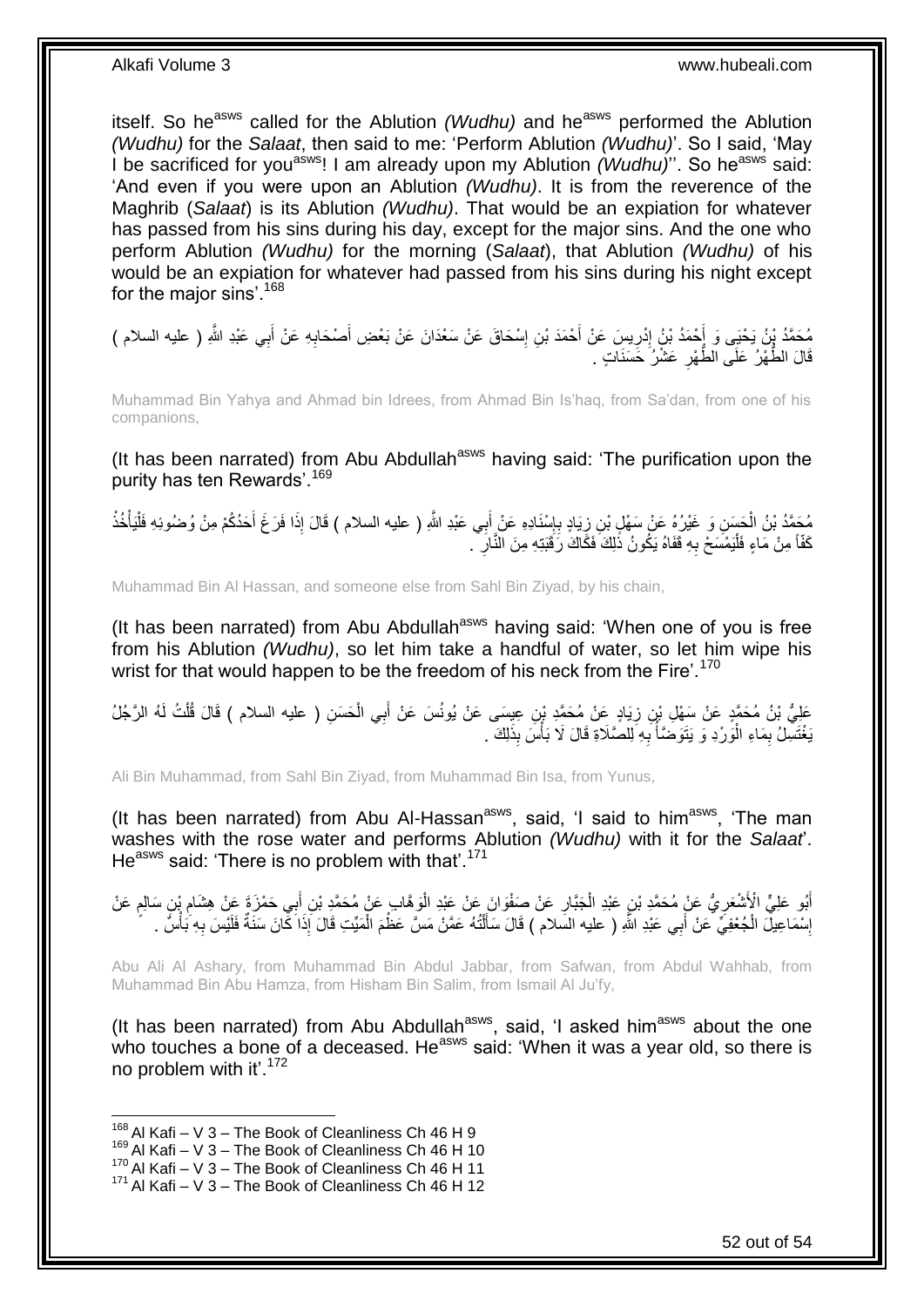itself. So he<sup>asws</sup> called for the Ablution *(Wudhu)* and he<sup>asws</sup> performed the Ablution *(Wudhu)* for the *Salaat*, then said to me: 'Perform Ablution *(Wudhu)*'. So I said, 'May I be sacrificed for you<sup>asws</sup>! I am already upon my Ablution *(Wudhu)*". So he<sup>asws</sup> said: 'And even if you were upon an Ablution *(Wudhu)*. It is from the reverence of the Maghrib (*Salaat*) is its Ablution *(Wudhu)*. That would be an expiation for whatever has passed from his sins during his day, except for the major sins. And the one who perform Ablution *(Wudhu)* for the morning (*Salaat*), that Ablution *(Wudhu)* of his would be an expiation for whatever had passed from his sins during his night except for the major sins'.<sup>168</sup>

َ مُحَمَّدُ بِنُ يَحْيَى وَ أَحْمَدُ بْنُ إِدْرِيسَ عَنْ أَحْمَدَ بْنِ إِسْحَاقَ عَنْ سَعْدَانَ عَنْ بَعْضِ أَصْحَابِهِ عَنْ أَبِي عَبْدِ اللَّهِ ( عليه السلام )<br>ـ ِ َ ِ **∶** ِ َ قَالَ الطَّهْرُ عَلَى الطَّهْرِ عَشْرُ خَسَنَاتٍ . **∶** 

Muhammad Bin Yahya and Ahmad bin Idrees, from Ahmad Bin Is'haq, from Sa'dan, from one of his companions,

(It has been narrated) from Abu Abdullah<sup>asws</sup> having said: 'The purification upon the purity has ten Rewards'.<sup>169</sup>

مُحَمَّدُ بْنُ الْحَسَنِ وَ غَيْرُهُ عَنْ سَهْلِ بْنِ زِيَادٍ بِإِسْنَادِهِ عَنْ إَبِي عَبْدِ اللَّهِ ( عليه السلام ) قَالَ إِذَا فَرَغَ أَحَدُكُمْ مِنْ وُضُوئِهِ فَلْيَأْخُذْ َ ِ ِ ِ ْ **ٔ** ْ ْ َ كَفَّأَ مِنْ مَاءٍ فَلْيَمْسَحْ بِهِ قَفَاهُ يَكُونُ ذَٰلِكَ فَكَّاكَ رَقَبَتِهِ مِنَ النَّارِ ۖ . ِ ْ **∶** 

Muhammad Bin Al Hassan, and someone else from Sahl Bin Ziyad, by his chain,

(It has been narrated) from Abu Abdullah<sup>asws</sup> having said: 'When one of you is free from his Ablution *(Wudhu)*, so let him take a handful of water, so let him wipe his wrist for that would happen to be the freedom of his neck from the Fire'.<sup>170</sup>

عَلِيُّ بْنُ مُحَمَّدٍ عَنْ سَهْلِ بْنِ زِيَادٍ عَنْ مُحَمَّدِ بْنِ عِيسَى عَنْ يُونُسَ عَنْ أَبِي الْحَسَنِ ( عليه السلام ) قَالَ قُلْتُ لَهُ الرَّجُلُ ْ َ **∶** ْ يَغْتَسِلُ بِمَاءِ الْوَرْدِ وَ يَتَوَصْنَأُ بِهِ لِلصَّلَاةِ قَالَ لَا بَأْسَ بِذَلِكَ . :<br>ا ِ .<br>ا ِ ا<br>ا

Ali Bin Muhammad, from Sahl Bin Ziyad, from Muhammad Bin Isa, from Yunus,

(It has been narrated) from Abu Al-Hassan<sup>asws</sup>, said, 'I said to him<sup>asws</sup>, 'The man washes with the rose water and performs Ablution *(Wudhu)* with it for the *Salaat*'. He<sup>asws</sup> said: 'There is no problem with that'.<sup>171</sup>

أَبُو عَلِيٍّ الْأَشْعَرِيُّ عَنْ مُحَمَّدٍ بْنِ عَبْدِ الْجَبَّارِ عَنْ صَفْوَانَ عَنْ عَبْدِ الْوَهَّابِ عَنْ ْ ِ ْ ِ َ ِ ٍ ِ إِسْمَاعِيلَ الْجُعْفِيِّ عَنْ أَبِي عَبْدِ اللَّهِ ( عليه السِّلام ) قَالَ سَأَلْتُهُ عَمَّنْ مَسَّ عَظْمَ الْمَيِّتِ قَالَ إِذَا كِّانَ سَنَةٌ فَلَيْسَ بِهِ بَأْسٌ . ْ ْ َ َ ْ ا<br>: ْ ِ

Abu Ali Al Ashary, from Muhammad Bin Abdul Jabbar, from Safwan, from Abdul Wahhab, from Muhammad Bin Abu Hamza, from Hisham Bin Salim, from Ismail Al Ju'fy,

(It has been narrated) from Abu Abdullah<sup>asws</sup>, said, 'I asked him<sup>asws</sup> about the one who touches a bone of a deceased. He<sup>asws</sup> said: 'When it was a year old, so there is no problem with it'. $172$ 

 $168$  Al Kafi – V 3 – The Book of Cleanliness Ch 46 H 9

<sup>169</sup> Al Kafi – V 3 – The Book of Cleanliness Ch 46 H 10

 $^{170}$  Al Kafi – V 3 – The Book of Cleanliness Ch 46 H 11

 $171$  Al Kafi – V 3 – The Book of Cleanliness Ch 46 H 12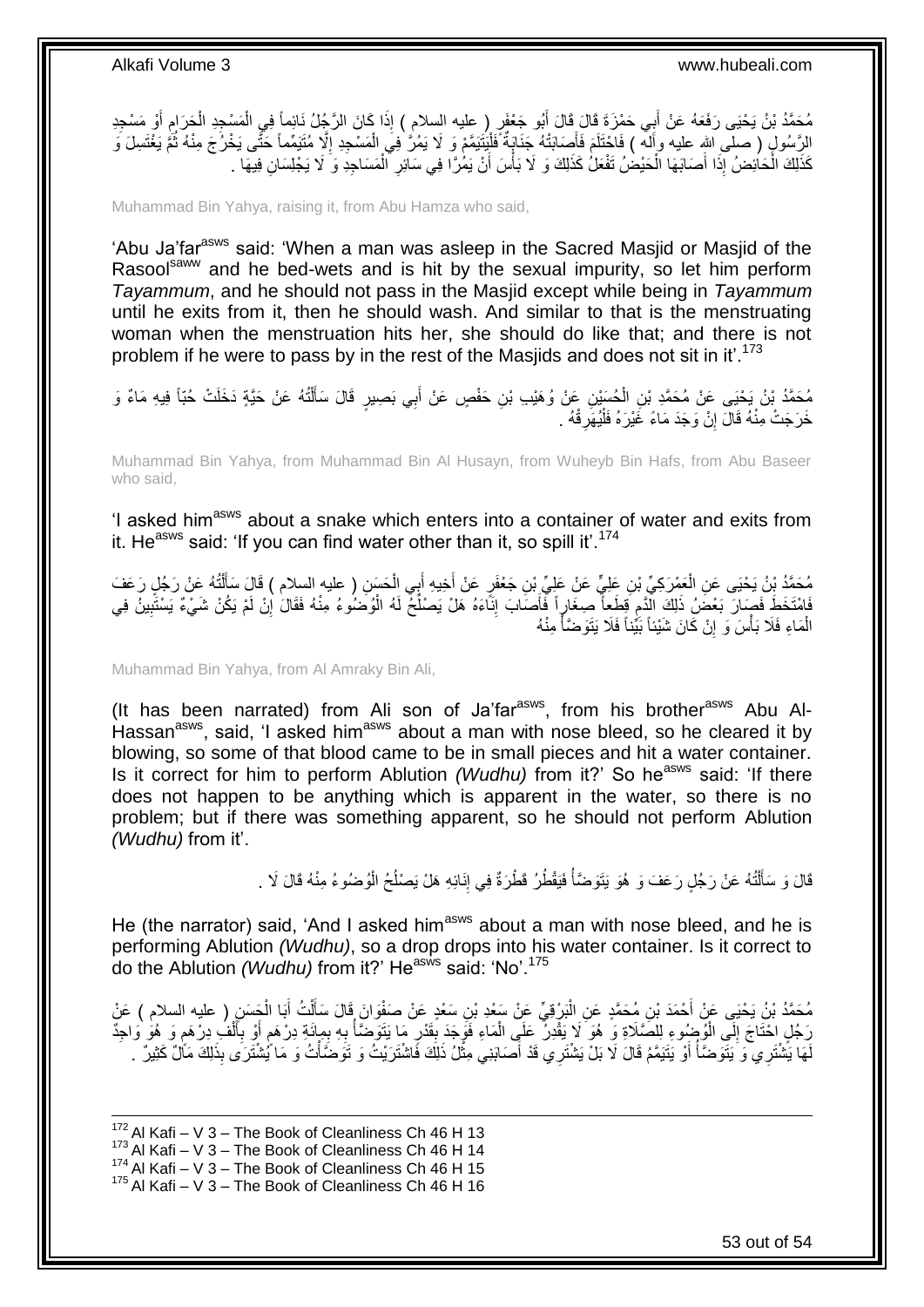مُحَمَّدُ بْنُ يَحْيَى رَفَعَهُ عَنْ أَبِي حَمْزَةَ قَالَ قَالَ أَبُو جَعْفَرٍ ( عِليه السلام ) إِذَا كَانَ الرَّجُلُ نَائِماً فِي الْمَسْجِدِ الْجَرَامِ أَوْ مَسْجِدِ َ َ َ ِ ْ ْ الرَّسُولِ ( صلَّى اللهِ عليه وأَله ) فَاحْتَلَمَ فَأَصَابَتْهُ جَنَايَةٌ فَلْيَنَيَمَّمْ وَ لَا يَمُرُّ فِيَ الْمَسْجِدِ إِلَّا مُتَيَمِّماً حَتَّى يَخْرُجَ مِنْهُ ثُمَّ يَغْتَسِلَ وَ ْ َ ُ ِ ْ كَذَلِكَ الْحَاْئِضُ إِذَا أَصَابَهَا الْحَيْضُ تَفْعَلُ كَذَلِكَ وَ لَا بَأْسَ أَنْ يَمُٰرًا فِي سَائِرِ الْمَسَاجِدِ وَ لَا يَجْلِسَانِ فِيهَا . ْ ِ َ ْ ْ ْ

Muhammad Bin Yahya, raising it, from Abu Hamza who said,

'Abu Ja'far<sup>asws</sup> said: 'When a man was asleep in the Sacred Masjid or Masjid of the Rasool<sup>saww</sup> and he bed-wets and is hit by the sexual impurity, so let him perform *Tayammum*, and he should not pass in the Masjid except while being in *Tayammum* until he exits from it, then he should wash. And similar to that is the menstruating woman when the menstruation hits her, she should do like that; and there is not problem if he were to pass by in the rest of the Masjids and does not sit in it'.<sup>173</sup>

مُحَمَّدُ بْنُ يَحْيَى عَنْ مُحَمَّدِ بْنِ الْحُسَيْنِ عَنْ وُهَيْبِ بْنِ حَفْصٍ عَنْ أَبِي بَصِيرٍ قَالَ سَأَلْتُهُ عَنْ حَيَّةٍ دَخَلَتْ حُبّاً فِيهِ مَاءٌ وَ ْ ĺ َ ْ خَرَجَتْ مِنْهُ قَالَ إِنْ وَجَدَ مَاءً غَيْرَهُ فَلْيُهَرِقْهُ . ِ ْ ِ

Muhammad Bin Yahya, from Muhammad Bin Al Husayn, from Wuheyb Bin Hafs, from Abu Baseer who said,

'I asked him<sup>asws</sup> about a snake which enters into a container of water and exits from it. He<sup>asws</sup> said: 'If you can find water other than it, so spill it'.<sup>174</sup>

مُحَمَّدُ بِْنُ يَحْيَى عَنِ الْعَمْرَكِيِّ بْنِ عَلِيٍّ عَنْ عَلِيٍّ بْنِ جَعْفَرٍ عَنْ أُخِيهِ أَبِي الْحَسَنِ ( عليه السلام ) قَالَ سَأَلْتُهُ عَنْ رَجُلٍ رَعَفَ<br>يَهْمَدُ بِّنُ يَحْيَى عَنِ الْعَمْرَكِيِّ بْنِ عَلِيٍّ ْ َ َ ْ ْ ĺ فَاهْتَخَطَ فَصَارَ بَعْضُ ذَلِكَ الْدَّم قِطَعاً صِغَارٍاً فَأَصَابَ إِنَّاءَهُ هَلْ يَصْلُحُ لَهُ الْوُصَوُرءُ مِنْهُ فَقَالَ إِنْ لَمْ يَكُنْ شَيْءٌ يَسْتَبِينُ فِي ا:<br>ا ِ َ ِ ِ ِ الْمَاءِ فَلَا بَأْسَ وَ إِنْ كَانَ شَيْئاً بَيِّناً فَلَا يَتَوَضَّأْ مِنْهُ ْ ِ **ٔ** ْ

Muhammad Bin Yahya, from Al Amraky Bin Ali,

(It has been narrated) from Ali son of Ja'far<sup>asws</sup>, from his brother<sup>asws</sup> Abu Al-Hassan<sup>asws</sup>, said, 'I asked him<sup>asws</sup> about a man with nose bleed, so he cleared it by blowing, so some of that blood came to be in small pieces and hit a water container. Is it correct for him to perform Ablution *(Wudhu)* from it?' So he<sup>asws</sup> said: 'If there does not happen to be anything which is apparent in the water, so there is no problem; but if there was something apparent, so he should not perform Ablution *(Wudhu)* from it'.

> قَالَ وَ سَأَلْتُهُ عَنْ رَجُلٍ رَعَفَ وَ هُوَ يَتَوَضَّأُ فَيَقْطُرُ قَطْرَةٌ فِي إِنَائِهِ هَلْ يَصْلُحُ الْوُضُوءُ مِنْهُ قَالَ لَا . المستقبل المستقبل المستقبل المستقبل المستقبل المستقبل المستقبل المستقبل المستقبل المستقبل المستقبل المستقبل ال<br>والمستقبل ֺ֧֦֧֦֧֦֦֦֦֖֦֪֦֪֦֧֦֪֦֪֦֪֪֦֪֪֦֪֪֦֪֦֪֪֦֝֟֟֟֟֟֟֟֟֟֟֟֟֟֟֟֟֟֟֟֟֟֟֓֕֟֓֟֓֟֓֟֓֟֓֟֓֟֓֟֓֟֓֟֓֟֟֟֝֟֟֟֟֟֟֟֝֟ َ ْ ُ ِ

He (the narrator) said, 'And I asked him<sup>asws</sup> about a man with nose bleed, and he is performing Ablution *(Wudhu)*, so a drop drops into his water container. Is it correct to do the Ablution *(Wudhu)* from it?' He<sup>asws</sup> said: 'No'.<sup>175</sup>

َ مُحَمَّدُ بْنُ يَحْيَى عَنْ أَحْمَدَ بْنِ مُحَمَّدٍ عَنِ الْبَرْقِيِّ عَنْ سَعْدِ بْنِ سَعْدٍ عَنْ صَفْوَانَ قَالَ سَأَلْتُ أَبَا الْجَسَنِ ( عليه السلام ) عَنْ ْ ĺ :<br>ا ْ رَجُلٍ اِحْتَاجَ إِلَى الْوُجِبُوءِ لِلصَّلَاةِ وَ هُوَ لَا يَقْدِلُ عَلَى الْمَاءِ فَوَجَدَ بِقَدْرٍ مَا يَتَوَضَّأَ بِهِ بِمِائَةِ دِرْهَمٍ أَوْ بِأَلْفَ دِرْهَمٍ وَ هُوَ وَاحِدٌ ْ  $\frac{1}{2}$ **ื** ْ ĺ ِ َ ֧֩֘׆֧ ِ **∶** ا<br>المسلمات<br>المسلمات ِ **∫** ْ لَهَا يَشْتَرِي ۖ وَ يَتَوَضَّأُ أَوْ يَتَيَمَّمُ قَالَ لَا بَلْ يَشْتَرِي قَدْ أَصَابَنِي مِثْلُ ذَلِكَ فَاشْتَرَيْتُ وَ تَوَضَّأْتُ وَ مَا يُشْتَرَى بِذَلِكَ مَأَلٌ كَثِيرٌ ۚ . ة<br>. َ َ ُ ْ

1  $172$  Al Kafi – V 3 – The Book of Cleanliness Ch 46 H 13 173 Al Kafi – V 3 – The Book of Cleanliness Ch 46 H 14  $^{174}$  Al Kafi – V 3 – The Book of Cleanliness Ch 46 H 15  $175$  Al Kafi – V 3 – The Book of Cleanliness Ch 46 H 16

53 out of 54